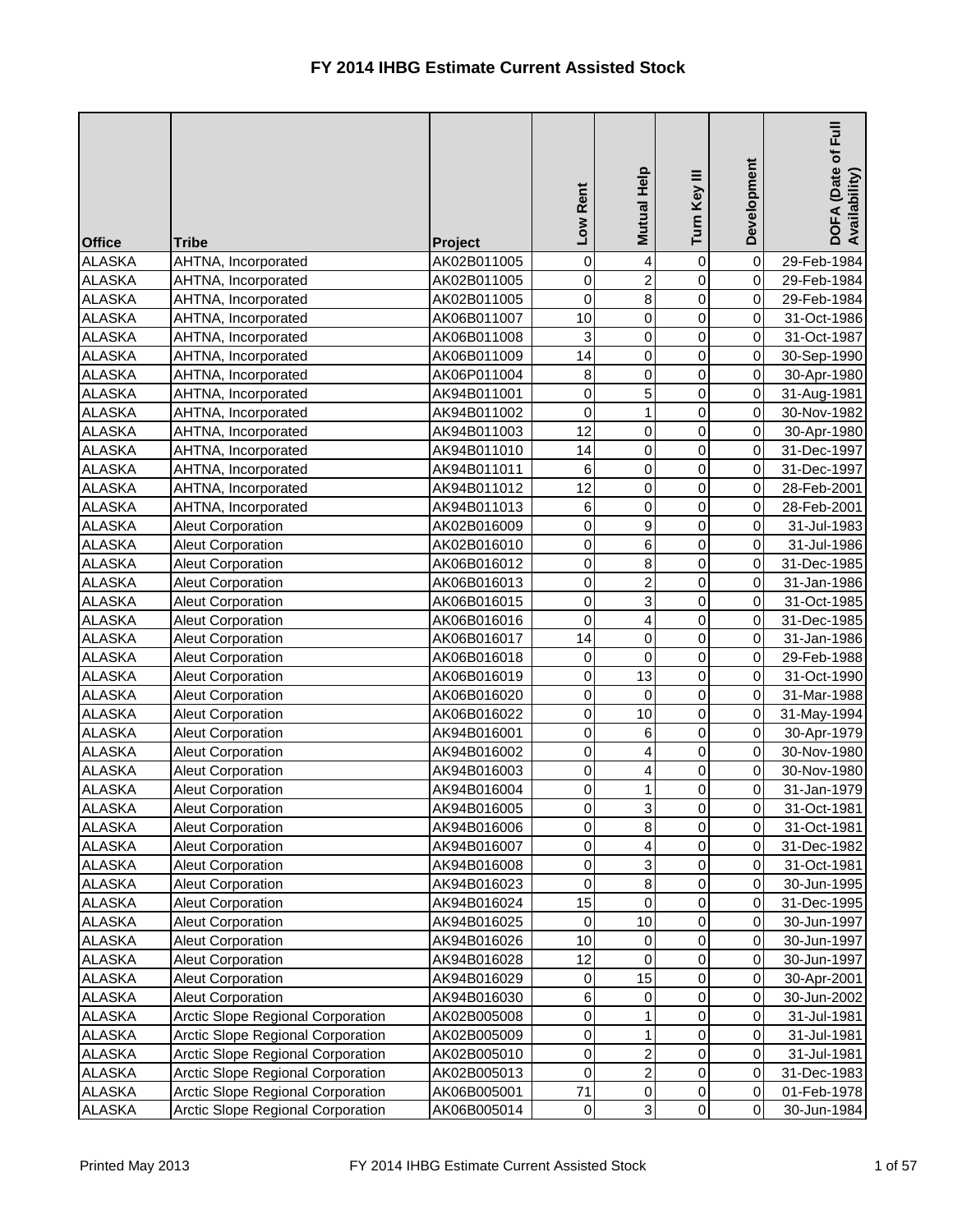| <b>Office</b> | <b>Tribe</b>                             | <b>Project</b> | Low Rent       | Mutual Help    | Turn Key III   | Development    | Full<br>DOFA (Date of I<br>Availability) |
|---------------|------------------------------------------|----------------|----------------|----------------|----------------|----------------|------------------------------------------|
| <b>ALASKA</b> | AHTNA, Incorporated                      | AK02B011005    | 0              | 4              | $\mathbf 0$    | $\overline{0}$ | 29-Feb-1984                              |
| <b>ALASKA</b> | AHTNA, Incorporated                      | AK02B011005    | 0              | $\overline{2}$ | 0              | $\overline{0}$ | 29-Feb-1984                              |
| <b>ALASKA</b> | AHTNA, Incorporated                      | AK02B011005    | 0              | $\bf 8$        | 0              | $\overline{0}$ | 29-Feb-1984                              |
| <b>ALASKA</b> | AHTNA, Incorporated                      | AK06B011007    | 10             | $\pmb{0}$      | $\overline{0}$ | $\overline{0}$ | 31-Oct-1986                              |
| <b>ALASKA</b> | AHTNA, Incorporated                      | AK06B011008    | 3              | 0              | 0              | $\overline{0}$ | 31-Oct-1987                              |
| <b>ALASKA</b> | AHTNA, Incorporated                      | AK06B011009    | 14             | $\mathsf 0$    | 0              | $\overline{0}$ | 30-Sep-1990                              |
| <b>ALASKA</b> | AHTNA, Incorporated                      | AK06P011004    | 8              | 0              | 0              | $\overline{0}$ | 30-Apr-1980                              |
| <b>ALASKA</b> | AHTNA, Incorporated                      | AK94B011001    | 0              | 5              | 0              | $\overline{0}$ | 31-Aug-1981                              |
| <b>ALASKA</b> | AHTNA, Incorporated                      | AK94B011002    | 0              | 1              | 0              | $\overline{0}$ | 30-Nov-1982                              |
| <b>ALASKA</b> | AHTNA, Incorporated                      | AK94B011003    | 12             | $\mathsf 0$    | 0              | $\overline{0}$ | 30-Apr-1980                              |
| <b>ALASKA</b> | AHTNA, Incorporated                      | AK94B011010    | 14             | 0              | 0              | $\overline{0}$ | 31-Dec-1997                              |
| <b>ALASKA</b> | AHTNA, Incorporated                      | AK94B011011    | 6              | 0              | 0              | $\overline{0}$ | 31-Dec-1997                              |
| <b>ALASKA</b> | AHTNA, Incorporated                      | AK94B011012    | 12             | 0              | 0              | $\overline{0}$ | 28-Feb-2001                              |
| <b>ALASKA</b> | AHTNA, Incorporated                      | AK94B011013    | 6              | $\mathsf 0$    | 0              | $\overline{0}$ | 28-Feb-2001                              |
| <b>ALASKA</b> | <b>Aleut Corporation</b>                 | AK02B016009    | 0              | 9              | 0              | $\overline{0}$ | 31-Jul-1983                              |
| <b>ALASKA</b> | <b>Aleut Corporation</b>                 | AK02B016010    | 0              | 6              | 0              | $\overline{0}$ | 31-Jul-1986                              |
| <b>ALASKA</b> | <b>Aleut Corporation</b>                 | AK06B016012    | 0              | 8              | 0              | $\overline{0}$ | 31-Dec-1985                              |
| <b>ALASKA</b> | <b>Aleut Corporation</b>                 | AK06B016013    | 0              | $\overline{2}$ | 0              | $\overline{0}$ | 31-Jan-1986                              |
| <b>ALASKA</b> | <b>Aleut Corporation</b>                 | AK06B016015    | 0              | 3              | $\overline{0}$ | $\overline{0}$ | 31-Oct-1985                              |
| <b>ALASKA</b> | <b>Aleut Corporation</b>                 | AK06B016016    | 0              | 4              | $\overline{0}$ | $\overline{0}$ | 31-Dec-1985                              |
| <b>ALASKA</b> | <b>Aleut Corporation</b>                 | AK06B016017    | 14             | 0              | 0              | $\overline{0}$ | 31-Jan-1986                              |
| <b>ALASKA</b> | <b>Aleut Corporation</b>                 | AK06B016018    | 0              | 0              | 0              | $\overline{0}$ | 29-Feb-1988                              |
| <b>ALASKA</b> | Aleut Corporation                        | AK06B016019    | 0              | 13             | $\overline{0}$ | $\overline{0}$ | 31-Oct-1990                              |
| <b>ALASKA</b> | <b>Aleut Corporation</b>                 | AK06B016020    | $\pmb{0}$      | 0              | $\overline{0}$ | $\overline{0}$ | 31-Mar-1988                              |
| <b>ALASKA</b> | <b>Aleut Corporation</b>                 | AK06B016022    | 0              | 10             | 0              | $\overline{0}$ | 31-May-1994                              |
| <b>ALASKA</b> | <b>Aleut Corporation</b>                 | AK94B016001    | $\overline{0}$ | 6              | $\overline{0}$ | 0              | 30-Apr-1979                              |
| <b>ALASKA</b> | <b>Aleut Corporation</b>                 | AK94B016002    | 0              | 4              | $\overline{0}$ | $\overline{0}$ | 30-Nov-1980                              |
| <b>ALASKA</b> | <b>Aleut Corporation</b>                 | AK94B016003    | 0              | 4              | 0              | $\overline{0}$ | 30-Nov-1980                              |
| <b>ALASKA</b> | <b>Aleut Corporation</b>                 | AK94B016004    | 0              |                | 0              | $\overline{0}$ | 31-Jan-1979                              |
| <b>ALASKA</b> | <b>Aleut Corporation</b>                 | AK94B016005    | $\pmb{0}$      | 3              | 0              | $\overline{0}$ | 31-Oct-1981                              |
| <b>ALASKA</b> | <b>Aleut Corporation</b>                 | AK94B016006    | 0              | 8              | 0              | $\overline{0}$ | 31-Oct-1981                              |
| <b>ALASKA</b> | <b>Aleut Corporation</b>                 | AK94B016007    | 0              | 4              | 0              | $\overline{0}$ | 31-Dec-1982                              |
| <b>ALASKA</b> | <b>Aleut Corporation</b>                 | AK94B016008    | 0              | 3              | 0              | $\overline{0}$ | 31-Oct-1981                              |
| <b>ALASKA</b> | <b>Aleut Corporation</b>                 | AK94B016023    | 0              | 8              | 0              | $\overline{0}$ | 30-Jun-1995                              |
| <b>ALASKA</b> | <b>Aleut Corporation</b>                 | AK94B016024    | 15             | $\mathbf 0$    | 0              | $\overline{0}$ | 31-Dec-1995                              |
| <b>ALASKA</b> | <b>Aleut Corporation</b>                 | AK94B016025    | 0              | 10             | 0              | $\overline{0}$ | 30-Jun-1997                              |
| <b>ALASKA</b> | <b>Aleut Corporation</b>                 | AK94B016026    | 10             | 0              | 0              | $\overline{0}$ | 30-Jun-1997                              |
| <b>ALASKA</b> | <b>Aleut Corporation</b>                 | AK94B016028    | 12             | 0              | 0              | $\overline{0}$ | 30-Jun-1997                              |
| <b>ALASKA</b> | <b>Aleut Corporation</b>                 | AK94B016029    | 0              | 15             | 0              | $\overline{0}$ | 30-Apr-2001                              |
| <b>ALASKA</b> | <b>Aleut Corporation</b>                 | AK94B016030    | 6              | 0              | 0              | $\overline{0}$ | 30-Jun-2002                              |
| <b>ALASKA</b> | <b>Arctic Slope Regional Corporation</b> | AK02B005008    | 0              |                | 0              | $\overline{0}$ | 31-Jul-1981                              |
| <b>ALASKA</b> | Arctic Slope Regional Corporation        | AK02B005009    | 0              | 1              | 0              | $\overline{0}$ | 31-Jul-1981                              |
| <b>ALASKA</b> | <b>Arctic Slope Regional Corporation</b> | AK02B005010    | 0              | $\overline{2}$ | 0              | $\overline{0}$ | 31-Jul-1981                              |
| <b>ALASKA</b> | Arctic Slope Regional Corporation        | AK02B005013    | 0              | 2              | 0              | $\overline{0}$ | 31-Dec-1983                              |
| <b>ALASKA</b> | <b>Arctic Slope Regional Corporation</b> | AK06B005001    | 71             | $\pmb{0}$      | 0              | $\overline{0}$ | 01-Feb-1978                              |
| <b>ALASKA</b> | Arctic Slope Regional Corporation        | AK06B005014    | $\pmb{0}$      | $\mathbf{3}$   | $\overline{0}$ | $\overline{0}$ | 30-Jun-1984                              |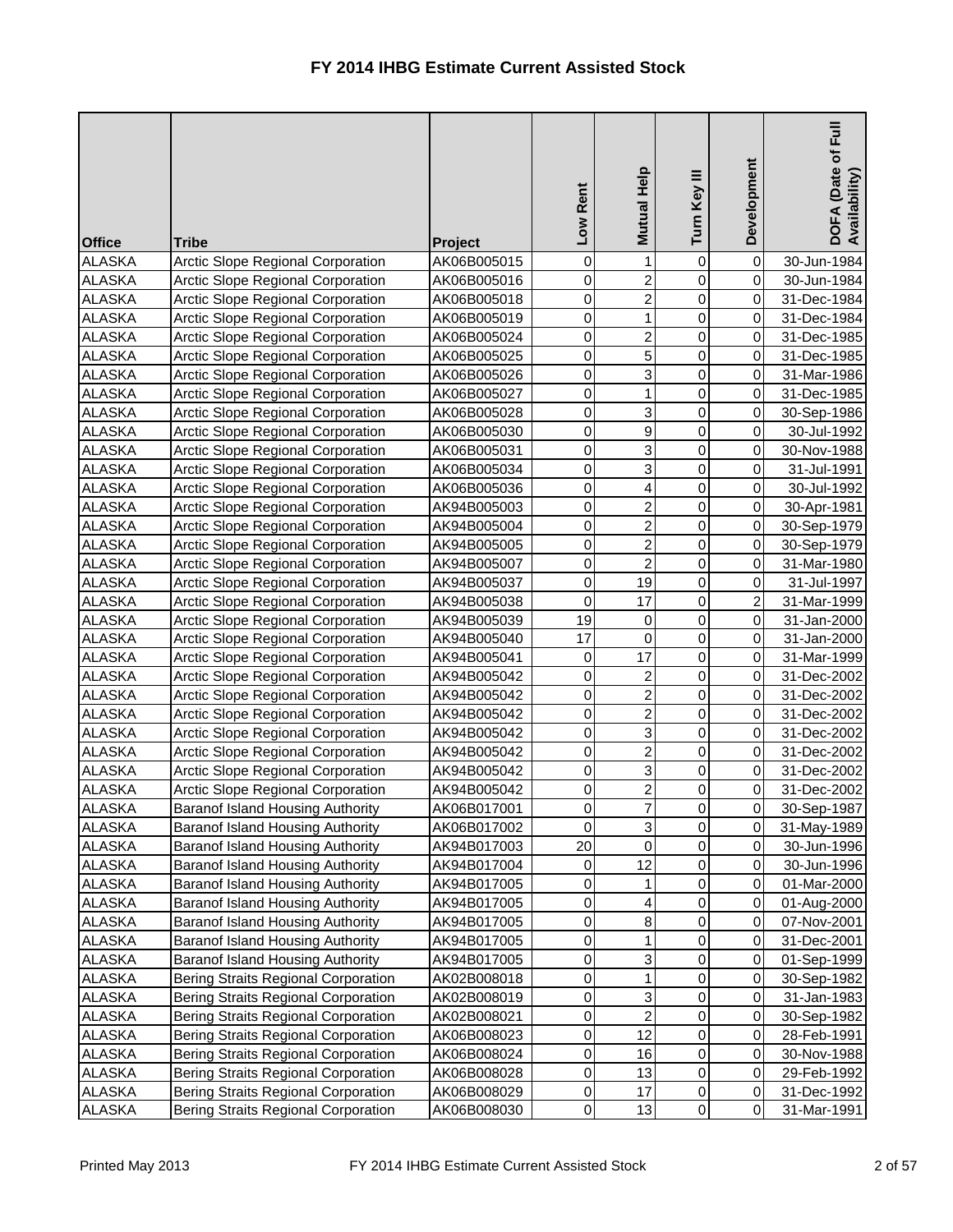| <b>Office</b> | <b>Tribe</b>                               | <b>Project</b> | Rent<br>Low    | <b>Mutual Help</b> | Turn Key III   | Development    | Full<br>DOFA (Date of I<br>Availability) |
|---------------|--------------------------------------------|----------------|----------------|--------------------|----------------|----------------|------------------------------------------|
| <b>ALASKA</b> | <b>Arctic Slope Regional Corporation</b>   | AK06B005015    | 0              | 1                  | 0              | $\overline{0}$ | 30-Jun-1984                              |
| <b>ALASKA</b> | Arctic Slope Regional Corporation          | AK06B005016    | 0              | $\overline{c}$     | 0              | $\overline{0}$ | 30-Jun-1984                              |
| <b>ALASKA</b> | Arctic Slope Regional Corporation          | AK06B005018    | 0              | $\overline{c}$     | 0              | $\overline{0}$ | 31-Dec-1984                              |
| <b>ALASKA</b> | <b>Arctic Slope Regional Corporation</b>   | AK06B005019    | $\pmb{0}$      | 1                  | 0              | $\overline{0}$ | 31-Dec-1984                              |
| <b>ALASKA</b> | Arctic Slope Regional Corporation          | AK06B005024    | 0              | $\overline{c}$     | 0              | $\overline{0}$ | 31-Dec-1985                              |
| <b>ALASKA</b> | Arctic Slope Regional Corporation          | AK06B005025    | 0              | 5                  | 0              | $\overline{0}$ | 31-Dec-1985                              |
| <b>ALASKA</b> | Arctic Slope Regional Corporation          | AK06B005026    | 0              | 3                  | 0              | $\overline{0}$ | 31-Mar-1986                              |
| <b>ALASKA</b> | <b>Arctic Slope Regional Corporation</b>   | AK06B005027    | $\pmb{0}$      | 1                  | 0              | $\overline{0}$ | 31-Dec-1985                              |
| <b>ALASKA</b> | Arctic Slope Regional Corporation          | AK06B005028    | 0              | 3                  | 0              | $\overline{0}$ | 30-Sep-1986                              |
| <b>ALASKA</b> | Arctic Slope Regional Corporation          | AK06B005030    | 0              | 9                  | 0              | $\overline{0}$ | 30-Jul-1992                              |
| <b>ALASKA</b> | Arctic Slope Regional Corporation          | AK06B005031    | 0              | 3                  | 0              | $\overline{0}$ | 30-Nov-1988                              |
| <b>ALASKA</b> | <b>Arctic Slope Regional Corporation</b>   | AK06B005034    | 0              | 3                  | 0              | $\overline{0}$ | 31-Jul-1991                              |
| <b>ALASKA</b> | Arctic Slope Regional Corporation          | AK06B005036    | 0              | 4                  | 0              | $\overline{0}$ | 30-Jul-1992                              |
| <b>ALASKA</b> | <b>Arctic Slope Regional Corporation</b>   | AK94B005003    | 0              | 2                  | 0              | $\overline{0}$ | 30-Apr-1981                              |
| <b>ALASKA</b> | Arctic Slope Regional Corporation          | AK94B005004    | 0              | $\overline{2}$     | 0              | $\overline{0}$ | 30-Sep-1979                              |
| <b>ALASKA</b> | <b>Arctic Slope Regional Corporation</b>   | AK94B005005    | 0              | $\overline{2}$     | 0              | $\overline{0}$ | 30-Sep-1979                              |
| <b>ALASKA</b> | <b>Arctic Slope Regional Corporation</b>   | AK94B005007    | $\pmb{0}$      | $\overline{2}$     | 0              | $\overline{0}$ | 31-Mar-1980                              |
| <b>ALASKA</b> | <b>Arctic Slope Regional Corporation</b>   | AK94B005037    | 0              | 19                 | 0              | $\overline{0}$ | 31-Jul-1997                              |
| <b>ALASKA</b> | Arctic Slope Regional Corporation          | AK94B005038    | 0              | 17                 | $\overline{0}$ | $\overline{2}$ | 31-Mar-1999                              |
| <b>ALASKA</b> | <b>Arctic Slope Regional Corporation</b>   | AK94B005039    | 19             | 0                  | $\overline{0}$ | $\overline{0}$ | 31-Jan-2000                              |
| <b>ALASKA</b> | Arctic Slope Regional Corporation          | AK94B005040    | 17             | $\mathbf 0$        | 0              | $\overline{0}$ | 31-Jan-2000                              |
| <b>ALASKA</b> | Arctic Slope Regional Corporation          | AK94B005041    | 0              | 17                 | 0              | $\overline{0}$ | 31-Mar-1999                              |
| <b>ALASKA</b> | Arctic Slope Regional Corporation          | AK94B005042    | 0              | $\overline{c}$     | $\overline{0}$ | $\overline{0}$ | 31-Dec-2002                              |
| <b>ALASKA</b> | Arctic Slope Regional Corporation          | AK94B005042    | 0              | $\overline{c}$     | 0              | $\overline{0}$ | 31-Dec-2002                              |
| <b>ALASKA</b> | Arctic Slope Regional Corporation          | AK94B005042    | 0              | $\overline{c}$     | 0              | $\overline{0}$ | 31-Dec-2002                              |
| <b>ALASKA</b> | Arctic Slope Regional Corporation          | AK94B005042    | $\overline{0}$ | 3                  | 0              | 0              | 31-Dec-2002                              |
| <b>ALASKA</b> | Arctic Slope Regional Corporation          | AK94B005042    | 0              | $\overline{2}$     | $\overline{0}$ | $\overline{O}$ | 31-Dec-2002                              |
| <b>ALASKA</b> | Arctic Slope Regional Corporation          | AK94B005042    | 0              | 3                  | 0              | $\overline{0}$ | 31-Dec-2002                              |
| <b>ALASKA</b> | Arctic Slope Regional Corporation          | AK94B005042    | 0              | 2                  | 0              | $\overline{0}$ | 31-Dec-2002                              |
| <b>ALASKA</b> | Baranof Island Housing Authority           | AK06B017001    | $\pmb{0}$      | 7                  | 0              | $\overline{0}$ | 30-Sep-1987                              |
| <b>ALASKA</b> | Baranof Island Housing Authority           | AK06B017002    | 0              | 3                  | 0              | $\overline{0}$ | 31-May-1989                              |
| <b>ALASKA</b> | Baranof Island Housing Authority           | AK94B017003    | 20             | 0                  | 0              | $\overline{0}$ | 30-Jun-1996                              |
| <b>ALASKA</b> | Baranof Island Housing Authority           | AK94B017004    | 0              | 12                 | 0              | $\overline{0}$ | 30-Jun-1996                              |
| <b>ALASKA</b> | Baranof Island Housing Authority           | AK94B017005    | 0              |                    | 0              | $\overline{0}$ | 01-Mar-2000                              |
| <b>ALASKA</b> | <b>Baranof Island Housing Authority</b>    | AK94B017005    | 0              | 4                  | 0              | $\overline{0}$ | 01-Aug-2000                              |
| <b>ALASKA</b> | Baranof Island Housing Authority           | AK94B017005    | 0              | 8                  | 0              | $\overline{0}$ | 07-Nov-2001                              |
| <b>ALASKA</b> | Baranof Island Housing Authority           | AK94B017005    | 0              |                    | 0              | $\overline{0}$ | 31-Dec-2001                              |
| <b>ALASKA</b> | Baranof Island Housing Authority           | AK94B017005    | 0              | 3                  | 0              | $\overline{0}$ | 01-Sep-1999                              |
| <b>ALASKA</b> | <b>Bering Straits Regional Corporation</b> | AK02B008018    | 0              | 1                  | 0              | $\overline{0}$ | 30-Sep-1982                              |
| <b>ALASKA</b> | <b>Bering Straits Regional Corporation</b> | AK02B008019    | 0              | 3                  | 0              | $\overline{0}$ | 31-Jan-1983                              |
| <b>ALASKA</b> | <b>Bering Straits Regional Corporation</b> | AK02B008021    | 0              | $\overline{c}$     | 0              | $\overline{0}$ | 30-Sep-1982                              |
| <b>ALASKA</b> | <b>Bering Straits Regional Corporation</b> | AK06B008023    | 0              | 12                 | 0              | $\overline{0}$ | 28-Feb-1991                              |
| <b>ALASKA</b> | <b>Bering Straits Regional Corporation</b> | AK06B008024    | 0              | 16                 | $\overline{0}$ | $\overline{0}$ | 30-Nov-1988                              |
| <b>ALASKA</b> | <b>Bering Straits Regional Corporation</b> | AK06B008028    | $\pmb{0}$      | 13                 | 0              | $\overline{0}$ | 29-Feb-1992                              |
| <b>ALASKA</b> | <b>Bering Straits Regional Corporation</b> | AK06B008029    | $\pmb{0}$      | 17                 | 0              | $\overline{0}$ | 31-Dec-1992                              |
| <b>ALASKA</b> | <b>Bering Straits Regional Corporation</b> | AK06B008030    | $\pmb{0}$      | 13                 | $\overline{0}$ | $\overline{0}$ | 31-Mar-1991                              |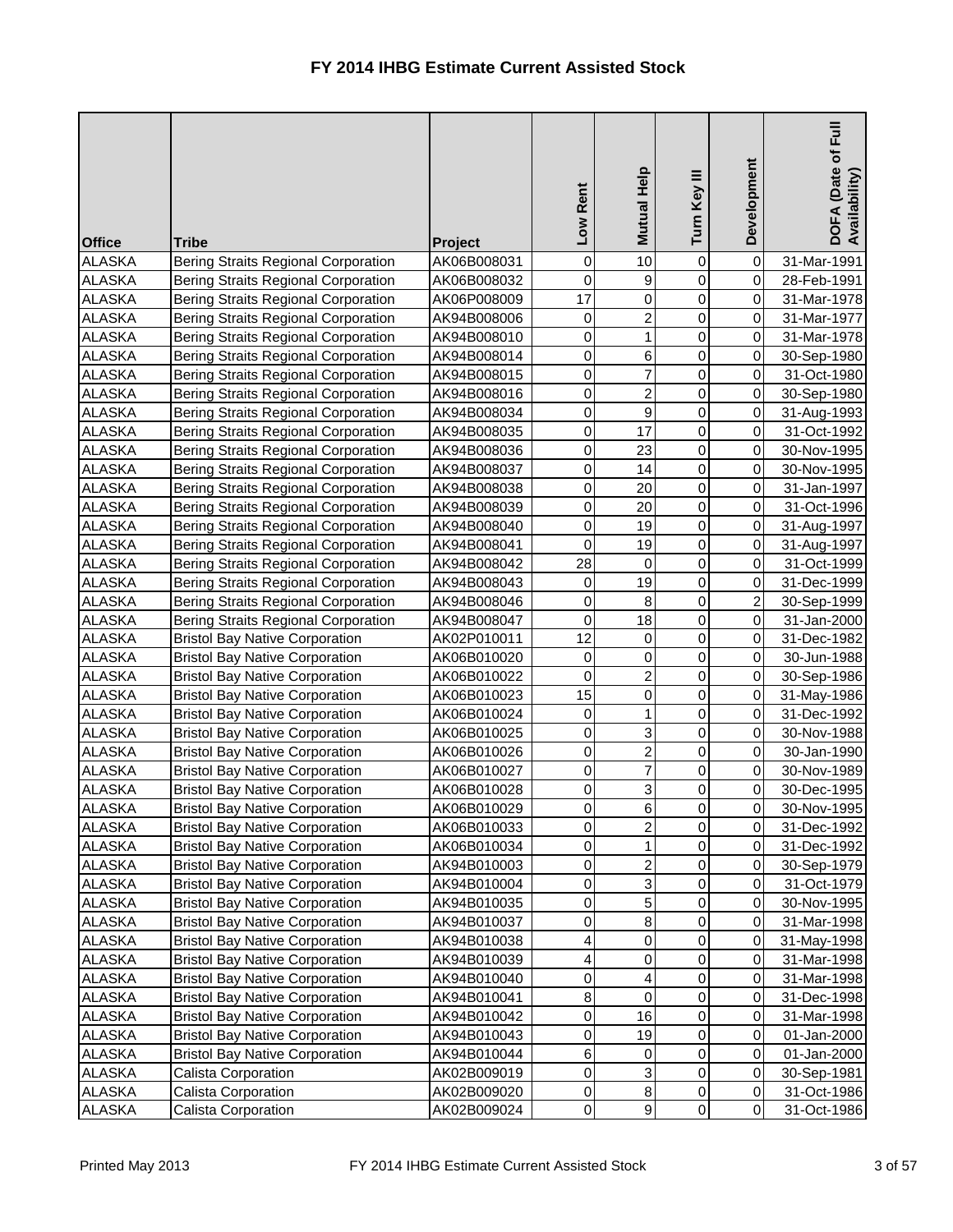| <b>Office</b> | <b>Tribe</b>                               | Project     | Rent<br><b>NOT</b> | Mutual Help    | Turn Key III   | Development    | $E_{\rm H}$<br>DOFA (Date of F<br>Availability) |
|---------------|--------------------------------------------|-------------|--------------------|----------------|----------------|----------------|-------------------------------------------------|
| <b>ALASKA</b> | <b>Bering Straits Regional Corporation</b> | AK06B008031 | 0                  | 10             | 0              | 0              | 31-Mar-1991                                     |
| <b>ALASKA</b> | <b>Bering Straits Regional Corporation</b> | AK06B008032 | 0                  | 9              | 0              | $\overline{0}$ | 28-Feb-1991                                     |
| <b>ALASKA</b> | <b>Bering Straits Regional Corporation</b> | AK06P008009 | 17                 | 0              | 0              | $\overline{0}$ | 31-Mar-1978                                     |
| <b>ALASKA</b> | Bering Straits Regional Corporation        | AK94B008006 | 0                  | $\overline{c}$ | 0              | $\overline{0}$ | 31-Mar-1977                                     |
| <b>ALASKA</b> | <b>Bering Straits Regional Corporation</b> | AK94B008010 | 0                  | 1              | 0              | $\overline{0}$ | 31-Mar-1978                                     |
| <b>ALASKA</b> | <b>Bering Straits Regional Corporation</b> | AK94B008014 | 0                  | 6              | 0              | $\overline{0}$ | 30-Sep-1980                                     |
| <b>ALASKA</b> | <b>Bering Straits Regional Corporation</b> | AK94B008015 | 0                  | 7              | 0              | $\overline{0}$ | 31-Oct-1980                                     |
| <b>ALASKA</b> | <b>Bering Straits Regional Corporation</b> | AK94B008016 | 0                  | $\overline{c}$ | 0              | $\mathbf 0$    | 30-Sep-1980                                     |
| <b>ALASKA</b> | <b>Bering Straits Regional Corporation</b> | AK94B008034 | 0                  | 9              | 0              | $\overline{0}$ | 31-Aug-1993                                     |
| <b>ALASKA</b> | <b>Bering Straits Regional Corporation</b> | AK94B008035 | 0                  | 17             | 0              | $\overline{0}$ | 31-Oct-1992                                     |
| <b>ALASKA</b> | <b>Bering Straits Regional Corporation</b> | AK94B008036 | 0                  | 23             | 0              | $\overline{0}$ | 30-Nov-1995                                     |
| <b>ALASKA</b> | <b>Bering Straits Regional Corporation</b> | AK94B008037 | 0                  | 14             | 0              | $\overline{0}$ | 30-Nov-1995                                     |
| <b>ALASKA</b> | <b>Bering Straits Regional Corporation</b> | AK94B008038 | 0                  | 20             | 0              | $\overline{0}$ | 31-Jan-1997                                     |
| <b>ALASKA</b> | <b>Bering Straits Regional Corporation</b> | AK94B008039 | 0                  | 20             | $\mathbf 0$    | $\overline{0}$ | 31-Oct-1996                                     |
| <b>ALASKA</b> | <b>Bering Straits Regional Corporation</b> | AK94B008040 | 0                  | 19             | 0              | $\overline{0}$ | 31-Aug-1997                                     |
| <b>ALASKA</b> | <b>Bering Straits Regional Corporation</b> | AK94B008041 | 0                  | 19             | 0              | $\overline{0}$ | 31-Aug-1997                                     |
| <b>ALASKA</b> | <b>Bering Straits Regional Corporation</b> | AK94B008042 | 28                 | 0              | 0              | $\overline{0}$ | 31-Oct-1999                                     |
| <b>ALASKA</b> | <b>Bering Straits Regional Corporation</b> | AK94B008043 | 0                  | 19             | 0              | $\overline{0}$ | 31-Dec-1999                                     |
| <b>ALASKA</b> | Bering Straits Regional Corporation        | AK94B008046 | 0                  | 8              | 0              | $\overline{2}$ | 30-Sep-1999                                     |
| <b>ALASKA</b> | <b>Bering Straits Regional Corporation</b> | AK94B008047 | 0                  | 18             | 0              | $\overline{0}$ | 31-Jan-2000                                     |
| <b>ALASKA</b> | <b>Bristol Bay Native Corporation</b>      | AK02P010011 | 12                 | 0              | 0              | $\overline{0}$ | 31-Dec-1982                                     |
| <b>ALASKA</b> | <b>Bristol Bay Native Corporation</b>      | AK06B010020 | 0                  | 0              | 0              | $\overline{0}$ | 30-Jun-1988                                     |
| <b>ALASKA</b> | <b>Bristol Bay Native Corporation</b>      | AK06B010022 | 0                  | $\overline{2}$ | 0              | $\overline{0}$ | 30-Sep-1986                                     |
| <b>ALASKA</b> | <b>Bristol Bay Native Corporation</b>      | AK06B010023 | 15                 | 0              | 0              | $\overline{0}$ | 31-May-1986                                     |
| <b>ALASKA</b> | <b>Bristol Bay Native Corporation</b>      | AK06B010024 | 0                  | 1              | 0              | $\overline{0}$ | 31-Dec-1992                                     |
| <b>ALASKA</b> | <b>Bristol Bay Native Corporation</b>      | AK06B010025 | $\overline{0}$     | R              | 0              | $\overline{0}$ | 30-Nov-1988                                     |
| <b>ALASKA</b> | <b>Bristol Bay Native Corporation</b>      | AK06B010026 | $\overline{0}$     | $\overline{2}$ | $\overline{0}$ | $\overline{O}$ | 30-Jan-1990                                     |
| <b>ALASKA</b> | <b>Bristol Bay Native Corporation</b>      | AK06B010027 | 0                  | 7              | 0              | $\overline{0}$ | 30-Nov-1989                                     |
| <b>ALASKA</b> | <b>Bristol Bay Native Corporation</b>      | AK06B010028 | 0                  | 3              | 0              | $\overline{0}$ | 30-Dec-1995                                     |
| <b>ALASKA</b> | <b>Bristol Bay Native Corporation</b>      | AK06B010029 | 0                  | 6              | 0              | $\overline{0}$ | 30-Nov-1995                                     |
| <b>ALASKA</b> | <b>Bristol Bay Native Corporation</b>      | AK06B010033 | 0                  | 2              | 0              | $\overline{0}$ | 31-Dec-1992                                     |
| <b>ALASKA</b> | <b>Bristol Bay Native Corporation</b>      | AK06B010034 | 0                  | 1              | 0              | $\overline{0}$ | 31-Dec-1992                                     |
| <b>ALASKA</b> | <b>Bristol Bay Native Corporation</b>      | AK94B010003 | 0                  | 2              | 0              | $\overline{0}$ | 30-Sep-1979                                     |
| <b>ALASKA</b> | <b>Bristol Bay Native Corporation</b>      | AK94B010004 | 0                  | 3              | 0              | $\overline{0}$ | 31-Oct-1979                                     |
| <b>ALASKA</b> | <b>Bristol Bay Native Corporation</b>      | AK94B010035 | 0                  | 5              | 0              | $\overline{0}$ | 30-Nov-1995                                     |
| <b>ALASKA</b> | <b>Bristol Bay Native Corporation</b>      | AK94B010037 | 0                  | 8              | 0              | $\overline{0}$ | 31-Mar-1998                                     |
| <b>ALASKA</b> | <b>Bristol Bay Native Corporation</b>      | AK94B010038 | 4                  | 0              | 0              | $\overline{0}$ | 31-May-1998                                     |
| <b>ALASKA</b> | <b>Bristol Bay Native Corporation</b>      | AK94B010039 | 4                  | 0              | 0              | $\overline{0}$ | 31-Mar-1998                                     |
| <b>ALASKA</b> | <b>Bristol Bay Native Corporation</b>      | AK94B010040 | 0                  | 4              | 0              | $\overline{0}$ | 31-Mar-1998                                     |
| <b>ALASKA</b> | <b>Bristol Bay Native Corporation</b>      | AK94B010041 | 8                  | 0              | 0              | $\overline{0}$ | 31-Dec-1998                                     |
| <b>ALASKA</b> | <b>Bristol Bay Native Corporation</b>      | AK94B010042 | 0                  | 16             | 0              | $\overline{0}$ | 31-Mar-1998                                     |
| <b>ALASKA</b> | <b>Bristol Bay Native Corporation</b>      | AK94B010043 | 0                  | 19             | 0              | $\overline{0}$ | 01-Jan-2000                                     |
| <b>ALASKA</b> | <b>Bristol Bay Native Corporation</b>      | AK94B010044 | $6\overline{6}$    | 0              | 0              | $\overline{0}$ | 01-Jan-2000                                     |
| <b>ALASKA</b> | Calista Corporation                        | AK02B009019 | 0                  | 3              | 0              | $\overline{0}$ | 30-Sep-1981                                     |
| <b>ALASKA</b> | Calista Corporation                        | AK02B009020 | $\overline{0}$     | $\bf 8$        | 0              | $\overline{0}$ | 31-Oct-1986                                     |
| <b>ALASKA</b> | Calista Corporation                        | AK02B009024 | $\overline{0}$     | $\mathsf g$    | 0              | $\overline{0}$ | 31-Oct-1986                                     |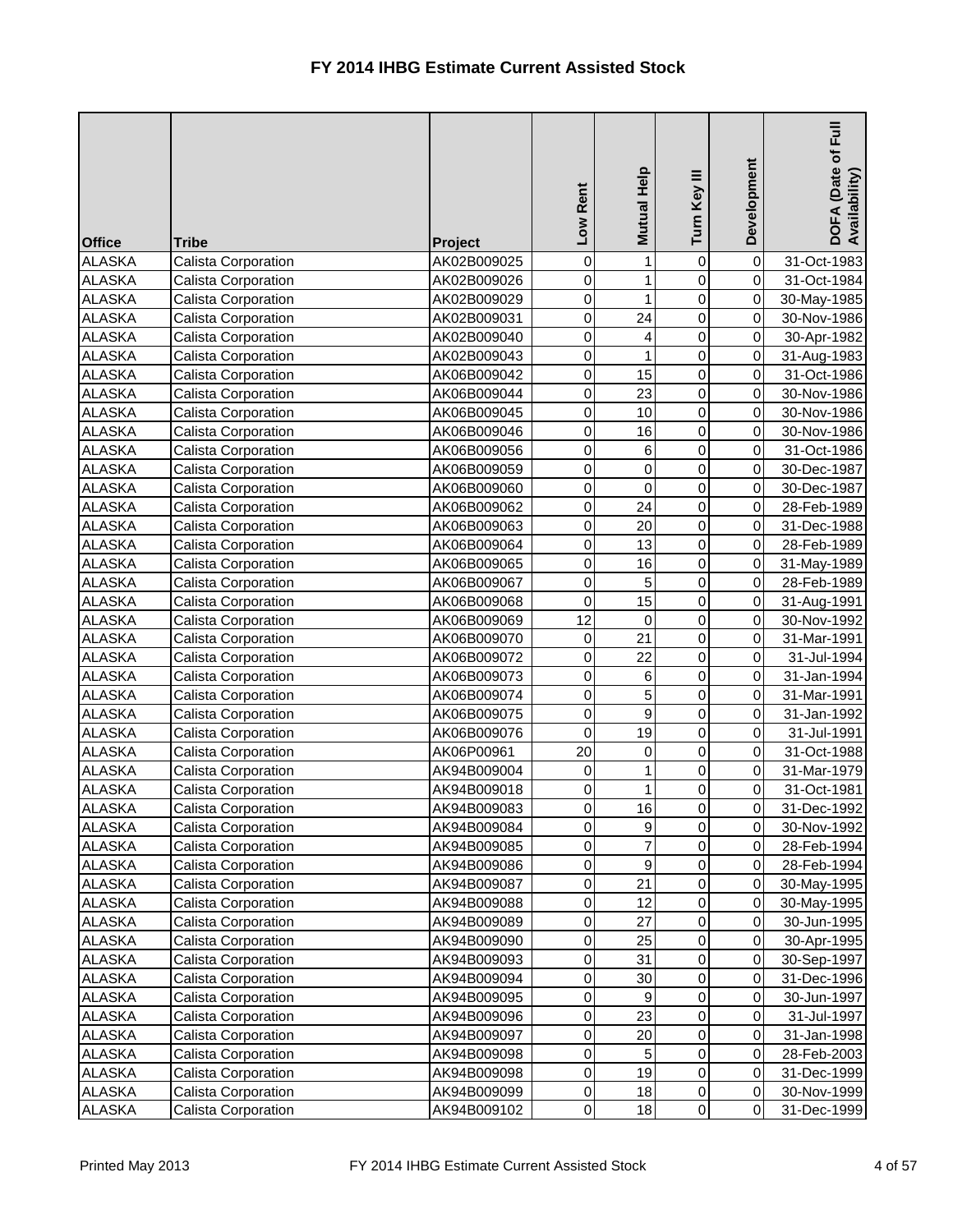| <b>Office</b> | <b>Tribe</b>               | <b>Project</b> | Low Rent                    | Mutual Help | Turn Key III        | Development                      | Full<br>DOFA (Date of I<br>Availability) |
|---------------|----------------------------|----------------|-----------------------------|-------------|---------------------|----------------------------------|------------------------------------------|
| <b>ALASKA</b> | <b>Calista Corporation</b> | AK02B009025    | 0                           | 1           | $\boldsymbol{0}$    | $\overline{0}$                   | 31-Oct-1983                              |
| <b>ALASKA</b> | Calista Corporation        | AK02B009026    | 0                           | 1           | 0                   | $\overline{0}$                   | 31-Oct-1984                              |
| <b>ALASKA</b> | Calista Corporation        | AK02B009029    | $\pmb{0}$                   | 1           | 0                   | $\overline{0}$                   | 30-May-1985                              |
| <b>ALASKA</b> | Calista Corporation        | AK02B009031    | 0                           | 24          | 0                   | $\overline{0}$                   | 30-Nov-1986                              |
| <b>ALASKA</b> | Calista Corporation        | AK02B009040    | $\pmb{0}$                   | 4           | 0                   | $\overline{0}$                   | 30-Apr-1982                              |
| <b>ALASKA</b> | Calista Corporation        | AK02B009043    | 0                           |             | 0                   | $\overline{0}$                   | 31-Aug-1983                              |
| <b>ALASKA</b> | Calista Corporation        | AK06B009042    | $\pmb{0}$                   | 15          | 0                   | $\overline{0}$                   | 31-Oct-1986                              |
| <b>ALASKA</b> | Calista Corporation        | AK06B009044    | 0                           | 23          | 0                   | $\overline{0}$                   | 30-Nov-1986                              |
| <b>ALASKA</b> | <b>Calista Corporation</b> | AK06B009045    | $\mathsf{O}\xspace$         | 10          | 0                   | $\overline{0}$                   | 30-Nov-1986                              |
| <b>ALASKA</b> | Calista Corporation        | AK06B009046    | 0                           | 16          | 0                   | $\overline{0}$                   | 30-Nov-1986                              |
| <b>ALASKA</b> | Calista Corporation        | AK06B009056    | 0                           | 6           | 0                   | $\overline{0}$                   | 31-Oct-1986                              |
| <b>ALASKA</b> | Calista Corporation        | AK06B009059    | 0                           | 0           | 0                   | $\overline{0}$                   | 30-Dec-1987                              |
| <b>ALASKA</b> | <b>Calista Corporation</b> | AK06B009060    | $\mathsf{O}\xspace$         | $\mathbf 0$ | 0                   | $\overline{0}$                   | 30-Dec-1987                              |
| <b>ALASKA</b> | Calista Corporation        | AK06B009062    | 0                           | 24          | 0                   | $\overline{0}$                   | 28-Feb-1989                              |
| <b>ALASKA</b> | Calista Corporation        | AK06B009063    | 0                           | 20          | 0                   | $\overline{0}$                   | 31-Dec-1988                              |
| <b>ALASKA</b> | Calista Corporation        | AK06B009064    | $\mathsf{O}\xspace$         | 13          | 0                   | $\overline{0}$                   | 28-Feb-1989                              |
| <b>ALASKA</b> | <b>Calista Corporation</b> | AK06B009065    | 0                           | 16          | 0                   | $\overline{0}$                   | 31-May-1989                              |
| <b>ALASKA</b> | <b>Calista Corporation</b> | AK06B009067    | 0                           | 5           | 0                   | $\overline{0}$                   | 28-Feb-1989                              |
| <b>ALASKA</b> | Calista Corporation        | AK06B009068    | 0                           | 15          | 0                   | $\overline{0}$                   | 31-Aug-1991                              |
| <b>ALASKA</b> | <b>Calista Corporation</b> | AK06B009069    | 12                          | 0           | 0                   | $\overline{0}$                   | 30-Nov-1992                              |
| <b>ALASKA</b> | Calista Corporation        | AK06B009070    | $\pmb{0}$                   | 21          | 0                   | $\overline{0}$                   | 31-Mar-1991                              |
| <b>ALASKA</b> | Calista Corporation        | AK06B009072    | 0                           | 22          | 0                   | $\overline{0}$                   | 31-Jul-1994                              |
| <b>ALASKA</b> | Calista Corporation        | AK06B009073    | 0                           | 6           | 0                   | $\overline{0}$                   | 31-Jan-1994                              |
| <b>ALASKA</b> | Calista Corporation        | AK06B009074    | $\pmb{0}$                   | 5           | 0                   | $\overline{0}$                   | 31-Mar-1991                              |
| <b>ALASKA</b> | Calista Corporation        | AK06B009075    | 0                           | 9           | 0                   | $\overline{0}$                   | 31-Jan-1992                              |
| <b>ALASKA</b> | Calista Corporation        | AK06B009076    | $\mathbf 0$                 | 19          | 0                   | 0                                | 31-Jul-1991                              |
| <b>ALASKA</b> | <b>Calista Corporation</b> | AK06P00961     | 20                          | $\mathbf 0$ | $\overline{0}$      | $\overline{O}$                   | 31-Oct-1988                              |
| <b>ALASKA</b> | <b>Calista Corporation</b> | AK94B009004    | 0                           |             | 0                   | $\overline{0}$                   | 31-Mar-1979                              |
| <b>ALASKA</b> | <b>Calista Corporation</b> | AK94B009018    | $\pmb{0}$                   | 1           | 0                   | $\overline{0}$                   | 31-Oct-1981                              |
| <b>ALASKA</b> | <b>Calista Corporation</b> | AK94B009083    | $\pmb{0}$                   | 16          | 0                   | $\overline{0}$                   | 31-Dec-1992                              |
| <b>ALASKA</b> | Calista Corporation        | AK94B009084    | 0                           | 9           | 0                   | $\overline{0}$                   | 30-Nov-1992                              |
| <b>ALASKA</b> | <b>Calista Corporation</b> | AK94B009085    | 0                           | 7           | 0                   | $\overline{0}$                   | 28-Feb-1994                              |
| <b>ALASKA</b> | <b>Calista Corporation</b> | AK94B009086    | $\pmb{0}$                   | 9           | 0                   | $\overline{0}$                   | 28-Feb-1994                              |
| <b>ALASKA</b> | <b>Calista Corporation</b> | AK94B009087    | $\pmb{0}$                   | 21          | 0                   | $\overline{0}$                   | 30-May-1995                              |
| <b>ALASKA</b> | Calista Corporation        | AK94B009088    | 0                           | 12          | 0                   | $\overline{0}$                   | 30-May-1995                              |
| <b>ALASKA</b> | Calista Corporation        | AK94B009089    | 0                           | 27          | 0                   | $\overline{0}$                   | 30-Jun-1995                              |
| <b>ALASKA</b> | Calista Corporation        | AK94B009090    | $\pmb{0}$                   | 25          | 0                   | $\overline{0}$                   | 30-Apr-1995                              |
| <b>ALASKA</b> | <b>Calista Corporation</b> | AK94B009093    | $\pmb{0}$                   | 31          | 0                   | $\overline{0}$                   | 30-Sep-1997                              |
| <b>ALASKA</b> | <b>Calista Corporation</b> | AK94B009094    | 0                           | 30          | 0                   | $\overline{0}$                   | 31-Dec-1996                              |
| <b>ALASKA</b> | <b>Calista Corporation</b> | AK94B009095    | $\pmb{0}$                   | 9           | 0                   | $\overline{0}$                   | 30-Jun-1997                              |
| <b>ALASKA</b> | <b>Calista Corporation</b> | AK94B009096    | $\pmb{0}$                   | 23          | 0                   | $\overline{0}$                   | 31-Jul-1997                              |
| <b>ALASKA</b> | <b>Calista Corporation</b> | AK94B009097    | $\pmb{0}$                   | 20          | 0                   | $\overline{0}$                   | 31-Jan-1998                              |
| <b>ALASKA</b> | Calista Corporation        | AK94B009098    | $\pmb{0}$                   | 5           | 0                   | $\overline{0}$                   | 28-Feb-2003                              |
| <b>ALASKA</b> | <b>Calista Corporation</b> | AK94B009098    | $\pmb{0}$                   | 19          | 0                   | $\overline{0}$                   | 31-Dec-1999                              |
| <b>ALASKA</b> | Calista Corporation        | AK94B009099    | $\pmb{0}$<br>$\overline{0}$ | 18          | 0<br>$\overline{0}$ | $\overline{0}$<br>$\overline{0}$ | 30-Nov-1999                              |
| <b>ALASKA</b> | Calista Corporation        | AK94B009102    |                             | 18          |                     |                                  | 31-Dec-1999                              |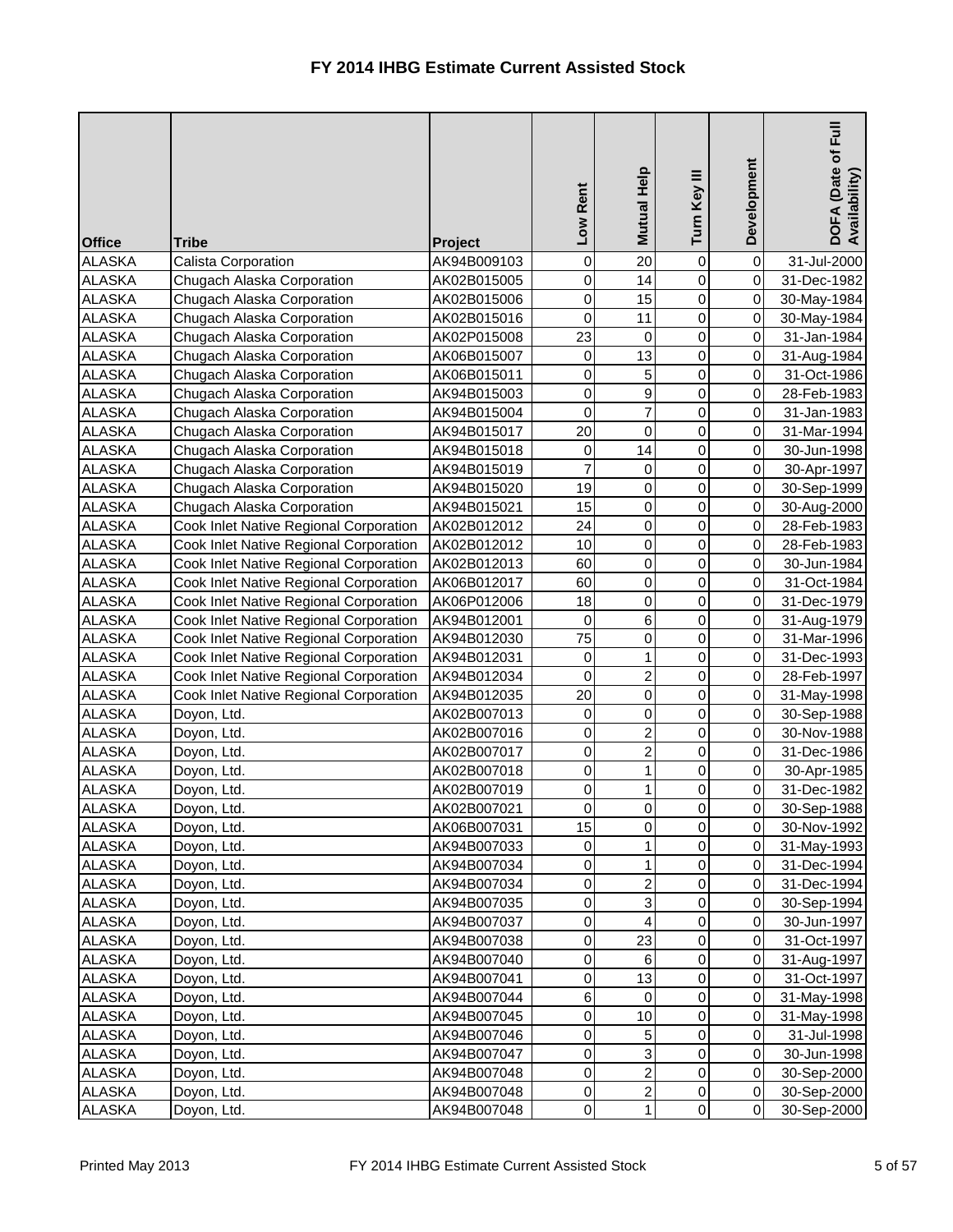| <b>Office</b> | <b>Tribe</b>                           | Project     | Low Rent       | Mutual Help    | Turn Key III   | Development    | $E_{\rm H}$<br>DOFA (Date of I<br>Availability) |
|---------------|----------------------------------------|-------------|----------------|----------------|----------------|----------------|-------------------------------------------------|
| <b>ALASKA</b> | <b>Calista Corporation</b>             | AK94B009103 | 0              | 20             | $\mathbf 0$    | $\overline{0}$ | 31-Jul-2000                                     |
| <b>ALASKA</b> | Chugach Alaska Corporation             | AK02B015005 | 0              | 14             | 0              | $\overline{0}$ | 31-Dec-1982                                     |
| <b>ALASKA</b> | Chugach Alaska Corporation             | AK02B015006 | 0              | 15             | 0              | $\overline{0}$ | 30-May-1984                                     |
| <b>ALASKA</b> | Chugach Alaska Corporation             | AK02B015016 | 0              | 11             | 0              | $\overline{0}$ | 30-May-1984                                     |
| <b>ALASKA</b> | Chugach Alaska Corporation             | AK02P015008 | 23             | 0              | 0              | $\overline{0}$ | 31-Jan-1984                                     |
| <b>ALASKA</b> | Chugach Alaska Corporation             | AK06B015007 | 0              | 13             | 0              | $\overline{0}$ | 31-Aug-1984                                     |
| <b>ALASKA</b> | Chugach Alaska Corporation             | AK06B015011 | 0              | 5              | 0              | $\overline{0}$ | 31-Oct-1986                                     |
| <b>ALASKA</b> | Chugach Alaska Corporation             | AK94B015003 | 0              | 9              | 0              | $\overline{0}$ | 28-Feb-1983                                     |
| <b>ALASKA</b> | Chugach Alaska Corporation             | AK94B015004 | 0              | 7              | 0              | $\overline{0}$ | 31-Jan-1983                                     |
| <b>ALASKA</b> | Chugach Alaska Corporation             | AK94B015017 | 20             | 0              | 0              | $\overline{0}$ | 31-Mar-1994                                     |
| <b>ALASKA</b> | Chugach Alaska Corporation             | AK94B015018 | 0              | 14             | 0              | $\overline{0}$ | 30-Jun-1998                                     |
| <b>ALASKA</b> | Chugach Alaska Corporation             | AK94B015019 | $\overline{7}$ | 0              | $\overline{0}$ | $\overline{0}$ | 30-Apr-1997                                     |
| <b>ALASKA</b> | Chugach Alaska Corporation             | AK94B015020 | 19             | 0              | 0              | $\overline{0}$ | 30-Sep-1999                                     |
| <b>ALASKA</b> | Chugach Alaska Corporation             | AK94B015021 | 15             | $\mathsf 0$    | 0              | $\overline{0}$ | 30-Aug-2000                                     |
| <b>ALASKA</b> | Cook Inlet Native Regional Corporation | AK02B012012 | 24             | 0              | 0              | $\overline{0}$ | 28-Feb-1983                                     |
| <b>ALASKA</b> | Cook Inlet Native Regional Corporation | AK02B012012 | 10             | 0              | 0              | $\overline{0}$ | 28-Feb-1983                                     |
| <b>ALASKA</b> | Cook Inlet Native Regional Corporation | AK02B012013 | 60             | 0              | 0              | $\overline{0}$ | 30-Jun-1984                                     |
| <b>ALASKA</b> | Cook Inlet Native Regional Corporation | AK06B012017 | 60             | 0              | 0              | $\overline{0}$ | 31-Oct-1984                                     |
| <b>ALASKA</b> | Cook Inlet Native Regional Corporation | AK06P012006 | 18             | 0              | 0              | $\overline{0}$ | 31-Dec-1979                                     |
| <b>ALASKA</b> | Cook Inlet Native Regional Corporation | AK94B012001 | 0              | 6              | 0              | $\overline{0}$ | 31-Aug-1979                                     |
| <b>ALASKA</b> | Cook Inlet Native Regional Corporation | AK94B012030 | 75             | 0              | 0              | $\overline{0}$ | 31-Mar-1996                                     |
| <b>ALASKA</b> | Cook Inlet Native Regional Corporation | AK94B012031 | 0              | 1              | 0              | $\overline{0}$ | 31-Dec-1993                                     |
| <b>ALASKA</b> | Cook Inlet Native Regional Corporation | AK94B012034 | 0              | $\overline{2}$ | 0              | $\overline{0}$ | 28-Feb-1997                                     |
| <b>ALASKA</b> | Cook Inlet Native Regional Corporation | AK94B012035 | 20             | $\mathbf 0$    | 0              | $\overline{0}$ | 31-May-1998                                     |
| <b>ALASKA</b> | Doyon, Ltd.                            | AK02B007013 | 0              | 0              | 0              | $\overline{0}$ | 30-Sep-1988                                     |
| <b>ALASKA</b> | Doyon, Ltd.                            | AK02B007016 | $\pmb{0}$      | $\overline{2}$ | $\Omega$       | 0              | 30-Nov-1988                                     |
| <b>ALASKA</b> | Doyon, Ltd.                            | AK02B007017 | $\mathbf 0$    | $\overline{2}$ | $\overline{0}$ | $\overline{O}$ | 31-Dec-1986                                     |
| <b>ALASKA</b> | Doyon, Ltd.                            | AK02B007018 | 0              |                | 0              | $\overline{0}$ | 30-Apr-1985                                     |
| <b>ALASKA</b> | Doyon, Ltd.                            | AK02B007019 | $\pmb{0}$      |                | 0              | $\overline{0}$ | 31-Dec-1982                                     |
| <b>ALASKA</b> | Doyon, Ltd.                            | AK02B007021 | $\pmb{0}$      | 0              | 0              | $\overline{0}$ | 30-Sep-1988                                     |
| <b>ALASKA</b> | Doyon, Ltd.                            | AK06B007031 | 15             | 0              | 0              | $\overline{0}$ | 30-Nov-1992                                     |
| <b>ALASKA</b> | Doyon, Ltd.                            | AK94B007033 | 0              |                | 0              | $\overline{0}$ | 31-May-1993                                     |
| <b>ALASKA</b> | Doyon, Ltd.                            | AK94B007034 | 0              | 1              | 0              | $\overline{0}$ | 31-Dec-1994                                     |
| <b>ALASKA</b> | Doyon, Ltd.                            | AK94B007034 | $\pmb{0}$      | $\overline{2}$ | 0              | $\overline{O}$ | 31-Dec-1994                                     |
| <b>ALASKA</b> | Doyon, Ltd.                            | AK94B007035 | 0              | 3              | 0              | $\overline{0}$ | 30-Sep-1994                                     |
| <b>ALASKA</b> | Doyon, Ltd.                            | AK94B007037 | $\pmb{0}$      | 4              | 0              | $\overline{0}$ | 30-Jun-1997                                     |
| <b>ALASKA</b> | Doyon, Ltd.                            | AK94B007038 | $\pmb{0}$      | 23             | 0              | $\overline{0}$ | 31-Oct-1997                                     |
| <b>ALASKA</b> | Doyon, Ltd.                            | AK94B007040 | $\pmb{0}$      | $\,6$          | 0              | $\overline{0}$ | 31-Aug-1997                                     |
| <b>ALASKA</b> | Doyon, Ltd.                            | AK94B007041 | 0              | 13             | 0              | $\overline{0}$ | 31-Oct-1997                                     |
| <b>ALASKA</b> | Doyon, Ltd.                            | AK94B007044 | $\,6$          | 0              | 0              | $\overline{0}$ | 31-May-1998                                     |
| <b>ALASKA</b> | Doyon, Ltd.                            | AK94B007045 | $\pmb{0}$      | 10             | 0              | $\overline{0}$ | 31-May-1998                                     |
| <b>ALASKA</b> | Doyon, Ltd.                            | AK94B007046 | $\pmb{0}$      | 5              | 0              | $\overline{O}$ | 31-Jul-1998                                     |
| <b>ALASKA</b> | Doyon, Ltd.                            | AK94B007047 | 0              | 3              | 0              | $\overline{0}$ | 30-Jun-1998                                     |
| <b>ALASKA</b> | Doyon, Ltd.                            | AK94B007048 | 0              | $2^{1}$        | 0              | $\overline{0}$ | 30-Sep-2000                                     |
| <b>ALASKA</b> | Doyon, Ltd.                            | AK94B007048 | $\mathbf 0$    | $\overline{c}$ | 0              | $\overline{0}$ | 30-Sep-2000                                     |
| <b>ALASKA</b> | Doyon, Ltd.                            | AK94B007048 | $\overline{0}$ | $\mathbf{1}$   | $\overline{0}$ | $\overline{0}$ | 30-Sep-2000                                     |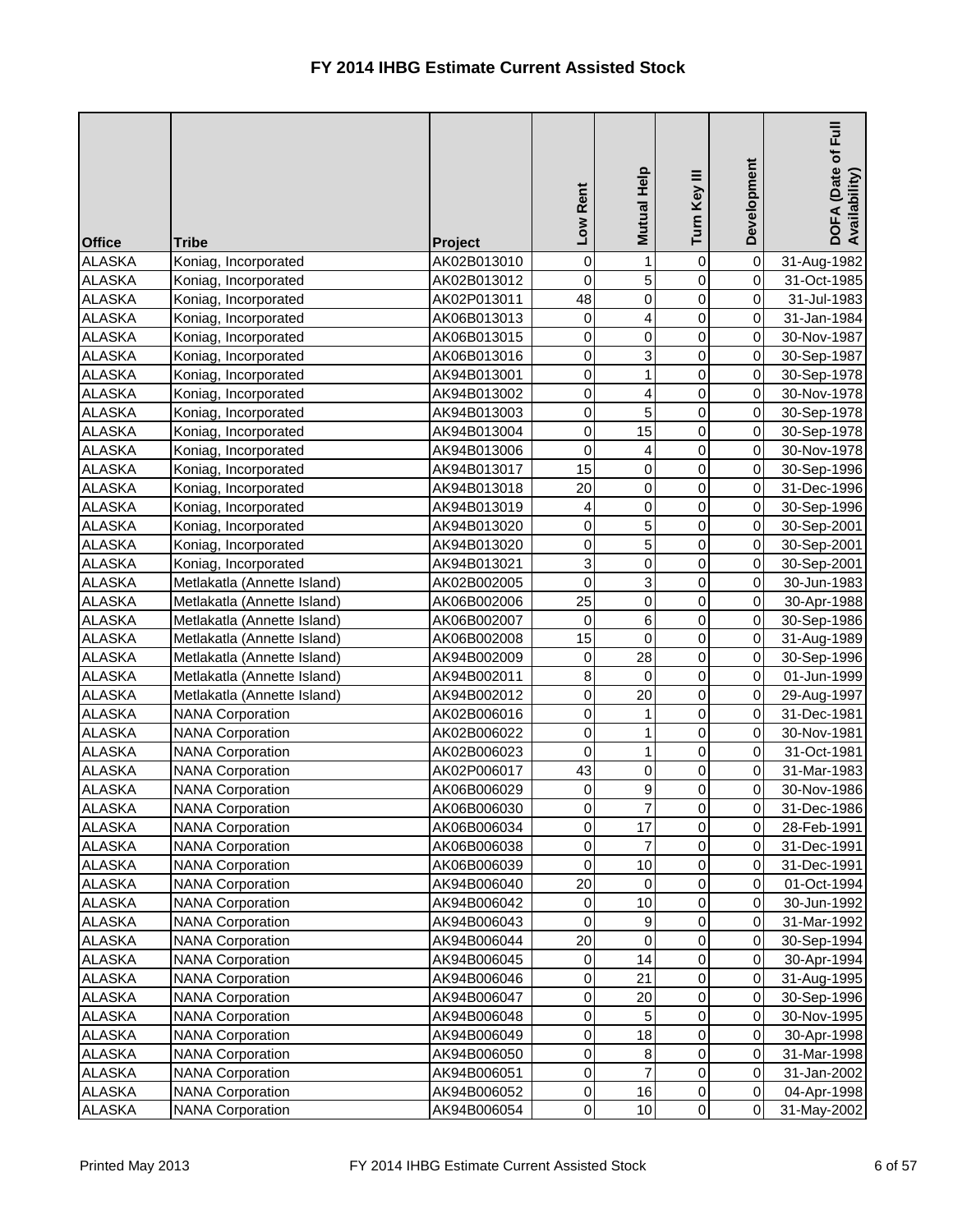| <b>Office</b>                  | <b>Tribe</b>                                       | Project                    | Low Rent               | Mutual Help         | Turn Key III   | Development            | $\bar{E}$<br>DOFA (Date of I<br>Availability) |
|--------------------------------|----------------------------------------------------|----------------------------|------------------------|---------------------|----------------|------------------------|-----------------------------------------------|
| <b>ALASKA</b>                  | Koniag, Incorporated                               | AK02B013010                | 0                      |                     | 0              | $\pmb{0}$              | 31-Aug-1982                                   |
| <b>ALASKA</b>                  | Koniag, Incorporated                               | AK02B013012                | 0                      | 5                   | 0              | $\pmb{0}$              | 31-Oct-1985                                   |
| <b>ALASKA</b>                  | Koniag, Incorporated                               | AK02P013011                | 48                     | 0                   | 0              | $\mathbf 0$            | 31-Jul-1983                                   |
| <b>ALASKA</b>                  | Koniag, Incorporated                               | AK06B013013                | 0                      | 4                   | 0              | $\pmb{0}$              | 31-Jan-1984                                   |
| <b>ALASKA</b>                  | Koniag, Incorporated                               | AK06B013015                | 0                      | 0                   | 0              | $\pmb{0}$              | 30-Nov-1987                                   |
| <b>ALASKA</b>                  | Koniag, Incorporated                               | AK06B013016                | $\pmb{0}$              | 3                   | 0              | $\pmb{0}$              | 30-Sep-1987                                   |
| <b>ALASKA</b>                  | Koniag, Incorporated                               | AK94B013001                | $\mathsf 0$            | 1                   | 0              | $\mathbf 0$            | 30-Sep-1978                                   |
| <b>ALASKA</b>                  | Koniag, Incorporated                               | AK94B013002                | $\pmb{0}$              | 4                   | 0              | $\pmb{0}$              | 30-Nov-1978                                   |
| <b>ALASKA</b>                  | Koniag, Incorporated                               | AK94B013003                | $\mathbf 0$            | 5                   | 0              | $\pmb{0}$              | 30-Sep-1978                                   |
| <b>ALASKA</b>                  | Koniag, Incorporated                               | AK94B013004                | $\pmb{0}$              | 15                  | 0              | $\pmb{0}$              | 30-Sep-1978                                   |
| <b>ALASKA</b>                  | Koniag, Incorporated                               | AK94B013006                | $\overline{0}$         | 4                   | 0              | $\mathsf 0$            | 30-Nov-1978                                   |
| <b>ALASKA</b>                  | Koniag, Incorporated                               | AK94B013017                | 15                     | 0                   | 0              | $\pmb{0}$              | 30-Sep-1996                                   |
| <b>ALASKA</b>                  | Koniag, Incorporated                               | AK94B013018                | 20                     | 0                   | 0              | $\pmb{0}$              | 31-Dec-1996                                   |
| <b>ALASKA</b>                  | Koniag, Incorporated                               | AK94B013019                | 4                      | 0                   | 0              | $\pmb{0}$              | 30-Sep-1996                                   |
| <b>ALASKA</b>                  | Koniag, Incorporated                               | AK94B013020                | $\mathbf 0$            | 5                   | 0              | $\mathbf 0$            | 30-Sep-2001                                   |
| <b>ALASKA</b>                  | Koniag, Incorporated                               | AK94B013020                | 0                      | 5                   | 0              | $\pmb{0}$              | 30-Sep-2001                                   |
| <b>ALASKA</b>                  | Koniag, Incorporated                               | AK94B013021                | $\mathbf{3}$           | 0                   | 0              | $\pmb{0}$              | 30-Sep-2001                                   |
| <b>ALASKA</b>                  | Metlakatla (Annette Island)                        | AK02B002005                | $\mathbf 0$            | 3                   | 0              | $\pmb{0}$              | 30-Jun-1983                                   |
| <b>ALASKA</b>                  | Metlakatla (Annette Island)                        | AK06B002006                | 25                     | 0                   | 0              | $\mathbf 0$            | 30-Apr-1988                                   |
| <b>ALASKA</b>                  | Metlakatla (Annette Island)                        | AK06B002007                | $\mathbf 0$            | 6                   | 0              | $\mathbf 0$            | 30-Sep-1986                                   |
| <b>ALASKA</b>                  | Metlakatla (Annette Island)                        | AK06B002008                | 15                     | 0                   | 0              | $\mathsf 0$            | 31-Aug-1989                                   |
| <b>ALASKA</b>                  | Metlakatla (Annette Island)                        | AK94B002009                | 0                      | 28                  | 0              | $\pmb{0}$              | 30-Sep-1996                                   |
| <b>ALASKA</b>                  | Metlakatla (Annette Island)                        | AK94B002011                | 8                      | 0                   | 0              | $\mathbf 0$            | 01-Jun-1999                                   |
| <b>ALASKA</b>                  | Metlakatla (Annette Island)                        | AK94B002012                | $\pmb{0}$              | 20                  | 0              | $\pmb{0}$              | 29-Aug-1997                                   |
| <b>ALASKA</b>                  | <b>NANA Corporation</b>                            | AK02B006016                | 0                      |                     | 0              | 0                      | 31-Dec-1981                                   |
| <b>ALASKA</b>                  | <b>NANA Corporation</b>                            | AK02B006022                | $\overline{0}$         | 1                   | $\overline{0}$ | $\overline{0}$         | 30-Nov-1981                                   |
| <b>ALASKA</b>                  | <b>NANA Corporation</b>                            | AK02B006023                | $\mathbf 0$            | 1                   | $\overline{0}$ | $\mathbf 0$            | 31-Oct-1981                                   |
| <b>ALASKA</b>                  | <b>NANA Corporation</b>                            | AK02P006017                | 43                     | 0                   | 0              | $\pmb{0}$              | 31-Mar-1983                                   |
| <b>ALASKA</b>                  | <b>NANA Corporation</b>                            | AK06B006029                | 0                      | 9                   | 0              | $\pmb{0}$              | 30-Nov-1986                                   |
| <b>ALASKA</b>                  | <b>NANA Corporation</b>                            | AK06B006030                | $\pmb{0}$              | 7                   | 0              | $\pmb{0}$              | 31-Dec-1986                                   |
| <b>ALASKA</b>                  | <b>NANA Corporation</b>                            | AK06B006034                | $\pmb{0}$              | 17                  | 0              | $\pmb{0}$              | 28-Feb-1991                                   |
| <b>ALASKA</b>                  | <b>NANA Corporation</b>                            | AK06B006038                | $\pmb{0}$              | 7                   | 0              | $\pmb{0}$              | 31-Dec-1991                                   |
| <b>ALASKA</b>                  | <b>NANA Corporation</b>                            | AK06B006039                | 0                      | 10                  | 0              | $\pmb{0}$              | 31-Dec-1991                                   |
| <b>ALASKA</b>                  | <b>NANA Corporation</b>                            | AK94B006040                | 20                     | 0                   | 0              | $\pmb{0}$              | 01-Oct-1994                                   |
| <b>ALASKA</b>                  | <b>NANA Corporation</b>                            | AK94B006042                | 0                      | 10                  | 0              | $\pmb{0}$              | 30-Jun-1992                                   |
| <b>ALASKA</b>                  | <b>NANA Corporation</b>                            | AK94B006043                | 0                      | 9                   | 0              | $\pmb{0}$              | 31-Mar-1992                                   |
| <b>ALASKA</b>                  | <b>NANA Corporation</b>                            | AK94B006044                | 20                     | 0                   | 0              | $\pmb{0}$              | 30-Sep-1994                                   |
| <b>ALASKA</b>                  | <b>NANA Corporation</b>                            | AK94B006045                | 0                      | 14                  | 0              | $\pmb{0}$              | 30-Apr-1994                                   |
| <b>ALASKA</b>                  | <b>NANA Corporation</b>                            | AK94B006046                | $\pmb{0}$              | 21                  | 0              | $\pmb{0}$              | 31-Aug-1995                                   |
| <b>ALASKA</b>                  | <b>NANA Corporation</b>                            | AK94B006047                | $\pmb{0}$              | 20                  | 0              | $\pmb{0}$              | 30-Sep-1996                                   |
| <b>ALASKA</b>                  | <b>NANA Corporation</b>                            | AK94B006048                | $\pmb{0}$              | 5                   | 0              | $\pmb{0}$              | 30-Nov-1995                                   |
| <b>ALASKA</b>                  | <b>NANA Corporation</b>                            | AK94B006049                | $\pmb{0}$              | 18                  | 0              | $\pmb{0}$<br>$\pmb{0}$ | 30-Apr-1998                                   |
| <b>ALASKA</b>                  | <b>NANA Corporation</b>                            | AK94B006050                | $\pmb{0}$<br>$\pmb{0}$ | 8<br>$\overline{7}$ | 0<br>0         | $\pmb{0}$              | 31-Mar-1998                                   |
| <b>ALASKA</b><br><b>ALASKA</b> | <b>NANA Corporation</b><br><b>NANA Corporation</b> | AK94B006051<br>AK94B006052 | $\pmb{0}$              | 16                  | 0              | $\pmb{0}$              | 31-Jan-2002                                   |
| <b>ALASKA</b>                  | <b>NANA Corporation</b>                            | AK94B006054                | $\pmb{0}$              | 10                  | 0              | $\pmb{0}$              | 04-Apr-1998<br>31-May-2002                    |
|                                |                                                    |                            |                        |                     |                |                        |                                               |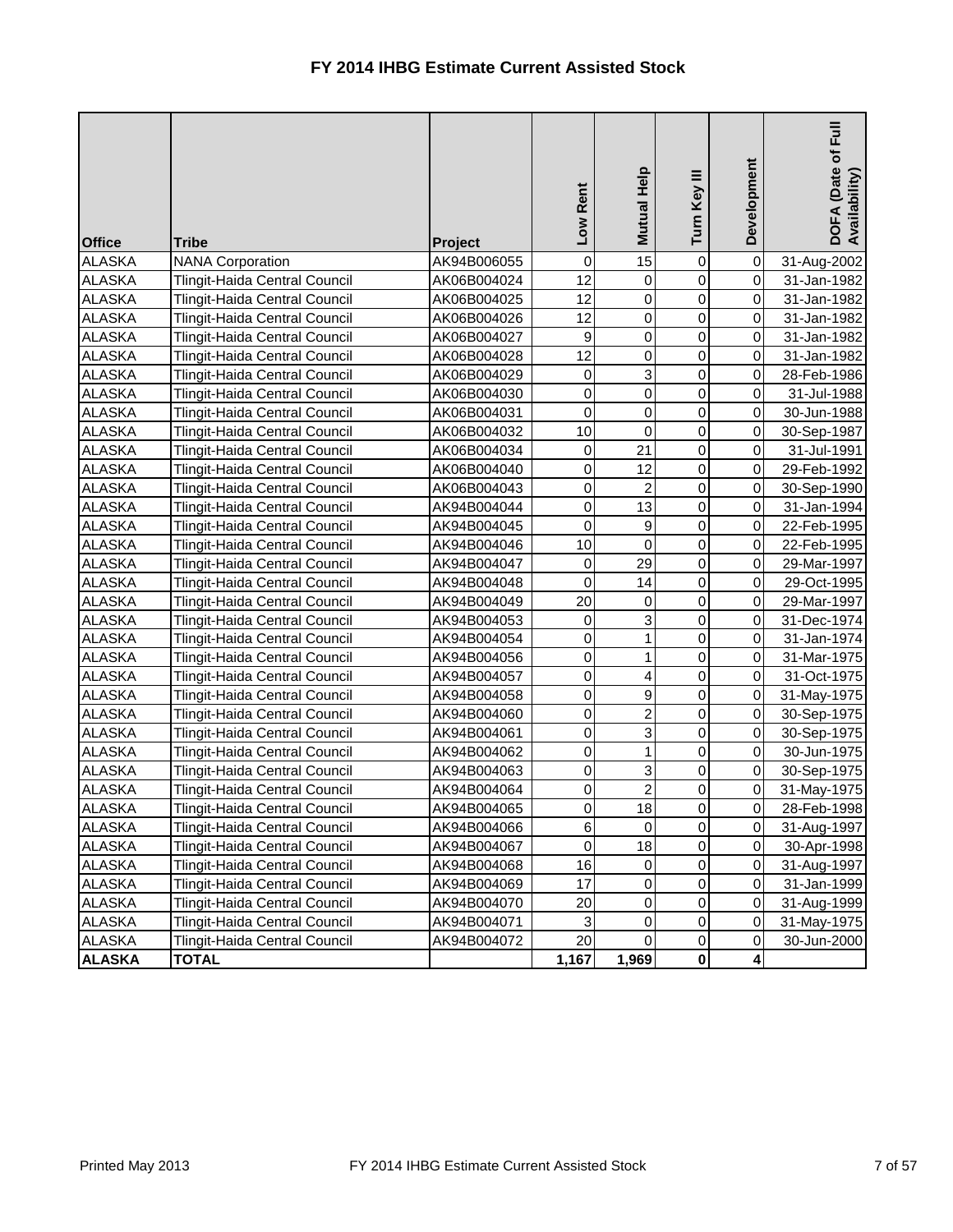| <b>Office</b> | <b>Tribe</b>                         | Project     | Rent<br>Low      | Mutual Help    | Turn Key III   | Development    | 目<br>Full<br>DOFA (Date of I<br>Availability) |
|---------------|--------------------------------------|-------------|------------------|----------------|----------------|----------------|-----------------------------------------------|
| <b>ALASKA</b> | <b>NANA Corporation</b>              | AK94B006055 | $\boldsymbol{0}$ | 15             | $\mathbf 0$    | $\overline{0}$ | 31-Aug-2002                                   |
| <b>ALASKA</b> | Tlingit-Haida Central Council        | AK06B004024 | 12               | 0              | 0              | $\overline{0}$ | 31-Jan-1982                                   |
| <b>ALASKA</b> | Tlingit-Haida Central Council        | AK06B004025 | 12               | 0              | $\overline{0}$ | $\overline{0}$ | 31-Jan-1982                                   |
| <b>ALASKA</b> | Tlingit-Haida Central Council        | AK06B004026 | 12               | 0              | 0              | $\overline{0}$ | 31-Jan-1982                                   |
| <b>ALASKA</b> | <b>Tlingit-Haida Central Council</b> | AK06B004027 | 9                | $\mathbf 0$    | 0              | $\overline{0}$ | 31-Jan-1982                                   |
| <b>ALASKA</b> | Tlingit-Haida Central Council        | AK06B004028 | 12               | $\overline{0}$ | $\mathbf 0$    | $\overline{0}$ | 31-Jan-1982                                   |
| <b>ALASKA</b> | Tlingit-Haida Central Council        | AK06B004029 | 0                | 3              | 0              | $\overline{0}$ | 28-Feb-1986                                   |
| <b>ALASKA</b> | Tlingit-Haida Central Council        | AK06B004030 | $\mathsf 0$      | $\overline{0}$ | 0              | $\overline{0}$ | 31-Jul-1988                                   |
| <b>ALASKA</b> | Tlingit-Haida Central Council        | AK06B004031 | 0                | 0              | $\mathbf 0$    | $\overline{0}$ | 30-Jun-1988                                   |
| <b>ALASKA</b> | <b>Tlingit-Haida Central Council</b> | AK06B004032 | 10               | 0              | $\mathbf 0$    | $\overline{0}$ | 30-Sep-1987                                   |
| <b>ALASKA</b> | Tlingit-Haida Central Council        | AK06B004034 | 0                | 21             | $\mathbf 0$    | $\overline{0}$ | 31-Jul-1991                                   |
| <b>ALASKA</b> | Tlingit-Haida Central Council        | AK06B004040 | 0                | 12             | 0              | $\overline{0}$ | 29-Feb-1992                                   |
| <b>ALASKA</b> | Tlingit-Haida Central Council        | AK06B004043 | 0                | $\overline{2}$ | $\mathbf 0$    | $\overline{0}$ | 30-Sep-1990                                   |
| <b>ALASKA</b> | Tlingit-Haida Central Council        | AK94B004044 | $\mathsf 0$      | 13             | $\mathbf 0$    | $\overline{0}$ | 31-Jan-1994                                   |
| <b>ALASKA</b> | Tlingit-Haida Central Council        | AK94B004045 | 0                | 9              | 0              | $\overline{0}$ | 22-Feb-1995                                   |
| <b>ALASKA</b> | Tlingit-Haida Central Council        | AK94B004046 | 10               | $\mathbf 0$    | 0              | $\overline{0}$ | 22-Feb-1995                                   |
| <b>ALASKA</b> | Tlingit-Haida Central Council        | AK94B004047 | 0                | 29             | 0              | $\overline{0}$ | 29-Mar-1997                                   |
| <b>ALASKA</b> | Tlingit-Haida Central Council        | AK94B004048 | $\mathbf 0$      | 14             | $\mathbf 0$    | $\overline{0}$ | 29-Oct-1995                                   |
| <b>ALASKA</b> | Tlingit-Haida Central Council        | AK94B004049 | 20               | 0              | $\mathbf 0$    | $\overline{0}$ | 29-Mar-1997                                   |
| <b>ALASKA</b> | Tlingit-Haida Central Council        | AK94B004053 | 0                | 3              | 0              | $\overline{0}$ | 31-Dec-1974                                   |
| <b>ALASKA</b> | Tlingit-Haida Central Council        | AK94B004054 | 0                | 1              | $\mathbf 0$    | $\overline{0}$ | 31-Jan-1974                                   |
| <b>ALASKA</b> | Tlingit-Haida Central Council        | AK94B004056 | 0                | 1              | $\mathbf 0$    | $\overline{0}$ | 31-Mar-1975                                   |
| <b>ALASKA</b> | Tlingit-Haida Central Council        | AK94B004057 | 0                | $\overline{4}$ | $\mathbf 0$    | $\overline{0}$ | 31-Oct-1975                                   |
| <b>ALASKA</b> | Tlingit-Haida Central Council        | AK94B004058 | 0                | 9              | 0              | $\overline{0}$ | 31-May-1975                                   |
| <b>ALASKA</b> | Tlingit-Haida Central Council        | AK94B004060 | 0                | $\overline{c}$ | 0              | $\overline{0}$ | 30-Sep-1975                                   |
| <b>ALASKA</b> | Tlingit-Haida Central Council        | AK94B004061 | $\pmb{0}$        | $\mathcal{R}$  | $\overline{0}$ | $\overline{0}$ | 30-Sep-1975                                   |
| <b>ALASKA</b> | Tlingit-Haida Central Council        | AK94B004062 | 0                | $\mathbf{1}$   | $\overline{0}$ | $\overline{0}$ | 30-Jun-1975                                   |
| <b>ALASKA</b> | Tlingit-Haida Central Council        | AK94B004063 | 0                | 3              | 0              | $\overline{0}$ | 30-Sep-1975                                   |
| <b>ALASKA</b> | Tlingit-Haida Central Council        | AK94B004064 | 0                | $\overline{c}$ | 0              | $\overline{0}$ | 31-May-1975                                   |
| <b>ALASKA</b> | Tlingit-Haida Central Council        | AK94B004065 | $\pmb{0}$        | 18             | 0              | $\overline{0}$ | 28-Feb-1998                                   |
| <b>ALASKA</b> | Tlingit-Haida Central Council        | AK94B004066 | $\,6$            | 0              | 0              | $\overline{0}$ | 31-Aug-1997                                   |
| <b>ALASKA</b> | Tlingit-Haida Central Council        | AK94B004067 | 0                | 18             | 0              | $\overline{0}$ | 30-Apr-1998                                   |
| <b>ALASKA</b> | Tlingit-Haida Central Council        | AK94B004068 | 16               | 0              | 0              | $\overline{0}$ | 31-Aug-1997                                   |
| <b>ALASKA</b> | Tlingit-Haida Central Council        | AK94B004069 | 17               | 0              | 0              | $\overline{0}$ | 31-Jan-1999                                   |
| <b>ALASKA</b> | Tlingit-Haida Central Council        | AK94B004070 | 20               | $\overline{0}$ | 0              | $\overline{0}$ | 31-Aug-1999                                   |
| <b>ALASKA</b> | Tlingit-Haida Central Council        | AK94B004071 | 3                | 0              | 0              | $\overline{0}$ | 31-May-1975                                   |
| <b>ALASKA</b> | Tlingit-Haida Central Council        | AK94B004072 | 20               | $\Omega$       | 0              | $\overline{0}$ | 30-Jun-2000                                   |
| <b>ALASKA</b> | <b>TOTAL</b>                         |             | 1,167            | 1,969          | 0              | 4              |                                               |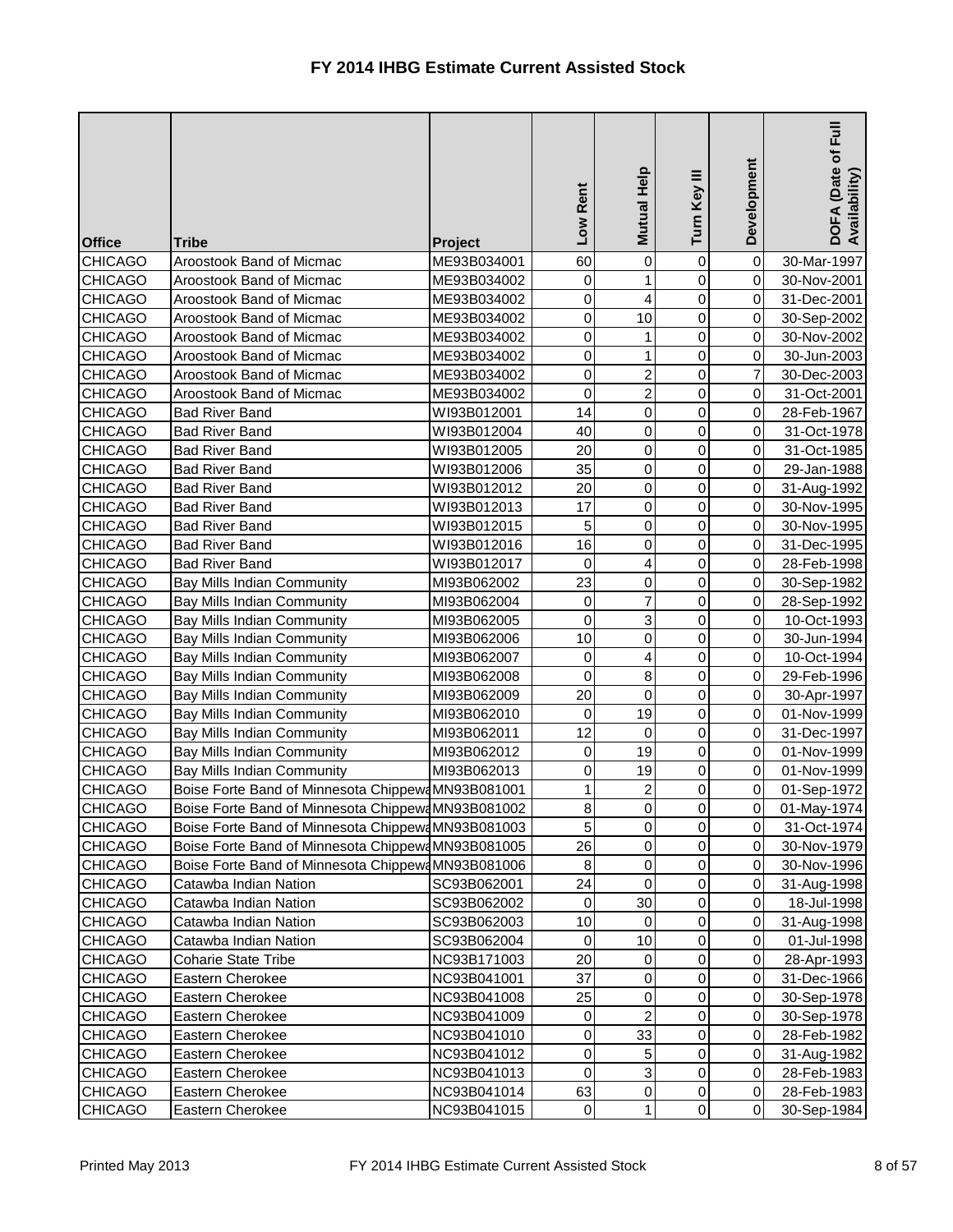| <b>Office</b>  | <b>Tribe</b>                                       | <b>Project</b> | Rent<br><b>NOT</b> | Mutual Help    | Ξ<br>Turn Key  | Development    | Full<br>DOFA (Date of I<br>Availability) |
|----------------|----------------------------------------------------|----------------|--------------------|----------------|----------------|----------------|------------------------------------------|
| <b>CHICAGO</b> | Aroostook Band of Micmac                           | ME93B034001    | 60                 | 0              | 0              | $\overline{0}$ | 30-Mar-1997                              |
| <b>CHICAGO</b> | Aroostook Band of Micmac                           | ME93B034002    | 0                  | 1              | 0              | $\overline{0}$ | 30-Nov-2001                              |
| <b>CHICAGO</b> | Aroostook Band of Micmac                           | ME93B034002    | 0                  | 4              | 0              | $\overline{0}$ | 31-Dec-2001                              |
| <b>CHICAGO</b> | Aroostook Band of Micmac                           | ME93B034002    | $\pmb{0}$          | 10             | 0              | $\overline{0}$ | 30-Sep-2002                              |
| <b>CHICAGO</b> | Aroostook Band of Micmac                           | ME93B034002    | 0                  |                | 0              | $\overline{0}$ | 30-Nov-2002                              |
| <b>CHICAGO</b> | Aroostook Band of Micmac                           | ME93B034002    | 0                  | 1              | 0              | $\overline{0}$ | 30-Jun-2003                              |
| <b>CHICAGO</b> | Aroostook Band of Micmac                           | ME93B034002    | 0                  | $\overline{2}$ | 0              | $\overline{7}$ | 30-Dec-2003                              |
| <b>CHICAGO</b> | Aroostook Band of Micmac                           | ME93B034002    | 0                  | $\overline{2}$ | 0              | $\overline{0}$ | 31-Oct-2001                              |
| <b>CHICAGO</b> | <b>Bad River Band</b>                              | WI93B012001    | 14                 | 0              | 0              | $\overline{0}$ | 28-Feb-1967                              |
| <b>CHICAGO</b> | <b>Bad River Band</b>                              | WI93B012004    | 40                 | 0              | 0              | $\overline{0}$ | 31-Oct-1978                              |
| <b>CHICAGO</b> | <b>Bad River Band</b>                              | WI93B012005    | 20                 | 0              | 0              | $\overline{0}$ | 31-Oct-1985                              |
| <b>CHICAGO</b> | <b>Bad River Band</b>                              | WI93B012006    | 35                 | 0              | 0              | $\overline{0}$ | 29-Jan-1988                              |
| <b>CHICAGO</b> | <b>Bad River Band</b>                              | WI93B012012    | 20                 | 0              | 0              | $\overline{0}$ | 31-Aug-1992                              |
| <b>CHICAGO</b> | <b>Bad River Band</b>                              | WI93B012013    | 17                 | $\mathsf 0$    | 0              | $\overline{0}$ | 30-Nov-1995                              |
| <b>CHICAGO</b> | <b>Bad River Band</b>                              | WI93B012015    | 5                  | 0              | 0              | $\overline{0}$ | 30-Nov-1995                              |
| <b>CHICAGO</b> | <b>Bad River Band</b>                              | WI93B012016    | 16                 | 0              | 0              | $\overline{0}$ | 31-Dec-1995                              |
| <b>CHICAGO</b> | <b>Bad River Band</b>                              | WI93B012017    | 0                  | 4              | 0              | $\overline{0}$ | 28-Feb-1998                              |
| <b>CHICAGO</b> | <b>Bay Mills Indian Community</b>                  | MI93B062002    | 23                 | 0              | 0              | $\overline{0}$ | 30-Sep-1982                              |
| <b>CHICAGO</b> | <b>Bay Mills Indian Community</b>                  | MI93B062004    | 0                  | 7              | 0              | $\overline{0}$ | 28-Sep-1992                              |
| <b>CHICAGO</b> | <b>Bay Mills Indian Community</b>                  | MI93B062005    | 0                  | 3              | 0              | $\overline{0}$ | 10-Oct-1993                              |
| <b>CHICAGO</b> | <b>Bay Mills Indian Community</b>                  | MI93B062006    | 10                 | 0              | 0              | $\overline{0}$ | 30-Jun-1994                              |
| <b>CHICAGO</b> | <b>Bay Mills Indian Community</b>                  | MI93B062007    | 0                  | 4              | 0              | $\overline{0}$ | 10-Oct-1994                              |
| <b>CHICAGO</b> | Bay Mills Indian Community                         | MI93B062008    | 0                  | 8              | 0              | $\overline{0}$ | 29-Feb-1996                              |
| <b>CHICAGO</b> | <b>Bay Mills Indian Community</b>                  | MI93B062009    | 20                 | $\mathbf 0$    | 0              | $\overline{0}$ | 30-Apr-1997                              |
| <b>CHICAGO</b> | <b>Bay Mills Indian Community</b>                  | MI93B062010    | 0                  | 19             | 0              | $\overline{0}$ | 01-Nov-1999                              |
| <b>CHICAGO</b> | <b>Bay Mills Indian Community</b>                  | MI93B062011    | 12                 | $\overline{0}$ | $\overline{0}$ | 0              | 31-Dec-1997                              |
| <b>CHICAGO</b> | <b>Bay Mills Indian Community</b>                  | MI93B062012    | 0                  | 19             | $\overline{0}$ | $\overline{O}$ | 01-Nov-1999                              |
| <b>CHICAGO</b> | <b>Bay Mills Indian Community</b>                  | MI93B062013    | 0                  | 19             | 0              | $\overline{0}$ | 01-Nov-1999                              |
| <b>CHICAGO</b> | Boise Forte Band of Minnesota Chippewa MN93B081001 |                | 1                  | 2              | 0              | $\overline{0}$ | 01-Sep-1972                              |
| <b>CHICAGO</b> | Boise Forte Band of Minnesota Chippewa MN93B081002 |                | $\bf 8$            | 0              | 0              | $\overline{0}$ | 01-May-1974                              |
| <b>CHICAGO</b> | Boise Forte Band of Minnesota Chippew4MN93B081003  |                | $\overline{5}$     | 0              | 0              | $\overline{0}$ | 31-Oct-1974                              |
| <b>CHICAGO</b> | Boise Forte Band of Minnesota Chippewa MN93B081005 |                | 26                 | 0              | 0              | $\overline{0}$ | 30-Nov-1979                              |
| <b>CHICAGO</b> | Boise Forte Band of Minnesota Chippewa MN93B081006 |                | $\bf 8$            | 0              | 0              | $\overline{0}$ | 30-Nov-1996                              |
| <b>CHICAGO</b> | Catawba Indian Nation                              | SC93B062001    | 24                 | 0              | 0              | $\overline{0}$ | 31-Aug-1998                              |
| <b>CHICAGO</b> | Catawba Indian Nation                              | SC93B062002    | 0                  | 30             | 0              | $\overline{0}$ | 18-Jul-1998                              |
| <b>CHICAGO</b> | Catawba Indian Nation                              | SC93B062003    | 10                 | 0              | 0              | $\overline{0}$ | 31-Aug-1998                              |
| <b>CHICAGO</b> | Catawba Indian Nation                              | SC93B062004    | 0                  | 10             | 0              | $\overline{0}$ | 01-Jul-1998                              |
| <b>CHICAGO</b> | <b>Coharie State Tribe</b>                         | NC93B171003    | 20                 | 0              | 0              | $\overline{0}$ | 28-Apr-1993                              |
| <b>CHICAGO</b> | Eastern Cherokee                                   | NC93B041001    | 37                 | $\pmb{0}$      | 0              | $\overline{0}$ | 31-Dec-1966                              |
| <b>CHICAGO</b> | Eastern Cherokee                                   | NC93B041008    | 25                 | 0              | 0              | $\overline{0}$ | 30-Sep-1978                              |
| <b>CHICAGO</b> | Eastern Cherokee                                   | NC93B041009    | 0                  | $\overline{c}$ | 0              | $\overline{0}$ | 30-Sep-1978                              |
| <b>CHICAGO</b> | Eastern Cherokee                                   | NC93B041010    | $\pmb{0}$          | 33             | 0              | $\overline{0}$ | 28-Feb-1982                              |
| <b>CHICAGO</b> | Eastern Cherokee                                   | NC93B041012    | $\pmb{0}$          | 5              | 0              | $\overline{0}$ | 31-Aug-1982                              |
| <b>CHICAGO</b> | Eastern Cherokee                                   | NC93B041013    | $\pmb{0}$          | 3              | 0              | $\overline{0}$ | 28-Feb-1983                              |
| <b>CHICAGO</b> | Eastern Cherokee                                   | NC93B041014    | 63                 | $\mathbf 0$    | 0              | $\overline{0}$ | 28-Feb-1983                              |
| <b>CHICAGO</b> | Eastern Cherokee                                   | NC93B041015    | $\pmb{0}$          | 1              | $\overline{0}$ | $\overline{0}$ | 30-Sep-1984                              |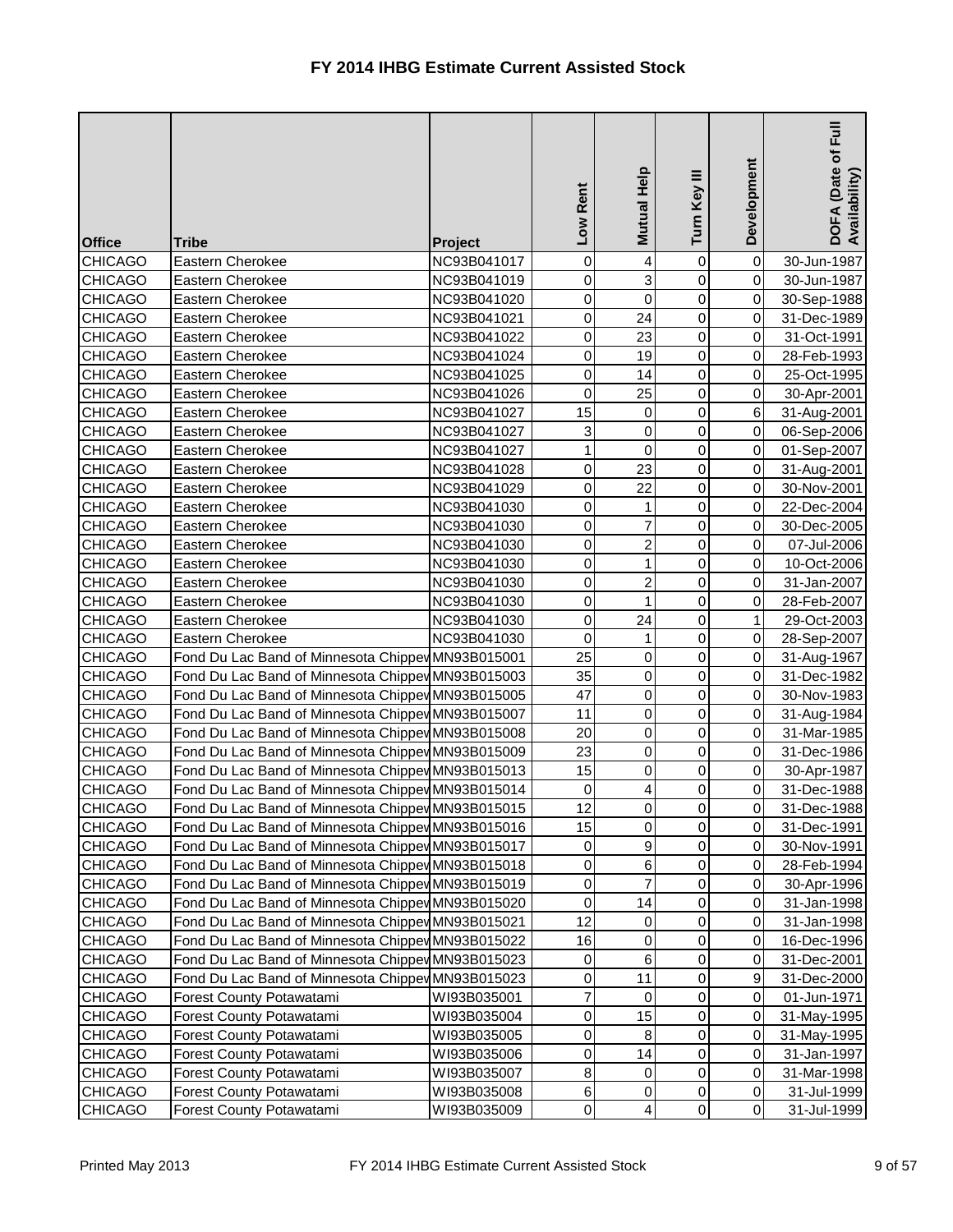| <b>Office</b>                    | <b>Tribe</b>                                                                                           | <b>Project</b> | Rent<br><b>NOT</b> | Mutual Help            | Ξ<br>Turn Key                    | Development                      | $E$ uil<br>DOFA (Date of I<br>Availability) |
|----------------------------------|--------------------------------------------------------------------------------------------------------|----------------|--------------------|------------------------|----------------------------------|----------------------------------|---------------------------------------------|
| <b>CHICAGO</b>                   | Eastern Cherokee                                                                                       | NC93B041017    | 0                  | 4                      | 0                                | $\overline{0}$                   | 30-Jun-1987                                 |
| <b>CHICAGO</b>                   | Eastern Cherokee                                                                                       | NC93B041019    | 0                  | 3                      | 0                                | $\overline{0}$                   | 30-Jun-1987                                 |
| <b>CHICAGO</b>                   | Eastern Cherokee                                                                                       | NC93B041020    | 0                  | $\mathbf 0$            | 0                                | $\overline{0}$                   | 30-Sep-1988                                 |
| <b>CHICAGO</b>                   | Eastern Cherokee                                                                                       | NC93B041021    | $\pmb{0}$          | 24                     | 0                                | $\overline{0}$                   | 31-Dec-1989                                 |
| <b>CHICAGO</b>                   | Eastern Cherokee                                                                                       | NC93B041022    | $\pmb{0}$          | 23                     | 0                                | $\overline{0}$                   | 31-Oct-1991                                 |
| <b>CHICAGO</b>                   | Eastern Cherokee                                                                                       | NC93B041024    | $\pmb{0}$          | 19                     | 0                                | $\overline{0}$                   | 28-Feb-1993                                 |
| <b>CHICAGO</b>                   | Eastern Cherokee                                                                                       | NC93B041025    | 0                  | 14                     | 0                                | $\overline{0}$                   | 25-Oct-1995                                 |
| <b>CHICAGO</b>                   | Eastern Cherokee                                                                                       | NC93B041026    | 0                  | 25                     | 0                                | $\overline{0}$                   | 30-Apr-2001                                 |
| <b>CHICAGO</b>                   | Eastern Cherokee                                                                                       | NC93B041027    | 15                 | 0                      | 0                                | 6 <sup>1</sup>                   | 31-Aug-2001                                 |
| <b>CHICAGO</b>                   | Eastern Cherokee                                                                                       | NC93B041027    | 3                  | $\mathsf 0$            | 0                                | $\overline{0}$                   | 06-Sep-2006                                 |
| <b>CHICAGO</b>                   | Eastern Cherokee                                                                                       | NC93B041027    | $\mathbf 1$        | $\mathbf 0$            | 0                                | $\overline{0}$                   | 01-Sep-2007                                 |
| <b>CHICAGO</b>                   | Eastern Cherokee                                                                                       | NC93B041028    | $\pmb{0}$          | 23                     | 0                                | $\overline{0}$                   | 31-Aug-2001                                 |
| <b>CHICAGO</b>                   | Eastern Cherokee                                                                                       | NC93B041029    | $\pmb{0}$          | 22                     | 0                                | $\overline{0}$                   | 30-Nov-2001                                 |
| <b>CHICAGO</b>                   | Eastern Cherokee                                                                                       | NC93B041030    | 0                  | 1                      | 0                                | $\overline{0}$                   | 22-Dec-2004                                 |
| <b>CHICAGO</b>                   | Eastern Cherokee                                                                                       | NC93B041030    | 0                  | 7                      | 0                                | $\overline{0}$                   | 30-Dec-2005                                 |
| <b>CHICAGO</b>                   | Eastern Cherokee                                                                                       | NC93B041030    | 0                  | $\overline{c}$         | 0                                | $\overline{0}$                   | 07-Jul-2006                                 |
| <b>CHICAGO</b>                   | Eastern Cherokee                                                                                       | NC93B041030    | 0                  | 1                      | 0                                | $\overline{0}$                   | 10-Oct-2006                                 |
| <b>CHICAGO</b>                   | Eastern Cherokee                                                                                       | NC93B041030    | 0                  | 2                      | 0                                | $\overline{0}$                   | 31-Jan-2007                                 |
| <b>CHICAGO</b>                   | Eastern Cherokee                                                                                       | NC93B041030    | $\pmb{0}$          | 1                      | 0                                | $\overline{0}$                   | 28-Feb-2007                                 |
| <b>CHICAGO</b>                   | Eastern Cherokee                                                                                       | NC93B041030    | $\pmb{0}$          | 24                     | 0                                | 1                                | 29-Oct-2003                                 |
| <b>CHICAGO</b>                   | Eastern Cherokee                                                                                       | NC93B041030    | 0                  | 1                      | 0                                | $\overline{0}$                   | 28-Sep-2007                                 |
| <b>CHICAGO</b>                   | Fond Du Lac Band of Minnesota Chippev MN93B015001                                                      |                | 25                 | 0                      | 0                                | $\overline{0}$                   | 31-Aug-1967                                 |
| <b>CHICAGO</b>                   | Fond Du Lac Band of Minnesota Chippey MN93B015003                                                      |                | 35                 | $\pmb{0}$<br>$\pmb{0}$ | $\overline{0}$<br>$\overline{0}$ | $\overline{0}$<br>$\overline{0}$ | 31-Dec-1982                                 |
| <b>CHICAGO</b>                   | Fond Du Lac Band of Minnesota Chippey MN93B015005                                                      |                | 47<br>11           |                        |                                  | $\overline{0}$                   | 30-Nov-1983                                 |
| <b>CHICAGO</b>                   | Fond Du Lac Band of Minnesota Chippev MN93B015007                                                      |                | 20                 | 0<br>$\overline{0}$    | 0<br>$\overline{0}$              |                                  | 31-Aug-1984                                 |
| <b>CHICAGO</b>                   | Fond Du Lac Band of Minnesota Chippey MN93B015008                                                      |                |                    | $\mathbf 0$            | $\overline{0}$                   | 0                                | 31-Mar-1985                                 |
| <b>CHICAGO</b>                   | Fond Du Lac Band of Minnesota Chippey MN93B015009                                                      |                | 23<br>15           |                        | 0                                | $\overline{0}$<br>$\overline{O}$ | 31-Dec-1986                                 |
| <b>CHICAGO</b><br><b>CHICAGO</b> | Fond Du Lac Band of Minnesota Chippev MN93B015013<br>Fond Du Lac Band of Minnesota Chippey MN93B015014 |                | $\pmb{0}$          | 0                      | 0                                | $\overline{0}$                   | 30-Apr-1987<br>31-Dec-1988                  |
| <b>CHICAGO</b>                   | Fond Du Lac Band of Minnesota Chippey MN93B015015                                                      |                | 12                 | 4<br>0                 | 0                                | $\overline{0}$                   | 31-Dec-1988                                 |
| <b>CHICAGO</b>                   | Fond Du Lac Band of Minnesota Chippey MN93B015016                                                      |                | 15                 | 0                      | 0                                | $\overline{0}$                   | 31-Dec-1991                                 |
| <b>CHICAGO</b>                   | Fond Du Lac Band of Minnesota Chippey MN93B015017                                                      |                | 0                  | 9                      | 0                                | $\overline{0}$                   | 30-Nov-1991                                 |
| <b>CHICAGO</b>                   | Fond Du Lac Band of Minnesota Chippey MN93B015018                                                      |                | 0                  | 6                      | 0                                | $\overline{0}$                   | 28-Feb-1994                                 |
| <b>CHICAGO</b>                   | Fond Du Lac Band of Minnesota Chippey MN93B015019                                                      |                | $\pmb{0}$          | 7                      | 0                                | $\overline{0}$                   | 30-Apr-1996                                 |
| <b>CHICAGO</b>                   | Fond Du Lac Band of Minnesota Chippev MN93B015020                                                      |                | 0                  | 14                     | 0                                | $\overline{0}$                   | 31-Jan-1998                                 |
| <b>CHICAGO</b>                   | Fond Du Lac Band of Minnesota Chippev MN93B015021                                                      |                | 12                 | 0                      | 0                                | $\overline{0}$                   | 31-Jan-1998                                 |
| <b>CHICAGO</b>                   | Fond Du Lac Band of Minnesota Chippey MN93B015022                                                      |                | 16                 | 0                      | 0                                | $\overline{0}$                   | 16-Dec-1996                                 |
| <b>CHICAGO</b>                   | Fond Du Lac Band of Minnesota Chippey MN93B015023                                                      |                | 0                  | 6                      | 0                                | 0                                | 31-Dec-2001                                 |
| <b>CHICAGO</b>                   | Fond Du Lac Band of Minnesota Chippey MN93B015023                                                      |                | 0                  | 11                     | 0                                | 9                                | 31-Dec-2000                                 |
| <b>CHICAGO</b>                   | Forest County Potawatami                                                                               | WI93B035001    | $\overline{7}$     | 0                      | 0                                | $\overline{0}$                   | 01-Jun-1971                                 |
| <b>CHICAGO</b>                   | Forest County Potawatami                                                                               | WI93B035004    | $\pmb{0}$          | 15                     | 0                                | $\overline{0}$                   | 31-May-1995                                 |
| <b>CHICAGO</b>                   | Forest County Potawatami                                                                               | WI93B035005    | $\pmb{0}$          | 8                      | 0                                | $\overline{0}$                   | 31-May-1995                                 |
| <b>CHICAGO</b>                   | Forest County Potawatami                                                                               | WI93B035006    | 0                  | 14                     | 0                                | $\overline{0}$                   | 31-Jan-1997                                 |
| <b>CHICAGO</b>                   | <b>Forest County Potawatami</b>                                                                        | WI93B035007    | 8                  | $\pmb{0}$              | 0                                | $\overline{0}$                   | 31-Mar-1998                                 |
| <b>CHICAGO</b>                   | Forest County Potawatami                                                                               | WI93B035008    | $\,6$              | $\pmb{0}$              | 0                                | $\overline{0}$                   | 31-Jul-1999                                 |
| <b>CHICAGO</b>                   | Forest County Potawatami                                                                               | WI93B035009    | $\pmb{0}$          | 4                      | 0                                | $\overline{O}$                   | 31-Jul-1999                                 |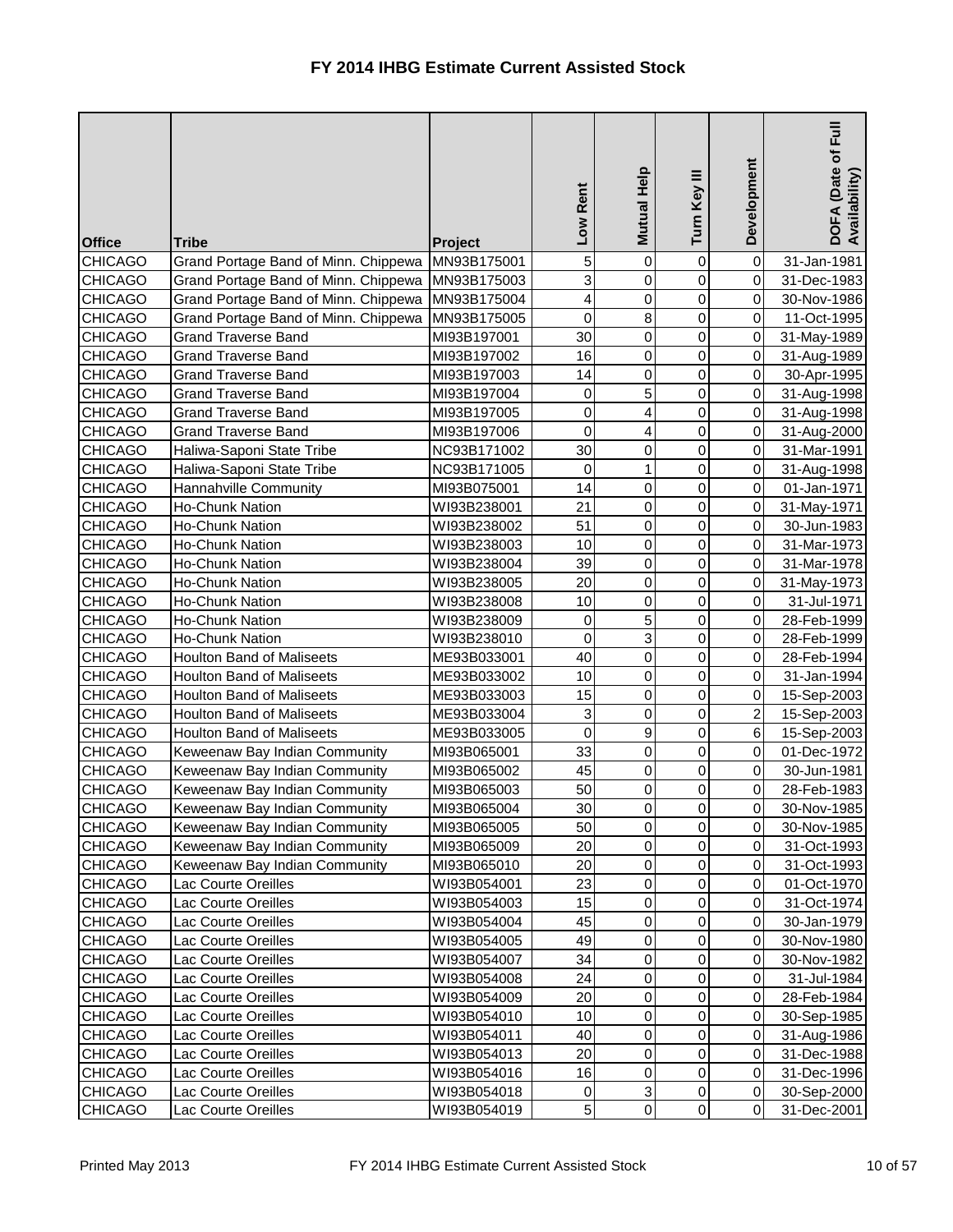| <b>Office</b>  | <b>Tribe</b>                         | <b>Project</b> | Low Rent                | Mutual Help    | Turn Key III   | Development    | Full<br>DOFA (Date of <b>F</b><br>Availability) |
|----------------|--------------------------------------|----------------|-------------------------|----------------|----------------|----------------|-------------------------------------------------|
| <b>CHICAGO</b> | Grand Portage Band of Minn. Chippewa | MN93B175001    | 5                       | $\mathbf 0$    | 0              | $\overline{0}$ | 31-Jan-1981                                     |
| <b>CHICAGO</b> | Grand Portage Band of Minn. Chippewa | MN93B175003    | 3                       | $\mathbf 0$    | 0              | $\overline{0}$ | 31-Dec-1983                                     |
| <b>CHICAGO</b> | Grand Portage Band of Minn. Chippewa | MN93B175004    | $\overline{\mathbf{4}}$ | 0              | 0              | $\overline{0}$ | 30-Nov-1986                                     |
| <b>CHICAGO</b> | Grand Portage Band of Minn. Chippewa | MN93B175005    | 0                       | 8              | 0              | $\overline{0}$ | 11-Oct-1995                                     |
| <b>CHICAGO</b> | <b>Grand Traverse Band</b>           | MI93B197001    | 30                      | 0              | 0              | $\overline{0}$ | 31-May-1989                                     |
| <b>CHICAGO</b> | <b>Grand Traverse Band</b>           | MI93B197002    | 16                      | 0              | 0              | $\overline{0}$ | 31-Aug-1989                                     |
| <b>CHICAGO</b> | <b>Grand Traverse Band</b>           | MI93B197003    | 14                      | 0              | 0              | $\overline{0}$ | 30-Apr-1995                                     |
| <b>CHICAGO</b> | <b>Grand Traverse Band</b>           | MI93B197004    | 0                       | 5              | 0              | $\overline{0}$ | 31-Aug-1998                                     |
| <b>CHICAGO</b> | <b>Grand Traverse Band</b>           | MI93B197005    | 0                       | 4              | 0              | $\overline{0}$ | 31-Aug-1998                                     |
| <b>CHICAGO</b> | <b>Grand Traverse Band</b>           | MI93B197006    | 0                       | 4              | 0              | $\overline{0}$ | 31-Aug-2000                                     |
| <b>CHICAGO</b> | Haliwa-Saponi State Tribe            | NC93B171002    | 30                      | 0              | 0              | $\overline{0}$ | 31-Mar-1991                                     |
| <b>CHICAGO</b> | Haliwa-Saponi State Tribe            | NC93B171005    | 0                       | 1              | 0              | $\overline{0}$ | 31-Aug-1998                                     |
| <b>CHICAGO</b> | Hannahville Community                | MI93B075001    | 14                      | 0              | 0              | $\overline{0}$ | 01-Jan-1971                                     |
| <b>CHICAGO</b> | <b>Ho-Chunk Nation</b>               | WI93B238001    | 21                      | 0              | 0              | $\overline{0}$ | 31-May-1971                                     |
| <b>CHICAGO</b> | Ho-Chunk Nation                      | WI93B238002    | 51                      | 0              | 0              | $\overline{0}$ | 30-Jun-1983                                     |
| <b>CHICAGO</b> | <b>Ho-Chunk Nation</b>               | WI93B238003    | 10                      | 0              | 0              | $\overline{0}$ | 31-Mar-1973                                     |
| <b>CHICAGO</b> | <b>Ho-Chunk Nation</b>               | WI93B238004    | 39                      | 0              | 0              | $\overline{0}$ | 31-Mar-1978                                     |
| <b>CHICAGO</b> | <b>Ho-Chunk Nation</b>               | WI93B238005    | 20                      | 0              | 0              | $\overline{0}$ | 31-May-1973                                     |
| <b>CHICAGO</b> | Ho-Chunk Nation                      | WI93B238008    | 10                      | 0              | 0              | $\overline{0}$ | 31-Jul-1971                                     |
| <b>CHICAGO</b> | Ho-Chunk Nation                      | WI93B238009    | 0                       | 5              | 0              | $\overline{0}$ | 28-Feb-1999                                     |
| <b>CHICAGO</b> | <b>Ho-Chunk Nation</b>               | WI93B238010    | 0                       | 3              | 0              | $\overline{0}$ | 28-Feb-1999                                     |
| <b>CHICAGO</b> | <b>Houlton Band of Maliseets</b>     | ME93B033001    | 40                      | $\mathsf 0$    | 0              | $\overline{0}$ | 28-Feb-1994                                     |
| <b>CHICAGO</b> | <b>Houlton Band of Maliseets</b>     | ME93B033002    | 10                      | $\overline{0}$ | 0              | $\overline{0}$ | 31-Jan-1994                                     |
| <b>CHICAGO</b> | <b>Houlton Band of Maliseets</b>     | ME93B033003    | 15                      | 0              | 0              | $\overline{0}$ | 15-Sep-2003                                     |
| <b>CHICAGO</b> | <b>Houlton Band of Maliseets</b>     | ME93B033004    | 3                       | 0              | 0              | $\overline{2}$ | 15-Sep-2003                                     |
| <b>CHICAGO</b> | <b>Houlton Band of Maliseets</b>     | ME93B033005    | $\overline{0}$          | $\mathbf{g}$   | $\overline{0}$ | 6 <sup>1</sup> | 15-Sep-2003                                     |
| <b>CHICAGO</b> | Keweenaw Bay Indian Community        | MI93B065001    | 33                      | $\pmb{0}$      | 0              | $\overline{0}$ | 01-Dec-1972                                     |
| <b>CHICAGO</b> | Keweenaw Bay Indian Community        | MI93B065002    | 45                      | $\pmb{0}$      | 0              | $\overline{0}$ | 30-Jun-1981                                     |
| <b>CHICAGO</b> | Keweenaw Bay Indian Community        | MI93B065003    | 50                      | 0              | 0              | $\overline{0}$ | 28-Feb-1983                                     |
| <b>CHICAGO</b> | Keweenaw Bay Indian Community        | MI93B065004    | 30                      | 0              | 0              | $\overline{0}$ | 30-Nov-1985                                     |
| <b>CHICAGO</b> | Keweenaw Bay Indian Community        | MI93B065005    | 50                      | $\mathsf{O}$   | 0              | $\overline{0}$ | 30-Nov-1985                                     |
| <b>CHICAGO</b> | Keweenaw Bay Indian Community        | MI93B065009    | 20                      | 0              | 0              | $\overline{0}$ | 31-Oct-1993                                     |
| <b>CHICAGO</b> | Keweenaw Bay Indian Community        | MI93B065010    | 20                      | $\pmb{0}$      | 0              | $\overline{0}$ | 31-Oct-1993                                     |
| <b>CHICAGO</b> | Lac Courte Oreilles                  | WI93B054001    | 23                      | 0              | 0              | $\overline{0}$ | 01-Oct-1970                                     |
| <b>CHICAGO</b> | Lac Courte Oreilles                  | WI93B054003    | 15                      | $\pmb{0}$      | 0              | $\overline{0}$ | 31-Oct-1974                                     |
| <b>CHICAGO</b> | Lac Courte Oreilles                  | WI93B054004    | 45                      | $\pmb{0}$      | 0              | $\overline{0}$ | 30-Jan-1979                                     |
| <b>CHICAGO</b> | Lac Courte Oreilles                  | WI93B054005    | 49                      | $\pmb{0}$      | 0              | $\overline{0}$ | 30-Nov-1980                                     |
| <b>CHICAGO</b> | Lac Courte Oreilles                  | WI93B054007    | 34                      | 0              | 0              | $\overline{0}$ | 30-Nov-1982                                     |
| CHICAGO        | Lac Courte Oreilles                  | WI93B054008    | 24                      | $\pmb{0}$      | 0              | $\overline{0}$ | 31-Jul-1984                                     |
| <b>CHICAGO</b> | Lac Courte Oreilles                  | WI93B054009    | 20                      | $\pmb{0}$      | 0              | $\overline{0}$ | 28-Feb-1984                                     |
| <b>CHICAGO</b> | Lac Courte Oreilles                  | WI93B054010    | 10                      | $\pmb{0}$      | 0              | $\overline{0}$ | 30-Sep-1985                                     |
| <b>CHICAGO</b> | <b>Lac Courte Oreilles</b>           | WI93B054011    | 40                      | 0              | 0              | $\overline{0}$ | 31-Aug-1986                                     |
| <b>CHICAGO</b> | Lac Courte Oreilles                  | WI93B054013    | 20                      | $\pmb{0}$      | 0              | $\overline{0}$ | 31-Dec-1988                                     |
| <b>CHICAGO</b> | Lac Courte Oreilles                  | WI93B054016    | 16                      | $\pmb{0}$      | 0              | $\overline{0}$ | 31-Dec-1996                                     |
| <b>CHICAGO</b> | <b>Lac Courte Oreilles</b>           | WI93B054018    | 0                       | 3              | 0              | $\overline{0}$ | 30-Sep-2000                                     |
| <b>CHICAGO</b> | Lac Courte Oreilles                  | WI93B054019    | $\sqrt{5}$              | $\overline{0}$ | 0              | $\overline{0}$ | 31-Dec-2001                                     |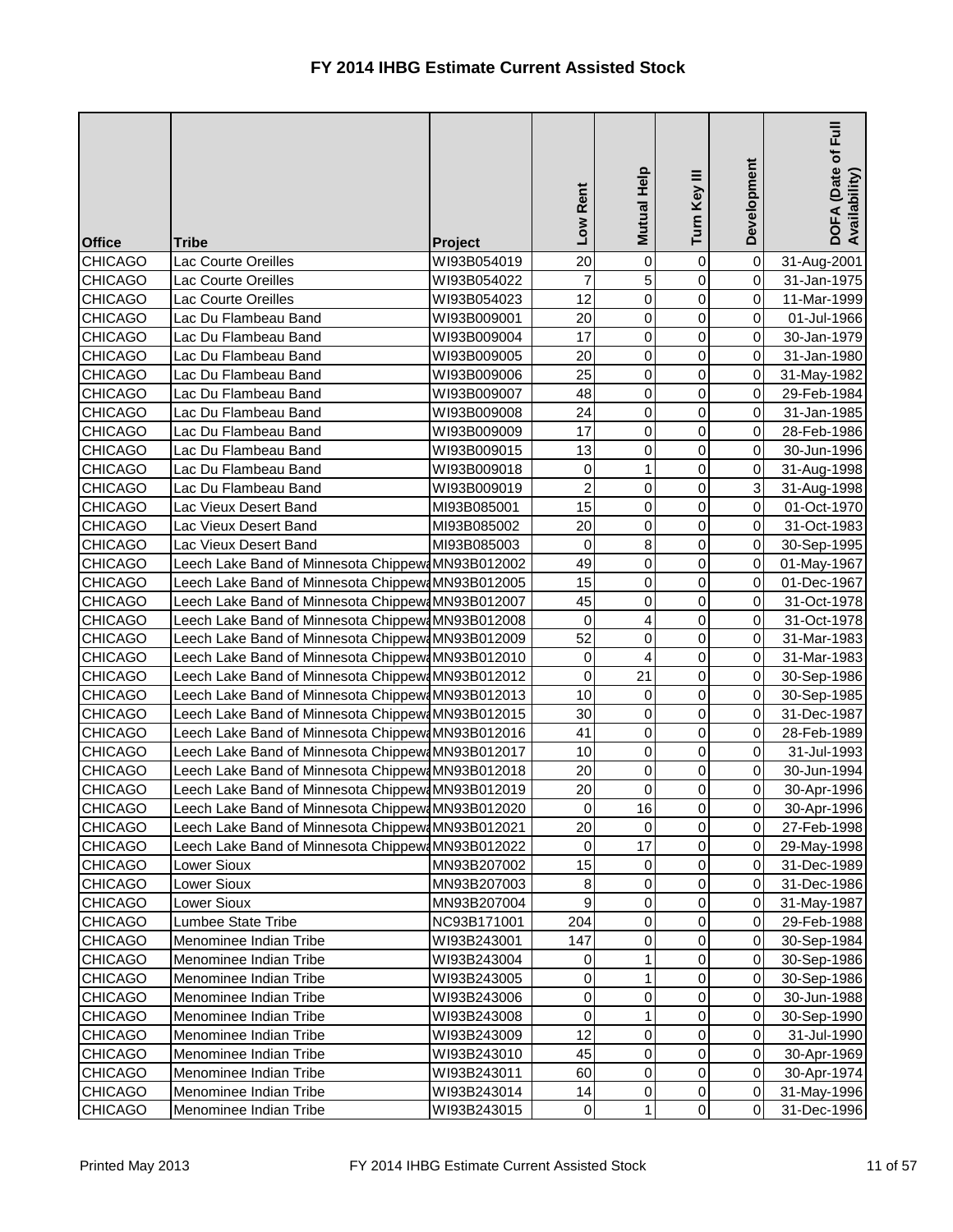| <b>Office</b>  | <b>Tribe</b>                                      | Project     | Low Rent       | Mutual Help    | Turn Key III   | Development    | $E_{\rm H}$<br>DOFA (Date of I<br>Availability) |
|----------------|---------------------------------------------------|-------------|----------------|----------------|----------------|----------------|-------------------------------------------------|
| <b>CHICAGO</b> | <b>Lac Courte Oreilles</b>                        | WI93B054019 | 20             | $\mathbf 0$    | $\mathbf 0$    | 0              | 31-Aug-2001                                     |
| <b>CHICAGO</b> | <b>Lac Courte Oreilles</b>                        | WI93B054022 | $\overline{7}$ | 5              | 0              | $\overline{0}$ | 31-Jan-1975                                     |
| <b>CHICAGO</b> | <b>Lac Courte Oreilles</b>                        | WI93B054023 | 12             | $\pmb{0}$      | 0              | $\overline{0}$ | 11-Mar-1999                                     |
| <b>CHICAGO</b> | Lac Du Flambeau Band                              | WI93B009001 | 20             | $\mathsf 0$    | 0              | $\overline{0}$ | 01-Jul-1966                                     |
| <b>CHICAGO</b> | Lac Du Flambeau Band                              | WI93B009004 | 17             | 0              | 0              | $\overline{0}$ | 30-Jan-1979                                     |
| <b>CHICAGO</b> | Lac Du Flambeau Band                              | WI93B009005 | 20             | $\mathsf 0$    | 0              | $\overline{0}$ | 31-Jan-1980                                     |
| <b>CHICAGO</b> | Lac Du Flambeau Band                              | WI93B009006 | 25             | 0              | 0              | $\overline{0}$ | 31-May-1982                                     |
| <b>CHICAGO</b> | Lac Du Flambeau Band                              | WI93B009007 | 48             | 0              | 0              | $\overline{0}$ | 29-Feb-1984                                     |
| <b>CHICAGO</b> | Lac Du Flambeau Band                              | WI93B009008 | 24             | 0              | 0              | $\overline{0}$ | 31-Jan-1985                                     |
| <b>CHICAGO</b> | Lac Du Flambeau Band                              | WI93B009009 | 17             | $\mathsf 0$    | 0              | $\overline{0}$ | 28-Feb-1986                                     |
| <b>CHICAGO</b> | Lac Du Flambeau Band                              | WI93B009015 | 13             | 0              | 0              | $\overline{0}$ | 30-Jun-1996                                     |
| <b>CHICAGO</b> | Lac Du Flambeau Band                              | WI93B009018 | 0              | 1              | 0              | $\overline{0}$ | 31-Aug-1998                                     |
| <b>CHICAGO</b> | Lac Du Flambeau Band                              | WI93B009019 | $\overline{2}$ | 0              | 0              | 3 <sup>1</sup> | 31-Aug-1998                                     |
| <b>CHICAGO</b> | Lac Vieux Desert Band                             | MI93B085001 | 15             | $\mathbf 0$    | 0              | $\overline{0}$ | 01-Oct-1970                                     |
| <b>CHICAGO</b> | Lac Vieux Desert Band                             | MI93B085002 | 20             | $\mathsf 0$    | 0              | $\overline{0}$ | 31-Oct-1983                                     |
| <b>CHICAGO</b> | Lac Vieux Desert Band                             | MI93B085003 | 0              | 8              | 0              | $\overline{0}$ | 30-Sep-1995                                     |
| <b>CHICAGO</b> | Leech Lake Band of Minnesota Chippew MN93B012002  |             | 49             | $\mathbf 0$    | 0              | $\overline{0}$ | 01-May-1967                                     |
| <b>CHICAGO</b> | Leech Lake Band of Minnesota Chippew MN93B012005  |             | 15             | 0              | 0              | $\overline{0}$ | 01-Dec-1967                                     |
| <b>CHICAGO</b> | Leech Lake Band of Minnesota Chippew: MN93B012007 |             | 45             | 0              | 0              | $\overline{0}$ | 31-Oct-1978                                     |
| <b>CHICAGO</b> | Leech Lake Band of Minnesota Chippew MN93B012008  |             | 0              | 4              | 0              | $\overline{0}$ | 31-Oct-1978                                     |
| <b>CHICAGO</b> | Leech Lake Band of Minnesota Chippew MN93B012009  |             | 52             | 0              | 0              | $\overline{0}$ | 31-Mar-1983                                     |
| <b>CHICAGO</b> | Leech Lake Band of Minnesota Chippew MN93B012010  |             | 0              | 4              | 0              | $\overline{0}$ | 31-Mar-1983                                     |
| <b>CHICAGO</b> | Leech Lake Band of Minnesota Chippew MN93B012012  |             | 0              | 21             | 0              | $\overline{0}$ | 30-Sep-1986                                     |
| <b>CHICAGO</b> | Leech Lake Band of Minnesota Chippew MN93B012013  |             | 10             | 0              | 0              | $\overline{0}$ | 30-Sep-1985                                     |
| <b>CHICAGO</b> | Leech Lake Band of Minnesota Chippew MN93B012015  |             | 30             | 0              | 0              | $\overline{0}$ | 31-Dec-1987                                     |
| <b>CHICAGO</b> | Leech Lake Band of Minnesota Chippew MN93B012016  |             | 41             | $\overline{0}$ | 0              | 0              | 28-Feb-1989                                     |
| <b>CHICAGO</b> | Leech Lake Band of Minnesota Chippew MN93B012017  |             | 10             | $\mathbf 0$    | 0              | 0I             | 31-Jul-1993                                     |
| <b>CHICAGO</b> | Leech Lake Band of Minnesota Chippew MN93B012018  |             | 20             | $\pmb{0}$      | 0              | $\overline{0}$ | 30-Jun-1994                                     |
| <b>CHICAGO</b> | Leech Lake Band of Minnesota Chippew MN93B012019  |             | 20             | 0              | 0              | $\overline{0}$ | 30-Apr-1996                                     |
| <b>CHICAGO</b> | Leech Lake Band of Minnesota Chippew MN93B012020  |             | 0              | 16             | 0              | $\overline{0}$ | 30-Apr-1996                                     |
| <b>CHICAGO</b> | Leech Lake Band of Minnesota Chippew MN93B012021  |             | 20             | 0              | 0              | $\overline{0}$ | 27-Feb-1998                                     |
| <b>CHICAGO</b> | Leech Lake Band of Minnesota Chippew MN93B012022  |             | 0              | 17             | 0              | $\overline{0}$ | 29-May-1998                                     |
| <b>CHICAGO</b> | Lower Sioux                                       | MN93B207002 | 15             | 0              | 0              | $\overline{0}$ | 31-Dec-1989                                     |
| <b>CHICAGO</b> | Lower Sioux                                       | MN93B207003 | $\bf 8$        | $\pmb{0}$      | 0              | $\overline{O}$ | 31-Dec-1986                                     |
| <b>CHICAGO</b> | Lower Sioux                                       | MN93B207004 | $\mathsf g$    | 0              | 0              | $\overline{0}$ | 31-May-1987                                     |
| <b>CHICAGO</b> | Lumbee State Tribe                                | NC93B171001 | 204            | 0              | 0              | $\overline{0}$ | 29-Feb-1988                                     |
| <b>CHICAGO</b> | Menominee Indian Tribe                            | WI93B243001 | 147            | 0              | 0              | $\overline{0}$ | 30-Sep-1984                                     |
| <b>CHICAGO</b> | Menominee Indian Tribe                            | WI93B243004 | 0              | 1              | 0              | $\overline{0}$ | 30-Sep-1986                                     |
| <b>CHICAGO</b> | Menominee Indian Tribe                            | WI93B243005 | $\pmb{0}$      | 1              | 0              | $\overline{0}$ | 30-Sep-1986                                     |
| <b>CHICAGO</b> | Menominee Indian Tribe                            | WI93B243006 | 0              | 0              | 0              | $\overline{0}$ | 30-Jun-1988                                     |
| <b>CHICAGO</b> | Menominee Indian Tribe                            | WI93B243008 | 0              | 1              | 0              | $\overline{0}$ | 30-Sep-1990                                     |
| <b>CHICAGO</b> | Menominee Indian Tribe                            | WI93B243009 | 12             | 0              | 0              | $\overline{0}$ | 31-Jul-1990                                     |
| <b>CHICAGO</b> | Menominee Indian Tribe                            | WI93B243010 | 45             | 0              | $\pmb{0}$      | $\overline{0}$ | 30-Apr-1969                                     |
| <b>CHICAGO</b> | Menominee Indian Tribe                            | WI93B243011 | 60             | 0              | 0              | $\overline{0}$ | 30-Apr-1974                                     |
| <b>CHICAGO</b> | Menominee Indian Tribe                            | WI93B243014 | 14             | 0              | 0              | $\overline{0}$ | 31-May-1996                                     |
| <b>CHICAGO</b> | Menominee Indian Tribe                            | WI93B243015 | $\pmb{0}$      | 1              | $\overline{0}$ | $\overline{0}$ | 31-Dec-1996                                     |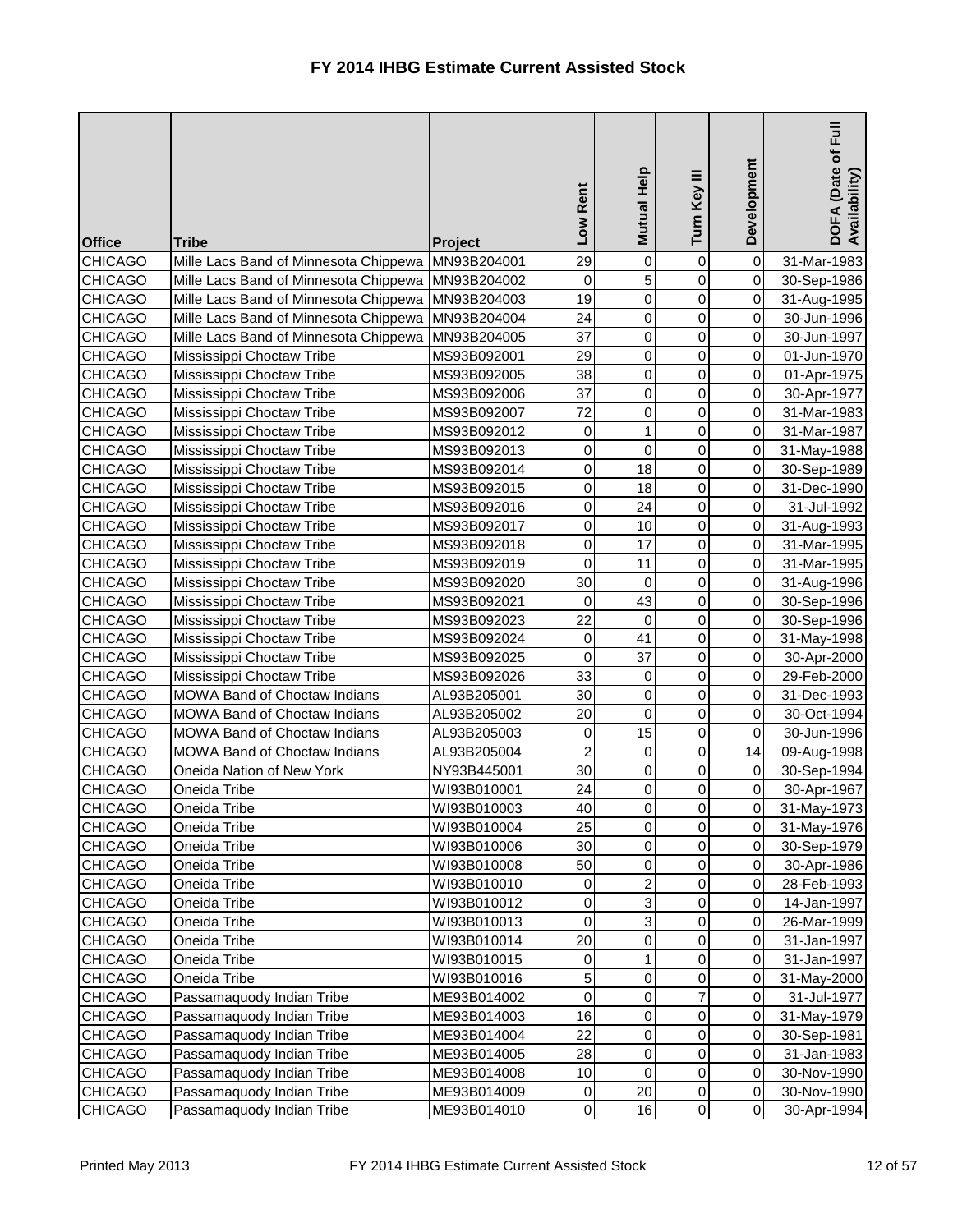| <b>Office</b>  | <b>Tribe</b>                                        | Project     | Rent<br><b>NOT</b> | Mutual Help      | Turn Key III   | Development    | Full<br>DOFA (Date of I<br>Availability) |
|----------------|-----------------------------------------------------|-------------|--------------------|------------------|----------------|----------------|------------------------------------------|
| <b>CHICAGO</b> | Mille Lacs Band of Minnesota Chippewa               | MN93B204001 | 29                 | $\boldsymbol{0}$ | 0              | $\overline{0}$ | 31-Mar-1983                              |
| <b>CHICAGO</b> | Mille Lacs Band of Minnesota Chippewa   MN93B204002 |             | $\mathbf 0$        | 5                | $\mathbf 0$    | $\overline{0}$ | 30-Sep-1986                              |
| <b>CHICAGO</b> | Mille Lacs Band of Minnesota Chippewa MN93B204003   |             | 19                 | $\overline{0}$   | 0              | $\overline{0}$ | 31-Aug-1995                              |
| <b>CHICAGO</b> | Mille Lacs Band of Minnesota Chippewa               | MN93B204004 | 24                 | $\overline{0}$   | 0              | $\overline{0}$ | 30-Jun-1996                              |
| <b>CHICAGO</b> | Mille Lacs Band of Minnesota Chippewa               | MN93B204005 | 37                 | 0                | $\mathbf 0$    | $\overline{0}$ | 30-Jun-1997                              |
| <b>CHICAGO</b> | Mississippi Choctaw Tribe                           | MS93B092001 | 29                 | $\mathbf 0$      | 0              | $\overline{0}$ | 01-Jun-1970                              |
| <b>CHICAGO</b> | Mississippi Choctaw Tribe                           | MS93B092005 | 38                 | $\overline{0}$   | 0              | $\overline{0}$ | 01-Apr-1975                              |
| <b>CHICAGO</b> | Mississippi Choctaw Tribe                           | MS93B092006 | 37                 | $\mathbf 0$      | $\mathbf 0$    | $\overline{0}$ | 30-Apr-1977                              |
| <b>CHICAGO</b> | Mississippi Choctaw Tribe                           | MS93B092007 | 72                 | 0                | 0              | $\overline{0}$ | 31-Mar-1983                              |
| <b>CHICAGO</b> | Mississippi Choctaw Tribe                           | MS93B092012 | $\mathsf 0$        | 1                | $\mathbf 0$    | $\overline{0}$ | 31-Mar-1987                              |
| <b>CHICAGO</b> | Mississippi Choctaw Tribe                           | MS93B092013 | 0                  | $\overline{0}$   | $\mathbf 0$    | $\overline{0}$ | 31-May-1988                              |
| <b>CHICAGO</b> | Mississippi Choctaw Tribe                           | MS93B092014 | $\mathsf 0$        | 18               | 0              | $\overline{0}$ | 30-Sep-1989                              |
| <b>CHICAGO</b> | Mississippi Choctaw Tribe                           | MS93B092015 | 0                  | 18               | 0              | $\overline{0}$ | 31-Dec-1990                              |
| <b>CHICAGO</b> | Mississippi Choctaw Tribe                           | MS93B092016 | $\mathsf 0$        | 24               | 0              | $\overline{0}$ | 31-Jul-1992                              |
| <b>CHICAGO</b> | Mississippi Choctaw Tribe                           | MS93B092017 | 0                  | 10               | 0              | $\overline{0}$ | 31-Aug-1993                              |
| <b>CHICAGO</b> | Mississippi Choctaw Tribe                           | MS93B092018 | 0                  | 17               | 0              | $\overline{0}$ | 31-Mar-1995                              |
| <b>CHICAGO</b> | Mississippi Choctaw Tribe                           | MS93B092019 | 0                  | 11               | 0              | $\overline{0}$ | 31-Mar-1995                              |
| <b>CHICAGO</b> | Mississippi Choctaw Tribe                           | MS93B092020 | 30                 | 0                | 0              | $\overline{0}$ | 31-Aug-1996                              |
| <b>CHICAGO</b> | Mississippi Choctaw Tribe                           | MS93B092021 | 0                  | 43               | 0              | $\overline{0}$ | 30-Sep-1996                              |
| <b>CHICAGO</b> | Mississippi Choctaw Tribe                           | MS93B092023 | 22                 | $\pmb{0}$        | $\overline{0}$ | $\overline{0}$ | 30-Sep-1996                              |
| <b>CHICAGO</b> | Mississippi Choctaw Tribe                           | MS93B092024 | 0                  | 41               | 0              | $\overline{0}$ | 31-May-1998                              |
| <b>CHICAGO</b> | Mississippi Choctaw Tribe                           | MS93B092025 | 0                  | 37               | 0              | $\overline{0}$ | 30-Apr-2000                              |
| <b>CHICAGO</b> | Mississippi Choctaw Tribe                           | MS93B092026 | 33                 | 0                | 0              | $\overline{0}$ | 29-Feb-2000                              |
| <b>CHICAGO</b> | MOWA Band of Choctaw Indians                        | AL93B205001 | 30                 | 0                | $\overline{0}$ | $\overline{0}$ | 31-Dec-1993                              |
| <b>CHICAGO</b> | MOWA Band of Choctaw Indians                        | AL93B205002 | 20                 | 0                | 0              | $\overline{0}$ | 30-Oct-1994                              |
| <b>CHICAGO</b> | MOWA Band of Choctaw Indians                        | AL93B205003 | $\overline{0}$     | 15               | $\overline{0}$ | $\overline{O}$ | 30-Jun-1996                              |
| <b>CHICAGO</b> | <b>MOWA Band of Choctaw Indians</b>                 | AL93B205004 | $\overline{2}$     | $\overline{0}$   | $\overline{0}$ | 14             | 09-Aug-1998                              |
| <b>CHICAGO</b> | Oneida Nation of New York                           | NY93B445001 | 30                 | 0                | 0              | $\overline{0}$ | 30-Sep-1994                              |
| <b>CHICAGO</b> | Oneida Tribe                                        | WI93B010001 | 24                 | 0                | 0              | $\overline{0}$ | 30-Apr-1967                              |
| <b>CHICAGO</b> | Oneida Tribe                                        | WI93B010003 | 40                 | 0                | 0              | $\overline{0}$ | 31-May-1973                              |
| <b>CHICAGO</b> | Oneida Tribe                                        | WI93B010004 | 25                 | $\mathbf 0$      | 0              | $\overline{0}$ | 31-May-1976                              |
| <b>CHICAGO</b> | Oneida Tribe                                        | WI93B010006 | 30                 | 0                | 0              | $\overline{0}$ | 30-Sep-1979                              |
| <b>CHICAGO</b> | Oneida Tribe                                        | WI93B010008 | 50                 | 0                | 0              | $\overline{0}$ | 30-Apr-1986                              |
| <b>CHICAGO</b> | Oneida Tribe                                        | WI93B010010 | 0                  | $\overline{c}$   | 0              | $\overline{0}$ | 28-Feb-1993                              |
| <b>CHICAGO</b> | Oneida Tribe                                        | WI93B010012 | 0                  | 3                | $\mathbf 0$    | $\overline{0}$ | 14-Jan-1997                              |
| <b>CHICAGO</b> | Oneida Tribe                                        | WI93B010013 | 0                  | 3                | 0              | $\overline{0}$ | 26-Mar-1999                              |
| <b>CHICAGO</b> | Oneida Tribe                                        | WI93B010014 | 20                 | 0                | 0              | $\overline{0}$ | 31-Jan-1997                              |
| <b>CHICAGO</b> | Oneida Tribe                                        | WI93B010015 | 0                  | 1                | 0              | $\overline{0}$ | 31-Jan-1997                              |
| <b>CHICAGO</b> | Oneida Tribe                                        | WI93B010016 | $\overline{5}$     | 0                | 0              | $\overline{0}$ | 31-May-2000                              |
| <b>CHICAGO</b> | Passamaquody Indian Tribe                           | ME93B014002 | 0                  | $\overline{0}$   | 7              | $\overline{0}$ | 31-Jul-1977                              |
| <b>CHICAGO</b> | Passamaquody Indian Tribe                           | ME93B014003 | 16                 | $\overline{0}$   | 0              | $\overline{0}$ | 31-May-1979                              |
| <b>CHICAGO</b> | Passamaquody Indian Tribe                           | ME93B014004 | 22                 | 0                | 0              | $\overline{0}$ | 30-Sep-1981                              |
| <b>CHICAGO</b> | Passamaquody Indian Tribe                           | ME93B014005 | 28                 | $\overline{0}$   | 0              | $\overline{0}$ | 31-Jan-1983                              |
| <b>CHICAGO</b> | Passamaquody Indian Tribe                           | ME93B014008 | 10                 | $\overline{0}$   | 0              | $\overline{0}$ | 30-Nov-1990                              |
| <b>CHICAGO</b> | Passamaquody Indian Tribe                           | ME93B014009 | 0                  | 20               | 0              | $\overline{0}$ | 30-Nov-1990                              |
| <b>CHICAGO</b> | Passamaquody Indian Tribe                           | ME93B014010 | $\overline{0}$     | 16               | $\overline{0}$ | $\overline{0}$ | 30-Apr-1994                              |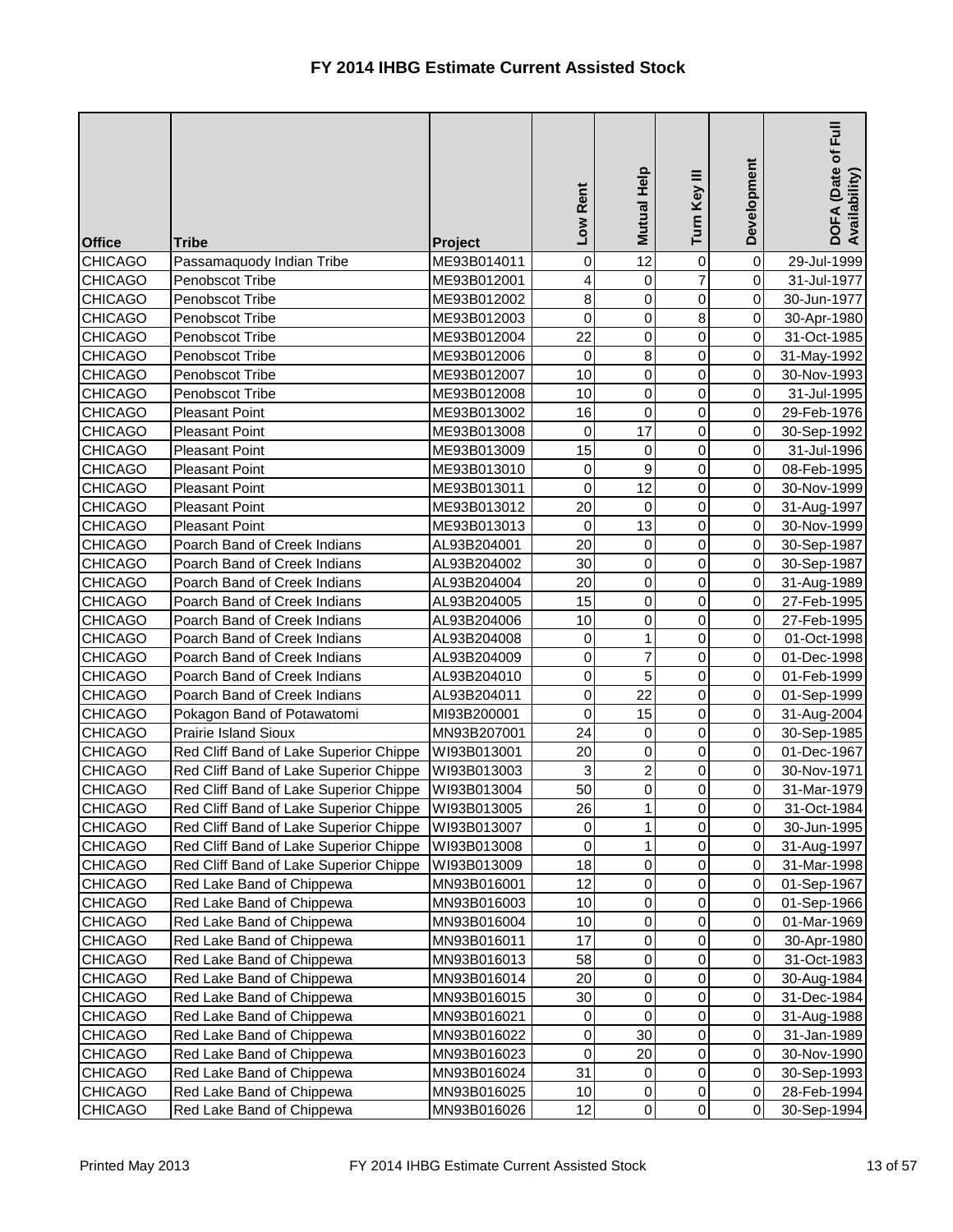| <b>Office</b>  | <b>Tribe</b>                           | <b>Project</b> | Rent<br>Low | Mutual Help    | Turn Key III   | Development    | $E_{\rm H}$<br>DOFA (Date of I<br>Availability) |
|----------------|----------------------------------------|----------------|-------------|----------------|----------------|----------------|-------------------------------------------------|
| <b>CHICAGO</b> | Passamaquody Indian Tribe              | ME93B014011    | 0           | 12             | $\mathbf 0$    | $\overline{0}$ | 29-Jul-1999                                     |
| <b>CHICAGO</b> | Penobscot Tribe                        | ME93B012001    | 4           | $\overline{0}$ | $\overline{7}$ | $\overline{0}$ | 31-Jul-1977                                     |
| <b>CHICAGO</b> | Penobscot Tribe                        | ME93B012002    | 8           | 0              | 0              | $\overline{0}$ | 30-Jun-1977                                     |
| <b>CHICAGO</b> | Penobscot Tribe                        | ME93B012003    | 0           | 0              | 8              | $\overline{0}$ | 30-Apr-1980                                     |
| <b>CHICAGO</b> | Penobscot Tribe                        | ME93B012004    | 22          | 0              | 0              | $\overline{0}$ | 31-Oct-1985                                     |
| <b>CHICAGO</b> | Penobscot Tribe                        | ME93B012006    | $\pmb{0}$   | 8              | 0              | $\overline{0}$ | 31-May-1992                                     |
| <b>CHICAGO</b> | Penobscot Tribe                        | ME93B012007    | 10          | $\mathsf 0$    | 0              | $\overline{0}$ | 30-Nov-1993                                     |
| <b>CHICAGO</b> | Penobscot Tribe                        | ME93B012008    | 10          | 0              | 0              | $\overline{0}$ | 31-Jul-1995                                     |
| <b>CHICAGO</b> | <b>Pleasant Point</b>                  | ME93B013002    | 16          | 0              | 0              | $\overline{0}$ | 29-Feb-1976                                     |
| <b>CHICAGO</b> | <b>Pleasant Point</b>                  | ME93B013008    | 0           | 17             | 0              | $\overline{0}$ | 30-Sep-1992                                     |
| <b>CHICAGO</b> | <b>Pleasant Point</b>                  | ME93B013009    | 15          | 0              | 0              | $\overline{0}$ | 31-Jul-1996                                     |
| <b>CHICAGO</b> | <b>Pleasant Point</b>                  | ME93B013010    | 0           | 9              | 0              | $\overline{0}$ | 08-Feb-1995                                     |
| <b>CHICAGO</b> | <b>Pleasant Point</b>                  | ME93B013011    | 0           | 12             | 0              | $\overline{0}$ | 30-Nov-1999                                     |
| <b>CHICAGO</b> | <b>Pleasant Point</b>                  | ME93B013012    | 20          | $\mathbf 0$    | 0              | $\overline{0}$ | 31-Aug-1997                                     |
| <b>CHICAGO</b> | <b>Pleasant Point</b>                  | ME93B013013    | $\pmb{0}$   | 13             | 0              | $\overline{0}$ | 30-Nov-1999                                     |
| <b>CHICAGO</b> | Poarch Band of Creek Indians           | AL93B204001    | 20          | 0              | 0              | $\overline{0}$ | 30-Sep-1987                                     |
| <b>CHICAGO</b> | Poarch Band of Creek Indians           | AL93B204002    | 30          | 0              | 0              | $\overline{0}$ | 30-Sep-1987                                     |
| <b>CHICAGO</b> | Poarch Band of Creek Indians           | AL93B204004    | 20          | $\mathsf 0$    | 0              | $\overline{0}$ | 31-Aug-1989                                     |
| <b>CHICAGO</b> | Poarch Band of Creek Indians           | AL93B204005    | 15          | 0              | 0              | $\overline{0}$ | 27-Feb-1995                                     |
| <b>CHICAGO</b> | Poarch Band of Creek Indians           | AL93B204006    | 10          | 0              | 0              | $\overline{0}$ | 27-Feb-1995                                     |
| <b>CHICAGO</b> | Poarch Band of Creek Indians           | AL93B204008    | 0           | 1              | 0              | $\overline{0}$ | 01-Oct-1998                                     |
| <b>CHICAGO</b> | Poarch Band of Creek Indians           | AL93B204009    | 0           | 7              | 0              | $\overline{0}$ | 01-Dec-1998                                     |
| <b>CHICAGO</b> | Poarch Band of Creek Indians           | AL93B204010    | $\pmb{0}$   | 5              | 0              | $\overline{0}$ | 01-Feb-1999                                     |
| <b>CHICAGO</b> | Poarch Band of Creek Indians           | AL93B204011    | $\pmb{0}$   | 22             | 0              | $\overline{0}$ | 01-Sep-1999                                     |
| <b>CHICAGO</b> | Pokagon Band of Potawatomi             | MI93B200001    | 0           | 15             | 0              | $\overline{0}$ | 31-Aug-2004                                     |
| <b>CHICAGO</b> | Prairie Island Sioux                   | MN93B207001    | 24          | $\mathbf 0$    | $\overline{0}$ | 0              | 30-Sep-1985                                     |
| <b>CHICAGO</b> | Red Cliff Band of Lake Superior Chippe | WI93B013001    | 20          | 0              | 0              | $\overline{O}$ | 01-Dec-1967                                     |
| <b>CHICAGO</b> | Red Cliff Band of Lake Superior Chippe | WI93B013003    | 3           | 2              | 0              | $\overline{0}$ | 30-Nov-1971                                     |
| <b>CHICAGO</b> | Red Cliff Band of Lake Superior Chippe | WI93B013004    | 50          | 0              | 0              | $\overline{0}$ | 31-Mar-1979                                     |
| <b>CHICAGO</b> | Red Cliff Band of Lake Superior Chippe | WI93B013005    | 26          | 1              | 0              | $\overline{0}$ | 31-Oct-1984                                     |
| <b>CHICAGO</b> | Red Cliff Band of Lake Superior Chippe | WI93B013007    | 0           | 1              | 0              | $\overline{O}$ | 30-Jun-1995                                     |
| <b>CHICAGO</b> | Red Cliff Band of Lake Superior Chippe | WI93B013008    | 0           | 1              | 0              | $\overline{0}$ | 31-Aug-1997                                     |
| <b>CHICAGO</b> | Red Cliff Band of Lake Superior Chippe | WI93B013009    | 18          | 0              | 0              | $\overline{0}$ | 31-Mar-1998                                     |
| <b>CHICAGO</b> | Red Lake Band of Chippewa              | MN93B016001    | 12          | 0              | 0              | $\overline{0}$ | 01-Sep-1967                                     |
| <b>CHICAGO</b> | Red Lake Band of Chippewa              | MN93B016003    | 10          | 0              | 0              | $\overline{0}$ | 01-Sep-1966                                     |
| <b>CHICAGO</b> | Red Lake Band of Chippewa              | MN93B016004    | 10          | 0              | 0              | $\overline{0}$ | 01-Mar-1969                                     |
| <b>CHICAGO</b> | Red Lake Band of Chippewa              | MN93B016011    | 17          | 0              | 0              | $\overline{0}$ | 30-Apr-1980                                     |
| <b>CHICAGO</b> | Red Lake Band of Chippewa              | MN93B016013    | 58          | 0              | 0              | $\overline{0}$ | 31-Oct-1983                                     |
| <b>CHICAGO</b> | Red Lake Band of Chippewa              | MN93B016014    | 20          | 0              | 0              | $\overline{0}$ | 30-Aug-1984                                     |
| <b>CHICAGO</b> | Red Lake Band of Chippewa              | MN93B016015    | 30          | 0              | 0              | $\overline{0}$ | 31-Dec-1984                                     |
| <b>CHICAGO</b> | Red Lake Band of Chippewa              | MN93B016021    | 0           | 0              | 0              | $\overline{0}$ | 31-Aug-1988                                     |
| <b>CHICAGO</b> | Red Lake Band of Chippewa              | MN93B016022    | $\pmb{0}$   | 30             | 0              | $\overline{0}$ | 31-Jan-1989                                     |
| <b>CHICAGO</b> | Red Lake Band of Chippewa              | MN93B016023    | 0           | 20             | $\overline{0}$ | $\overline{0}$ | 30-Nov-1990                                     |
| <b>CHICAGO</b> | Red Lake Band of Chippewa              | MN93B016024    | 31          | 0              | 0              | $\overline{0}$ | 30-Sep-1993                                     |
| <b>CHICAGO</b> | Red Lake Band of Chippewa              | MN93B016025    | 10          | $\pmb{0}$      | 0              | $\overline{0}$ | 28-Feb-1994                                     |
| <b>CHICAGO</b> | Red Lake Band of Chippewa              | MN93B016026    | 12          | $\overline{0}$ | $\overline{0}$ | $\overline{0}$ | 30-Sep-1994                                     |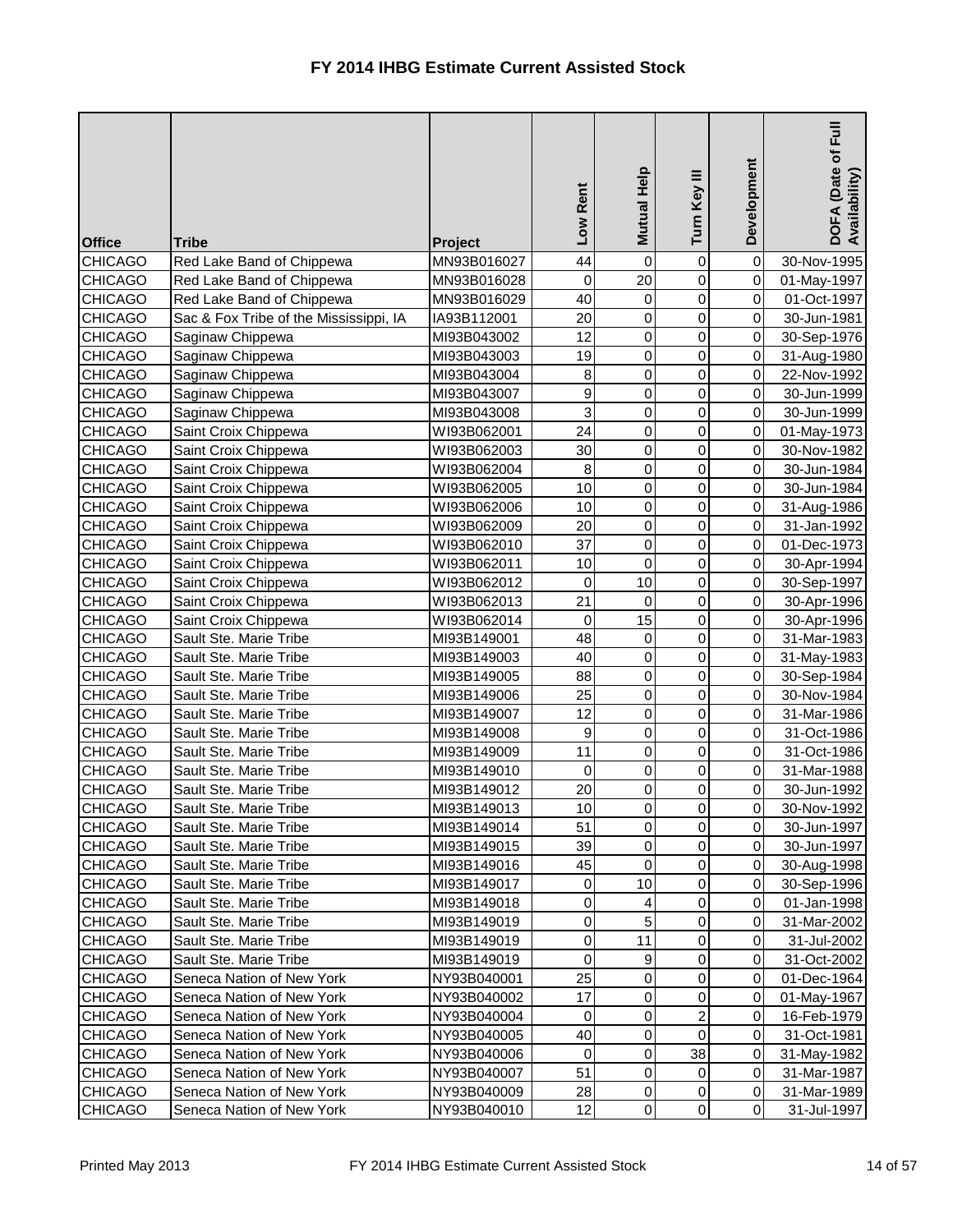| <b>Office</b>  | <b>Tribe</b>                           | Project     | Low Rent     | Mutual Help    | Turn Key III   | Development    | $E_{\rm H}$<br>DOFA (Date of I<br>Availability) |
|----------------|----------------------------------------|-------------|--------------|----------------|----------------|----------------|-------------------------------------------------|
| <b>CHICAGO</b> | Red Lake Band of Chippewa              | MN93B016027 | 44           | $\mathbf 0$    | $\mathbf 0$    | 0              | 30-Nov-1995                                     |
| <b>CHICAGO</b> | Red Lake Band of Chippewa              | MN93B016028 | 0            | 20             | 0              | $\overline{0}$ | 01-May-1997                                     |
| <b>CHICAGO</b> | Red Lake Band of Chippewa              | MN93B016029 | 40           | $\pmb{0}$      | 0              | $\overline{0}$ | 01-Oct-1997                                     |
| <b>CHICAGO</b> | Sac & Fox Tribe of the Mississippi, IA | IA93B112001 | 20           | 0              | 0              | $\overline{0}$ | 30-Jun-1981                                     |
| <b>CHICAGO</b> | Saginaw Chippewa                       | MI93B043002 | 12           | 0              | 0              | $\overline{0}$ | 30-Sep-1976                                     |
| <b>CHICAGO</b> | Saginaw Chippewa                       | MI93B043003 | 19           | $\mathsf 0$    | 0              | $\overline{0}$ | 31-Aug-1980                                     |
| <b>CHICAGO</b> | Saginaw Chippewa                       | MI93B043004 | 8            | 0              | 0              | $\overline{0}$ | 22-Nov-1992                                     |
| <b>CHICAGO</b> | Saginaw Chippewa                       | MI93B043007 | 9            | 0              | 0              | $\overline{0}$ | 30-Jun-1999                                     |
| <b>CHICAGO</b> | Saginaw Chippewa                       | MI93B043008 | 3            | 0              | 0              | $\overline{0}$ | 30-Jun-1999                                     |
| <b>CHICAGO</b> | Saint Croix Chippewa                   | WI93B062001 | 24           | $\mathsf 0$    | 0              | $\overline{0}$ | 01-May-1973                                     |
| <b>CHICAGO</b> | Saint Croix Chippewa                   | WI93B062003 | 30           | $\mathsf 0$    | 0              | $\overline{0}$ | 30-Nov-1982                                     |
| <b>CHICAGO</b> | Saint Croix Chippewa                   | WI93B062004 | 8            | $\pmb{0}$      | 0              | $\overline{0}$ | 30-Jun-1984                                     |
| <b>CHICAGO</b> | Saint Croix Chippewa                   | WI93B062005 | 10           | 0              | 0              | $\overline{0}$ | 30-Jun-1984                                     |
| <b>CHICAGO</b> | Saint Croix Chippewa                   | WI93B062006 | 10           | $\mathsf 0$    | 0              | $\overline{0}$ | 31-Aug-1986                                     |
| <b>CHICAGO</b> | Saint Croix Chippewa                   | WI93B062009 | 20           | $\mathsf 0$    | 0              | $\overline{0}$ | 31-Jan-1992                                     |
| <b>CHICAGO</b> | Saint Croix Chippewa                   | WI93B062010 | 37           | $\pmb{0}$      | 0              | $\overline{0}$ | 01-Dec-1973                                     |
| <b>CHICAGO</b> | Saint Croix Chippewa                   | WI93B062011 | 10           | $\mathbf 0$    | 0              | $\overline{0}$ | 30-Apr-1994                                     |
| <b>CHICAGO</b> | Saint Croix Chippewa                   | WI93B062012 | 0            | 10             | 0              | $\overline{0}$ | 30-Sep-1997                                     |
| <b>CHICAGO</b> | Saint Croix Chippewa                   | WI93B062013 | 21           | $\mathbf 0$    | 0              | $\overline{0}$ | 30-Apr-1996                                     |
| <b>CHICAGO</b> | Saint Croix Chippewa                   | WI93B062014 | 0            | 15             | 0              | $\overline{0}$ | 30-Apr-1996                                     |
| <b>CHICAGO</b> | Sault Ste. Marie Tribe                 | MI93B149001 | 48           | $\mathbf 0$    | 0              | $\overline{0}$ | 31-Mar-1983                                     |
| <b>CHICAGO</b> | Sault Ste. Marie Tribe                 | MI93B149003 | 40           | $\mathsf 0$    | 0              | $\overline{0}$ | 31-May-1983                                     |
| <b>CHICAGO</b> | Sault Ste. Marie Tribe                 | MI93B149005 | 88           | 0              | 0              | $\overline{0}$ | 30-Sep-1984                                     |
| <b>CHICAGO</b> | Sault Ste. Marie Tribe                 | MI93B149006 | 25           | $\mathsf{O}$   | 0              | $\overline{0}$ | 30-Nov-1984                                     |
| <b>CHICAGO</b> | Sault Ste. Marie Tribe                 | MI93B149007 | 12           | 0              | 0              | $\overline{0}$ | 31-Mar-1986                                     |
| <b>CHICAGO</b> | Sault Ste. Marie Tribe                 | MI93B149008 | $\mathsf{Q}$ | 0              | 0              | 0              | 31-Oct-1986                                     |
| <b>CHICAGO</b> | Sault Ste. Marie Tribe                 | MI93B149009 | 11           | $\mathbf 0$    | $\overline{0}$ | 0I             | 31-Oct-1986                                     |
| <b>CHICAGO</b> | Sault Ste. Marie Tribe                 | MI93B149010 | 0            | 0              | 0              | $\overline{0}$ | 31-Mar-1988                                     |
| <b>CHICAGO</b> | Sault Ste. Marie Tribe                 | MI93B149012 | 20           | 0              | 0              | $\overline{0}$ | 30-Jun-1992                                     |
| <b>CHICAGO</b> | Sault Ste. Marie Tribe                 | MI93B149013 | 10           | $\pmb{0}$      | 0              | $\overline{0}$ | 30-Nov-1992                                     |
| <b>CHICAGO</b> | Sault Ste. Marie Tribe                 | MI93B149014 | 51           | $\pmb{0}$      | 0              | $\overline{O}$ | 30-Jun-1997                                     |
| <b>CHICAGO</b> | Sault Ste. Marie Tribe                 | MI93B149015 | 39           | $\mathbf 0$    | 0              | $\overline{O}$ | 30-Jun-1997                                     |
| <b>CHICAGO</b> | Sault Ste. Marie Tribe                 | MI93B149016 | 45           | 0              | 0              | $\overline{O}$ | 30-Aug-1998                                     |
| <b>CHICAGO</b> | Sault Ste. Marie Tribe                 | MI93B149017 | $\pmb{0}$    | 10             | 0              | $\overline{0}$ | 30-Sep-1996                                     |
| <b>CHICAGO</b> | Sault Ste. Marie Tribe                 | MI93B149018 | $\pmb{0}$    | 4              | 0              | $\overline{O}$ | 01-Jan-1998                                     |
| <b>CHICAGO</b> | Sault Ste. Marie Tribe                 | MI93B149019 | $\pmb{0}$    | 5              | 0              | $\overline{0}$ | 31-Mar-2002                                     |
| <b>CHICAGO</b> | Sault Ste. Marie Tribe                 | MI93B149019 | $\pmb{0}$    | 11             | 0              | $\overline{0}$ | 31-Jul-2002                                     |
| <b>CHICAGO</b> | Sault Ste. Marie Tribe                 | MI93B149019 | $\pmb{0}$    | 9              | 0              | $\overline{0}$ | 31-Oct-2002                                     |
| <b>CHICAGO</b> | Seneca Nation of New York              | NY93B040001 | 25           | 0              | 0              | $\overline{0}$ | 01-Dec-1964                                     |
| <b>CHICAGO</b> | Seneca Nation of New York              | NY93B040002 | 17           | 0              | 0              | $\overline{0}$ | 01-May-1967                                     |
| <b>CHICAGO</b> | Seneca Nation of New York              | NY93B040004 | $\mathbf 0$  | 0              | 2              | $\overline{O}$ | 16-Feb-1979                                     |
| <b>CHICAGO</b> | Seneca Nation of New York              | NY93B040005 | 40           | 0              | $\overline{0}$ | $\overline{O}$ | 31-Oct-1981                                     |
| <b>CHICAGO</b> | Seneca Nation of New York              | NY93B040006 | $\mathbf 0$  | 0              | 38             | $\overline{0}$ | 31-May-1982                                     |
| <b>CHICAGO</b> | Seneca Nation of New York              | NY93B040007 | 51           | 0              | $\overline{0}$ | $\overline{0}$ | 31-Mar-1987                                     |
| <b>CHICAGO</b> | Seneca Nation of New York              | NY93B040009 | 28           | $\pmb{0}$      | 0              | $\overline{0}$ | 31-Mar-1989                                     |
| <b>CHICAGO</b> | Seneca Nation of New York              | NY93B040010 | 12           | $\overline{0}$ | $\overline{0}$ | $\overline{O}$ | 31-Jul-1997                                     |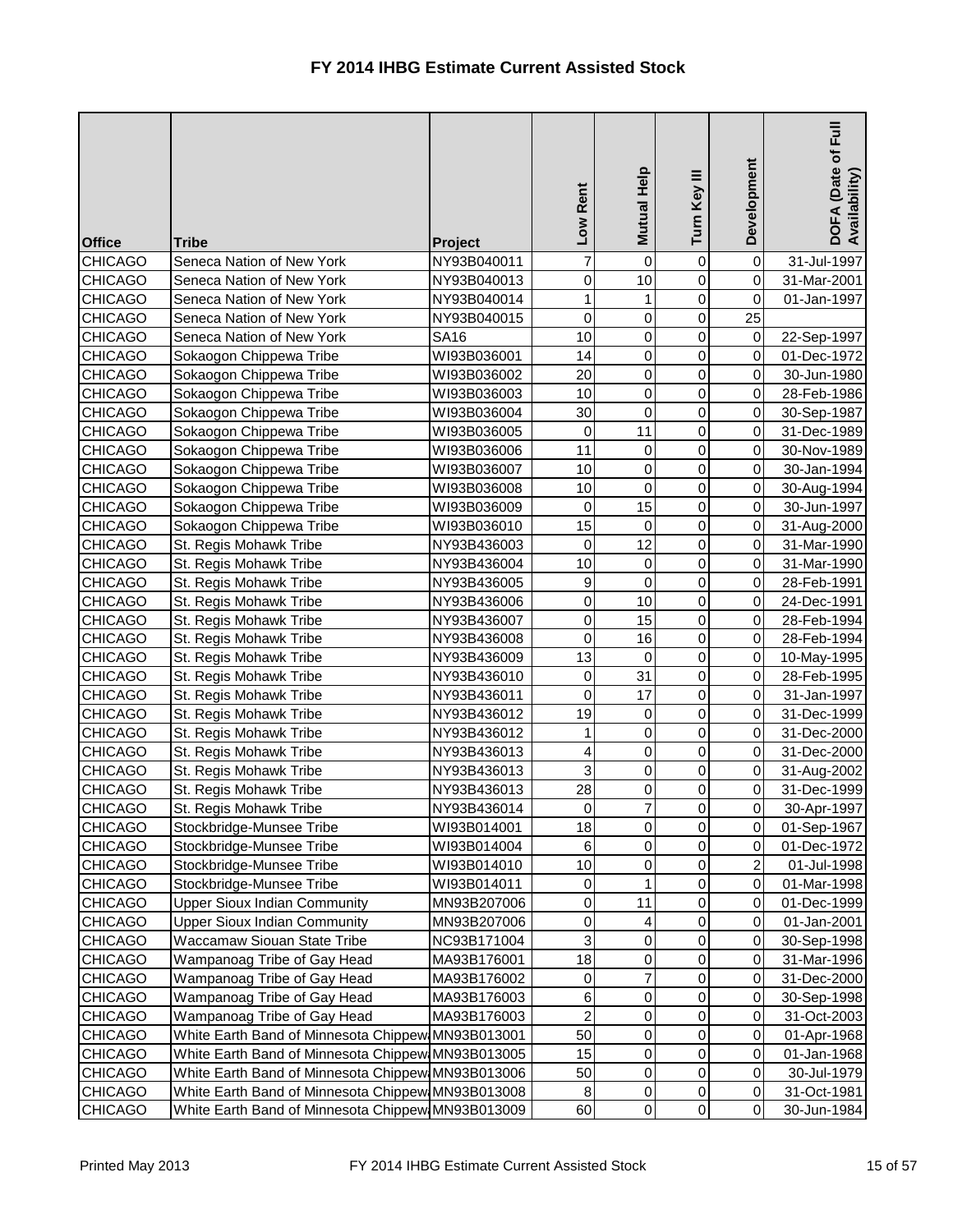| <b>Office</b>                    | <b>Tribe</b>                                         | Project                    | Low Rent         | Mutual Help    | Turn Key III   | Development                 | h<br><br>Eul<br>DOFA (Date of I<br>Availability) |
|----------------------------------|------------------------------------------------------|----------------------------|------------------|----------------|----------------|-----------------------------|--------------------------------------------------|
| <b>CHICAGO</b>                   | Seneca Nation of New York                            | NY93B040011                | 7                | 0              | 0              | $\pmb{0}$                   | 31-Jul-1997                                      |
| <b>CHICAGO</b>                   | Seneca Nation of New York                            | NY93B040013                | 0                | 10             | 0              | $\pmb{0}$                   | 31-Mar-2001                                      |
| <b>CHICAGO</b>                   | Seneca Nation of New York                            | NY93B040014                | $\mathbf{1}$     |                | 0              | $\mathsf 0$                 | 01-Jan-1997                                      |
| <b>CHICAGO</b>                   | Seneca Nation of New York                            | NY93B040015                | 0                | 0              | $\overline{0}$ | 25                          |                                                  |
| <b>CHICAGO</b>                   | Seneca Nation of New York                            | <b>SA16</b>                | 10               | 0              | 0              | $\pmb{0}$                   | 22-Sep-1997                                      |
| <b>CHICAGO</b>                   | Sokaogon Chippewa Tribe                              | WI93B036001                | 14               | 0              | 0              | $\pmb{0}$                   | 01-Dec-1972                                      |
| <b>CHICAGO</b>                   | Sokaogon Chippewa Tribe                              | WI93B036002                | 20               | 0              | $\mathbf 0$    | $\pmb{0}$                   | 30-Jun-1980                                      |
| <b>CHICAGO</b>                   | Sokaogon Chippewa Tribe                              | WI93B036003                | 10               | 0              | 0              | $\pmb{0}$                   | 28-Feb-1986                                      |
| <b>CHICAGO</b>                   | Sokaogon Chippewa Tribe                              | WI93B036004                | 30               | 0              | 0              | $\pmb{0}$                   | 30-Sep-1987                                      |
| <b>CHICAGO</b>                   | Sokaogon Chippewa Tribe                              | WI93B036005                | $\mathsf 0$      | 11             | 0              | $\pmb{0}$                   | 31-Dec-1989                                      |
| <b>CHICAGO</b>                   | Sokaogon Chippewa Tribe                              | WI93B036006                | 11               | 0              | 0              | $\pmb{0}$                   | 30-Nov-1989                                      |
| <b>CHICAGO</b>                   | Sokaogon Chippewa Tribe                              | WI93B036007                | 10               | 0              | 0              | $\pmb{0}$                   | 30-Jan-1994                                      |
| <b>CHICAGO</b>                   | Sokaogon Chippewa Tribe                              | WI93B036008                | 10               | 0              | 0              | $\pmb{0}$                   | 30-Aug-1994                                      |
| <b>CHICAGO</b>                   | Sokaogon Chippewa Tribe                              | WI93B036009                | 0                | 15             | 0              | $\pmb{0}$                   | 30-Jun-1997                                      |
| <b>CHICAGO</b>                   | Sokaogon Chippewa Tribe                              | WI93B036010                | 15               | 0              | 0              | $\pmb{0}$                   | 31-Aug-2000                                      |
| <b>CHICAGO</b>                   | St. Regis Mohawk Tribe                               | NY93B436003                | $\mathsf 0$      | 12             | 0              | $\pmb{0}$                   | 31-Mar-1990                                      |
| <b>CHICAGO</b>                   | St. Regis Mohawk Tribe                               | NY93B436004                | 10               | 0              | 0              | $\pmb{0}$                   | 31-Mar-1990                                      |
| <b>CHICAGO</b>                   | St. Regis Mohawk Tribe                               | NY93B436005                | $\boldsymbol{9}$ | 0              | 0              | $\pmb{0}$                   | 28-Feb-1991                                      |
| <b>CHICAGO</b>                   | St. Regis Mohawk Tribe                               | NY93B436006                | $\pmb{0}$        | 10             | 0              | $\pmb{0}$                   | 24-Dec-1991                                      |
| <b>CHICAGO</b>                   | St. Regis Mohawk Tribe                               | NY93B436007                | $\pmb{0}$        | 15             | 0              | $\pmb{0}$                   | 28-Feb-1994                                      |
| <b>CHICAGO</b>                   | St. Regis Mohawk Tribe                               | NY93B436008                | $\mathbf 0$      | 16             | 0              | $\pmb{0}$                   | 28-Feb-1994                                      |
| <b>CHICAGO</b>                   | St. Regis Mohawk Tribe                               | NY93B436009                | 13               | 0              | 0              | $\pmb{0}$                   | 10-May-1995                                      |
| <b>CHICAGO</b>                   | St. Regis Mohawk Tribe                               | NY93B436010                | 0                | 31             | 0              | $\pmb{0}$                   | 28-Feb-1995                                      |
| <b>CHICAGO</b>                   | St. Regis Mohawk Tribe                               | NY93B436011                | $\mathsf 0$      | 17             | $\overline{0}$ | $\pmb{0}$                   | 31-Jan-1997                                      |
| <b>CHICAGO</b>                   | St. Regis Mohawk Tribe                               | NY93B436012                | 19               | 0              | 0              | $\pmb{0}$                   | 31-Dec-1999                                      |
| <b>CHICAGO</b>                   | St. Regis Mohawk Tribe                               | NY93B436012                | $\mathbf{1}$     | 0              | $\overline{0}$ | $\overline{0}$              | 31-Dec-2000                                      |
| <b>CHICAGO</b>                   | St. Regis Mohawk Tribe                               | NY93B436013                | 4                | 0              | $\overline{0}$ | $\mathbf 0$                 | 31-Dec-2000                                      |
| <b>CHICAGO</b>                   | St. Regis Mohawk Tribe                               | NY93B436013                | 3                | 0              | $\overline{0}$ | $\pmb{0}$                   | 31-Aug-2002                                      |
| <b>CHICAGO</b>                   | St. Regis Mohawk Tribe                               | NY93B436013                | 28               | 0              | 0              | $\pmb{0}$                   | 31-Dec-1999                                      |
| <b>CHICAGO</b>                   | St. Regis Mohawk Tribe                               | NY93B436014                | 0<br>18          | 7              | 0              | $\pmb{0}$<br>$\pmb{0}$      | 30-Apr-1997                                      |
| <b>CHICAGO</b>                   | Stockbridge-Munsee Tribe                             | WI93B014001                |                  | 0              | 0              |                             | 01-Sep-1967                                      |
| <b>CHICAGO</b><br><b>CHICAGO</b> | Stockbridge-Munsee Tribe<br>Stockbridge-Munsee Tribe | WI93B014004                | $\,6$<br>10      | 0<br>0         | 0<br>0         | 0                           | 01-Dec-1972                                      |
| <b>CHICAGO</b>                   | Stockbridge-Munsee Tribe                             | WI93B014010<br>WI93B014011 | $\pmb{0}$        |                | 0              | $\overline{c}$<br>$\pmb{0}$ | 01-Jul-1998<br>01-Mar-1998                       |
| <b>CHICAGO</b>                   | <b>Upper Sioux Indian Community</b>                  | MN93B207006                | $\pmb{0}$        | 11             | 0              | 0                           | 01-Dec-1999                                      |
| <b>CHICAGO</b>                   | <b>Upper Sioux Indian Community</b>                  | MN93B207006                | $\pmb{0}$        | 4              | 0              | $\pmb{0}$                   | 01-Jan-2001                                      |
| <b>CHICAGO</b>                   | Waccamaw Siouan State Tribe                          | NC93B171004                | 3                | 0              | 0              | $\pmb{0}$                   | 30-Sep-1998                                      |
| <b>CHICAGO</b>                   | Wampanoag Tribe of Gay Head                          | MA93B176001                | 18               | 0              | 0              | $\mathbf 0$                 | 31-Mar-1996                                      |
| <b>CHICAGO</b>                   | Wampanoag Tribe of Gay Head                          | MA93B176002                | $\pmb{0}$        | $\overline{7}$ | 0              | $\pmb{0}$                   | 31-Dec-2000                                      |
| <b>CHICAGO</b>                   | Wampanoag Tribe of Gay Head                          | MA93B176003                | $\,6$            | 0              | 0              | $\pmb{0}$                   | 30-Sep-1998                                      |
| <b>CHICAGO</b>                   | Wampanoag Tribe of Gay Head                          | MA93B176003                | $\overline{2}$   | 0              | 0              | $\pmb{0}$                   | 31-Oct-2003                                      |
| <b>CHICAGO</b>                   | White Earth Band of Minnesota Chippew MN93B013001    |                            | 50               | 0              | 0              | $\pmb{0}$                   | 01-Apr-1968                                      |
| <b>CHICAGO</b>                   | White Earth Band of Minnesota Chippew MN93B013005    |                            | 15               | 0              | 0              | $\pmb{0}$                   | 01-Jan-1968                                      |
| <b>CHICAGO</b>                   | White Earth Band of Minnesota Chippew MN93B013006    |                            | 50               | 0              | 0              | $\pmb{0}$                   | 30-Jul-1979                                      |
| <b>CHICAGO</b>                   | White Earth Band of Minnesota Chippew MN93B013008    |                            | $\bf 8$          | 0              | $\overline{0}$ | $\pmb{0}$                   | 31-Oct-1981                                      |
| <b>CHICAGO</b>                   | White Earth Band of Minnesota Chippew MN93B013009    |                            | 60               | $\overline{0}$ | $\overline{0}$ | $\pmb{0}$                   | 30-Jun-1984                                      |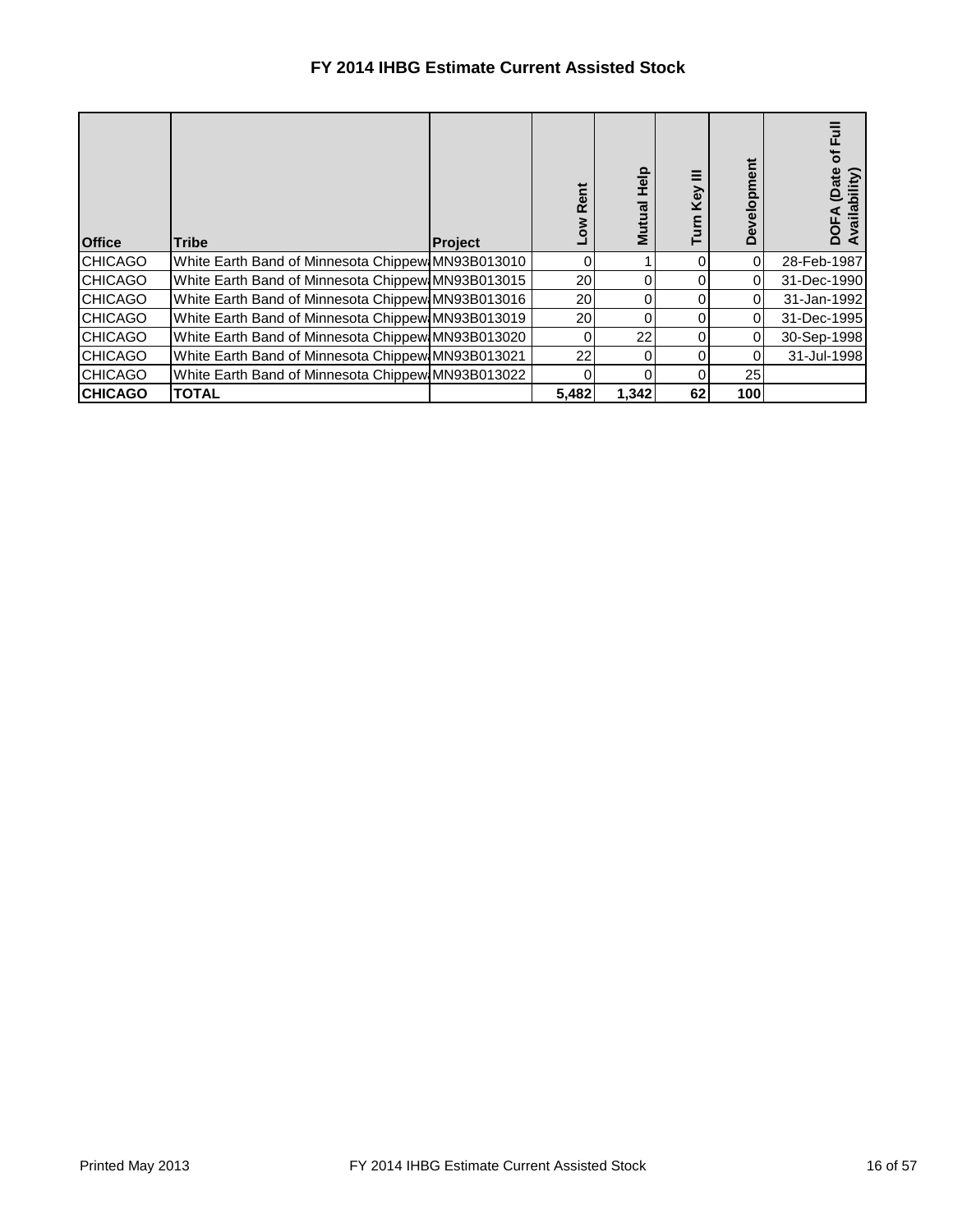| <b>Office</b>  | Tribe                                             | <b>Project</b> |       | <b>Help</b><br>Mutual | Ξ<br>Key<br>E | velopment<br>ق | 正<br>ō<br>(Date<br>Availability)<br>ā |
|----------------|---------------------------------------------------|----------------|-------|-----------------------|---------------|----------------|---------------------------------------|
| <b>CHICAGO</b> | White Earth Band of Minnesota Chippew MN93B013010 |                | 0     |                       |               | 0              | 28-Feb-1987                           |
| <b>CHICAGO</b> | White Earth Band of Minnesota Chippew MN93B013015 |                | 20    |                       |               | 0              | 31-Dec-1990                           |
| <b>CHICAGO</b> | White Earth Band of Minnesota Chippew MN93B013016 |                | 20    |                       |               | $\Omega$       | 31-Jan-1992                           |
| <b>CHICAGO</b> | White Earth Band of Minnesota Chippew MN93B013019 |                | 20    |                       |               |                | 31-Dec-1995                           |
| <b>CHICAGO</b> | White Earth Band of Minnesota Chippew MN93B013020 |                |       | 22                    |               | 0              | 30-Sep-1998                           |
| <b>CHICAGO</b> | White Earth Band of Minnesota Chippew MN93B013021 |                | 22    |                       |               | 0              | 31-Jul-1998                           |
| <b>CHICAGO</b> | White Earth Band of Minnesota Chippew MN93B013022 |                |       |                       |               | 25             |                                       |
| <b>CHICAGO</b> | <b>TOTAL</b>                                      |                | 5,482 | 1,342                 | 62            | 100            |                                       |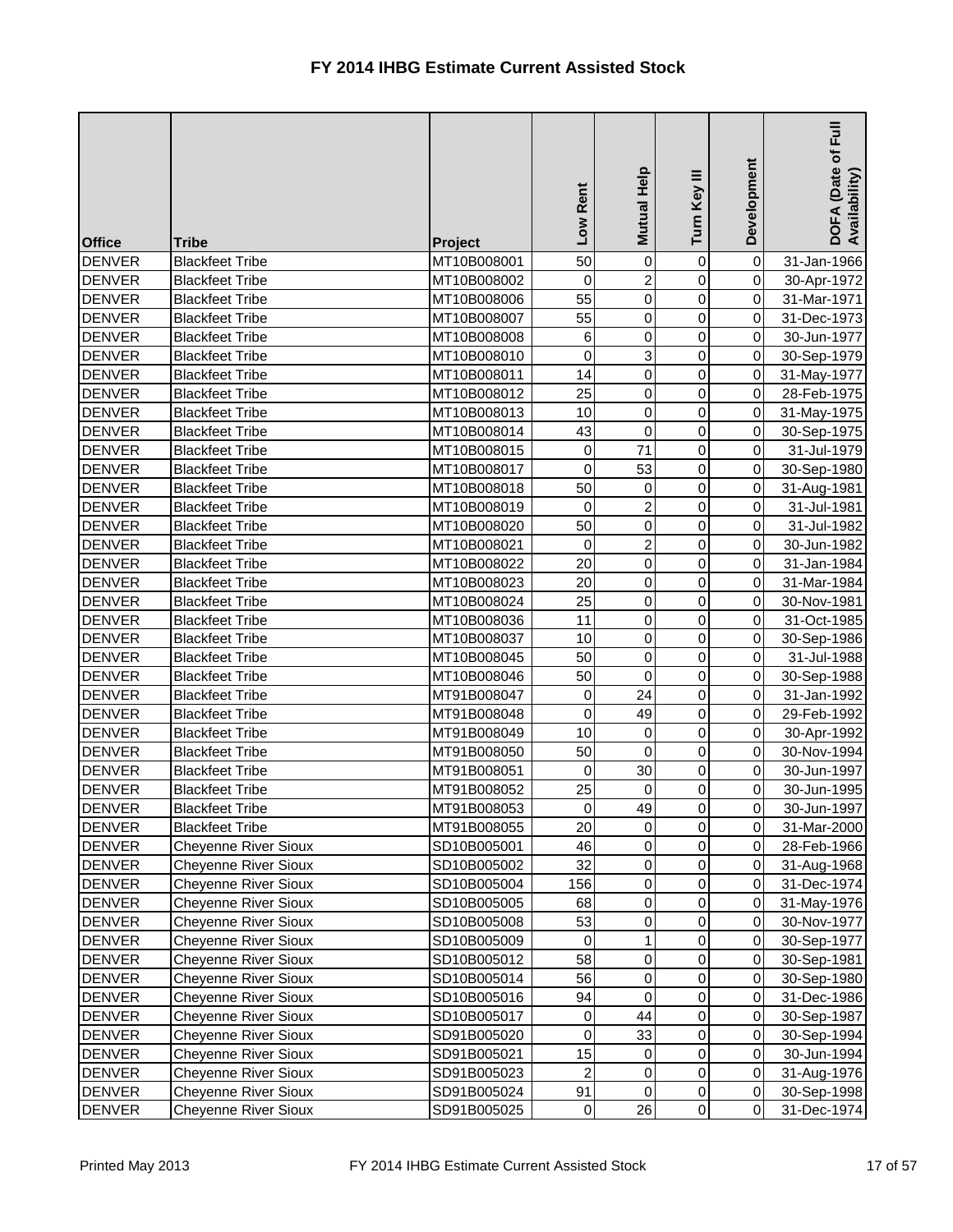| <b>Office</b> | <b>Tribe</b>                | Project     | Low Rent        | Mutual Help    | Turn Key III   | Development    | $E_{\rm H}$<br>DOFA (Date of I<br>Availability) |
|---------------|-----------------------------|-------------|-----------------|----------------|----------------|----------------|-------------------------------------------------|
| <b>DENVER</b> | <b>Blackfeet Tribe</b>      | MT10B008001 | 50              | $\mathbf 0$    | 0              | $\overline{0}$ | 31-Jan-1966                                     |
| <b>DENVER</b> | <b>Blackfeet Tribe</b>      | MT10B008002 | 0               | $\overline{2}$ | 0              | $\overline{0}$ | 30-Apr-1972                                     |
| <b>DENVER</b> | <b>Blackfeet Tribe</b>      | MT10B008006 | 55              | 0              | $\overline{0}$ | $\overline{0}$ | 31-Mar-1971                                     |
| <b>DENVER</b> | <b>Blackfeet Tribe</b>      | MT10B008007 | 55              | $\pmb{0}$      | $\overline{0}$ | $\overline{0}$ | 31-Dec-1973                                     |
| <b>DENVER</b> | <b>Blackfeet Tribe</b>      | MT10B008008 | $\,6$           | 0              | 0              | $\overline{0}$ | 30-Jun-1977                                     |
| <b>DENVER</b> | <b>Blackfeet Tribe</b>      | MT10B008010 | 0               | 3              | 0              | $\overline{0}$ | 30-Sep-1979                                     |
| <b>DENVER</b> | <b>Blackfeet Tribe</b>      | MT10B008011 | 14              | $\mathbf 0$    | 0              | $\overline{0}$ | 31-May-1977                                     |
| <b>DENVER</b> | <b>Blackfeet Tribe</b>      | MT10B008012 | 25              | 0              | 0              | $\overline{0}$ | 28-Feb-1975                                     |
| <b>DENVER</b> | <b>Blackfeet Tribe</b>      | MT10B008013 | 10              | 0              | 0              | $\overline{0}$ | 31-May-1975                                     |
| <b>DENVER</b> | <b>Blackfeet Tribe</b>      | MT10B008014 | 43              | 0              | 0              | $\overline{0}$ | 30-Sep-1975                                     |
| <b>DENVER</b> | <b>Blackfeet Tribe</b>      | MT10B008015 | $\pmb{0}$       | 71             | 0              | $\overline{0}$ | 31-Jul-1979                                     |
| <b>DENVER</b> | <b>Blackfeet Tribe</b>      | MT10B008017 | $\pmb{0}$       | 53             | $\overline{0}$ | $\overline{0}$ | 30-Sep-1980                                     |
| <b>DENVER</b> | <b>Blackfeet Tribe</b>      | MT10B008018 | 50              | 0              | 0              | $\overline{0}$ | 31-Aug-1981                                     |
| <b>DENVER</b> | <b>Blackfeet Tribe</b>      | MT10B008019 | 0               | 2              | 0              | $\overline{0}$ | 31-Jul-1981                                     |
| <b>DENVER</b> | <b>Blackfeet Tribe</b>      | MT10B008020 | 50              | 0              | 0              | $\overline{0}$ | 31-Jul-1982                                     |
| <b>DENVER</b> | <b>Blackfeet Tribe</b>      | MT10B008021 | 0               | $\overline{c}$ | 0              | $\overline{0}$ | 30-Jun-1982                                     |
| <b>DENVER</b> | <b>Blackfeet Tribe</b>      | MT10B008022 | 20              | 0              | 0              | $\overline{0}$ | 31-Jan-1984                                     |
| <b>DENVER</b> | <b>Blackfeet Tribe</b>      | MT10B008023 | 20              | 0              | 0              | $\overline{0}$ | 31-Mar-1984                                     |
| <b>DENVER</b> | <b>Blackfeet Tribe</b>      | MT10B008024 | 25              | 0              | 0              | $\overline{0}$ | 30-Nov-1981                                     |
| <b>DENVER</b> | <b>Blackfeet Tribe</b>      | MT10B008036 | 11              | 0              | $\overline{0}$ | $\overline{0}$ | 31-Oct-1985                                     |
| <b>DENVER</b> | <b>Blackfeet Tribe</b>      | MT10B008037 | 10              | 0              | 0              | $\overline{0}$ | 30-Sep-1986                                     |
| <b>DENVER</b> | <b>Blackfeet Tribe</b>      | MT10B008045 | 50              | 0              | 0              | $\overline{0}$ | 31-Jul-1988                                     |
| <b>DENVER</b> | <b>Blackfeet Tribe</b>      | MT10B008046 | 50              | $\mathbf 0$    | 0              | $\overline{0}$ | 30-Sep-1988                                     |
| <b>DENVER</b> | <b>Blackfeet Tribe</b>      | MT91B008047 | 0               | 24             | 0              | $\overline{0}$ | 31-Jan-1992                                     |
| <b>DENVER</b> | <b>Blackfeet Tribe</b>      | MT91B008048 | 0               | 49             | 0              | $\overline{0}$ | 29-Feb-1992                                     |
| <b>DENVER</b> | <b>Blackfeet Tribe</b>      | MT91B008049 | 10 <sub>1</sub> | $\overline{0}$ | $\overline{0}$ | $\overline{O}$ | 30-Apr-1992                                     |
| <b>DENVER</b> | <b>Blackfeet Tribe</b>      | MT91B008050 | 50              | $\mathbf 0$    | $\overline{0}$ | $\overline{O}$ | 30-Nov-1994                                     |
| <b>DENVER</b> | <b>Blackfeet Tribe</b>      | MT91B008051 | 0               | 30             | 0              | $\overline{0}$ | 30-Jun-1997                                     |
| <b>DENVER</b> | <b>Blackfeet Tribe</b>      | MT91B008052 | 25              | 0              | 0              | $\overline{0}$ | 30-Jun-1995                                     |
| <b>DENVER</b> | <b>Blackfeet Tribe</b>      | MT91B008053 | 0               | 49             | 0              | $\overline{0}$ | 30-Jun-1997                                     |
| <b>DENVER</b> | <b>Blackfeet Tribe</b>      | MT91B008055 | 20              | 0              | 0              | $\overline{0}$ | 31-Mar-2000                                     |
| <b>DENVER</b> | <b>Cheyenne River Sioux</b> | SD10B005001 | 46              | $\pmb{0}$      | 0              | $\overline{0}$ | 28-Feb-1966                                     |
| <b>DENVER</b> | <b>Cheyenne River Sioux</b> | SD10B005002 | 32              | $\pmb{0}$      | 0              | $\overline{0}$ | 31-Aug-1968                                     |
| <b>DENVER</b> | <b>Cheyenne River Sioux</b> | SD10B005004 | 156             | $\pmb{0}$      | 0              | $\overline{0}$ | 31-Dec-1974                                     |
| <b>DENVER</b> | <b>Cheyenne River Sioux</b> | SD10B005005 | 68              | $\pmb{0}$      | 0              | $\overline{0}$ | 31-May-1976                                     |
| <b>DENVER</b> | <b>Cheyenne River Sioux</b> | SD10B005008 | 53              | 0              | 0              | $\overline{0}$ | 30-Nov-1977                                     |
| <b>DENVER</b> | <b>Cheyenne River Sioux</b> | SD10B005009 | $\pmb{0}$       | 1              | 0              | $\overline{0}$ | 30-Sep-1977                                     |
| <b>DENVER</b> | <b>Cheyenne River Sioux</b> | SD10B005012 | 58              | 0              | 0              | $\overline{0}$ | 30-Sep-1981                                     |
| <b>DENVER</b> | <b>Cheyenne River Sioux</b> | SD10B005014 | 56              | $\pmb{0}$      | 0              | $\overline{0}$ | 30-Sep-1980                                     |
| <b>DENVER</b> | <b>Cheyenne River Sioux</b> | SD10B005016 | 94              | 0              | 0              | $\overline{0}$ | 31-Dec-1986                                     |
| <b>DENVER</b> | <b>Cheyenne River Sioux</b> | SD10B005017 | 0               | 44             | 0              | $\overline{0}$ | 30-Sep-1987                                     |
| <b>DENVER</b> | <b>Cheyenne River Sioux</b> | SD91B005020 | $\pmb{0}$       | 33             | 0              | $\overline{0}$ | 30-Sep-1994                                     |
| <b>DENVER</b> | <b>Cheyenne River Sioux</b> | SD91B005021 | 15              | 0              | 0              | $\overline{0}$ | 30-Jun-1994                                     |
| <b>DENVER</b> | <b>Cheyenne River Sioux</b> | SD91B005023 | $\overline{2}$  | $\pmb{0}$      | 0              | $\overline{0}$ | 31-Aug-1976                                     |
| <b>DENVER</b> | <b>Cheyenne River Sioux</b> | SD91B005024 | 91              | $\pmb{0}$      | 0              | $\overline{0}$ | 30-Sep-1998                                     |
| <b>DENVER</b> | <b>Cheyenne River Sioux</b> | SD91B005025 | $\pmb{0}$       | 26             | $\overline{0}$ | $\overline{0}$ | 31-Dec-1974                                     |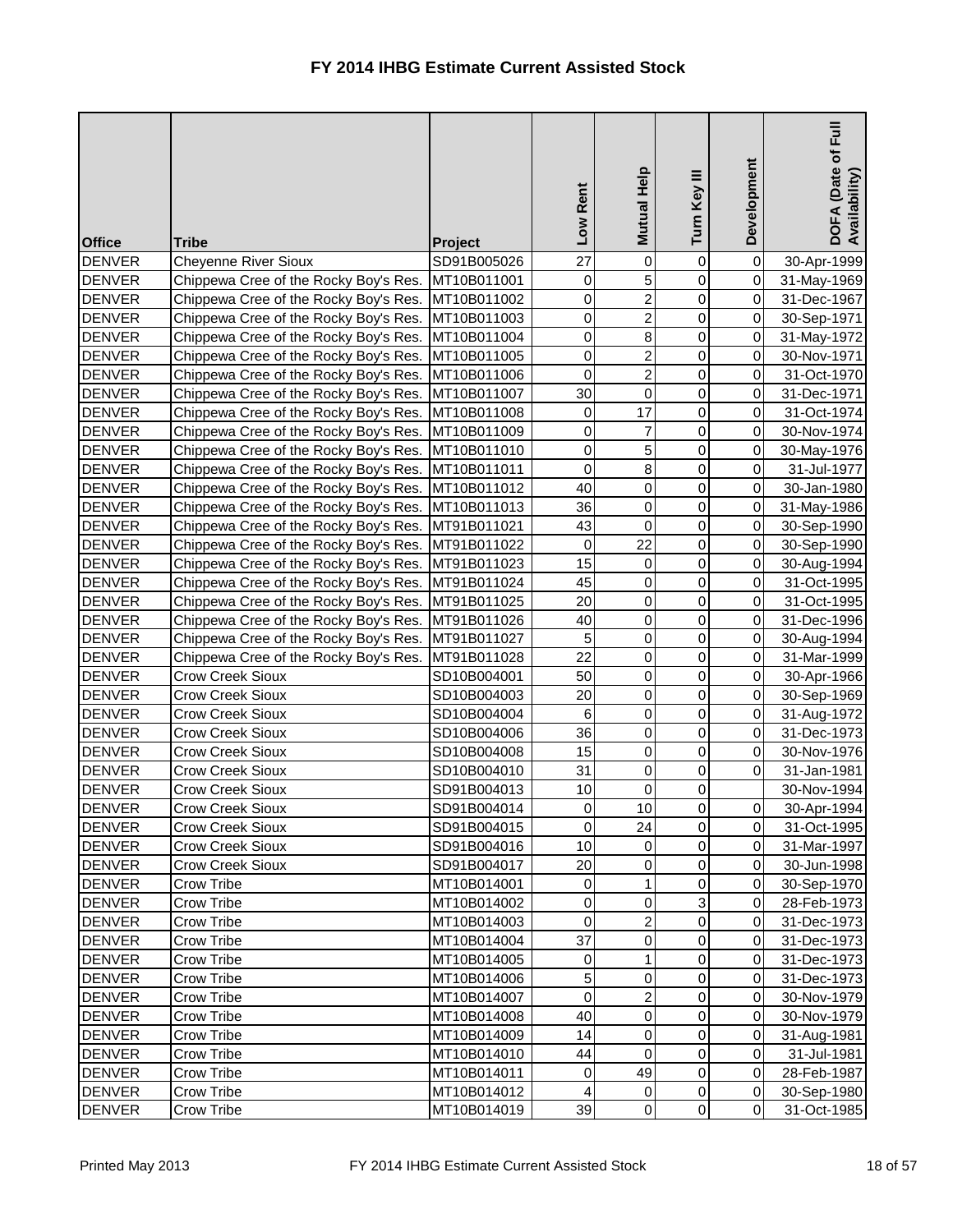| <b>Office</b> | <b>Tribe</b>                          | Project     | Low Rent                | Mutual Help    | Turn Key III   | Development    | <b>下</b> 山<br>DOFA (Date of I<br>Availability) |
|---------------|---------------------------------------|-------------|-------------------------|----------------|----------------|----------------|------------------------------------------------|
| <b>DENVER</b> | <b>Cheyenne River Sioux</b>           | SD91B005026 | 27                      | 0              | $\mathbf 0$    | $\overline{0}$ | 30-Apr-1999                                    |
| <b>DENVER</b> | Chippewa Cree of the Rocky Boy's Res. | MT10B011001 | 0                       | 5              | 0              | $\overline{0}$ | 31-May-1969                                    |
| <b>DENVER</b> | Chippewa Cree of the Rocky Boy's Res. | MT10B011002 | 0                       | $\overline{2}$ | $\overline{0}$ | $\overline{0}$ | 31-Dec-1967                                    |
| <b>DENVER</b> | Chippewa Cree of the Rocky Boy's Res. | MT10B011003 | 0                       | $\overline{c}$ | 0              | $\overline{0}$ | 30-Sep-1971                                    |
| <b>DENVER</b> | Chippewa Cree of the Rocky Boy's Res. | MT10B011004 | $\pmb{0}$               | 8              | 0              | $\overline{0}$ | 31-May-1972                                    |
| <b>DENVER</b> | Chippewa Cree of the Rocky Boy's Res. | MT10B011005 | 0                       | $\overline{c}$ | 0              | $\overline{0}$ | 30-Nov-1971                                    |
| <b>DENVER</b> | Chippewa Cree of the Rocky Boy's Res. | MT10B011006 | 0                       | $\overline{2}$ | 0              | $\overline{0}$ | 31-Oct-1970                                    |
| <b>DENVER</b> | Chippewa Cree of the Rocky Boy's Res. | MT10B011007 | 30                      | $\mathsf 0$    | 0              | $\overline{0}$ | 31-Dec-1971                                    |
| <b>DENVER</b> | Chippewa Cree of the Rocky Boy's Res. | MT10B011008 | 0                       | 17             | 0              | $\overline{0}$ | 31-Oct-1974                                    |
| <b>DENVER</b> | Chippewa Cree of the Rocky Boy's Res. | MT10B011009 | 0                       | 7              | 0              | $\overline{0}$ | 30-Nov-1974                                    |
| <b>DENVER</b> | Chippewa Cree of the Rocky Boy's Res. | MT10B011010 | 0                       | 5              | $\overline{0}$ | $\overline{0}$ | 30-May-1976                                    |
| <b>DENVER</b> | Chippewa Cree of the Rocky Boy's Res. | MT10B011011 | $\pmb{0}$               | 8              | $\overline{0}$ | $\overline{O}$ | 31-Jul-1977                                    |
| <b>DENVER</b> | Chippewa Cree of the Rocky Boy's Res. | MT10B011012 | 40                      | 0              | 0              | $\overline{0}$ | 30-Jan-1980                                    |
| <b>DENVER</b> | Chippewa Cree of the Rocky Boy's Res. | MT10B011013 | 36                      | $\mathsf 0$    | $\overline{0}$ | $\overline{0}$ | 31-May-1986                                    |
| <b>DENVER</b> | Chippewa Cree of the Rocky Boy's Res. | MT91B011021 | 43                      | 0              | $\overline{0}$ | $\overline{0}$ | 30-Sep-1990                                    |
| <b>DENVER</b> | Chippewa Cree of the Rocky Boy's Res. | MT91B011022 | 0                       | 22             | 0              | $\overline{0}$ | 30-Sep-1990                                    |
| <b>DENVER</b> | Chippewa Cree of the Rocky Boy's Res. | MT91B011023 | 15                      | 0              | 0              | $\overline{0}$ | 30-Aug-1994                                    |
| <b>DENVER</b> | Chippewa Cree of the Rocky Boy's Res. | MT91B011024 | 45                      | $\mathsf 0$    | 0              | $\overline{0}$ | 31-Oct-1995                                    |
| <b>DENVER</b> | Chippewa Cree of the Rocky Boy's Res. | MT91B011025 | 20                      | 0              | $\overline{0}$ | $\overline{0}$ | 31-Oct-1995                                    |
| <b>DENVER</b> | Chippewa Cree of the Rocky Boy's Res. | MT91B011026 | 40                      | $\mathsf 0$    | $\overline{0}$ | $\overline{0}$ | 31-Dec-1996                                    |
| <b>DENVER</b> | Chippewa Cree of the Rocky Boy's Res. | MT91B011027 | 5                       | 0              | 0              | $\overline{0}$ | 30-Aug-1994                                    |
| <b>DENVER</b> | Chippewa Cree of the Rocky Boy's Res. | MT91B011028 | 22                      | $\mathsf 0$    | 0              | $\overline{0}$ | 31-Mar-1999                                    |
| <b>DENVER</b> | <b>Crow Creek Sioux</b>               | SD10B004001 | 50                      | 0              | $\overline{0}$ | $\overline{O}$ | 30-Apr-1966                                    |
| <b>DENVER</b> | <b>Crow Creek Sioux</b>               | SD10B004003 | 20                      | $\mathsf{O}$   | $\overline{0}$ | $\overline{0}$ | 30-Sep-1969                                    |
| <b>DENVER</b> | <b>Crow Creek Sioux</b>               | SD10B004004 | 6                       | 0              | 0              | $\overline{0}$ | 31-Aug-1972                                    |
| <b>DENVER</b> | <b>Crow Creek Sioux</b>               | SD10B004006 | 36                      | $\overline{0}$ | $\overline{0}$ | 0              | 31-Dec-1973                                    |
| <b>DENVER</b> | <b>Crow Creek Sioux</b>               | SD10B004008 | 15                      | $\mathbf 0$    | $\overline{0}$ | 0I             | 30-Nov-1976                                    |
| <b>DENVER</b> | <b>Crow Creek Sioux</b>               | SD10B004010 | 31                      | $\pmb{0}$      | 0              | $\overline{O}$ | 31-Jan-1981                                    |
| <b>DENVER</b> | <b>Crow Creek Sioux</b>               | SD91B004013 | 10                      | 0              | 0              |                | 30-Nov-1994                                    |
| <b>DENVER</b> | <b>Crow Creek Sioux</b>               | SD91B004014 | $\pmb{0}$               | 10             | 0              | $\overline{0}$ | 30-Apr-1994                                    |
| <b>DENVER</b> | <b>Crow Creek Sioux</b>               | SD91B004015 | $\pmb{0}$               | 24             | 0              | $\overline{O}$ | 31-Oct-1995                                    |
| <b>DENVER</b> | <b>Crow Creek Sioux</b>               | SD91B004016 | 10                      | $\pmb{0}$      | 0              | $\overline{0}$ | 31-Mar-1997                                    |
| <b>DENVER</b> | <b>Crow Creek Sioux</b>               | SD91B004017 | 20                      | 0              | 0              | $\overline{O}$ | 30-Jun-1998                                    |
| <b>DENVER</b> | Crow Tribe                            | MT10B014001 | $\pmb{0}$               | 1              | 0              | $\overline{0}$ | 30-Sep-1970                                    |
| <b>DENVER</b> | Crow Tribe                            | MT10B014002 | 0                       | 0              | $\overline{3}$ | $\overline{O}$ | 28-Feb-1973                                    |
| <b>DENVER</b> | Crow Tribe                            | MT10B014003 | $\pmb{0}$               | 2              | 0              | $\overline{0}$ | 31-Dec-1973                                    |
| <b>DENVER</b> | <b>Crow Tribe</b>                     | MT10B014004 | 37                      | 0              | 0              | $\overline{0}$ | 31-Dec-1973                                    |
| <b>DENVER</b> | <b>Crow Tribe</b>                     | MT10B014005 | 0                       |                | 0              | $\overline{0}$ | 31-Dec-1973                                    |
| <b>DENVER</b> | <b>Crow Tribe</b>                     | MT10B014006 | $\overline{5}$          | 0              | 0              | $\overline{0}$ | 31-Dec-1973                                    |
| <b>DENVER</b> | <b>Crow Tribe</b>                     | MT10B014007 | 0                       | $\overline{c}$ | 0              | $\overline{0}$ | 30-Nov-1979                                    |
| <b>DENVER</b> | Crow Tribe                            | MT10B014008 | 40                      | 0              | 0              | $\overline{0}$ | 30-Nov-1979                                    |
| <b>DENVER</b> | Crow Tribe                            | MT10B014009 | 14                      | 0              | 0              | $\overline{0}$ | 31-Aug-1981                                    |
| <b>DENVER</b> | Crow Tribe                            | MT10B014010 | 44                      | $\overline{0}$ | $\mathbf 0$    | $\overline{0}$ | 31-Jul-1981                                    |
| <b>DENVER</b> | Crow Tribe                            | MT10B014011 | 0                       | 49             | 0              | $\overline{0}$ | 28-Feb-1987                                    |
| <b>DENVER</b> | Crow Tribe                            | MT10B014012 | $\overline{\mathbf{4}}$ | 0              | 0              | $\overline{0}$ | 30-Sep-1980                                    |
| <b>DENVER</b> | Crow Tribe                            | MT10B014019 | 39                      | $\overline{0}$ | $\overline{0}$ | $\overline{0}$ | 31-Oct-1985                                    |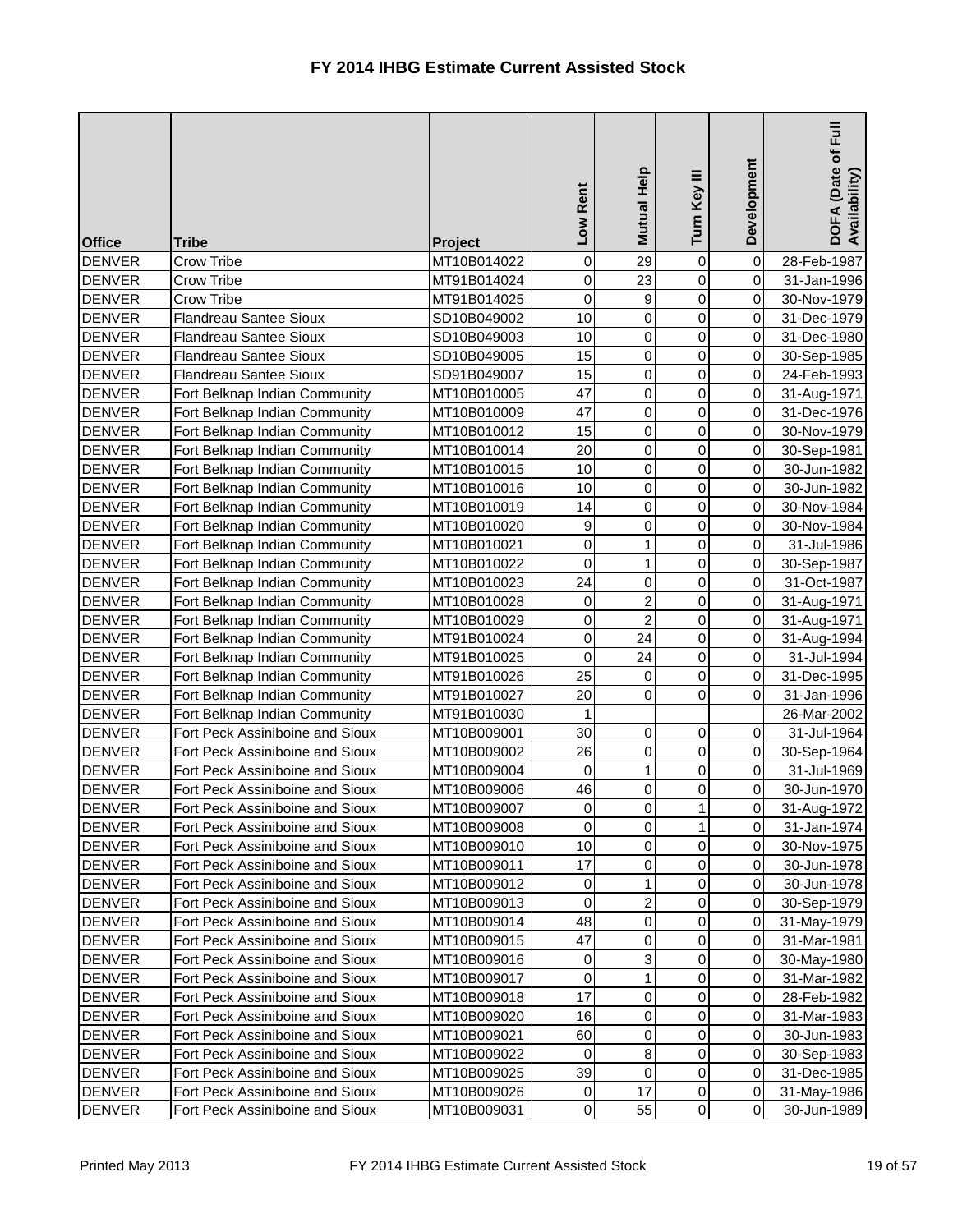| <b>Office</b> | <b>Tribe</b>                    | <b>Project</b> | Low Rent  | Mutual Help    | Turn Key III   | Development    | $\bar{E}$<br>DOFA (Date of I<br>Availability) |
|---------------|---------------------------------|----------------|-----------|----------------|----------------|----------------|-----------------------------------------------|
| <b>DENVER</b> | <b>Crow Tribe</b>               | MT10B014022    | 0         | 29             | 0              | $\overline{0}$ | 28-Feb-1987                                   |
| <b>DENVER</b> | Crow Tribe                      | MT91B014024    | 0         | 23             | 0              | $\overline{0}$ | 31-Jan-1996                                   |
| <b>DENVER</b> | Crow Tribe                      | MT91B014025    | 0         | 9              | 0              | $\overline{0}$ | 30-Nov-1979                                   |
| <b>DENVER</b> | Flandreau Santee Sioux          | SD10B049002    | 10        | 0              | 0              | $\overline{0}$ | 31-Dec-1979                                   |
| <b>DENVER</b> | Flandreau Santee Sioux          | SD10B049003    | 10        | 0              | 0              | $\overline{0}$ | 31-Dec-1980                                   |
| <b>DENVER</b> | <b>Flandreau Santee Sioux</b>   | SD10B049005    | 15        | 0              | 0              | $\overline{0}$ | 30-Sep-1985                                   |
| <b>DENVER</b> | Flandreau Santee Sioux          | SD91B049007    | 15        | 0              | 0              | $\overline{0}$ | 24-Feb-1993                                   |
| <b>DENVER</b> | Fort Belknap Indian Community   | MT10B010005    | 47        | 0              | 0              | $\overline{0}$ | 31-Aug-1971                                   |
| <b>DENVER</b> | Fort Belknap Indian Community   | MT10B010009    | 47        | 0              | 0              | $\overline{0}$ | 31-Dec-1976                                   |
| <b>DENVER</b> | Fort Belknap Indian Community   | MT10B010012    | 15        | 0              | 0              | $\overline{0}$ | 30-Nov-1979                                   |
| <b>DENVER</b> | Fort Belknap Indian Community   | MT10B010014    | 20        | 0              | 0              | $\overline{0}$ | 30-Sep-1981                                   |
| <b>DENVER</b> | Fort Belknap Indian Community   | MT10B010015    | 10        | 0              | 0              | $\overline{0}$ | 30-Jun-1982                                   |
| <b>DENVER</b> | Fort Belknap Indian Community   | MT10B010016    | 10        | 0              | 0              | $\overline{0}$ | 30-Jun-1982                                   |
| <b>DENVER</b> | Fort Belknap Indian Community   | MT10B010019    | 14        | 0              | 0              | $\overline{0}$ | 30-Nov-1984                                   |
| <b>DENVER</b> | Fort Belknap Indian Community   | MT10B010020    | 9         | 0              | 0              | $\overline{0}$ | 30-Nov-1984                                   |
| <b>DENVER</b> | Fort Belknap Indian Community   | MT10B010021    | 0         |                | 0              | $\overline{0}$ | 31-Jul-1986                                   |
| <b>DENVER</b> | Fort Belknap Indian Community   | MT10B010022    | 0         |                | 0              | $\overline{0}$ | 30-Sep-1987                                   |
| <b>DENVER</b> | Fort Belknap Indian Community   | MT10B010023    | 24        | 0              | 0              | $\overline{0}$ | 31-Oct-1987                                   |
| <b>DENVER</b> | Fort Belknap Indian Community   | MT10B010028    | 0         | $\overline{2}$ | 0              | $\overline{0}$ | 31-Aug-1971                                   |
| <b>DENVER</b> | Fort Belknap Indian Community   | MT10B010029    | 0         | $\overline{2}$ | 0              | $\overline{0}$ | 31-Aug-1971                                   |
| <b>DENVER</b> | Fort Belknap Indian Community   | MT91B010024    | 0         | 24             | 0              | $\overline{0}$ | 31-Aug-1994                                   |
| <b>DENVER</b> | Fort Belknap Indian Community   | MT91B010025    | 0         | 24             | 0              | $\overline{0}$ | 31-Jul-1994                                   |
| <b>DENVER</b> | Fort Belknap Indian Community   | MT91B010026    | 25        | $\mathbf 0$    | 0              | $\overline{0}$ | 31-Dec-1995                                   |
| <b>DENVER</b> | Fort Belknap Indian Community   | MT91B010027    | 20        | 0              | 0              | $\overline{0}$ | 31-Jan-1996                                   |
| <b>DENVER</b> | Fort Belknap Indian Community   | MT91B010030    | 1         |                |                |                | 26-Mar-2002                                   |
| <b>DENVER</b> | Fort Peck Assiniboine and Sioux | MT10B009001    | 30        | $\overline{0}$ | 0              | $\overline{0}$ | 31-Jul-1964                                   |
| <b>DENVER</b> | Fort Peck Assiniboine and Sioux | MT10B009002    | 26        | $\pmb{0}$      | $\overline{0}$ | $\overline{O}$ | 30-Sep-1964                                   |
| <b>DENVER</b> | Fort Peck Assiniboine and Sioux | MT10B009004    | 0         |                | 0              | $\overline{0}$ | 31-Jul-1969                                   |
| <b>DENVER</b> | Fort Peck Assiniboine and Sioux | MT10B009006    | 46        | 0              | 0              | $\overline{0}$ | 30-Jun-1970                                   |
| <b>DENVER</b> | Fort Peck Assiniboine and Sioux | MT10B009007    | 0         | 0              |                | $\overline{0}$ | 31-Aug-1972                                   |
| <b>DENVER</b> | Fort Peck Assiniboine and Sioux | MT10B009008    | 0         | 0              |                | $\overline{0}$ | 31-Jan-1974                                   |
| <b>DENVER</b> | Fort Peck Assiniboine and Sioux | MT10B009010    | 10        | 0              | 0              | $\overline{0}$ | 30-Nov-1975                                   |
| <b>DENVER</b> | Fort Peck Assiniboine and Sioux | MT10B009011    | 17        | 0              | 0              | $\overline{0}$ | 30-Jun-1978                                   |
| <b>DENVER</b> | Fort Peck Assiniboine and Sioux | MT10B009012    | 0         | 1              | 0              | $\overline{0}$ | 30-Jun-1978                                   |
| <b>DENVER</b> | Fort Peck Assiniboine and Sioux | MT10B009013    | 0         | $\overline{c}$ | 0              | $\overline{0}$ | 30-Sep-1979                                   |
| <b>DENVER</b> | Fort Peck Assiniboine and Sioux | MT10B009014    | 48        | 0              | 0              | $\overline{0}$ | 31-May-1979                                   |
| <b>DENVER</b> | Fort Peck Assiniboine and Sioux | MT10B009015    | 47        | 0              | 0              | $\overline{0}$ | 31-Mar-1981                                   |
| <b>DENVER</b> | Fort Peck Assiniboine and Sioux | MT10B009016    | 0         | 3              | 0              | $\overline{0}$ | 30-May-1980                                   |
| <b>DENVER</b> | Fort Peck Assiniboine and Sioux | MT10B009017    | $\pmb{0}$ | 1              | 0              | $\overline{0}$ | 31-Mar-1982                                   |
| <b>DENVER</b> | Fort Peck Assiniboine and Sioux | MT10B009018    | 17        | 0              | 0              | $\overline{0}$ | 28-Feb-1982                                   |
| <b>DENVER</b> | Fort Peck Assiniboine and Sioux | MT10B009020    | 16        | $\pmb{0}$      | 0              | $\overline{0}$ | 31-Mar-1983                                   |
| <b>DENVER</b> | Fort Peck Assiniboine and Sioux | MT10B009021    | 60        | 0              | 0              | $\overline{0}$ | 30-Jun-1983                                   |
| <b>DENVER</b> | Fort Peck Assiniboine and Sioux | MT10B009022    | 0         | 8              | 0              | $\overline{0}$ | 30-Sep-1983                                   |
| <b>DENVER</b> | Fort Peck Assiniboine and Sioux | MT10B009025    | 39        | $\pmb{0}$      | 0              | $\overline{0}$ | 31-Dec-1985                                   |
| <b>DENVER</b> | Fort Peck Assiniboine and Sioux | MT10B009026    | 0         | 17             | 0              | $\overline{0}$ | 31-May-1986                                   |
| <b>DENVER</b> | Fort Peck Assiniboine and Sioux | MT10B009031    | $\pmb{0}$ | 55             | 0              | $\overline{0}$ | 30-Jun-1989                                   |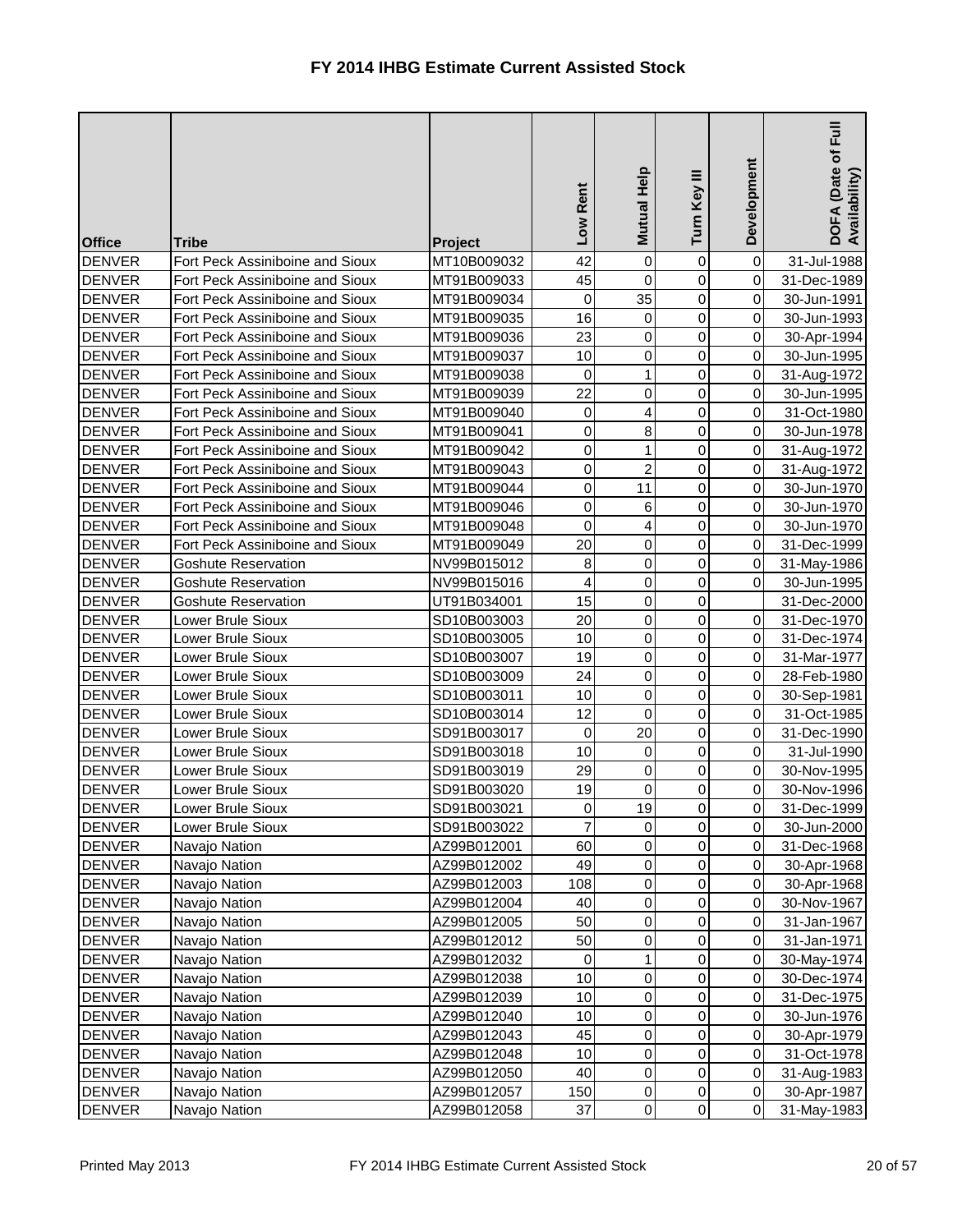| <b>Office</b> | <b>Tribe</b>                    | Project     | Rent<br><b>NO7</b> | Mutual Help    | Turn Key III   | Development    | Euil<br>DOFA (Date of I<br>Availability) |
|---------------|---------------------------------|-------------|--------------------|----------------|----------------|----------------|------------------------------------------|
| <b>DENVER</b> | Fort Peck Assiniboine and Sioux | MT10B009032 | 42                 | 0              | 0              | $\pmb{0}$      | 31-Jul-1988                              |
| <b>DENVER</b> | Fort Peck Assiniboine and Sioux | MT91B009033 | 45                 | 0              | 0              | $\pmb{0}$      | 31-Dec-1989                              |
| <b>DENVER</b> | Fort Peck Assiniboine and Sioux | MT91B009034 | 0                  | 35             | 0              | $\pmb{0}$      | 30-Jun-1991                              |
| <b>DENVER</b> | Fort Peck Assiniboine and Sioux | MT91B009035 | 16                 | 0              | 0              | $\pmb{0}$      | 30-Jun-1993                              |
| <b>DENVER</b> | Fort Peck Assiniboine and Sioux | MT91B009036 | 23                 | 0              | 0              | $\pmb{0}$      | 30-Apr-1994                              |
| <b>DENVER</b> | Fort Peck Assiniboine and Sioux | MT91B009037 | 10                 | 0              | 0              | $\pmb{0}$      | 30-Jun-1995                              |
| <b>DENVER</b> | Fort Peck Assiniboine and Sioux | MT91B009038 | 0                  | 1              | 0              | $\pmb{0}$      | 31-Aug-1972                              |
| <b>DENVER</b> | Fort Peck Assiniboine and Sioux | MT91B009039 | 22                 | 0              | 0              | $\pmb{0}$      | 30-Jun-1995                              |
| <b>DENVER</b> | Fort Peck Assiniboine and Sioux | MT91B009040 | 0                  | 4              | 0              | $\pmb{0}$      | 31-Oct-1980                              |
| <b>DENVER</b> | Fort Peck Assiniboine and Sioux | MT91B009041 | $\mathbf 0$        | 8              | 0              | $\pmb{0}$      | 30-Jun-1978                              |
| <b>DENVER</b> | Fort Peck Assiniboine and Sioux | MT91B009042 | $\mathsf 0$        | 1              | 0              | $\pmb{0}$      | 31-Aug-1972                              |
| <b>DENVER</b> | Fort Peck Assiniboine and Sioux | MT91B009043 | $\pmb{0}$          | $\overline{2}$ | 0              | $\pmb{0}$      | 31-Aug-1972                              |
| <b>DENVER</b> | Fort Peck Assiniboine and Sioux | MT91B009044 | 0                  | 11             | 0              | $\pmb{0}$      | 30-Jun-1970                              |
| <b>DENVER</b> | Fort Peck Assiniboine and Sioux | MT91B009046 | $\pmb{0}$          | 6              | 0              | $\pmb{0}$      | 30-Jun-1970                              |
| <b>DENVER</b> | Fort Peck Assiniboine and Sioux | MT91B009048 | $\mathbf 0$        | 4              | 0              | $\mathbf 0$    | 30-Jun-1970                              |
| <b>DENVER</b> | Fort Peck Assiniboine and Sioux | MT91B009049 | 20                 | 0              | 0              | $\pmb{0}$      | 31-Dec-1999                              |
| <b>DENVER</b> | <b>Goshute Reservation</b>      | NV99B015012 | $\bf 8$            | 0              | 0              | $\pmb{0}$      | 31-May-1986                              |
| <b>DENVER</b> | <b>Goshute Reservation</b>      | NV99B015016 | 4                  | 0              | 0              | $\mathbf 0$    | 30-Jun-1995                              |
| <b>DENVER</b> | <b>Goshute Reservation</b>      | UT91B034001 | 15                 | 0              | 0              |                | 31-Dec-2000                              |
| <b>DENVER</b> | Lower Brule Sioux               | SD10B003003 | 20                 | 0              | 0              | $\pmb{0}$      | 31-Dec-1970                              |
| <b>DENVER</b> | Lower Brule Sioux               | SD10B003005 | 10                 | 0              | 0              | $\pmb{0}$      | 31-Dec-1974                              |
| <b>DENVER</b> | Lower Brule Sioux               | SD10B003007 | 19                 | 0              | 0              | $\pmb{0}$      | 31-Mar-1977                              |
| <b>DENVER</b> | Lower Brule Sioux               | SD10B003009 | 24                 | 0              | 0              | $\pmb{0}$      | 28-Feb-1980                              |
| <b>DENVER</b> | Lower Brule Sioux               | SD10B003011 | 10                 | 0              | 0              | $\pmb{0}$      | 30-Sep-1981                              |
| <b>DENVER</b> | Lower Brule Sioux               | SD10B003014 | 12                 | 0              | 0              | $\pmb{0}$      | 31-Oct-1985                              |
| <b>DENVER</b> | Lower Brule Sioux               | SD91B003017 | $\overline{0}$     | 20             | $\overline{0}$ | $\overline{0}$ | 31-Dec-1990                              |
| <b>DENVER</b> | Lower Brule Sioux               | SD91B003018 | 10                 | 0              | $\overline{0}$ | $\overline{O}$ | 31-Jul-1990                              |
| <b>DENVER</b> | <b>Lower Brule Sioux</b>        | SD91B003019 | 29                 | 0              | $\overline{0}$ | $\pmb{0}$      | 30-Nov-1995                              |
| <b>DENVER</b> | Lower Brule Sioux               | SD91B003020 | 19                 | 0              | 0              | $\pmb{0}$      | 30-Nov-1996                              |
| <b>DENVER</b> | Lower Brule Sioux               | SD91B003021 | $\pmb{0}$          | 19             | 0              | $\pmb{0}$      | 31-Dec-1999                              |
| <b>DENVER</b> | Lower Brule Sioux               | SD91B003022 | $\overline{7}$     | 0              | 0              | $\pmb{0}$      | 30-Jun-2000                              |
| <b>DENVER</b> | Navajo Nation                   | AZ99B012001 | 60                 | 0              | 0              | $\pmb{0}$      | 31-Dec-1968                              |
| <b>DENVER</b> | Navajo Nation                   | AZ99B012002 | 49                 | 0              | 0              | $\pmb{0}$      | 30-Apr-1968                              |
| <b>DENVER</b> | Navajo Nation                   | AZ99B012003 | 108                | 0              | 0              | $\pmb{0}$      | 30-Apr-1968                              |
| <b>DENVER</b> | Navajo Nation                   | AZ99B012004 | 40                 | 0              | 0              | $\pmb{0}$      | 30-Nov-1967                              |
| <b>DENVER</b> | Navajo Nation                   | AZ99B012005 | 50                 | 0              | 0              | $\pmb{0}$      | 31-Jan-1967                              |
| <b>DENVER</b> | Navajo Nation                   | AZ99B012012 | 50                 | 0              | 0              | $\pmb{0}$      | 31-Jan-1971                              |
| <b>DENVER</b> | Navajo Nation                   | AZ99B012032 | 0                  |                | 0              | $\pmb{0}$      | 30-May-1974                              |
| <b>DENVER</b> | Navajo Nation                   | AZ99B012038 | 10                 | 0              | 0              | $\pmb{0}$      | 30-Dec-1974                              |
| <b>DENVER</b> | Navajo Nation                   | AZ99B012039 | 10                 | 0              | 0              | $\pmb{0}$      | 31-Dec-1975                              |
| <b>DENVER</b> | Navajo Nation                   | AZ99B012040 | 10                 | 0              | 0              | $\pmb{0}$      | 30-Jun-1976                              |
| <b>DENVER</b> | Navajo Nation                   | AZ99B012043 | 45                 | 0              | 0              | $\pmb{0}$      | 30-Apr-1979                              |
| <b>DENVER</b> | Navajo Nation                   | AZ99B012048 | 10                 | 0              | $\mathbf 0$    | $\mathbf 0$    | 31-Oct-1978                              |
| <b>DENVER</b> | Navajo Nation                   | AZ99B012050 | 40                 | 0              | 0              | $\pmb{0}$      | 31-Aug-1983                              |
| <b>DENVER</b> | Navajo Nation                   | AZ99B012057 | 150                | $\overline{0}$ | $\overline{0}$ | $\pmb{0}$      | 30-Apr-1987                              |
| <b>DENVER</b> | Navajo Nation                   | AZ99B012058 | 37                 | $\overline{0}$ | $\overline{0}$ | $\overline{0}$ | 31-May-1983                              |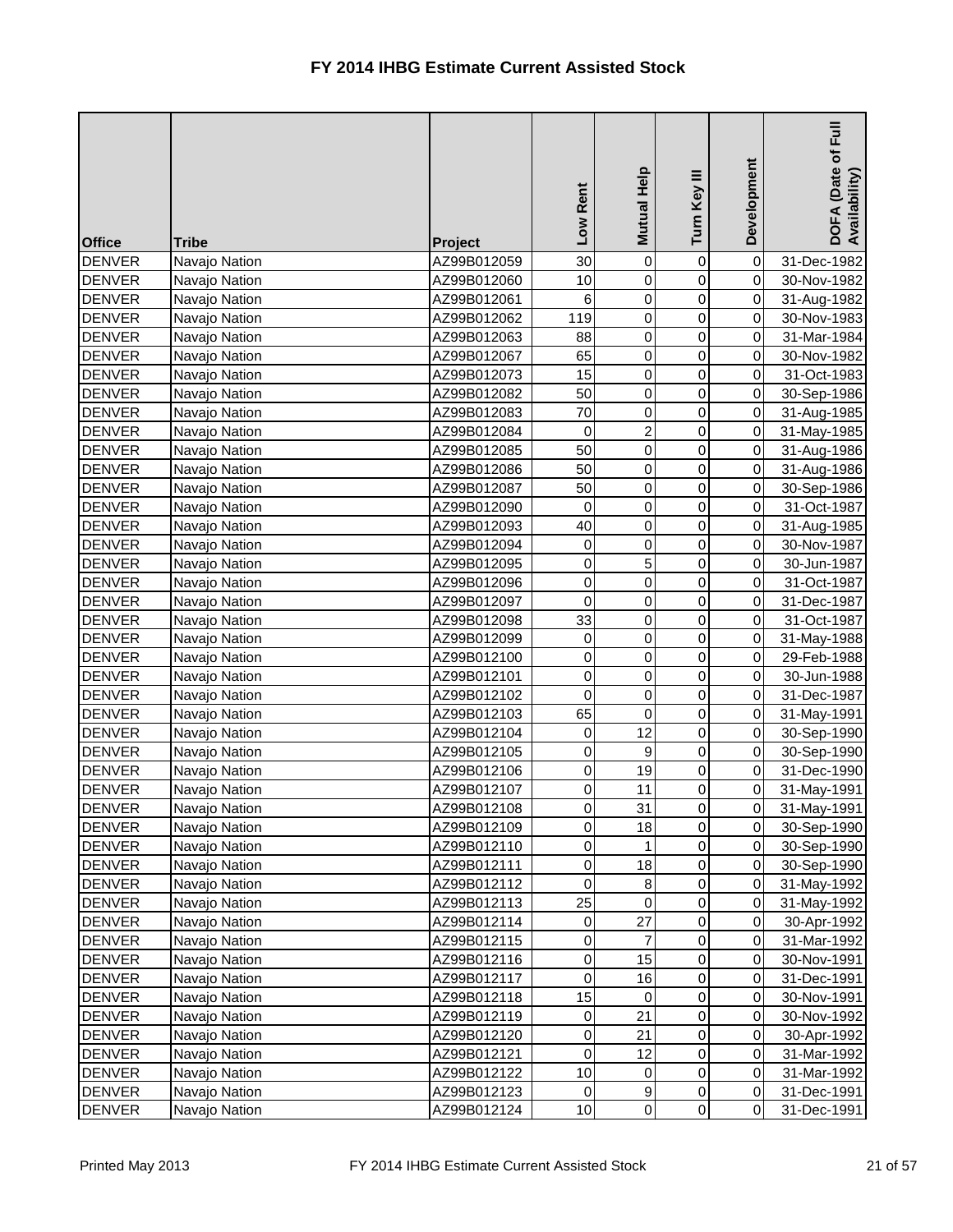| <b>Office</b> | <b>Tribe</b>  | Project     | Low Rent       | Mutual Help    | Turn Key III     | Development    | $\bar{E}$<br>DOFA (Date of I<br>Availability) |
|---------------|---------------|-------------|----------------|----------------|------------------|----------------|-----------------------------------------------|
| <b>DENVER</b> | Navajo Nation | AZ99B012059 | 30             | 0              | 0                | 0              | 31-Dec-1982                                   |
| <b>DENVER</b> | Navajo Nation | AZ99B012060 | 10             | 0              | 0                | $\overline{0}$ | 30-Nov-1982                                   |
| <b>DENVER</b> | Navajo Nation | AZ99B012061 | 6              | 0              | 0                | $\overline{0}$ | 31-Aug-1982                                   |
| <b>DENVER</b> | Navajo Nation | AZ99B012062 | 119            | 0              | 0                | $\overline{0}$ | 30-Nov-1983                                   |
| <b>DENVER</b> | Navajo Nation | AZ99B012063 | 88             | 0              | 0                | $\overline{0}$ | 31-Mar-1984                                   |
| <b>DENVER</b> | Navajo Nation | AZ99B012067 | 65             | 0              | 0                | $\overline{0}$ | 30-Nov-1982                                   |
| <b>DENVER</b> | Navajo Nation | AZ99B012073 | 15             | 0              | 0                | $\overline{0}$ | 31-Oct-1983                                   |
| <b>DENVER</b> | Navajo Nation | AZ99B012082 | 50             | 0              | 0                | $\overline{0}$ | 30-Sep-1986                                   |
| <b>DENVER</b> | Navajo Nation | AZ99B012083 | 70             | 0              | 0                | $\overline{0}$ | 31-Aug-1985                                   |
| <b>DENVER</b> | Navajo Nation | AZ99B012084 | 0              | $\overline{c}$ | 0                | $\overline{0}$ | 31-May-1985                                   |
| <b>DENVER</b> | Navajo Nation | AZ99B012085 | 50             | 0              | $\mathbf 0$      | $\overline{0}$ | 31-Aug-1986                                   |
| <b>DENVER</b> | Navajo Nation | AZ99B012086 | 50             | 0              | $\boldsymbol{0}$ | $\overline{0}$ | 31-Aug-1986                                   |
| <b>DENVER</b> | Navajo Nation | AZ99B012087 | 50             | 0              | 0                | $\overline{0}$ | 30-Sep-1986                                   |
| <b>DENVER</b> | Navajo Nation | AZ99B012090 | 0              | 0              | 0                | $\overline{0}$ | 31-Oct-1987                                   |
| <b>DENVER</b> | Navajo Nation | AZ99B012093 | 40             | 0              | $\mathsf 0$      | $\overline{0}$ | 31-Aug-1985                                   |
| <b>DENVER</b> | Navajo Nation | AZ99B012094 | 0              | 0              | 0                | $\overline{0}$ | 30-Nov-1987                                   |
| <b>DENVER</b> | Navajo Nation | AZ99B012095 | 0              | 5              | 0                | $\overline{0}$ | 30-Jun-1987                                   |
| <b>DENVER</b> | Navajo Nation | AZ99B012096 | $\overline{0}$ | 0              | 0                | $\overline{0}$ | 31-Oct-1987                                   |
| <b>DENVER</b> | Navajo Nation | AZ99B012097 | $\overline{0}$ | 0              | $\mathsf 0$      | $\overline{0}$ | 31-Dec-1987                                   |
| <b>DENVER</b> | Navajo Nation | AZ99B012098 | 33             | 0              | $\overline{0}$   | $\overline{0}$ | 31-Oct-1987                                   |
| <b>DENVER</b> | Navajo Nation | AZ99B012099 | 0              | 0              | 0                | $\mathbf 0$    | 31-May-1988                                   |
| <b>DENVER</b> | Navajo Nation | AZ99B012100 | 0              | 0              | 0                | $\overline{0}$ | 29-Feb-1988                                   |
| <b>DENVER</b> | Navajo Nation | AZ99B012101 | $\overline{0}$ | 0              | $\mathsf 0$      | $\overline{0}$ | 30-Jun-1988                                   |
| <b>DENVER</b> | Navajo Nation | AZ99B012102 | 0              | 0              | 0                | $\overline{0}$ | 31-Dec-1987                                   |
| <b>DENVER</b> | Navajo Nation | AZ99B012103 | 65             | 0              | 0                | $\overline{0}$ | 31-May-1991                                   |
| <b>DENVER</b> | Navajo Nation | AZ99B012104 | $\overline{0}$ | 12             | $\overline{0}$   | $\overline{O}$ | 30-Sep-1990                                   |
| <b>DENVER</b> | Navajo Nation | AZ99B012105 | $\overline{0}$ | 9              | $\overline{0}$   | $\overline{O}$ | 30-Sep-1990                                   |
| <b>DENVER</b> | Navajo Nation | AZ99B012106 | 0              | 19             | 0                | $\overline{0}$ | 31-Dec-1990                                   |
| <b>DENVER</b> | Navajo Nation | AZ99B012107 | $\overline{0}$ | 11             | 0                | $\overline{0}$ | 31-May-1991                                   |
| <b>DENVER</b> | Navajo Nation | AZ99B012108 | $\overline{0}$ | 31             | 0                | $\overline{0}$ | 31-May-1991                                   |
| <b>DENVER</b> | Navajo Nation | AZ99B012109 | $\overline{0}$ | 18             | 0                | $\overline{0}$ | 30-Sep-1990                                   |
| <b>DENVER</b> | Navajo Nation | AZ99B012110 | $\overline{0}$ |                | 0                | $\overline{0}$ | 30-Sep-1990                                   |
| <b>DENVER</b> | Navajo Nation | AZ99B012111 | $\overline{0}$ | 18             | 0                | $\overline{0}$ | 30-Sep-1990                                   |
| <b>DENVER</b> | Navajo Nation | AZ99B012112 | 0              | $\, 8$         | 0                | 0              | 31-May-1992                                   |
| <b>DENVER</b> | Navajo Nation | AZ99B012113 | 25             | $\mathbf 0$    | 0                | $\overline{0}$ | 31-May-1992                                   |
| <b>DENVER</b> | Navajo Nation | AZ99B012114 | 0              | 27             | 0                | $\overline{0}$ | 30-Apr-1992                                   |
| <b>DENVER</b> | Navajo Nation | AZ99B012115 | $\overline{0}$ | 7              | 0                | $\overline{0}$ | 31-Mar-1992                                   |
| <b>DENVER</b> | Navajo Nation | AZ99B012116 | $\overline{0}$ | 15             | 0                | $\overline{0}$ | 30-Nov-1991                                   |
| <b>DENVER</b> | Navajo Nation | AZ99B012117 | $\overline{0}$ | 16             | 0                | $\overline{0}$ | 31-Dec-1991                                   |
| <b>DENVER</b> | Navajo Nation | AZ99B012118 | 15             | 0              | 0                | $\overline{0}$ | 30-Nov-1991                                   |
| <b>DENVER</b> | Navajo Nation | AZ99B012119 | 0              | 21             | 0                | $\overline{0}$ | 30-Nov-1992                                   |
| <b>DENVER</b> | Navajo Nation | AZ99B012120 | $\overline{0}$ | 21             | 0                | $\overline{0}$ | 30-Apr-1992                                   |
| <b>DENVER</b> | Navajo Nation | AZ99B012121 | $\overline{0}$ | 12             | 0                | $\overline{0}$ | 31-Mar-1992                                   |
| <b>DENVER</b> | Navajo Nation | AZ99B012122 | 10             | 0              | 0                | $\overline{0}$ | 31-Mar-1992                                   |
| <b>DENVER</b> | Navajo Nation | AZ99B012123 | 0              | 9              | 0                | $\overline{0}$ | 31-Dec-1991                                   |
| <b>DENVER</b> | Navajo Nation | AZ99B012124 | 10             | $\pmb{0}$      | $\overline{0}$   | $\overline{0}$ | 31-Dec-1991                                   |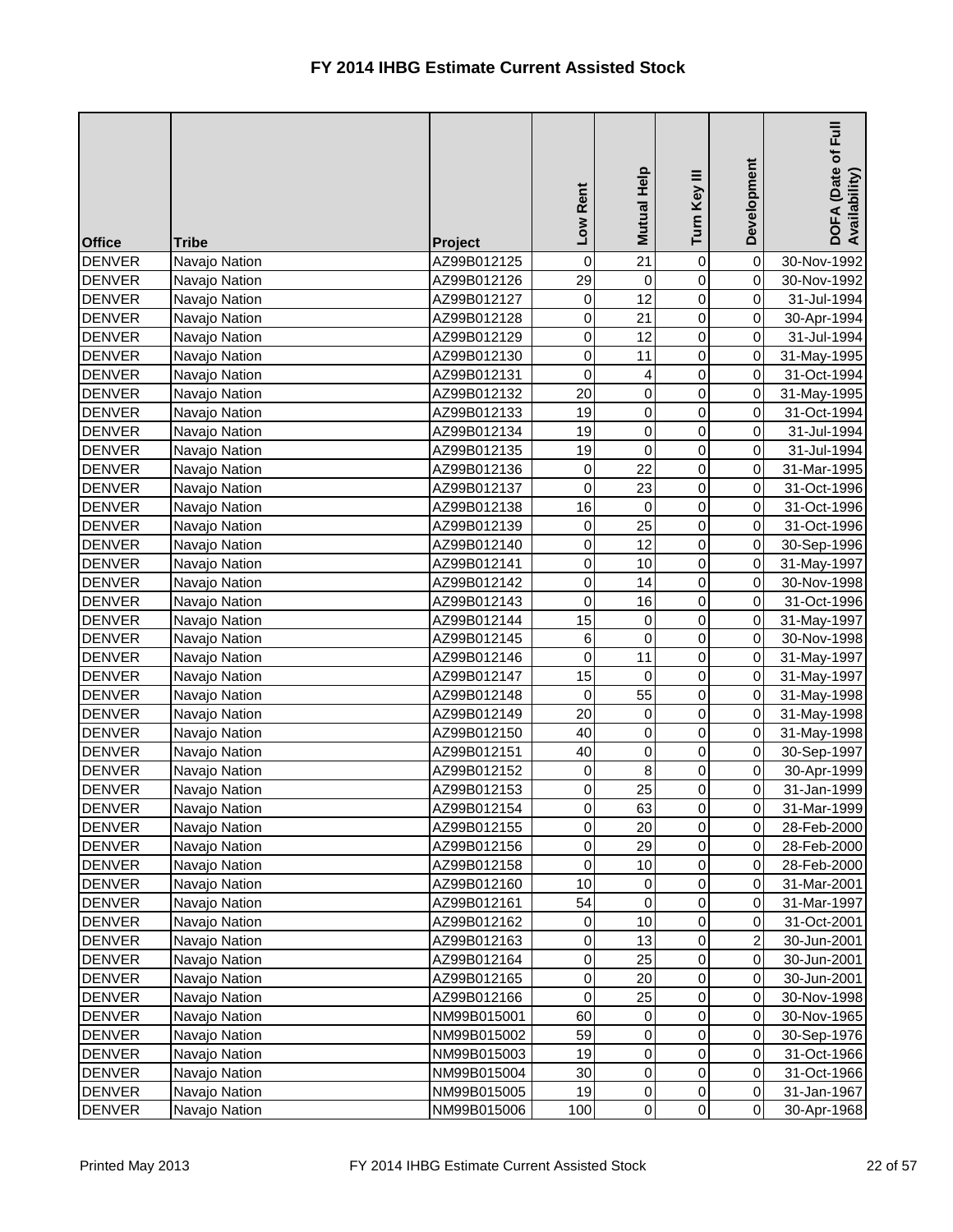| <b>Office</b> | <b>Tribe</b>  | <b>Project</b> | Low Rent            | Mutual Help    | Turn Key III   | Development    | Full<br>DOFA (Date of I<br>Availability) |
|---------------|---------------|----------------|---------------------|----------------|----------------|----------------|------------------------------------------|
| <b>DENVER</b> | Navajo Nation | AZ99B012125    | 0                   | 21             | 0              | $\overline{0}$ | 30-Nov-1992                              |
| <b>DENVER</b> | Navajo Nation | AZ99B012126    | 29                  | $\mathbf 0$    | 0              | $\overline{0}$ | 30-Nov-1992                              |
| <b>DENVER</b> | Navajo Nation | AZ99B012127    | $\mathsf{O}\xspace$ | 12             | $\overline{0}$ | $\overline{0}$ | 31-Jul-1994                              |
| <b>DENVER</b> | Navajo Nation | AZ99B012128    | $\pmb{0}$           | 21             | $\overline{0}$ | $\overline{0}$ | 30-Apr-1994                              |
| <b>DENVER</b> | Navajo Nation | AZ99B012129    | $\pmb{0}$           | 12             | 0              | $\overline{0}$ | 31-Jul-1994                              |
| <b>DENVER</b> | Navajo Nation | AZ99B012130    | $\pmb{0}$           | 11             | $\overline{0}$ | $\overline{0}$ | 31-May-1995                              |
| <b>DENVER</b> | Navajo Nation | AZ99B012131    | 0                   | 4              | 0              | $\overline{0}$ | 31-Oct-1994                              |
| <b>DENVER</b> | Navajo Nation | AZ99B012132    | 20                  | $\pmb{0}$      | 0              | $\overline{0}$ | 31-May-1995                              |
| <b>DENVER</b> | Navajo Nation | AZ99B012133    | 19                  | 0              | 0              | $\overline{0}$ | 31-Oct-1994                              |
| <b>DENVER</b> | Navajo Nation | AZ99B012134    | 19                  | 0              | 0              | 0              | 31-Jul-1994                              |
| <b>DENVER</b> | Navajo Nation | AZ99B012135    | 19                  | $\mathbf 0$    | $\overline{0}$ | $\overline{0}$ | 31-Jul-1994                              |
| <b>DENVER</b> | Navajo Nation | AZ99B012136    | 0                   | 22             | $\overline{0}$ | $\overline{0}$ | 31-Mar-1995                              |
| <b>DENVER</b> | Navajo Nation | AZ99B012137    | $\overline{0}$      | 23             | $\overline{0}$ | $\overline{0}$ | 31-Oct-1996                              |
| <b>DENVER</b> | Navajo Nation | AZ99B012138    | 16                  | $\mathbf 0$    | $\overline{0}$ | $\overline{0}$ | 31-Oct-1996                              |
| <b>DENVER</b> | Navajo Nation | AZ99B012139    | 0                   | 25             | $\overline{0}$ | $\overline{0}$ | 31-Oct-1996                              |
| <b>DENVER</b> | Navajo Nation | AZ99B012140    | $\pmb{0}$           | 12             | $\overline{0}$ | $\overline{0}$ | 30-Sep-1996                              |
| <b>DENVER</b> | Navajo Nation | AZ99B012141    | $\mathbf 0$         | 10             | 0              | $\overline{0}$ | 31-May-1997                              |
| <b>DENVER</b> | Navajo Nation | AZ99B012142    | $\pmb{0}$           | 14             | 0              | $\overline{0}$ | 30-Nov-1998                              |
| <b>DENVER</b> | Navajo Nation | AZ99B012143    | $\overline{0}$      | 16             | $\overline{0}$ | $\overline{0}$ | 31-Oct-1996                              |
| <b>DENVER</b> | Navajo Nation | AZ99B012144    | 15                  | 0              | $\overline{0}$ | $\overline{0}$ | 31-May-1997                              |
| <b>DENVER</b> | Navajo Nation | AZ99B012145    | 6                   | $\mathbf 0$    | 0              | $\overline{0}$ | 30-Nov-1998                              |
| <b>DENVER</b> | Navajo Nation | AZ99B012146    | 0                   | 11             | $\overline{0}$ | $\overline{0}$ | 31-May-1997                              |
| <b>DENVER</b> | Navajo Nation | AZ99B012147    | 15                  | $\overline{0}$ | $\overline{0}$ | $\overline{0}$ | 31-May-1997                              |
| <b>DENVER</b> | Navajo Nation | AZ99B012148    | 0                   | 55             | $\overline{0}$ | $\overline{0}$ | 31-May-1998                              |
| <b>DENVER</b> | Navajo Nation | AZ99B012149    | 20                  | 0              | 0              | $\overline{0}$ | 31-May-1998                              |
| <b>DENVER</b> | Navajo Nation | AZ99B012150    | 40                  | $\overline{O}$ | $\overline{0}$ | $\overline{O}$ | 31-May-1998                              |
| <b>DENVER</b> | Navajo Nation | AZ99B012151    | 40                  | $\pmb{0}$      | $\overline{0}$ | $\overline{O}$ | 30-Sep-1997                              |
| <b>DENVER</b> | Navajo Nation | AZ99B012152    | 0                   | $\bf 8$        | 0              | $\overline{0}$ | 30-Apr-1999                              |
| <b>DENVER</b> | Navajo Nation | AZ99B012153    | 0                   | 25             | 0              | $\overline{0}$ | 31-Jan-1999                              |
| <b>DENVER</b> | Navajo Nation | AZ99B012154    | $\pmb{0}$           | 63             | 0              | $\overline{0}$ | 31-Mar-1999                              |
| <b>DENVER</b> | Navajo Nation | AZ99B012155    | $\pmb{0}$           | 20             | 0              | $\overline{0}$ | 28-Feb-2000                              |
| <b>DENVER</b> | Navajo Nation | AZ99B012156    | $\pmb{0}$           | 29             | 0              | $\overline{0}$ | 28-Feb-2000                              |
| <b>DENVER</b> | Navajo Nation | AZ99B012158    | 0                   | 10             | 0              | $\overline{0}$ | 28-Feb-2000                              |
| <b>DENVER</b> | Navajo Nation | AZ99B012160    | 10                  | $\pmb{0}$      | 0              | $\overline{0}$ | 31-Mar-2001                              |
| <b>DENVER</b> | Navajo Nation | AZ99B012161    | 54                  | $\pmb{0}$      | 0              | $\overline{0}$ | 31-Mar-1997                              |
| <b>DENVER</b> | Navajo Nation | AZ99B012162    | 0                   | 10             | 0              | $\overline{0}$ | 31-Oct-2001                              |
| <b>DENVER</b> | Navajo Nation | AZ99B012163    | $\pmb{0}$           | 13             | 0              | $\mathbf{2}$   | 30-Jun-2001                              |
| <b>DENVER</b> | Navajo Nation | AZ99B012164    | $\pmb{0}$           | 25             | 0              | $\overline{0}$ | 30-Jun-2001                              |
| <b>DENVER</b> | Navajo Nation | AZ99B012165    | $\pmb{0}$           | 20             | 0              | $\overline{0}$ | 30-Jun-2001                              |
| <b>DENVER</b> | Navajo Nation | AZ99B012166    | $\pmb{0}$           | 25             | 0              | $\overline{0}$ | 30-Nov-1998                              |
| <b>DENVER</b> | Navajo Nation | NM99B015001    | 60                  | 0              | 0              | $\overline{0}$ | 30-Nov-1965                              |
| <b>DENVER</b> | Navajo Nation | NM99B015002    | 59                  | 0              | 0              | $\overline{0}$ | 30-Sep-1976                              |
| <b>DENVER</b> | Navajo Nation | NM99B015003    | 19                  | $\pmb{0}$      | 0              | $\overline{0}$ | 31-Oct-1966                              |
| <b>DENVER</b> | Navajo Nation | NM99B015004    | 30                  | $\pmb{0}$      | 0              | $\overline{0}$ | 31-Oct-1966                              |
| <b>DENVER</b> | Navajo Nation | NM99B015005    | 19                  | $\pmb{0}$      | 0              | $\overline{0}$ | 31-Jan-1967                              |
| <b>DENVER</b> | Navajo Nation | NM99B015006    | 100                 | $\overline{0}$ | $\overline{0}$ | $\overline{0}$ | 30-Apr-1968                              |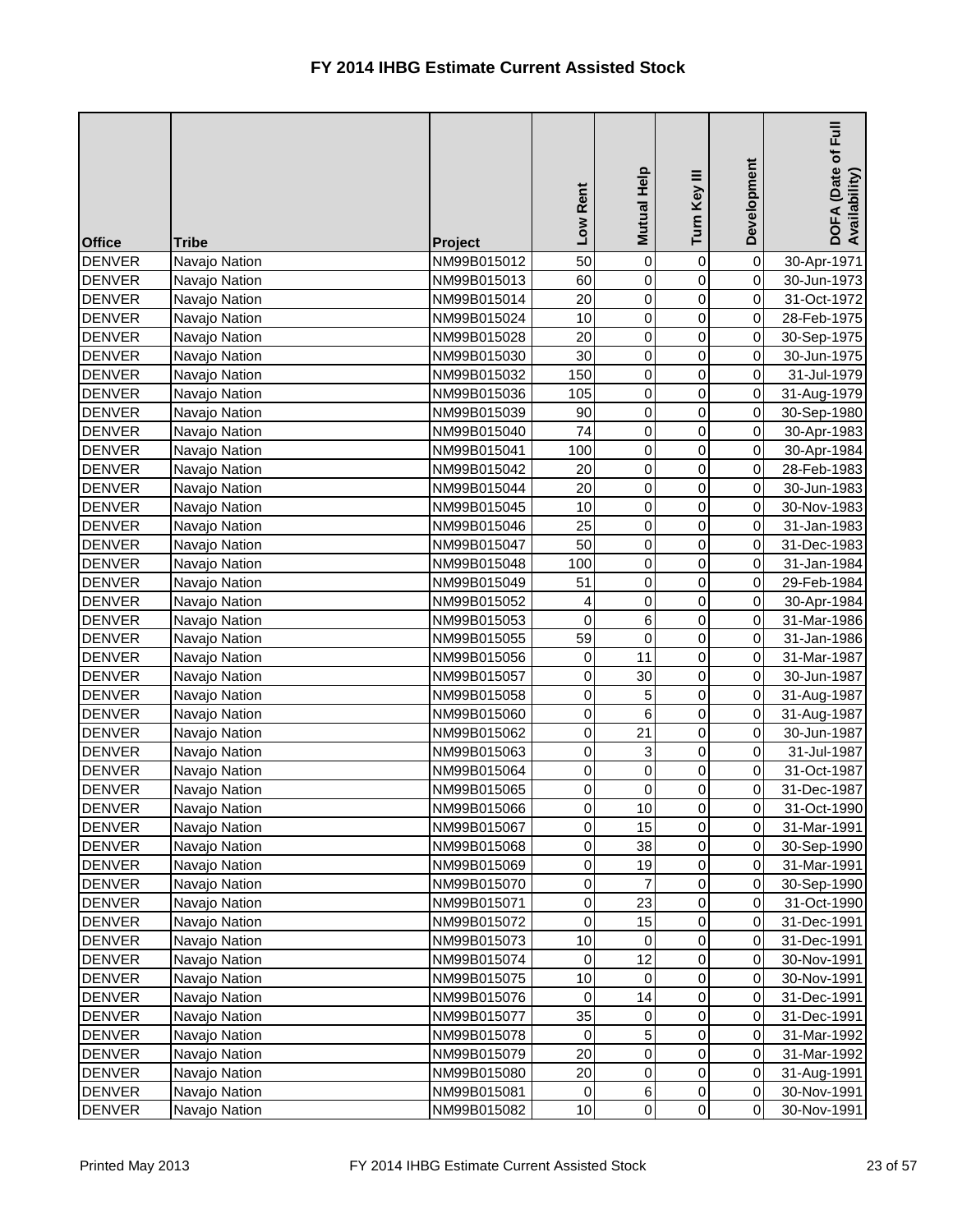| <b>Office</b> | <b>Tribe</b>  | Project     | Low Rent       | Mutual Help    | Turn Key III   | Development    | $E_{\rm H}$<br>DOFA (Date of I<br>Availability) |
|---------------|---------------|-------------|----------------|----------------|----------------|----------------|-------------------------------------------------|
| <b>DENVER</b> | Navajo Nation | NM99B015012 | 50             | 0              | 0              | $\overline{0}$ | 30-Apr-1971                                     |
| <b>DENVER</b> | Navajo Nation | NM99B015013 | 60             | 0              | $\mathsf 0$    | $\overline{0}$ | 30-Jun-1973                                     |
| <b>DENVER</b> | Navajo Nation | NM99B015014 | 20             | 0              | 0              | $\overline{0}$ | 31-Oct-1972                                     |
| <b>DENVER</b> | Navajo Nation | NM99B015024 | 10             | 0              | 0              | $\overline{0}$ | 28-Feb-1975                                     |
| <b>DENVER</b> | Navajo Nation | NM99B015028 | 20             | 0              | 0              | $\overline{0}$ | 30-Sep-1975                                     |
| <b>DENVER</b> | Navajo Nation | NM99B015030 | 30             | 0              | 0              | $\overline{0}$ | 30-Jun-1975                                     |
| <b>DENVER</b> | Navajo Nation | NM99B015032 | 150            | 0              | 0              | $\overline{0}$ | 31-Jul-1979                                     |
| <b>DENVER</b> | Navajo Nation | NM99B015036 | 105            | 0              | 0              | $\overline{0}$ | 31-Aug-1979                                     |
| <b>DENVER</b> | Navajo Nation | NM99B015039 | 90             | 0              | 0              | $\overline{0}$ | 30-Sep-1980                                     |
| <b>DENVER</b> | Navajo Nation | NM99B015040 | 74             | 0              | 0              | $\overline{0}$ | 30-Apr-1983                                     |
| <b>DENVER</b> | Navajo Nation | NM99B015041 | 100            | 0              | 0              | $\overline{0}$ | 30-Apr-1984                                     |
| <b>DENVER</b> | Navajo Nation | NM99B015042 | 20             | 0              | 0              | $\overline{0}$ | 28-Feb-1983                                     |
| <b>DENVER</b> | Navajo Nation | NM99B015044 | 20             | 0              | 0              | $\overline{0}$ | 30-Jun-1983                                     |
| <b>DENVER</b> | Navajo Nation | NM99B015045 | 10             | 0              | 0              | $\overline{0}$ | 30-Nov-1983                                     |
| <b>DENVER</b> | Navajo Nation | NM99B015046 | 25             | 0              | 0              | $\overline{0}$ | 31-Jan-1983                                     |
| <b>DENVER</b> | Navajo Nation | NM99B015047 | 50             | 0              | 0              | $\overline{0}$ | 31-Dec-1983                                     |
| <b>DENVER</b> | Navajo Nation | NM99B015048 | 100            | 0              | 0              | $\overline{0}$ | 31-Jan-1984                                     |
| <b>DENVER</b> | Navajo Nation | NM99B015049 | 51             | 0              | 0              | $\overline{0}$ | 29-Feb-1984                                     |
| <b>DENVER</b> | Navajo Nation | NM99B015052 | 4              | 0              | 0              | $\overline{0}$ | 30-Apr-1984                                     |
| <b>DENVER</b> | Navajo Nation | NM99B015053 | $\pmb{0}$      | 6              | 0              | $\overline{0}$ | 31-Mar-1986                                     |
| <b>DENVER</b> | Navajo Nation | NM99B015055 | 59             | 0              | 0              | $\overline{0}$ | 31-Jan-1986                                     |
| <b>DENVER</b> | Navajo Nation | NM99B015056 | 0              | 11             | 0              | $\overline{0}$ | 31-Mar-1987                                     |
| <b>DENVER</b> | Navajo Nation | NM99B015057 | 0              | 30             | 0              | $\overline{0}$ | 30-Jun-1987                                     |
| <b>DENVER</b> | Navajo Nation | NM99B015058 | 0              | 5              | 0              | $\overline{0}$ | 31-Aug-1987                                     |
| <b>DENVER</b> | Navajo Nation | NM99B015060 | 0              | 6              | 0              | $\overline{0}$ | 31-Aug-1987                                     |
| <b>DENVER</b> | Navajo Nation | NM99B015062 | $\overline{0}$ | 21             | $\overline{0}$ | 0              | 30-Jun-1987                                     |
| <b>DENVER</b> | Navajo Nation | NM99B015063 | $\overline{0}$ | $\mathbf{3}$   | $\overline{0}$ | $\overline{O}$ | 31-Jul-1987                                     |
| <b>DENVER</b> | Navajo Nation | NM99B015064 | 0              | 0              | 0              | $\overline{0}$ | 31-Oct-1987                                     |
| <b>DENVER</b> | Navajo Nation | NM99B015065 | $\overline{0}$ | 0              | 0              | $\overline{0}$ | 31-Dec-1987                                     |
| <b>DENVER</b> | Navajo Nation | NM99B015066 | $\overline{0}$ | 10             | 0              | $\overline{0}$ | 31-Oct-1990                                     |
| <b>DENVER</b> | Navajo Nation | NM99B015067 | $\overline{0}$ | 15             | 0              | $\overline{0}$ | 31-Mar-1991                                     |
| <b>DENVER</b> | Navajo Nation | NM99B015068 | 0              | 38             | 0              | $\overline{0}$ | 30-Sep-1990                                     |
| <b>DENVER</b> | Navajo Nation | NM99B015069 | $\overline{0}$ | 19             | 0              | $\overline{0}$ | 31-Mar-1991                                     |
| <b>DENVER</b> | Navajo Nation | NM99B015070 | $\overline{0}$ | 7              | 0              | $\overline{0}$ | 30-Sep-1990                                     |
| <b>DENVER</b> | Navajo Nation | NM99B015071 | $\overline{0}$ | 23             | 0              | $\overline{0}$ | 31-Oct-1990                                     |
| <b>DENVER</b> | Navajo Nation | NM99B015072 | 0              | 15             | 0              | $\overline{0}$ | 31-Dec-1991                                     |
| <b>DENVER</b> | Navajo Nation | NM99B015073 | 10             | 0              | 0              | $\overline{0}$ | 31-Dec-1991                                     |
| <b>DENVER</b> | Navajo Nation | NM99B015074 | 0              | 12             | 0              | $\overline{0}$ | 30-Nov-1991                                     |
| <b>DENVER</b> | Navajo Nation | NM99B015075 | 10             | 0              | 0              | $\overline{0}$ | 30-Nov-1991                                     |
| DENVER        | Navajo Nation | NM99B015076 | 0              | 14             | 0              | $\overline{0}$ | 31-Dec-1991                                     |
| <b>DENVER</b> | Navajo Nation | NM99B015077 | 35             | 0              | 0              | $\overline{0}$ | 31-Dec-1991                                     |
| <b>DENVER</b> | Navajo Nation | NM99B015078 | 0              | 5              | 0              | $\overline{0}$ | 31-Mar-1992                                     |
| <b>DENVER</b> | Navajo Nation | NM99B015079 | 20             | 0              | 0              | $\overline{0}$ | 31-Mar-1992                                     |
| <b>DENVER</b> | Navajo Nation | NM99B015080 | 20             | 0              | 0              | $\overline{0}$ | 31-Aug-1991                                     |
| <b>DENVER</b> | Navajo Nation | NM99B015081 | 0              | $\,6$          | 0              | $\overline{0}$ | 30-Nov-1991                                     |
| <b>DENVER</b> | Navajo Nation | NM99B015082 | 10             | $\overline{0}$ | $\overline{0}$ | $\overline{0}$ | 30-Nov-1991                                     |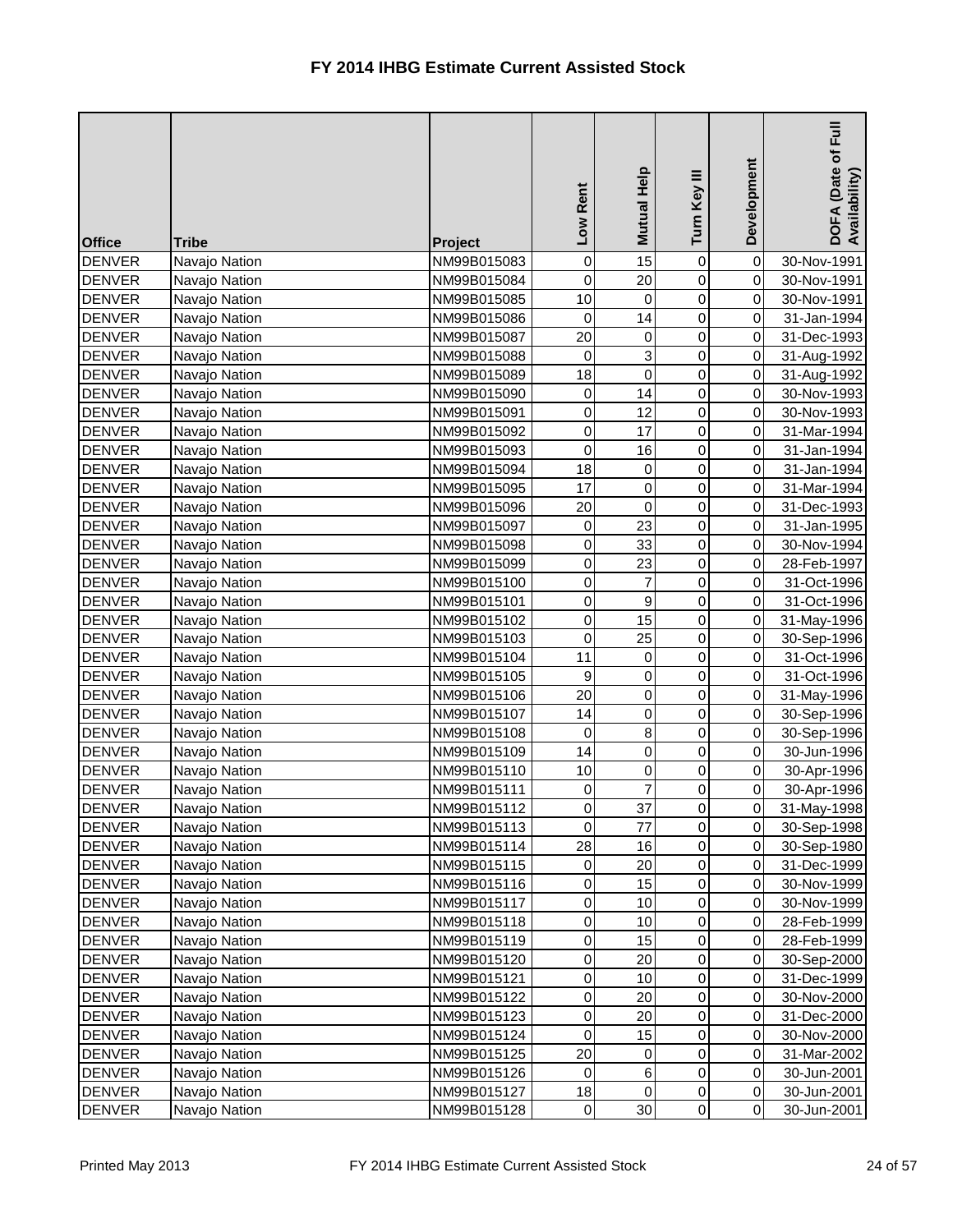| <b>Office</b> | <b>Tribe</b>  | Project     | Low Rent         | <b>Mutual Help</b> | Turn Key III     | Development    | Ful<br>DOFA (Date of I<br>Availability) |
|---------------|---------------|-------------|------------------|--------------------|------------------|----------------|-----------------------------------------|
| <b>DENVER</b> | Navajo Nation | NM99B015083 | 0                | 15                 | 0                | 0              | 30-Nov-1991                             |
| <b>DENVER</b> | Navajo Nation | NM99B015084 | 0                | 20                 | 0                | $\overline{0}$ | 30-Nov-1991                             |
| <b>DENVER</b> | Navajo Nation | NM99B015085 | 10               | $\mathbf 0$        | 0                | $\overline{0}$ | 30-Nov-1991                             |
| <b>DENVER</b> | Navajo Nation | NM99B015086 | $\mathbf 0$      | 14                 | 0                | $\overline{0}$ | 31-Jan-1994                             |
| <b>DENVER</b> | Navajo Nation | NM99B015087 | 20               | 0                  | 0                | $\overline{0}$ | 31-Dec-1993                             |
| <b>DENVER</b> | Navajo Nation | NM99B015088 | 0                | 3                  | 0                | $\overline{0}$ | 31-Aug-1992                             |
| <b>DENVER</b> | Navajo Nation | NM99B015089 | 18               | $\mathbf 0$        | 0                | $\overline{0}$ | 31-Aug-1992                             |
| <b>DENVER</b> | Navajo Nation | NM99B015090 | 0                | 14                 | 0                | $\overline{0}$ | 30-Nov-1993                             |
| <b>DENVER</b> | Navajo Nation | NM99B015091 | $\overline{0}$   | 12                 | 0                | $\overline{0}$ | 30-Nov-1993                             |
| <b>DENVER</b> | Navajo Nation | NM99B015092 | 0                | 17                 | 0                | $\overline{0}$ | 31-Mar-1994                             |
| <b>DENVER</b> | Navajo Nation | NM99B015093 | 0                | 16                 | 0                | $\overline{0}$ | 31-Jan-1994                             |
| <b>DENVER</b> | Navajo Nation | NM99B015094 | 18               | 0                  | 0                | $\overline{0}$ | 31-Jan-1994                             |
| <b>DENVER</b> | Navajo Nation | NM99B015095 | 17               | 0                  | 0                | $\overline{0}$ | 31-Mar-1994                             |
| <b>DENVER</b> | Navajo Nation | NM99B015096 | 20               | $\mathbf 0$        | 0                | $\overline{0}$ | 31-Dec-1993                             |
| <b>DENVER</b> | Navajo Nation | NM99B015097 | 0                | 23                 | 0                | $\overline{0}$ | 31-Jan-1995                             |
| <b>DENVER</b> | Navajo Nation | NM99B015098 | 0                | 33                 | 0                | $\overline{0}$ | 30-Nov-1994                             |
| <b>DENVER</b> | Navajo Nation | NM99B015099 | $\overline{0}$   | 23                 | 0                | $\overline{0}$ | 28-Feb-1997                             |
| <b>DENVER</b> | Navajo Nation | NM99B015100 | 0                | 7                  | 0                | $\overline{0}$ | 31-Oct-1996                             |
| <b>DENVER</b> | Navajo Nation | NM99B015101 | 0                | $\boldsymbol{9}$   | 0                | $\overline{0}$ | 31-Oct-1996                             |
| <b>DENVER</b> | Navajo Nation | NM99B015102 | 0                | 15                 | $\overline{0}$   | $\overline{0}$ | 31-May-1996                             |
| <b>DENVER</b> | Navajo Nation | NM99B015103 | 0                | 25                 | 0                | $\overline{0}$ | 30-Sep-1996                             |
| <b>DENVER</b> | Navajo Nation | NM99B015104 | 11               | $\boldsymbol{0}$   | 0                | $\overline{0}$ | 31-Oct-1996                             |
| <b>DENVER</b> | Navajo Nation | NM99B015105 | $\boldsymbol{9}$ | 0                  | 0                | $\overline{0}$ | 31-Oct-1996                             |
| <b>DENVER</b> | Navajo Nation | NM99B015106 | 20               | 0                  | $\mathsf 0$      | $\overline{0}$ | 31-May-1996                             |
| <b>DENVER</b> | Navajo Nation | NM99B015107 | 14               | 0                  | 0                | $\overline{0}$ | 30-Sep-1996                             |
| DENVER        | Navajo Nation | NM99B015108 | $\overline{0}$   | 8                  | $\overline{0}$   | $\overline{0}$ | 30-Sep-1996                             |
| <b>DENVER</b> | Navajo Nation | NM99B015109 | 14               | 0                  | $\overline{0}$   | $\overline{0}$ | 30-Jun-1996                             |
| <b>DENVER</b> | Navajo Nation | NM99B015110 | 10               | 0                  | 0                | $\overline{0}$ | 30-Apr-1996                             |
| <b>DENVER</b> | Navajo Nation | NM99B015111 | 0                |                    | 0                | $\overline{0}$ | 30-Apr-1996                             |
| <b>DENVER</b> | Navajo Nation | NM99B015112 | $\overline{0}$   | 37                 | 0                | $\overline{0}$ | 31-May-1998                             |
| <b>DENVER</b> | Navajo Nation | NM99B015113 | 0                | 77                 | 0                | $\overline{0}$ | 30-Sep-1998                             |
| <b>DENVER</b> | Navajo Nation | NM99B015114 | 28               | 16                 | 0                | $\overline{0}$ | 30-Sep-1980                             |
| <b>DENVER</b> | Navajo Nation | NM99B015115 | 0                | 20                 | 0                | $\overline{0}$ | 31-Dec-1999                             |
| <b>DENVER</b> | Navajo Nation | NM99B015116 | $\overline{0}$   | 15                 | 0                | $\overline{0}$ | 30-Nov-1999                             |
| <b>DENVER</b> | Navajo Nation | NM99B015117 | 0                | 10                 | 0                | $\overline{0}$ | 30-Nov-1999                             |
| <b>DENVER</b> | Navajo Nation | NM99B015118 | 0                | 10                 | 0                | $\overline{0}$ | 28-Feb-1999                             |
| <b>DENVER</b> | Navajo Nation | NM99B015119 | $\overline{0}$   | 15                 | 0                | $\overline{0}$ | 28-Feb-1999                             |
| <b>DENVER</b> | Navajo Nation | NM99B015120 | $\overline{0}$   | 20                 | 0                | $\overline{0}$ | 30-Sep-2000                             |
| <b>DENVER</b> | Navajo Nation | NM99B015121 | 0                | 10                 | 0                | $\overline{0}$ | 31-Dec-1999                             |
| <b>DENVER</b> | Navajo Nation | NM99B015122 | 0                | 20                 | 0                | $\overline{0}$ | 30-Nov-2000                             |
| <b>DENVER</b> | Navajo Nation | NM99B015123 | $\overline{0}$   | 20                 | 0                | $\overline{0}$ | 31-Dec-2000                             |
| <b>DENVER</b> | Navajo Nation | NM99B015124 | $\overline{0}$   | 15                 | 0                | $\overline{0}$ | 30-Nov-2000                             |
| <b>DENVER</b> | Navajo Nation | NM99B015125 | 20               | $\mathbf 0$        | 0                | $\overline{0}$ | 31-Mar-2002                             |
| <b>DENVER</b> | Navajo Nation | NM99B015126 | 0                | 6                  | 0                | $\overline{0}$ | 30-Jun-2001                             |
| <b>DENVER</b> | Navajo Nation | NM99B015127 | 18               | 0                  | $\boldsymbol{0}$ | $\overline{0}$ | 30-Jun-2001                             |
| <b>DENVER</b> | Navajo Nation | NM99B015128 | $\overline{0}$   | 30                 | $\overline{0}$   | $\overline{0}$ | 30-Jun-2001                             |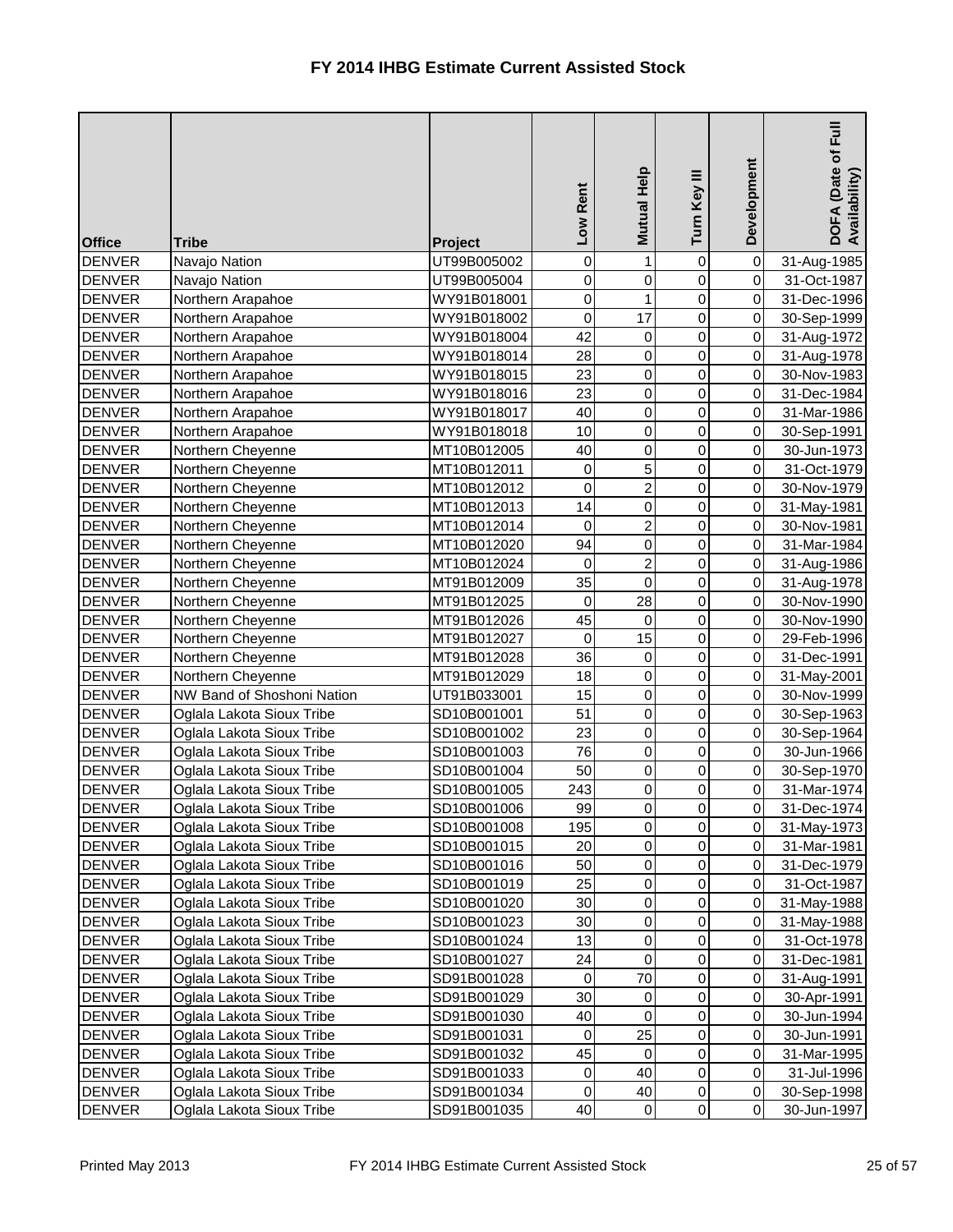| <b>Office</b>                  | <b>Tribe</b>                                           | Project                    | Low Rent    | <b>Mutual Help</b> | Turn Key III   | Development                      | <b>Full</b><br>DOFA (Date of I<br>Availability) |
|--------------------------------|--------------------------------------------------------|----------------------------|-------------|--------------------|----------------|----------------------------------|-------------------------------------------------|
| <b>DENVER</b>                  | Navajo Nation                                          | UT99B005002                | 0           | 1                  | 0              | $\overline{0}$                   | 31-Aug-1985                                     |
| <b>DENVER</b>                  | Navajo Nation                                          | UT99B005004                | 0           | $\mathbf 0$        | 0              | $\overline{0}$                   | 31-Oct-1987                                     |
| <b>DENVER</b>                  | Northern Arapahoe                                      | WY91B018001                | 0           | 1                  | 0              | $\overline{0}$                   | 31-Dec-1996                                     |
| <b>DENVER</b>                  | Northern Arapahoe                                      | WY91B018002                | 0           | 17                 | $\overline{0}$ | $\overline{0}$                   | 30-Sep-1999                                     |
| <b>DENVER</b>                  | Northern Arapahoe                                      | WY91B018004                | 42          | 0                  | 0              | $\overline{0}$                   | 31-Aug-1972                                     |
| <b>DENVER</b>                  | Northern Arapahoe                                      | WY91B018014                | 28          | $\mathsf 0$        | 0              | $\overline{0}$                   | 31-Aug-1978                                     |
| <b>DENVER</b>                  | Northern Arapahoe                                      | WY91B018015                | 23          | 0                  | 0              | $\overline{0}$                   | 30-Nov-1983                                     |
| <b>DENVER</b>                  | Northern Arapahoe                                      | WY91B018016                | 23          | 0                  | 0              | $\overline{0}$                   | 31-Dec-1984                                     |
| <b>DENVER</b>                  | Northern Arapahoe                                      | WY91B018017                | 40          | 0                  | 0              | $\overline{0}$                   | 31-Mar-1986                                     |
| <b>DENVER</b>                  | Northern Arapahoe                                      | WY91B018018                | 10          | 0                  | 0              | $\overline{0}$                   | 30-Sep-1991                                     |
| <b>DENVER</b>                  | Northern Cheyenne                                      | MT10B012005                | 40          | 0                  | 0              | $\overline{0}$                   | 30-Jun-1973                                     |
| <b>DENVER</b>                  | Northern Cheyenne                                      | MT10B012011                | 0           | 5                  | $\overline{0}$ | $\overline{0}$                   | 31-Oct-1979                                     |
| <b>DENVER</b>                  | Northern Cheyenne                                      | MT10B012012                | 0           | $\overline{c}$     | 0              | $\overline{0}$                   | 30-Nov-1979                                     |
| <b>DENVER</b>                  | Northern Cheyenne                                      | MT10B012013                | 14          | 0                  | 0              | $\overline{0}$                   | 31-May-1981                                     |
| <b>DENVER</b>                  | Northern Cheyenne                                      | MT10B012014                | 0           | $\overline{2}$     | 0              | $\overline{0}$                   | 30-Nov-1981                                     |
| <b>DENVER</b>                  | Northern Cheyenne                                      | MT10B012020                | 94          | 0                  | $\overline{0}$ | $\overline{0}$                   | 31-Mar-1984                                     |
| <b>DENVER</b>                  | Northern Cheyenne                                      | MT10B012024                | $\pmb{0}$   | $\overline{c}$     | 0              | $\overline{0}$                   | 31-Aug-1986                                     |
| <b>DENVER</b>                  | Northern Cheyenne                                      | MT91B012009                | 35          | $\mathbf 0$        | 0              | $\overline{0}$                   | 31-Aug-1978                                     |
| <b>DENVER</b>                  | Northern Cheyenne                                      | MT91B012025                | 0           | 28                 | $\overline{0}$ | $\overline{0}$                   | 30-Nov-1990                                     |
| <b>DENVER</b>                  | Northern Cheyenne                                      | MT91B012026                | 45          | $\mathbf 0$        | $\overline{0}$ | $\overline{0}$                   | 30-Nov-1990                                     |
| <b>DENVER</b>                  | Northern Cheyenne                                      | MT91B012027                | $\pmb{0}$   | 15                 | 0              | $\overline{0}$                   | 29-Feb-1996                                     |
| <b>DENVER</b>                  | Northern Cheyenne                                      | MT91B012028                | 36          | $\mathbf 0$        | 0              | $\overline{0}$                   | 31-Dec-1991                                     |
| <b>DENVER</b>                  | Northern Cheyenne                                      | MT91B012029                | 18          | $\mathbf 0$        | 0              | $\overline{0}$                   | 31-May-2001                                     |
| <b>DENVER</b>                  | NW Band of Shoshoni Nation                             | UT91B033001                | 15          | $\pmb{0}$          | 0              | $\overline{0}$                   | 30-Nov-1999                                     |
| <b>DENVER</b>                  | Oglala Lakota Sioux Tribe                              | SD10B001001                | 51          | 0                  | 0              | $\overline{0}$                   | 30-Sep-1963                                     |
| <b>DENVER</b>                  | Oglala Lakota Sioux Tribe                              | SD10B001002                | 23          | $\overline{0}$     | $\overline{0}$ | $\overline{O}$                   | 30-Sep-1964                                     |
| <b>DENVER</b>                  | Oglala Lakota Sioux Tribe                              | SD10B001003                | 76          | $\pmb{0}$          | $\overline{0}$ | 0I                               | 30-Jun-1966                                     |
| <b>DENVER</b>                  | Oglala Lakota Sioux Tribe                              | SD10B001004                | 50          | $\pmb{0}$          | 0              | $\overline{0}$                   | 30-Sep-1970                                     |
| <b>DENVER</b>                  | Oglala Lakota Sioux Tribe                              | SD10B001005                | 243         | 0                  | 0              | $\overline{0}$                   | 31-Mar-1974                                     |
| <b>DENVER</b>                  | Oglala Lakota Sioux Tribe                              | SD10B001006                | 99          | 0                  | 0              | $\overline{0}$                   | 31-Dec-1974                                     |
| <b>DENVER</b>                  | Oglala Lakota Sioux Tribe                              | SD10B001008                | 195         | $\pmb{0}$          | 0              | $\overline{0}$                   | 31-May-1973                                     |
| <b>DENVER</b>                  | Oglala Lakota Sioux Tribe                              | SD10B001015                | 20          | 0                  | 0              | $\overline{0}$                   | 31-Mar-1981                                     |
| <b>DENVER</b>                  | Oglala Lakota Sioux Tribe                              | SD10B001016                | 50          | $\pmb{0}$          | 0              | $\overline{0}$                   | 31-Dec-1979                                     |
| <b>DENVER</b>                  | Oglala Lakota Sioux Tribe                              | SD10B001019                | 25          | 0                  | 0              | $\overline{0}$                   | 31-Oct-1987                                     |
| <b>DENVER</b>                  | Oglala Lakota Sioux Tribe                              | SD10B001020                | 30          | $\pmb{0}$          | 0              | $\overline{0}$                   | 31-May-1988                                     |
| <b>DENVER</b>                  | Oglala Lakota Sioux Tribe                              | SD10B001023                | 30          | $\pmb{0}$          | 0              | $\overline{0}$                   | 31-May-1988                                     |
| <b>DENVER</b>                  | Oglala Lakota Sioux Tribe                              | SD10B001024                | 13          | $\pmb{0}$          | 0              | $\overline{0}$                   | 31-Oct-1978                                     |
| <b>DENVER</b>                  | Oglala Lakota Sioux Tribe                              | SD10B001027                | 24          | 0                  | 0              | $\overline{0}$                   | 31-Dec-1981                                     |
| <b>DENVER</b>                  | Oglala Lakota Sioux Tribe                              | SD91B001028                | $\mathbf 0$ | 70                 | 0              | $\overline{0}$                   | 31-Aug-1991                                     |
| <b>DENVER</b>                  | Oglala Lakota Sioux Tribe                              | SD91B001029                | 30          | 0                  | 0              | $\overline{0}$                   | 30-Apr-1991                                     |
| <b>DENVER</b>                  | Oglala Lakota Sioux Tribe                              | SD91B001030                | 40          | $\pmb{0}$<br>25    | 0              | $\overline{0}$<br>$\overline{0}$ | 30-Jun-1994                                     |
| <b>DENVER</b><br><b>DENVER</b> | Oglala Lakota Sioux Tribe<br>Oglala Lakota Sioux Tribe | SD91B001031                | 0<br>45     | $\pmb{0}$          | 0<br>0         | $\overline{0}$                   | 30-Jun-1991                                     |
| <b>DENVER</b>                  | Oglala Lakota Sioux Tribe                              | SD91B001032                | $\mathbf 0$ | 40                 | 0              | $\overline{0}$                   | 31-Mar-1995                                     |
| <b>DENVER</b>                  | Oglala Lakota Sioux Tribe                              | SD91B001033<br>SD91B001034 | $\pmb{0}$   | 40                 | 0              | $\overline{0}$                   | 31-Jul-1996<br>30-Sep-1998                      |
| <b>DENVER</b>                  | Oglala Lakota Sioux Tribe                              | SD91B001035                | 40          | $\mathbf 0$        | 0              | $\overline{0}$                   | 30-Jun-1997                                     |
|                                |                                                        |                            |             |                    |                |                                  |                                                 |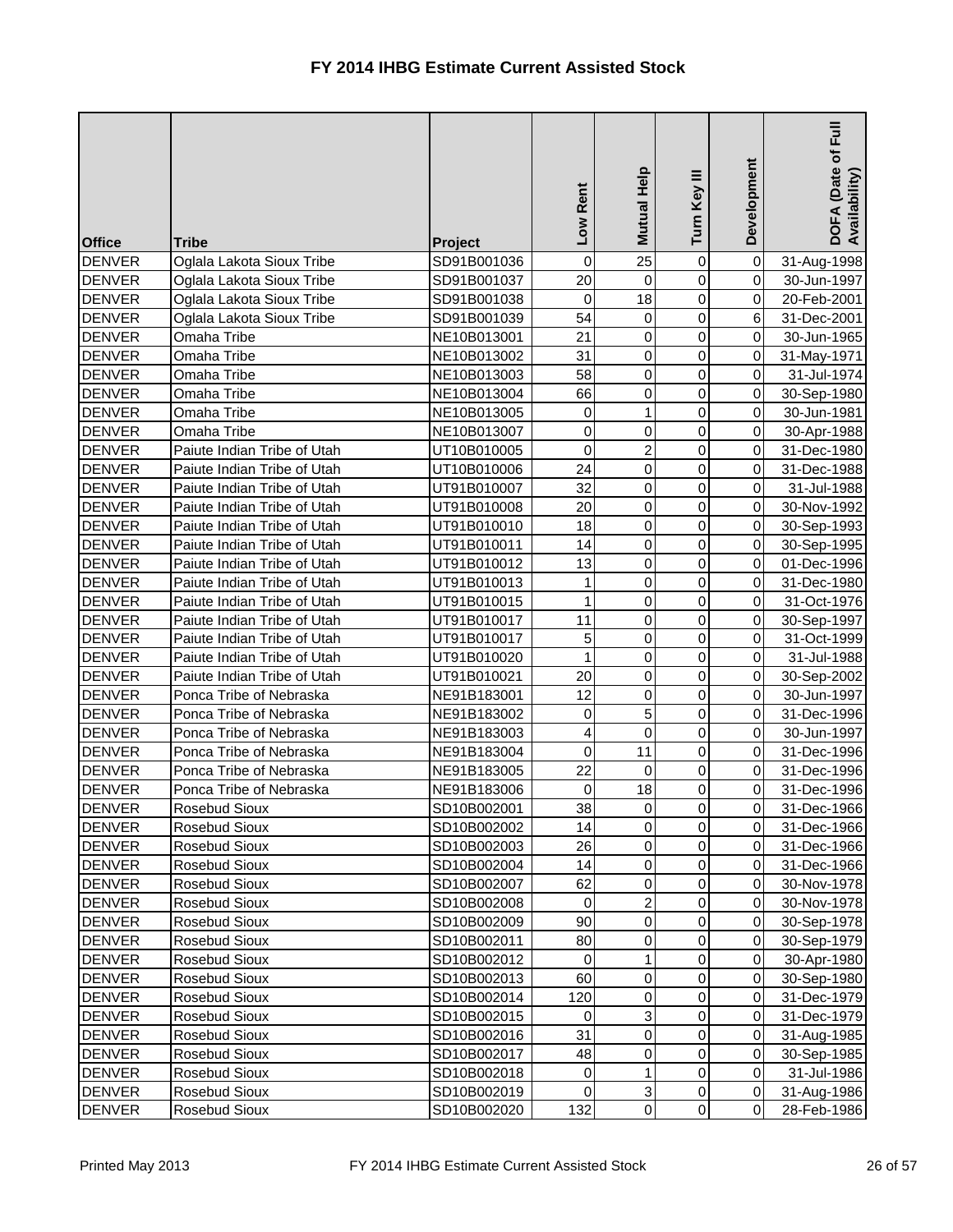| <b>Office</b>                  | <b>Tribe</b>                                           | <b>Project</b>             | Rent<br><b>NOT</b> | <b>Mutual Help</b>         | Turn Key III                     | Development                      | Full<br>DOFA (Date of I<br>Availability) |
|--------------------------------|--------------------------------------------------------|----------------------------|--------------------|----------------------------|----------------------------------|----------------------------------|------------------------------------------|
| <b>DENVER</b>                  | Oglala Lakota Sioux Tribe                              | SD91B001036                | 0                  | 25                         | $\mathbf 0$                      | $\overline{0}$                   | 31-Aug-1998                              |
| <b>DENVER</b>                  | Oglala Lakota Sioux Tribe                              | SD91B001037                | 20                 | $\mathbf 0$                | 0                                | $\overline{0}$                   | 30-Jun-1997                              |
| <b>DENVER</b>                  | Oglala Lakota Sioux Tribe                              | SD91B001038                | $\pmb{0}$          | 18                         | 0                                | $\overline{0}$                   | 20-Feb-2001                              |
| <b>DENVER</b>                  | Oglala Lakota Sioux Tribe                              | SD91B001039                | 54                 | 0                          | 0                                | 6                                | 31-Dec-2001                              |
| <b>DENVER</b>                  | Omaha Tribe                                            | NE10B013001                | 21                 | $\mathbf 0$                | 0                                | $\overline{0}$                   | 30-Jun-1965                              |
| <b>DENVER</b>                  | Omaha Tribe                                            | NE10B013002                | 31                 | $\mathsf 0$                | 0                                | $\overline{0}$                   | 31-May-1971                              |
| <b>DENVER</b>                  | Omaha Tribe                                            | NE10B013003                | 58                 | $\mathbf 0$                | 0                                | $\overline{0}$                   | 31-Jul-1974                              |
| <b>DENVER</b>                  | Omaha Tribe                                            | NE10B013004                | 66                 | 0                          | 0                                | $\overline{0}$                   | 30-Sep-1980                              |
| <b>DENVER</b>                  | Omaha Tribe                                            | NE10B013005                | 0                  | 1                          | 0                                | $\overline{0}$                   | 30-Jun-1981                              |
| <b>DENVER</b>                  | Omaha Tribe                                            | NE10B013007                | 0                  | $\mathsf 0$                | 0                                | $\overline{0}$                   | 30-Apr-1988                              |
| <b>DENVER</b>                  | Paiute Indian Tribe of Utah                            | UT10B010005                | 0                  | $\overline{2}$             | 0                                | $\overline{0}$                   | 31-Dec-1980                              |
| <b>DENVER</b>                  | Paiute Indian Tribe of Utah                            | UT10B010006                | 24                 | $\mathsf 0$                | 0                                | $\overline{0}$                   | 31-Dec-1988                              |
| <b>DENVER</b>                  | Paiute Indian Tribe of Utah                            | UT91B010007                | 32                 | 0                          | 0                                | $\overline{0}$                   | 31-Jul-1988                              |
| <b>DENVER</b>                  | Paiute Indian Tribe of Utah                            | UT91B010008                | 20                 | $\mathsf 0$                | 0                                | $\overline{0}$                   | 30-Nov-1992                              |
| <b>DENVER</b>                  | Paiute Indian Tribe of Utah                            | UT91B010010                | 18                 | $\mathsf 0$                | 0                                | $\overline{0}$                   | 30-Sep-1993                              |
| <b>DENVER</b>                  | Paiute Indian Tribe of Utah                            | UT91B010011                | 14                 | $\mathsf 0$                | 0                                | $\overline{0}$                   | 30-Sep-1995                              |
| <b>DENVER</b>                  | Paiute Indian Tribe of Utah                            | UT91B010012                | 13                 | 0                          | 0                                | $\overline{0}$                   | 01-Dec-1996                              |
| <b>DENVER</b>                  | Paiute Indian Tribe of Utah                            | UT91B010013                | $\mathbf{1}$       | $\mathsf 0$                | 0                                | $\overline{0}$                   | 31-Dec-1980                              |
| <b>DENVER</b>                  | Paiute Indian Tribe of Utah                            | UT91B010015                | $\mathbf{1}$       | 0                          | 0                                | $\overline{0}$                   | 31-Oct-1976                              |
| <b>DENVER</b>                  | Paiute Indian Tribe of Utah                            | UT91B010017                | 11                 | $\pmb{0}$                  | $\overline{0}$                   | $\overline{0}$                   | 30-Sep-1997                              |
| <b>DENVER</b>                  | Paiute Indian Tribe of Utah                            | UT91B010017                | 5                  | 0                          | 0                                | $\overline{0}$                   | 31-Oct-1999                              |
| <b>DENVER</b>                  | Paiute Indian Tribe of Utah                            | UT91B010020                | $\mathbf{1}$       | 0                          | 0                                | $\overline{0}$                   | 31-Jul-1988                              |
| <b>DENVER</b>                  | Paiute Indian Tribe of Utah<br>Ponca Tribe of Nebraska | UT91B010021<br>NE91B183001 | 20<br>12           | $\mathsf 0$<br>$\mathbf 0$ | $\overline{0}$<br>$\overline{0}$ | $\overline{0}$<br>$\overline{0}$ | 30-Sep-2002                              |
| <b>DENVER</b><br><b>DENVER</b> | Ponca Tribe of Nebraska                                | NE91B183002                | 0                  | 5                          | 0                                | $\overline{0}$                   | 30-Jun-1997<br>31-Dec-1996               |
| DENVER                         | Ponca Tribe of Nebraska                                | NE91B183003                | $\overline{4}$     | $\overline{0}$             | $\overline{0}$                   | 0                                |                                          |
| <b>DENVER</b>                  | Ponca Tribe of Nebraska                                | NE91B183004                | $\mathbf 0$        | 11                         | $\overline{0}$                   | 0I                               | 30-Jun-1997<br>31-Dec-1996               |
| <b>DENVER</b>                  | Ponca Tribe of Nebraska                                | NE91B183005                | 22                 | 0                          | 0                                | $\overline{0}$                   |                                          |
| <b>DENVER</b>                  | Ponca Tribe of Nebraska                                | NE91B183006                | $\pmb{0}$          | 18                         | 0                                | $\overline{0}$                   | 31-Dec-1996<br>31-Dec-1996               |
| <b>DENVER</b>                  | Rosebud Sioux                                          | SD10B002001                | 38                 | 0                          | 0                                | $\overline{0}$                   | 31-Dec-1966                              |
| <b>DENVER</b>                  | Rosebud Sioux                                          | SD10B002002                | 14                 | 0                          | 0                                | $\overline{0}$                   | 31-Dec-1966                              |
| <b>DENVER</b>                  | <b>Rosebud Sioux</b>                                   | SD10B002003                | 26                 | 0                          | 0                                | $\overline{0}$                   | 31-Dec-1966                              |
| <b>DENVER</b>                  | Rosebud Sioux                                          | SD10B002004                | 14                 | 0                          | 0                                | $\overline{0}$                   | 31-Dec-1966                              |
| <b>DENVER</b>                  | Rosebud Sioux                                          | SD10B002007                | 62                 | 0                          | 0                                | $\overline{0}$                   | 30-Nov-1978                              |
| <b>DENVER</b>                  | Rosebud Sioux                                          | SD10B002008                | $\pmb{0}$          | $\overline{c}$             | 0                                | $\overline{0}$                   | 30-Nov-1978                              |
| <b>DENVER</b>                  | Rosebud Sioux                                          | SD10B002009                | 90                 | 0                          | 0                                | $\overline{0}$                   | 30-Sep-1978                              |
| <b>DENVER</b>                  | Rosebud Sioux                                          | SD10B002011                | 80                 | 0                          | 0                                | $\overline{0}$                   | 30-Sep-1979                              |
| <b>DENVER</b>                  | Rosebud Sioux                                          | SD10B002012                | 0                  |                            | 0                                | $\overline{0}$                   | 30-Apr-1980                              |
| <b>DENVER</b>                  | Rosebud Sioux                                          | SD10B002013                | 60                 | 0                          | 0                                | $\overline{0}$                   | 30-Sep-1980                              |
| <b>DENVER</b>                  | Rosebud Sioux                                          | SD10B002014                | 120                | 0                          | 0                                | $\overline{0}$                   | 31-Dec-1979                              |
| <b>DENVER</b>                  | <b>Rosebud Sioux</b>                                   | SD10B002015                | $\mathbf 0$        | 3                          | 0                                | $\overline{0}$                   | 31-Dec-1979                              |
| <b>DENVER</b>                  | Rosebud Sioux                                          | SD10B002016                | 31                 | 0                          | 0                                | $\overline{0}$                   | 31-Aug-1985                              |
| <b>DENVER</b>                  | Rosebud Sioux                                          | SD10B002017                | 48                 | 0                          | 0                                | $\overline{0}$                   | 30-Sep-1985                              |
| <b>DENVER</b>                  | Rosebud Sioux                                          | SD10B002018                | 0                  | 1                          | 0                                | $\overline{0}$                   | 31-Jul-1986                              |
| <b>DENVER</b>                  | <b>Rosebud Sioux</b>                                   | SD10B002019                | $\pmb{0}$          | 3                          | 0                                | $\overline{0}$                   | 31-Aug-1986                              |
| <b>DENVER</b>                  | Rosebud Sioux                                          | SD10B002020                | 132                | $\overline{0}$             | $\overline{0}$                   | $\overline{0}$                   | 28-Feb-1986                              |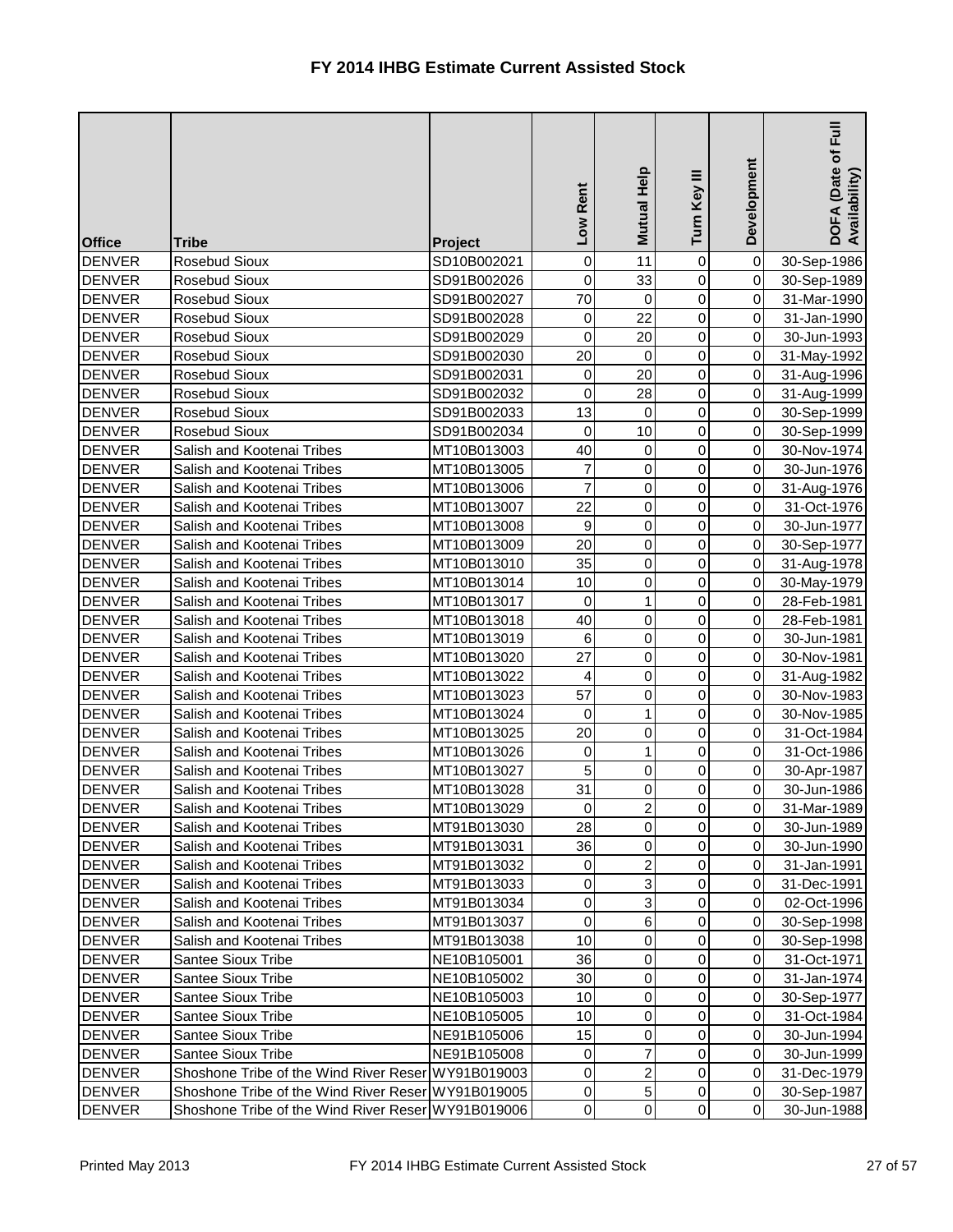| <b>Office</b>                  | <b>Tribe</b>                                           | Project                    | Low Rent        | Mutual Help    | Turn Key III   | Development                      | $E_{\rm H}$<br>DOFA (Date of I<br>Availability) |
|--------------------------------|--------------------------------------------------------|----------------------------|-----------------|----------------|----------------|----------------------------------|-------------------------------------------------|
| <b>DENVER</b>                  | Rosebud Sioux                                          | SD10B002021                | 0               | 11             | 0              | $\overline{0}$                   | 30-Sep-1986                                     |
| <b>DENVER</b>                  | Rosebud Sioux                                          | SD91B002026                | 0               | 33             | 0              | $\overline{0}$                   | 30-Sep-1989                                     |
| <b>DENVER</b>                  | Rosebud Sioux                                          | SD91B002027                | 70              | $\mathbf 0$    | 0              | $\overline{0}$                   | 31-Mar-1990                                     |
| <b>DENVER</b>                  | Rosebud Sioux                                          | SD91B002028                | 0               | 22             | 0              | $\overline{0}$                   | 31-Jan-1990                                     |
| <b>DENVER</b>                  | Rosebud Sioux                                          | SD91B002029                | 0               | 20             | 0              | $\overline{0}$                   | 30-Jun-1993                                     |
| <b>DENVER</b>                  | Rosebud Sioux                                          | SD91B002030                | 20              | $\mathbf 0$    | 0              | $\overline{0}$                   | 31-May-1992                                     |
| <b>DENVER</b>                  | Rosebud Sioux                                          | SD91B002031                | 0               | 20             | 0              | $\overline{0}$                   | 31-Aug-1996                                     |
| <b>DENVER</b>                  | Rosebud Sioux                                          | SD91B002032                | 0               | 28             | 0              | $\overline{0}$                   | 31-Aug-1999                                     |
| <b>DENVER</b>                  | Rosebud Sioux                                          | SD91B002033                | 13              | 0              | 0              | $\overline{0}$                   | 30-Sep-1999                                     |
| <b>DENVER</b>                  | Rosebud Sioux                                          | SD91B002034                | 0               | 10             | 0              | $\overline{0}$                   | 30-Sep-1999                                     |
| <b>DENVER</b>                  | Salish and Kootenai Tribes                             | MT10B013003                | 40              | $\mathbf 0$    | 0              | $\overline{0}$                   | 30-Nov-1974                                     |
| <b>DENVER</b>                  | Salish and Kootenai Tribes                             | MT10B013005                | $\overline{7}$  | 0              | 0              | $\overline{0}$                   | 30-Jun-1976                                     |
| <b>DENVER</b>                  | Salish and Kootenai Tribes                             | MT10B013006                | $\overline{7}$  | 0              | 0              | $\overline{0}$                   | 31-Aug-1976                                     |
| <b>DENVER</b>                  | Salish and Kootenai Tribes                             | MT10B013007                | 22              | 0              | 0              | $\overline{0}$                   | 31-Oct-1976                                     |
| <b>DENVER</b>                  | Salish and Kootenai Tribes                             | MT10B013008                | 9               | 0              | 0              | $\overline{0}$                   | 30-Jun-1977                                     |
| <b>DENVER</b>                  | Salish and Kootenai Tribes                             | MT10B013009                | 20              | $\pmb{0}$      | 0              | $\overline{0}$                   | 30-Sep-1977                                     |
| <b>DENVER</b>                  | Salish and Kootenai Tribes                             | MT10B013010                | 35              | 0              | 0              | $\overline{0}$                   | 31-Aug-1978                                     |
| <b>DENVER</b>                  | Salish and Kootenai Tribes                             | MT10B013014                | 10              | 0              | 0              | $\overline{0}$                   | 30-May-1979                                     |
| <b>DENVER</b>                  | Salish and Kootenai Tribes                             | MT10B013017                | 0               | 1              | 0              | $\overline{0}$                   | 28-Feb-1981                                     |
| <b>DENVER</b>                  | Salish and Kootenai Tribes                             | MT10B013018                | 40              | 0              | 0              | $\overline{0}$                   | 28-Feb-1981                                     |
| <b>DENVER</b>                  | Salish and Kootenai Tribes                             | MT10B013019                | $\,6\,$         | 0              | 0              | $\overline{0}$                   | 30-Jun-1981                                     |
| <b>DENVER</b>                  | Salish and Kootenai Tribes                             | MT10B013020                | 27              | 0              | 0              | $\overline{0}$                   | 30-Nov-1981                                     |
| <b>DENVER</b>                  | Salish and Kootenai Tribes                             | MT10B013022                | 4               | $\mathbf 0$    | 0              | $\overline{0}$                   | 31-Aug-1982                                     |
| <b>DENVER</b>                  | Salish and Kootenai Tribes                             | MT10B013023                | 57              | 0              | 0              | $\overline{0}$                   | 30-Nov-1983                                     |
| <b>DENVER</b>                  | Salish and Kootenai Tribes                             | MT10B013024                | 0               |                | 0              | $\overline{0}$                   | 30-Nov-1985                                     |
| <b>DENVER</b>                  | Salish and Kootenai Tribes                             | MT10B013025                | 20              | $\Omega$       | $\overline{0}$ | $\overline{O}$                   | 31-Oct-1984                                     |
| <b>DENVER</b>                  | Salish and Kootenai Tribes                             | MT10B013026                | $\mathbf 0$     | 1              | $\overline{0}$ | $\overline{0}$                   | 31-Oct-1986                                     |
| <b>DENVER</b>                  | Salish and Kootenai Tribes                             | MT10B013027                | 5               | $\pmb{0}$      | 0              | $\overline{0}$                   | 30-Apr-1987                                     |
| <b>DENVER</b>                  | Salish and Kootenai Tribes                             | MT10B013028                | 31              | 0              | 0              | $\overline{0}$                   | 30-Jun-1986                                     |
| <b>DENVER</b>                  | Salish and Kootenai Tribes                             | MT10B013029                | 0               | 2              | 0              | $\overline{0}$                   | 31-Mar-1989                                     |
| <b>DENVER</b>                  | Salish and Kootenai Tribes                             | MT91B013030                | 28              | $\pmb{0}$      | 0              | $\overline{0}$                   | 30-Jun-1989                                     |
| <b>DENVER</b>                  | Salish and Kootenai Tribes                             | MT91B013031                | 36              | 0              | 0              | $\overline{0}$                   | 30-Jun-1990                                     |
| <b>DENVER</b>                  | Salish and Kootenai Tribes                             | MT91B013032                | 0               | $\overline{c}$ | 0              | $\overline{0}$                   | 31-Jan-1991                                     |
| <b>DENVER</b>                  | Salish and Kootenai Tribes                             | MT91B013033                | 0               | 3              | 0              | $\overline{0}$                   | 31-Dec-1991                                     |
| <b>DENVER</b>                  | Salish and Kootenai Tribes                             | MT91B013034                | $\pmb{0}$       | 3              | 0              | $\overline{0}$                   | 02-Oct-1996                                     |
| <b>DENVER</b>                  | Salish and Kootenai Tribes                             | MT91B013037                | $\pmb{0}$       | 6              | 0              | $\overline{0}$                   | 30-Sep-1998                                     |
| <b>DENVER</b>                  | Salish and Kootenai Tribes                             | MT91B013038                | 10              | $\pmb{0}$      | 0              | $\overline{0}$                   | 30-Sep-1998                                     |
| <b>DENVER</b>                  | Santee Sioux Tribe                                     | NE10B105001                | 36              | 0              | 0              | $\overline{0}$                   | 31-Oct-1971                                     |
| <b>DENVER</b>                  | <b>Santee Sioux Tribe</b>                              | NE10B105002                | 30              | 0              | 0              | $\overline{0}$                   | 31-Jan-1974                                     |
| <b>DENVER</b>                  | <b>Santee Sioux Tribe</b>                              | NE10B105003                | 10              | $\pmb{0}$      | 0              | $\overline{0}$                   | 30-Sep-1977                                     |
| <b>DENVER</b>                  | <b>Santee Sioux Tribe</b>                              | NE10B105005                | 10              | $\pmb{0}$      | 0              | $\overline{0}$<br>$\overline{0}$ | 31-Oct-1984                                     |
| <b>DENVER</b><br><b>DENVER</b> | <b>Santee Sioux Tribe</b><br><b>Santee Sioux Tribe</b> | NE91B105006<br>NE91B105008 | 15<br>$\pmb{0}$ | 0<br>7         | 0<br>0         | $\overline{0}$                   | 30-Jun-1994                                     |
| <b>DENVER</b>                  | Shoshone Tribe of the Wind River Reser WY91B019003     |                            | $\pmb{0}$       | 2              | 0              | $\overline{0}$                   | 30-Jun-1999<br>31-Dec-1979                      |
| <b>DENVER</b>                  | Shoshone Tribe of the Wind River Reser WY91B019005     |                            | $\pmb{0}$       | 5              | 0              | $\overline{0}$                   |                                                 |
| <b>DENVER</b>                  | Shoshone Tribe of the Wind River Reser WY91B019006     |                            | $\pmb{0}$       | $\overline{0}$ | 0              | $\overline{0}$                   | 30-Sep-1987<br>30-Jun-1988                      |
|                                |                                                        |                            |                 |                |                |                                  |                                                 |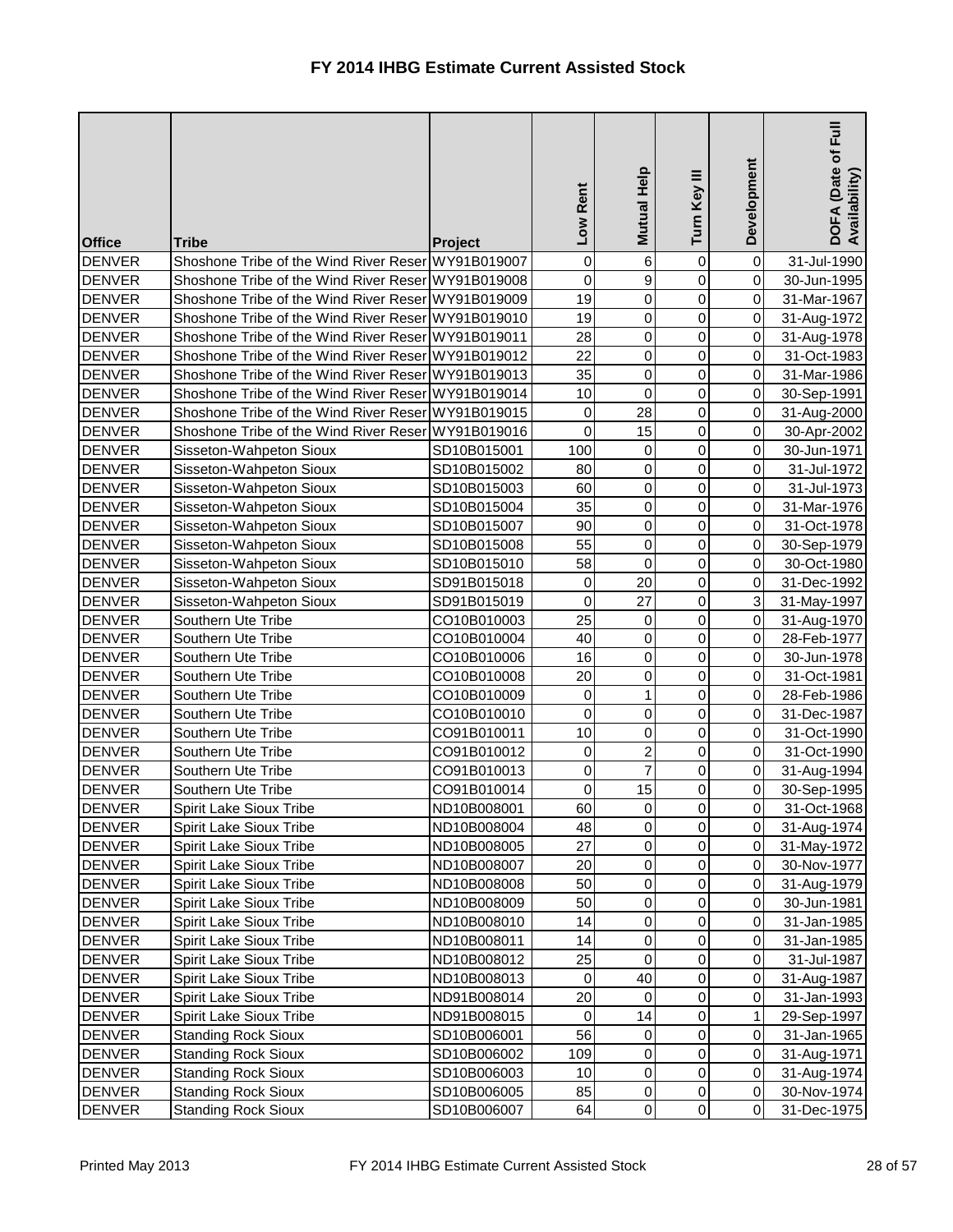| <b>Office</b>                  | <b>Tribe</b>                                         | Project                    | Low Rent               | Mutual Help         | Turn Key III     | Development                      | $E_{\rm H}$<br>DOFA (Date of I<br>Availability) |
|--------------------------------|------------------------------------------------------|----------------------------|------------------------|---------------------|------------------|----------------------------------|-------------------------------------------------|
| <b>DENVER</b>                  | Shoshone Tribe of the Wind River Reser WY91B019007   |                            | 0                      | 6                   | $\mathbf 0$      | $\overline{0}$                   | 31-Jul-1990                                     |
| <b>DENVER</b>                  | Shoshone Tribe of the Wind River Reser WY91B019008   |                            | 0                      | 9                   | 0                | $\overline{0}$                   | 30-Jun-1995                                     |
| <b>DENVER</b>                  | Shoshone Tribe of the Wind River Reser WY91B019009   |                            | 19                     | $\pmb{0}$           | 0                | $\overline{0}$                   | 31-Mar-1967                                     |
| <b>DENVER</b>                  | Shoshone Tribe of the Wind River Reser WY91B019010   |                            | 19                     | $\pmb{0}$           | 0                | $\overline{0}$                   | 31-Aug-1972                                     |
| <b>DENVER</b>                  | Shoshone Tribe of the Wind River Reser WY91B019011   |                            | 28                     | 0                   | 0                | $\overline{0}$                   | 31-Aug-1978                                     |
| <b>DENVER</b>                  | Shoshone Tribe of the Wind River Reser WY91B019012   |                            | 22                     | $\mathsf 0$         | 0                | $\overline{0}$                   | 31-Oct-1983                                     |
| <b>DENVER</b>                  | Shoshone Tribe of the Wind River Reser WY91B019013   |                            | 35                     | $\pmb{0}$           | 0                | $\overline{0}$                   | 31-Mar-1986                                     |
| <b>DENVER</b>                  | Shoshone Tribe of the Wind River Reser WY91B019014   |                            | 10                     | $\mathsf 0$         | 0                | $\overline{0}$                   | 30-Sep-1991                                     |
| <b>DENVER</b>                  | Shoshone Tribe of the Wind River Reser WY91B019015   |                            | 0                      | 28                  | 0                | $\overline{0}$                   | 31-Aug-2000                                     |
| <b>DENVER</b>                  | Shoshone Tribe of the Wind River Reser WY91B019016   |                            | 0                      | 15                  | 0                | $\overline{0}$                   | 30-Apr-2002                                     |
| <b>DENVER</b>                  | Sisseton-Wahpeton Sioux                              | SD10B015001                | 100                    | 0                   | $\overline{0}$   | $\overline{0}$                   | 30-Jun-1971                                     |
| <b>DENVER</b>                  | Sisseton-Wahpeton Sioux                              | SD10B015002                | 80                     | $\pmb{0}$           | $\overline{0}$   | $\overline{0}$                   | 31-Jul-1972                                     |
| <b>DENVER</b>                  | Sisseton-Wahpeton Sioux                              | SD10B015003                | 60                     | 0                   | 0                | $\overline{0}$                   | 31-Jul-1973                                     |
| <b>DENVER</b>                  | Sisseton-Wahpeton Sioux                              | SD10B015004                | 35                     | $\mathsf 0$         | 0                | $\overline{0}$                   | 31-Mar-1976                                     |
| <b>DENVER</b>                  | Sisseton-Wahpeton Sioux                              | SD10B015007                | 90                     | $\pmb{0}$           | 0                | $\overline{0}$                   | 31-Oct-1978                                     |
| <b>DENVER</b>                  | Sisseton-Wahpeton Sioux                              | SD10B015008                | 55                     | $\pmb{0}$           | 0                | $\overline{0}$                   | 30-Sep-1979                                     |
| <b>DENVER</b>                  | Sisseton-Wahpeton Sioux                              | SD10B015010                | 58                     | $\mathbf 0$         | 0                | $\overline{0}$                   | 30-Oct-1980                                     |
| <b>DENVER</b>                  | Sisseton-Wahpeton Sioux                              | SD91B015018                | 0                      | 20                  | 0                | $\overline{0}$                   | 31-Dec-1992                                     |
| <b>DENVER</b>                  | Sisseton-Wahpeton Sioux                              | SD91B015019                | $\mathbf 0$            | 27                  | 0                | $\overline{3}$                   | 31-May-1997                                     |
| <b>DENVER</b>                  | Southern Ute Tribe                                   | CO10B010003                | 25                     | 0                   | $\overline{0}$   | $\overline{0}$                   | 31-Aug-1970                                     |
| <b>DENVER</b>                  | Southern Ute Tribe                                   | CO10B010004                | 40                     | 0                   | 0                | $\overline{0}$                   | 28-Feb-1977                                     |
| <b>DENVER</b>                  | Southern Ute Tribe                                   | CO10B010006                | 16                     | $\mathsf 0$         | 0                | $\overline{0}$                   | 30-Jun-1978                                     |
| <b>DENVER</b>                  | Southern Ute Tribe                                   | CO10B010008                | 20                     | $\mathsf 0$         | 0                | $\overline{0}$                   | 31-Oct-1981                                     |
| <b>DENVER</b>                  | Southern Ute Tribe                                   | CO10B010009                | 0                      | 1                   | 0                | $\overline{0}$                   | 28-Feb-1986                                     |
| <b>DENVER</b>                  | Southern Ute Tribe                                   | CO10B010010                | 0                      | 0                   | 0                | $\overline{0}$                   | 31-Dec-1987                                     |
| DENVER                         | Southern Ute Tribe                                   | CO91B010011                | 10                     | 0                   | $\overline{0}$   | 0                                | 31-Oct-1990                                     |
| <b>DENVER</b>                  | Southern Ute Tribe                                   | CO91B010012                | $\mathbf 0$            | $\overline{2}$<br>7 | 0                | 0I                               | 31-Oct-1990                                     |
| <b>DENVER</b><br><b>DENVER</b> | Southern Ute Tribe                                   | CO91B010013<br>CO91B010014 | $\pmb{0}$<br>$\pmb{0}$ | 15                  | 0                | $\overline{0}$                   | 31-Aug-1994                                     |
| <b>DENVER</b>                  | Southern Ute Tribe<br><b>Spirit Lake Sioux Tribe</b> | ND10B008001                | 60                     | 0                   | 0<br>0           | $\overline{0}$<br>$\overline{0}$ | 30-Sep-1995                                     |
| <b>DENVER</b>                  | <b>Spirit Lake Sioux Tribe</b>                       | ND10B008004                | 48                     | $\pmb{0}$           | 0                | $\overline{0}$                   | 31-Oct-1968                                     |
| <b>DENVER</b>                  | <b>Spirit Lake Sioux Tribe</b>                       | ND10B008005                | 27                     | 0                   | 0                | $\overline{0}$                   | 31-Aug-1974                                     |
| <b>DENVER</b>                  | <b>Spirit Lake Sioux Tribe</b>                       | ND10B008007                | 20                     | 0                   | 0                | $\overline{0}$                   | 31-May-1972<br>30-Nov-1977                      |
| <b>DENVER</b>                  | <b>Spirit Lake Sioux Tribe</b>                       | ND10B008008                | 50                     | $\pmb{0}$           | 0                | $\overline{0}$                   | 31-Aug-1979                                     |
| <b>DENVER</b>                  | Spirit Lake Sioux Tribe                              | ND10B008009                | 50                     | 0                   | 0                | $\overline{0}$                   | 30-Jun-1981                                     |
| <b>DENVER</b>                  | <b>Spirit Lake Sioux Tribe</b>                       | ND10B008010                | 14                     | 0                   | 0                | $\overline{0}$                   | 31-Jan-1985                                     |
| <b>DENVER</b>                  | Spirit Lake Sioux Tribe                              | ND10B008011                | 14                     | 0                   | 0                | $\overline{0}$                   | 31-Jan-1985                                     |
| <b>DENVER</b>                  | <b>Spirit Lake Sioux Tribe</b>                       | ND10B008012                | 25                     | 0                   | $\boldsymbol{0}$ | $\overline{0}$                   | 31-Jul-1987                                     |
| <b>DENVER</b>                  | <b>Spirit Lake Sioux Tribe</b>                       | ND10B008013                | $\pmb{0}$              | 40                  | 0                | $\overline{0}$                   | 31-Aug-1987                                     |
| <b>DENVER</b>                  | <b>Spirit Lake Sioux Tribe</b>                       | ND91B008014                | 20                     | 0                   | $\overline{0}$   | $\overline{0}$                   | 31-Jan-1993                                     |
| <b>DENVER</b>                  | <b>Spirit Lake Sioux Tribe</b>                       | ND91B008015                | $\pmb{0}$              | 14                  | 0                | $\mathbf{1}$                     | 29-Sep-1997                                     |
| <b>DENVER</b>                  | <b>Standing Rock Sioux</b>                           | SD10B006001                | 56                     | 0                   | 0                | $\overline{0}$                   | 31-Jan-1965                                     |
| <b>DENVER</b>                  | <b>Standing Rock Sioux</b>                           | SD10B006002                | 109                    | $\mathsf 0$         | $\overline{0}$   | $\overline{0}$                   | 31-Aug-1971                                     |
| <b>DENVER</b>                  | <b>Standing Rock Sioux</b>                           | SD10B006003                | 10                     | 0                   | 0                | $\overline{0}$                   | 31-Aug-1974                                     |
| <b>DENVER</b>                  | <b>Standing Rock Sioux</b>                           | SD10B006005                | 85                     | 0                   | 0                | $\overline{0}$                   | 30-Nov-1974                                     |
| <b>DENVER</b>                  | <b>Standing Rock Sioux</b>                           | SD10B006007                | 64                     | $\overline{0}$      | $\overline{0}$   | $\overline{0}$                   | 31-Dec-1975                                     |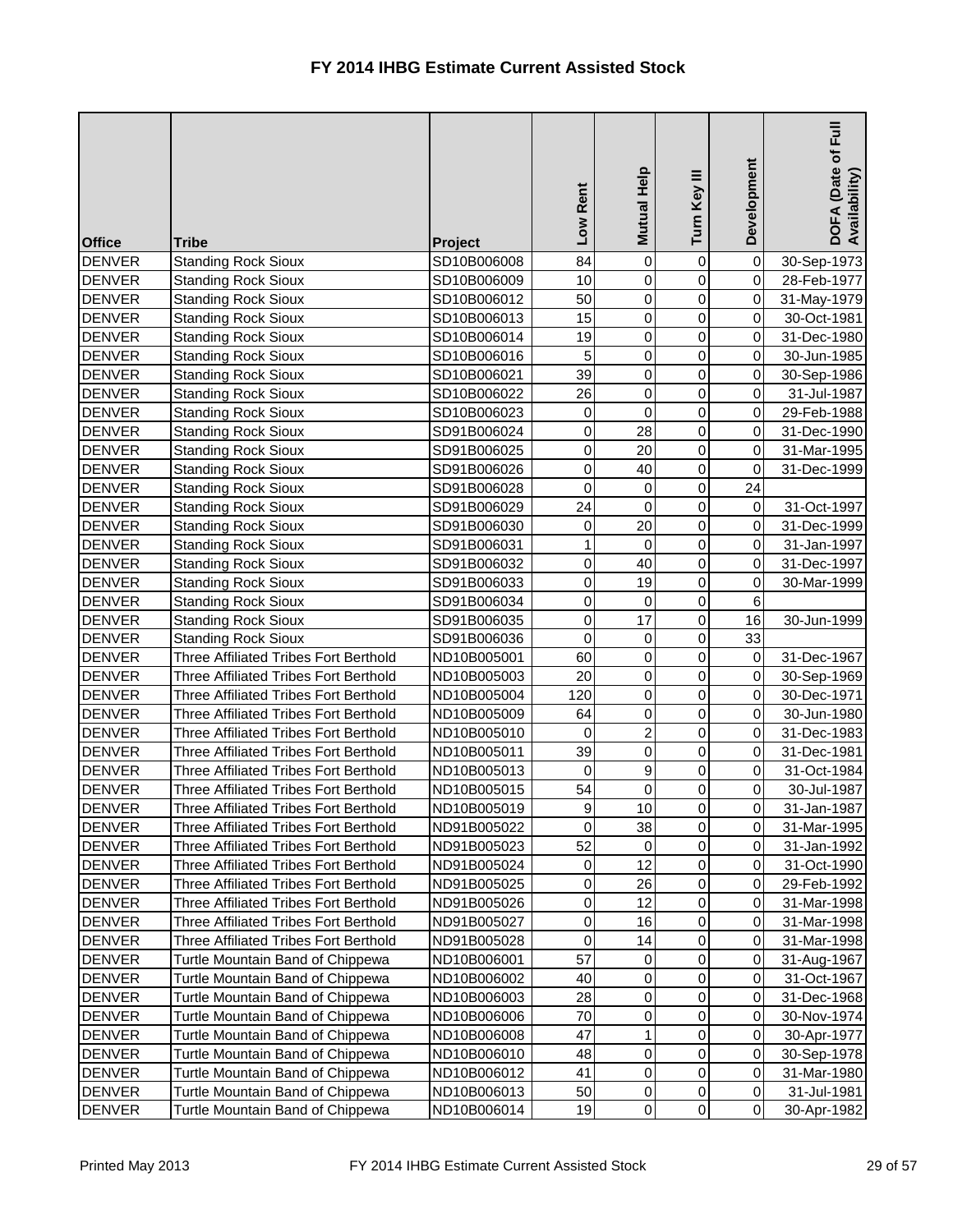| <b>Office</b> | <b>Tribe</b>                                 | <b>Project</b> | Low Rent         | Mutual Help    | Turn Key III     | Development    | ー<br>Full<br>DOFA (Date of I<br>Availability) |
|---------------|----------------------------------------------|----------------|------------------|----------------|------------------|----------------|-----------------------------------------------|
| <b>DENVER</b> | <b>Standing Rock Sioux</b>                   | SD10B006008    | 84               | $\mathbf 0$    | 0                | $\overline{0}$ | 30-Sep-1973                                   |
| <b>DENVER</b> | <b>Standing Rock Sioux</b>                   | SD10B006009    | 10               | 0              | 0                | $\overline{0}$ | 28-Feb-1977                                   |
| <b>DENVER</b> | <b>Standing Rock Sioux</b>                   | SD10B006012    | 50               | 0              | 0                | $\overline{0}$ | 31-May-1979                                   |
| <b>DENVER</b> | <b>Standing Rock Sioux</b>                   | SD10B006013    | 15               | $\mathsf{O}$   | 0                | $\overline{0}$ | 30-Oct-1981                                   |
| <b>DENVER</b> | <b>Standing Rock Sioux</b>                   | SD10B006014    | 19               | 0              | 0                | $\overline{0}$ | 31-Dec-1980                                   |
| <b>DENVER</b> | <b>Standing Rock Sioux</b>                   | SD10B006016    | 5                | 0              | 0                | $\overline{0}$ | 30-Jun-1985                                   |
| <b>DENVER</b> | <b>Standing Rock Sioux</b>                   | SD10B006021    | 39               | 0              | 0                | $\overline{0}$ | 30-Sep-1986                                   |
| <b>DENVER</b> | <b>Standing Rock Sioux</b>                   | SD10B006022    | 26               | 0              | 0                | $\overline{0}$ | 31-Jul-1987                                   |
| <b>DENVER</b> | <b>Standing Rock Sioux</b>                   | SD10B006023    | 0                | $\mathbf 0$    | 0                | $\overline{0}$ | 29-Feb-1988                                   |
| <b>DENVER</b> | <b>Standing Rock Sioux</b>                   | SD91B006024    | $\pmb{0}$        | 28             | 0                | $\overline{0}$ | 31-Dec-1990                                   |
| <b>DENVER</b> | <b>Standing Rock Sioux</b>                   | SD91B006025    | 0                | 20             | $\overline{0}$   | $\overline{0}$ | 31-Mar-1995                                   |
| <b>DENVER</b> | <b>Standing Rock Sioux</b>                   | SD91B006026    | $\pmb{0}$        | 40             | $\overline{0}$   | $\overline{0}$ | 31-Dec-1999                                   |
| <b>DENVER</b> | <b>Standing Rock Sioux</b>                   | SD91B006028    | 0                | 0              | 0                | 24             |                                               |
| <b>DENVER</b> | <b>Standing Rock Sioux</b>                   | SD91B006029    | 24               | 0              | $\boldsymbol{0}$ | $\overline{0}$ | 31-Oct-1997                                   |
| <b>DENVER</b> | <b>Standing Rock Sioux</b>                   | SD91B006030    | 0                | 20             | 0                | $\overline{0}$ | 31-Dec-1999                                   |
| <b>DENVER</b> | <b>Standing Rock Sioux</b>                   | SD91B006031    | $\mathbf{1}$     | 0              | 0                | $\overline{0}$ | 31-Jan-1997                                   |
| <b>DENVER</b> | <b>Standing Rock Sioux</b>                   | SD91B006032    | $\pmb{0}$        | 40             | 0                | $\overline{0}$ | 31-Dec-1997                                   |
| <b>DENVER</b> | <b>Standing Rock Sioux</b>                   | SD91B006033    | $\pmb{0}$        | 19             | 0                | 0              | 30-Mar-1999                                   |
| <b>DENVER</b> | <b>Standing Rock Sioux</b>                   | SD91B006034    | $\overline{0}$   | $\mathbf 0$    | $\overline{0}$   | $6\phantom{1}$ |                                               |
| <b>DENVER</b> | <b>Standing Rock Sioux</b>                   | SD91B006035    | $\mathbf 0$      | 17             | $\overline{0}$   | 16             | 30-Jun-1999                                   |
| <b>DENVER</b> | <b>Standing Rock Sioux</b>                   | SD91B006036    | 0                | 0              | 0                | 33             |                                               |
| <b>DENVER</b> | <b>Three Affiliated Tribes Fort Berthold</b> | ND10B005001    | 60               | 0              | 0                | $\overline{0}$ | 31-Dec-1967                                   |
| <b>DENVER</b> | Three Affiliated Tribes Fort Berthold        | ND10B005003    | 20               | $\mathsf 0$    | 0                | $\overline{0}$ | 30-Sep-1969                                   |
| <b>DENVER</b> | Three Affiliated Tribes Fort Berthold        | ND10B005004    | 120              | $\pmb{0}$      | 0                | $\overline{0}$ | 30-Dec-1971                                   |
| <b>DENVER</b> | Three Affiliated Tribes Fort Berthold        | ND10B005009    | 64               | 0              | 0                | $\overline{0}$ | 30-Jun-1980                                   |
| <b>DENVER</b> | <b>Three Affiliated Tribes Fort Berthold</b> | ND10B005010    | $\overline{0}$   | $\overline{2}$ | $\overline{0}$   | $\overline{0}$ | 31-Dec-1983                                   |
| <b>DENVER</b> | <b>Three Affiliated Tribes Fort Berthold</b> | ND10B005011    | 39               | $\pmb{0}$      | $\overline{0}$   | $\overline{O}$ | 31-Dec-1981                                   |
| <b>DENVER</b> | Three Affiliated Tribes Fort Berthold        | ND10B005013    | 0                | 9              | 0                | $\overline{0}$ | 31-Oct-1984                                   |
| <b>DENVER</b> | <b>Three Affiliated Tribes Fort Berthold</b> | ND10B005015    | 54               | $\mathsf 0$    | 0                | $\overline{0}$ | 30-Jul-1987                                   |
| <b>DENVER</b> | Three Affiliated Tribes Fort Berthold        | ND10B005019    | $\boldsymbol{9}$ | 10             | 0                | $\overline{0}$ | 31-Jan-1987                                   |
| <b>DENVER</b> | Three Affiliated Tribes Fort Berthold        | ND91B005022    | 0                | 38             | 0                | $\overline{0}$ | 31-Mar-1995                                   |
| <b>DENVER</b> | Three Affiliated Tribes Fort Berthold        | ND91B005023    | 52               | 0              | 0                | $\overline{0}$ | 31-Jan-1992                                   |
| <b>DENVER</b> | <b>Three Affiliated Tribes Fort Berthold</b> | ND91B005024    | 0                | 12             | 0                | $\overline{0}$ | 31-Oct-1990                                   |
| <b>DENVER</b> | Three Affiliated Tribes Fort Berthold        | ND91B005025    | 0                | 26             | 0                | $\overline{0}$ | 29-Feb-1992                                   |
| <b>DENVER</b> | Three Affiliated Tribes Fort Berthold        | ND91B005026    | $\pmb{0}$        | 12             | 0                | $\overline{0}$ | 31-Mar-1998                                   |
| <b>DENVER</b> | Three Affiliated Tribes Fort Berthold        | ND91B005027    | 0                | 16             | 0                | $\overline{0}$ | 31-Mar-1998                                   |
| <b>DENVER</b> | Three Affiliated Tribes Fort Berthold        | ND91B005028    | $\pmb{0}$        | 14             | 0                | $\overline{0}$ | 31-Mar-1998                                   |
| <b>DENVER</b> | Turtle Mountain Band of Chippewa             | ND10B006001    | 57               | 0              | 0                | $\overline{0}$ | 31-Aug-1967                                   |
| <b>DENVER</b> | Turtle Mountain Band of Chippewa             | ND10B006002    | 40               | 0              | 0                | $\overline{0}$ | 31-Oct-1967                                   |
| <b>DENVER</b> | Turtle Mountain Band of Chippewa             | ND10B006003    | 28               | $\pmb{0}$      | 0                | $\overline{0}$ | 31-Dec-1968                                   |
| <b>DENVER</b> | Turtle Mountain Band of Chippewa             | ND10B006006    | 70               | $\pmb{0}$      | 0                | $\overline{0}$ | 30-Nov-1974                                   |
| <b>DENVER</b> | Turtle Mountain Band of Chippewa             | ND10B006008    | 47               | 1              | 0                | $\overline{0}$ | 30-Apr-1977                                   |
| <b>DENVER</b> | Turtle Mountain Band of Chippewa             | ND10B006010    | 48               | 0              | 0                | $\overline{0}$ | 30-Sep-1978                                   |
| <b>DENVER</b> | Turtle Mountain Band of Chippewa             | ND10B006012    | 41               | $\pmb{0}$      | 0                | $\overline{0}$ | 31-Mar-1980                                   |
| <b>DENVER</b> | Turtle Mountain Band of Chippewa             | ND10B006013    | 50               | $\pmb{0}$      | 0                | $\overline{0}$ | 31-Jul-1981                                   |
| <b>DENVER</b> | Turtle Mountain Band of Chippewa             | ND10B006014    | 19               | $\overline{0}$ | 0                | $\overline{0}$ | 30-Apr-1982                                   |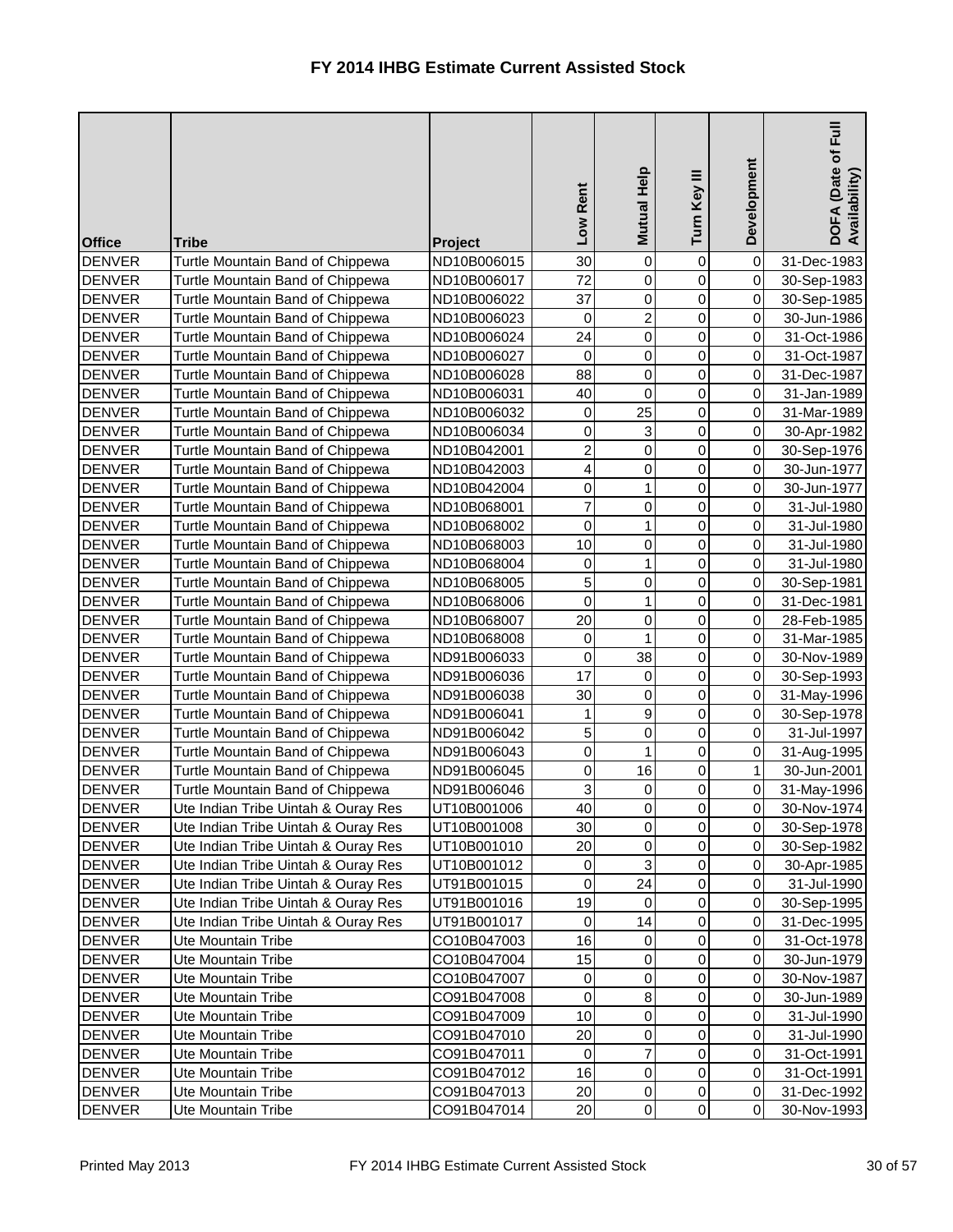| <b>Office</b>                  | <b>Tribe</b>                                                            | Project                    | Low Rent          | Mutual Help    | Turn Key III   | Development                    | $\bar{E}$<br>DOFA (Date of I<br>Availability) |
|--------------------------------|-------------------------------------------------------------------------|----------------------------|-------------------|----------------|----------------|--------------------------------|-----------------------------------------------|
| <b>DENVER</b>                  | Turtle Mountain Band of Chippewa                                        | ND10B006015                | 30                | $\mathbf 0$    | $\mathbf 0$    | 0                              | 31-Dec-1983                                   |
| <b>DENVER</b>                  | Turtle Mountain Band of Chippewa                                        | ND10B006017                | 72                | 0              | 0              | $\overline{0}$                 | 30-Sep-1983                                   |
| <b>DENVER</b>                  | Turtle Mountain Band of Chippewa                                        | ND10B006022                | 37                | 0              | 0              | $\overline{0}$                 | 30-Sep-1985                                   |
| <b>DENVER</b>                  | Turtle Mountain Band of Chippewa                                        | ND10B006023                | 0                 | $\overline{c}$ | 0              | $\overline{0}$                 | 30-Jun-1986                                   |
| <b>DENVER</b>                  | Turtle Mountain Band of Chippewa                                        | ND10B006024                | 24                | 0              | 0              | $\overline{0}$                 | 31-Oct-1986                                   |
| <b>DENVER</b>                  | Turtle Mountain Band of Chippewa                                        | ND10B006027                | 0                 | 0              | 0              | $\overline{0}$                 | 31-Oct-1987                                   |
| <b>DENVER</b>                  | Turtle Mountain Band of Chippewa                                        | ND10B006028                | 88                | 0              | 0              | $\overline{0}$                 | 31-Dec-1987                                   |
| <b>DENVER</b>                  | Turtle Mountain Band of Chippewa                                        | ND10B006031                | 40                | $\mathsf 0$    | 0              | $\overline{0}$                 | 31-Jan-1989                                   |
| <b>DENVER</b>                  | Turtle Mountain Band of Chippewa                                        | ND10B006032                | 0                 | 25             | 0              | $\overline{0}$                 | 31-Mar-1989                                   |
| <b>DENVER</b>                  | Turtle Mountain Band of Chippewa                                        | ND10B006034                | 0                 | 3              | 0              | $\overline{0}$                 | 30-Apr-1982                                   |
| <b>DENVER</b>                  | Turtle Mountain Band of Chippewa                                        | ND10B042001                | $\overline{c}$    | $\mathsf 0$    | 0              | $\overline{0}$                 | 30-Sep-1976                                   |
| <b>DENVER</b>                  | Turtle Mountain Band of Chippewa                                        | ND10B042003                | 4                 | 0              | 0              | $\overline{0}$                 | 30-Jun-1977                                   |
| <b>DENVER</b>                  | Turtle Mountain Band of Chippewa                                        | ND10B042004                | 0                 | 1              | 0              | $\overline{0}$                 | 30-Jun-1977                                   |
| <b>DENVER</b>                  | Turtle Mountain Band of Chippewa                                        | ND10B068001                | $\overline{7}$    | 0              | 0              | $\overline{0}$                 | 31-Jul-1980                                   |
| <b>DENVER</b>                  | Turtle Mountain Band of Chippewa                                        | ND10B068002                | 0                 | 1              | 0              | $\overline{0}$                 | 31-Jul-1980                                   |
| <b>DENVER</b>                  | Turtle Mountain Band of Chippewa                                        | ND10B068003                | 10                | 0              | 0              | $\overline{0}$                 | 31-Jul-1980                                   |
| <b>DENVER</b>                  | Turtle Mountain Band of Chippewa                                        | ND10B068004                | 0                 | 1              | 0              | $\overline{0}$                 | 31-Jul-1980                                   |
| <b>DENVER</b>                  | Turtle Mountain Band of Chippewa                                        | ND10B068005                | 5                 | 0              | 0              | $\overline{0}$                 | 30-Sep-1981                                   |
| <b>DENVER</b>                  | Turtle Mountain Band of Chippewa                                        | ND10B068006                | 0                 | 1              | 0              | $\overline{0}$                 | 31-Dec-1981                                   |
| <b>DENVER</b>                  | Turtle Mountain Band of Chippewa                                        | ND10B068007                | 20                | 0              | 0              | $\overline{0}$                 | 28-Feb-1985                                   |
| <b>DENVER</b>                  | Turtle Mountain Band of Chippewa                                        | ND10B068008                | 0                 |                | 0              | $\overline{0}$                 | 31-Mar-1985                                   |
| <b>DENVER</b>                  | Turtle Mountain Band of Chippewa                                        | ND91B006033                | 0                 | 38             | 0              | $\overline{0}$                 | 30-Nov-1989                                   |
| <b>DENVER</b>                  | Turtle Mountain Band of Chippewa                                        | ND91B006036                | 17                | 0              | 0              | $\overline{0}$                 | 30-Sep-1993                                   |
| <b>DENVER</b>                  | Turtle Mountain Band of Chippewa                                        | ND91B006038                | 30                | 0              | 0              | $\overline{0}$                 | 31-May-1996                                   |
| <b>DENVER</b>                  | Turtle Mountain Band of Chippewa                                        | ND91B006041                | 1<br>$\sqrt{2}$   | 9              | 0              | $\overline{0}$                 | 30-Sep-1978                                   |
| <b>DENVER</b>                  | Turtle Mountain Band of Chippewa                                        | ND91B006042                |                   | 0              | 0              | 0                              | 31-Jul-1997                                   |
| <b>DENVER</b>                  | Turtle Mountain Band of Chippewa                                        | ND91B006043                | $\mathbf 0$       | 1              | $\overline{0}$ | $\overline{O}$                 | 31-Aug-1995                                   |
| <b>DENVER</b><br><b>DENVER</b> | Turtle Mountain Band of Chippewa                                        | ND91B006045<br>ND91B006046 | 0<br>$\mathbf{3}$ | 16             | 0              | $\mathbf{1}$<br>$\overline{0}$ | 30-Jun-2001                                   |
| <b>DENVER</b>                  | Turtle Mountain Band of Chippewa<br>Ute Indian Tribe Uintah & Ouray Res | UT10B001006                | 40                | 0<br>$\pmb{0}$ | 0<br>0         | $\overline{0}$                 | 31-May-1996<br>30-Nov-1974                    |
| <b>DENVER</b>                  | Ute Indian Tribe Uintah & Ouray Res                                     | UT10B001008                | 30                | $\pmb{0}$      | 0              | $\overline{0}$                 | 30-Sep-1978                                   |
| <b>DENVER</b>                  | Ute Indian Tribe Uintah & Ouray Res                                     | UT10B001010                | 20                | $\pmb{0}$      | 0              | $\overline{0}$                 | 30-Sep-1982                                   |
| <b>DENVER</b>                  | Ute Indian Tribe Uintah & Ouray Res                                     | UT10B001012                | $\pmb{0}$         | 3              | 0              | $\overline{0}$                 | 30-Apr-1985                                   |
| <b>DENVER</b>                  | Ute Indian Tribe Uintah & Ouray Res                                     | UT91B001015                | $\pmb{0}$         | 24             | 0              | $\overline{0}$                 | 31-Jul-1990                                   |
| <b>DENVER</b>                  | Ute Indian Tribe Uintah & Ouray Res                                     | UT91B001016                | 19                | $\mathbf 0$    | 0              | $\overline{0}$                 | 30-Sep-1995                                   |
| <b>DENVER</b>                  | Ute Indian Tribe Uintah & Ouray Res                                     | UT91B001017                | 0                 | 14             | 0              | $\overline{0}$                 | 31-Dec-1995                                   |
| <b>DENVER</b>                  | Ute Mountain Tribe                                                      | CO10B047003                | 16                | 0              | 0              | $\overline{0}$                 | 31-Oct-1978                                   |
| <b>DENVER</b>                  | Ute Mountain Tribe                                                      | CO10B047004                | 15                | 0              | 0              | $\overline{0}$                 | 30-Jun-1979                                   |
| <b>DENVER</b>                  | Ute Mountain Tribe                                                      | CO10B047007                | $\pmb{0}$         | 0              | 0              | $\overline{0}$                 | 30-Nov-1987                                   |
| <b>DENVER</b>                  | Ute Mountain Tribe                                                      | CO91B047008                | 0                 | $\bf 8$        | 0              | $\overline{0}$                 | 30-Jun-1989                                   |
| <b>DENVER</b>                  | <b>Ute Mountain Tribe</b>                                               | CO91B047009                | 10                | 0              | 0              | $\overline{0}$                 | 31-Jul-1990                                   |
| <b>DENVER</b>                  | Ute Mountain Tribe                                                      | CO91B047010                | 20                | 0              | 0              | $\overline{0}$                 | 31-Jul-1990                                   |
| <b>DENVER</b>                  | Ute Mountain Tribe                                                      | CO91B047011                | $\pmb{0}$         | $\overline{7}$ | 0              | $\overline{0}$                 | 31-Oct-1991                                   |
| <b>DENVER</b>                  | Ute Mountain Tribe                                                      | CO91B047012                | 16                | $\pmb{0}$      | 0              | $\overline{0}$                 | 31-Oct-1991                                   |
| <b>DENVER</b>                  | <b>Ute Mountain Tribe</b>                                               | CO91B047013                | 20                | 0              | 0              | $\overline{0}$                 | 31-Dec-1992                                   |
| <b>DENVER</b>                  | Ute Mountain Tribe                                                      | CO91B047014                | 20                | $\overline{0}$ | 0              | $\overline{0}$                 | 30-Nov-1993                                   |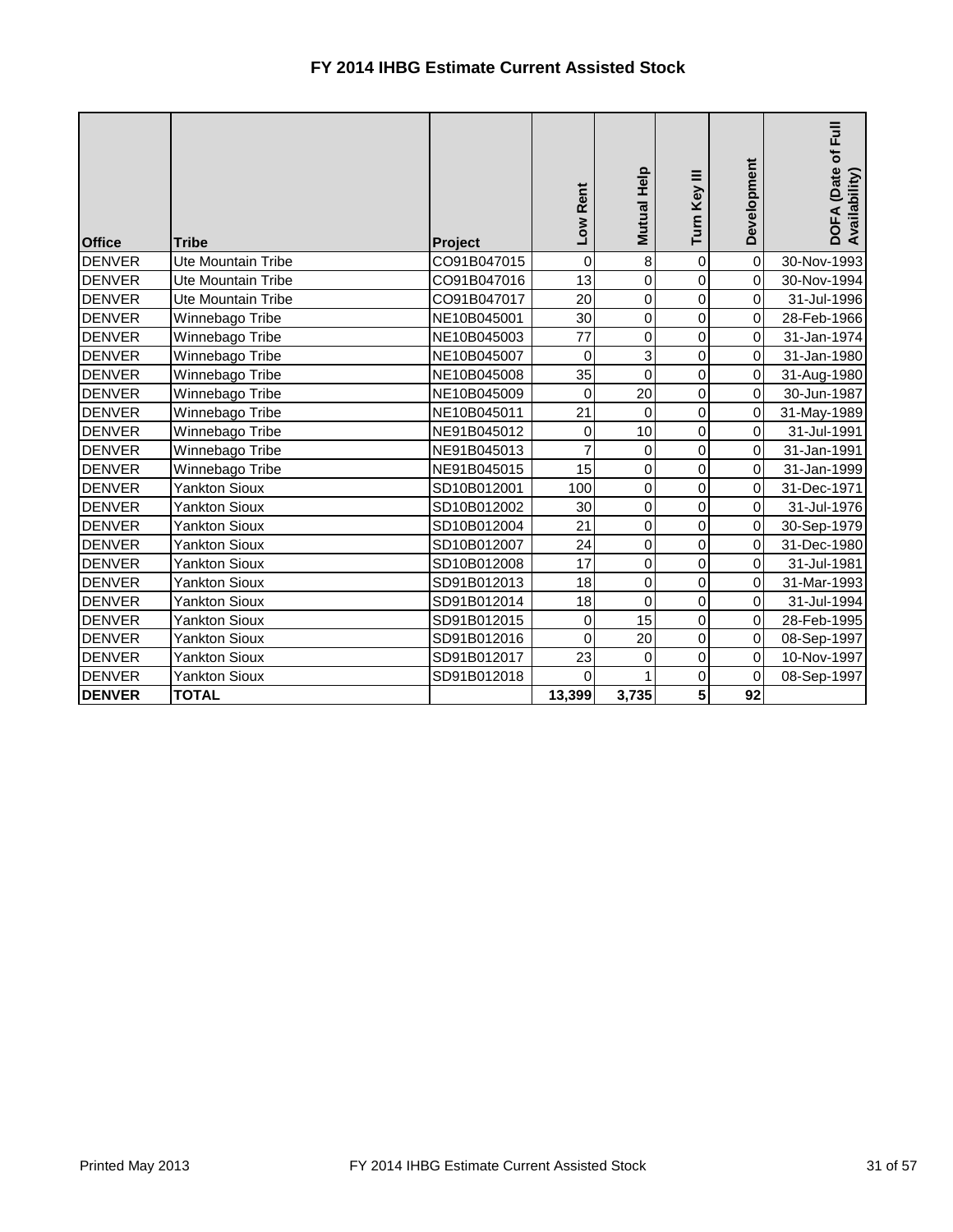| <b>Office</b> | <b>Tribe</b>         | Project     | Low Rent       | Mutual Help     | Turn Key III   | Development         | DOFA (Date of Full<br>Availability) |
|---------------|----------------------|-------------|----------------|-----------------|----------------|---------------------|-------------------------------------|
| <b>DENVER</b> | Ute Mountain Tribe   | CO91B047015 | $\mathbf 0$    | 8               | $\mathbf 0$    | $\mathsf{O}\xspace$ | 30-Nov-1993                         |
| <b>DENVER</b> | Ute Mountain Tribe   | CO91B047016 | 13             | 0               | 0              | $\pmb{0}$           | 30-Nov-1994                         |
| <b>DENVER</b> | Ute Mountain Tribe   | CO91B047017 | 20             | 0               | $\mathbf 0$    | $\pmb{0}$           | 31-Jul-1996                         |
| <b>DENVER</b> | Winnebago Tribe      | NE10B045001 | 30             | 0               | 0              | $\pmb{0}$           | 28-Feb-1966                         |
| <b>DENVER</b> | Winnebago Tribe      | NE10B045003 | 77             | 0               | 0              | $\pmb{0}$           | 31-Jan-1974                         |
| <b>DENVER</b> | Winnebago Tribe      | NE10B045007 | $\mathbf 0$    | $\overline{3}$  | 0              | $\mathsf{O}\xspace$ | 31-Jan-1980                         |
| <b>DENVER</b> | Winnebago Tribe      | NE10B045008 | 35             | 0               | 0              | $\mathsf{O}\xspace$ | 31-Aug-1980                         |
| <b>DENVER</b> | Winnebago Tribe      | NE10B045009 | $\mathbf 0$    | 20              | 0              | $\mathsf{O}\xspace$ | 30-Jun-1987                         |
| <b>DENVER</b> | Winnebago Tribe      | NE10B045011 | 21             | 0               | 0              | $\pmb{0}$           | 31-May-1989                         |
| <b>DENVER</b> | Winnebago Tribe      | NE91B045012 | 0              | 10              | 0              | $\pmb{0}$           | 31-Jul-1991                         |
| <b>DENVER</b> | Winnebago Tribe      | NE91B045013 | $\overline{7}$ | 0               | $\overline{0}$ | $\mathsf{O}\xspace$ | 31-Jan-1991                         |
| <b>DENVER</b> | Winnebago Tribe      | NE91B045015 | 15             | 0               | 0              | $\overline{0}$      | 31-Jan-1999                         |
| <b>DENVER</b> | <b>Yankton Sioux</b> | SD10B012001 | 100            | 0               | $\mathbf 0$    | $\pmb{0}$           | 31-Dec-1971                         |
| <b>DENVER</b> | <b>Yankton Sioux</b> | SD10B012002 | 30             | 0               | 0              | $\mathsf{O}\xspace$ | 31-Jul-1976                         |
| <b>DENVER</b> | <b>Yankton Sioux</b> | SD10B012004 | 21             | 0               | 0              | $\pmb{0}$           | 30-Sep-1979                         |
| <b>DENVER</b> | <b>Yankton Sioux</b> | SD10B012007 | 24             | 0               | $\overline{0}$ | $\pmb{0}$           | 31-Dec-1980                         |
| <b>DENVER</b> | <b>Yankton Sioux</b> | SD10B012008 | 17             | 0               | 0              | $\mathsf{O}\xspace$ | 31-Jul-1981                         |
| <b>DENVER</b> | <b>Yankton Sioux</b> | SD91B012013 | 18             | 0               | 0              | $\mathbf 0$         | 31-Mar-1993                         |
| <b>DENVER</b> | <b>Yankton Sioux</b> | SD91B012014 | 18             | 0               | $\mathbf 0$    | $\mathbf 0$         | 31-Jul-1994                         |
| <b>DENVER</b> | <b>Yankton Sioux</b> | SD91B012015 | $\pmb{0}$      | 15              | 0              | $\pmb{0}$           | 28-Feb-1995                         |
| <b>DENVER</b> | <b>Yankton Sioux</b> | SD91B012016 | $\mathbf 0$    | $\overline{20}$ | 0              | $\mathsf{O}\xspace$ | 08-Sep-1997                         |
| <b>DENVER</b> | <b>Yankton Sioux</b> | SD91B012017 | 23             | 0               | $\mathbf 0$    | $\pmb{0}$           | 10-Nov-1997                         |
| <b>DENVER</b> | <b>Yankton Sioux</b> | SD91B012018 | 0              |                 | $\overline{0}$ | $\mathbf 0$         | 08-Sep-1997                         |
| <b>DENVER</b> | <b>TOTAL</b>         |             | 13,399         | 3,735           | 5 <sup>1</sup> | 92                  |                                     |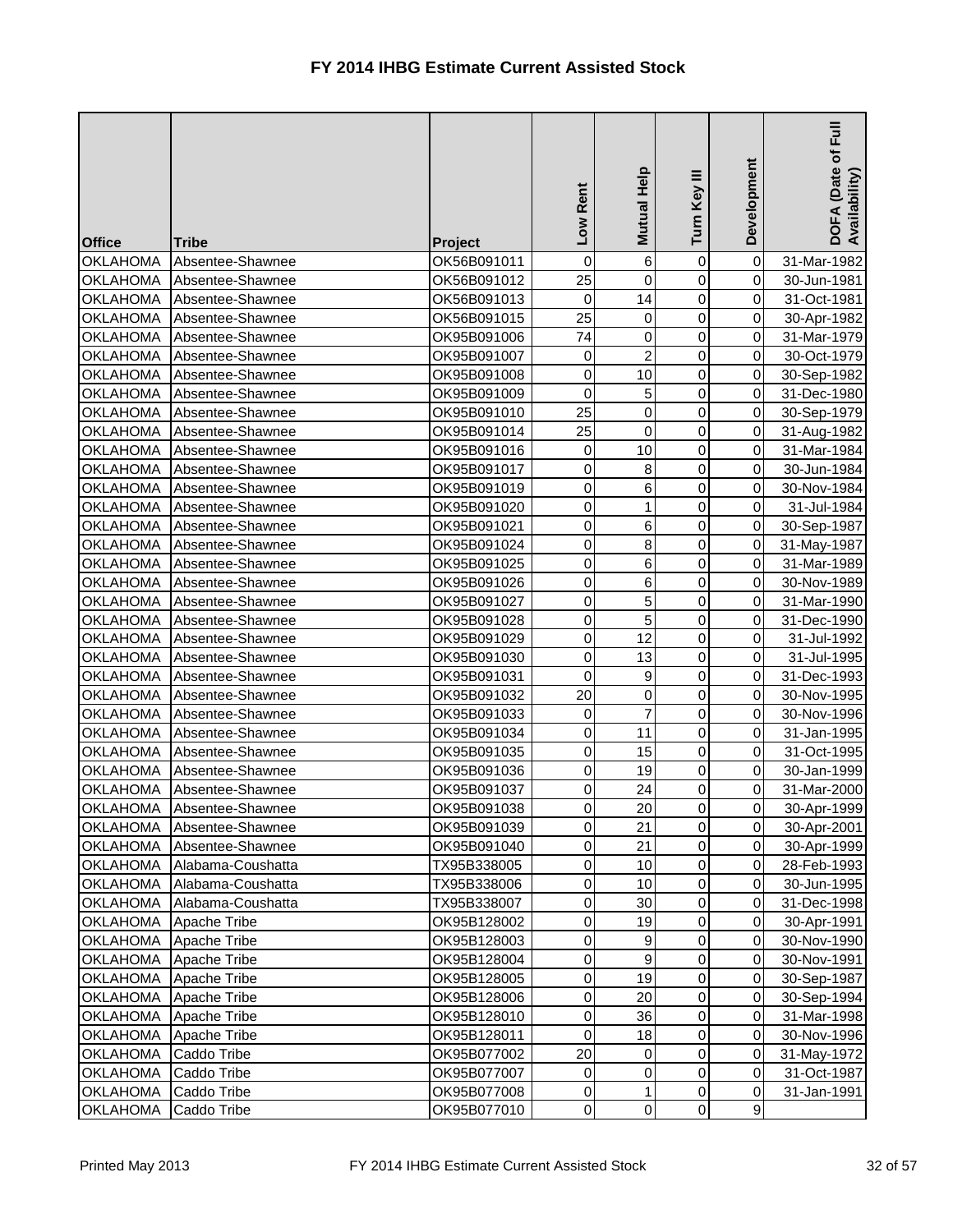| <b>Office</b>                      | <b>Tribe</b>                         | Project                    | Rent<br><b>NOT</b>     | Mutual Help    | Turn Key III   | Development                      | $E_{\rm H}$<br>DOFA (Date of I<br>Availability) |
|------------------------------------|--------------------------------------|----------------------------|------------------------|----------------|----------------|----------------------------------|-------------------------------------------------|
| <b>OKLAHOMA</b>                    | Absentee-Shawnee                     | OK56B091011                | 0                      | 6              | 0              | $\overline{0}$                   | 31-Mar-1982                                     |
| <b>OKLAHOMA</b>                    | Absentee-Shawnee                     | OK56B091012                | 25                     | $\overline{0}$ | $\mathbf 0$    | $\overline{0}$                   | 30-Jun-1981                                     |
| <b>OKLAHOMA</b>                    | Absentee-Shawnee                     | OK56B091013                | 0                      | 14             | 0              | $\overline{0}$                   | 31-Oct-1981                                     |
| <b>OKLAHOMA</b>                    | Absentee-Shawnee                     | OK56B091015                | 25                     | 0              | 0              | $\overline{0}$                   | 30-Apr-1982                                     |
| <b>OKLAHOMA</b>                    | Absentee-Shawnee                     | OK95B091006                | 74                     | 0              | 0              | $\overline{0}$                   | 31-Mar-1979                                     |
| <b>OKLAHOMA</b>                    | Absentee-Shawnee                     | OK95B091007                | 0                      | $\overline{2}$ | $\mathbf 0$    | $\overline{0}$                   | 30-Oct-1979                                     |
| <b>OKLAHOMA</b>                    | Absentee-Shawnee                     | OK95B091008                | 0                      | 10             | 0              | $\overline{0}$                   | 30-Sep-1982                                     |
| <b>OKLAHOMA</b>                    | Absentee-Shawnee                     | OK95B091009                | 0                      | 5              | 0              | $\overline{0}$                   | 31-Dec-1980                                     |
| <b>OKLAHOMA</b>                    | Absentee-Shawnee                     | OK95B091010                | 25                     | 0              | 0              | $\overline{0}$                   | 30-Sep-1979                                     |
| <b>OKLAHOMA</b>                    | Absentee-Shawnee                     | OK95B091014                | 25                     | 0              | 0              | $\overline{0}$                   | 31-Aug-1982                                     |
| <b>OKLAHOMA</b>                    | Absentee-Shawnee                     | OK95B091016                | 0                      | 10             | 0              | $\overline{0}$                   | 31-Mar-1984                                     |
| <b>OKLAHOMA</b>                    | Absentee-Shawnee                     | OK95B091017                | 0                      | 8              | 0              | $\overline{0}$                   | 30-Jun-1984                                     |
| <b>OKLAHOMA</b>                    | Absentee-Shawnee                     | OK95B091019                | 0                      | 6              | 0              | $\overline{0}$                   | 30-Nov-1984                                     |
| <b>OKLAHOMA</b>                    | Absentee-Shawnee                     | OK95B091020                | $\mathsf 0$            | 1              | 0              | $\overline{0}$                   | 31-Jul-1984                                     |
| <b>OKLAHOMA</b>                    | Absentee-Shawnee                     | OK95B091021                | 0                      | 6              | 0              | $\overline{0}$                   | 30-Sep-1987                                     |
| <b>OKLAHOMA</b>                    | Absentee-Shawnee                     | OK95B091024                | 0                      | 8              | 0              | $\overline{0}$                   | 31-May-1987                                     |
| <b>OKLAHOMA</b>                    | Absentee-Shawnee                     | OK95B091025                | $\mathsf 0$            | 6              | 0              | $\overline{0}$                   | 31-Mar-1989                                     |
| <b>OKLAHOMA</b>                    | Absentee-Shawnee                     | OK95B091026                | $\mathsf 0$            | 6              | 0              | $\overline{0}$                   | 30-Nov-1989                                     |
| <b>OKLAHOMA</b>                    | Absentee-Shawnee                     | OK95B091027                | $\mathsf 0$            | 5              | 0              | $\overline{0}$                   | 31-Mar-1990                                     |
| <b>OKLAHOMA</b>                    | Absentee-Shawnee                     | OK95B091028                | $\mathsf 0$            | 5              | 0              | $\overline{0}$                   | 31-Dec-1990                                     |
| <b>OKLAHOMA</b>                    | Absentee-Shawnee                     | OK95B091029                | 0                      | 12             | 0              | $\overline{0}$                   | 31-Jul-1992                                     |
| <b>OKLAHOMA</b>                    | Absentee-Shawnee                     | OK95B091030                | $\mathsf 0$            | 13             | 0              | $\overline{0}$                   | 31-Jul-1995                                     |
| <b>OKLAHOMA</b>                    | Absentee-Shawnee                     | OK95B091031                | $\mathbf 0$            | 9              | 0              | $\overline{0}$                   | 31-Dec-1993                                     |
| <b>OKLAHOMA</b>                    | Absentee-Shawnee                     | OK95B091032                | 20                     | 0              | 0              | $\overline{0}$                   | 30-Nov-1995                                     |
| <b>OKLAHOMA</b>                    | Absentee-Shawnee                     | OK95B091033                | 0                      | 7              | 0              | $\overline{0}$                   | 30-Nov-1996                                     |
| <b>OKLAHOMA</b>                    | Absentee-Shawnee                     | OK95B091034                | $\overline{0}$         | 11             | $\overline{0}$ | 0                                | 31-Jan-1995                                     |
| <b>OKLAHOMA</b>                    | Absentee-Shawnee                     | OK95B091035                | $\mathbf 0$            | 15             | $\overline{0}$ | $\overline{0}$                   | 31-Oct-1995                                     |
| <b>OKLAHOMA</b>                    | Absentee-Shawnee                     | OK95B091036                | 0                      | 19             | $\overline{0}$ | $\overline{0}$                   | 30-Jan-1999                                     |
| <b>OKLAHOMA</b>                    | Absentee-Shawnee                     | OK95B091037                | $\pmb{0}$<br>$\pmb{0}$ | 24<br>20       | 0              | $\overline{0}$<br>$\overline{O}$ | 31-Mar-2000                                     |
| <b>OKLAHOMA</b><br><b>OKLAHOMA</b> | Absentee-Shawnee<br>Absentee-Shawnee | OK95B091038                | $\pmb{0}$              | 21             | 0<br>0         | $\overline{O}$                   | 30-Apr-1999                                     |
| <b>OKLAHOMA</b>                    | Absentee-Shawnee                     | OK95B091039<br>OK95B091040 | $\pmb{0}$              | 21             | 0              | $\overline{0}$                   | 30-Apr-2001                                     |
| <b>OKLAHOMA</b>                    | Alabama-Coushatta                    | TX95B338005                | $\pmb{0}$              | 10             | 0              | $\overline{0}$                   | 30-Apr-1999<br>28-Feb-1993                      |
| <b>OKLAHOMA</b>                    | Alabama-Coushatta                    | TX95B338006                | $\pmb{0}$              | 10             | $\overline{0}$ | $\overline{O}$                   | 30-Jun-1995                                     |
| <b>OKLAHOMA</b>                    | Alabama-Coushatta                    | TX95B338007                | 0                      | 30             | 0              | $\overline{O}$                   | 31-Dec-1998                                     |
| <b>OKLAHOMA</b>                    | Apache Tribe                         | OK95B128002                | $\pmb{0}$              | 19             | 0              | $\overline{0}$                   | 30-Apr-1991                                     |
| <b>OKLAHOMA</b>                    | Apache Tribe                         | OK95B128003                | $\pmb{0}$              | 9              | 0              | $\overline{0}$                   | 30-Nov-1990                                     |
| <b>OKLAHOMA</b>                    | Apache Tribe                         | OK95B128004                | $\pmb{0}$              | 9              | 0              | $\overline{0}$                   | 30-Nov-1991                                     |
| <b>OKLAHOMA</b>                    | Apache Tribe                         | OK95B128005                | $\mathsf 0$            | 19             | 0              | $\overline{0}$                   | 30-Sep-1987                                     |
| <b>OKLAHOMA</b>                    | Apache Tribe                         | OK95B128006                | $\pmb{0}$              | 20             | 0              | $\overline{0}$                   | 30-Sep-1994                                     |
| <b>OKLAHOMA</b>                    | Apache Tribe                         | OK95B128010                | $\pmb{0}$              | 36             | 0              | $\overline{0}$                   | 31-Mar-1998                                     |
| <b>OKLAHOMA</b>                    | Apache Tribe                         | OK95B128011                | $\pmb{0}$              | 18             | 0              | $\overline{O}$                   | 30-Nov-1996                                     |
| <b>OKLAHOMA</b>                    | Caddo Tribe                          | OK95B077002                | 20                     | 0              | 0              | $\overline{0}$                   | 31-May-1972                                     |
| <b>OKLAHOMA</b>                    | Caddo Tribe                          | OK95B077007                | 0                      | $\overline{0}$ | 0              | $\overline{0}$                   | 31-Oct-1987                                     |
| <b>OKLAHOMA</b>                    | Caddo Tribe                          | OK95B077008                | $\mathbf 0$            | 1              | 0              | $\overline{0}$                   | 31-Jan-1991                                     |
| <b>OKLAHOMA</b>                    | Caddo Tribe                          | OK95B077010                | $\overline{0}$         | $\overline{0}$ | $\overline{0}$ | 9                                |                                                 |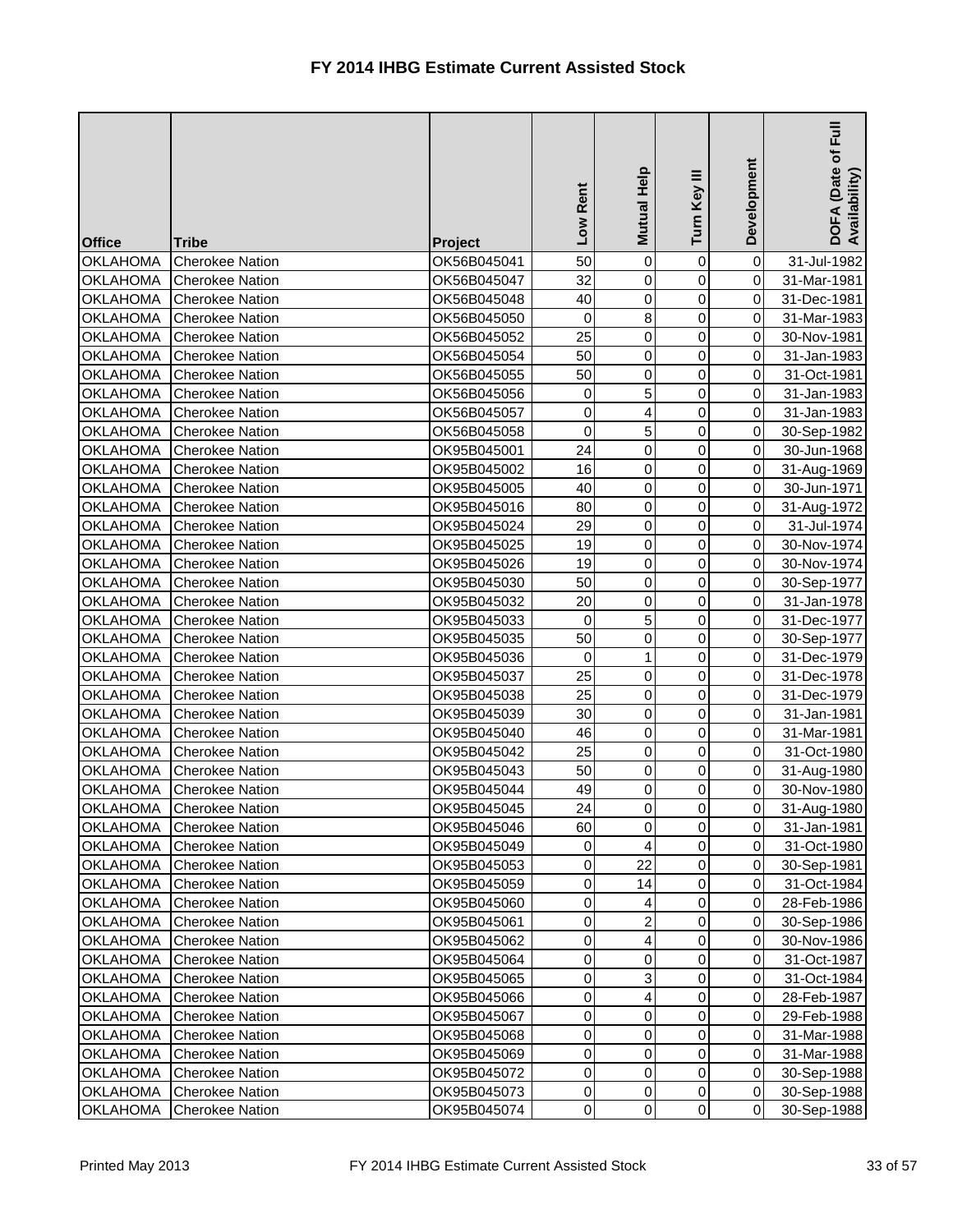| <b>Office</b>                      | <b>Tribe</b>                                     | Project                    | Rent<br>Low    | Mutual Help                      | Turn Key III   | Development                      | $E_{\rm H}$<br>DOFA (Date of I<br>Availability) |
|------------------------------------|--------------------------------------------------|----------------------------|----------------|----------------------------------|----------------|----------------------------------|-------------------------------------------------|
| <b>OKLAHOMA</b>                    | <b>Cherokee Nation</b>                           | OK56B045041                | 50             | 0                                | $\mathbf 0$    | $\overline{0}$                   | 31-Jul-1982                                     |
| <b>OKLAHOMA</b>                    | <b>Cherokee Nation</b>                           | OK56B045047                | 32             | $\mathbf 0$                      | $\mathbf 0$    | $\overline{0}$                   | 31-Mar-1981                                     |
| <b>OKLAHOMA</b>                    | <b>Cherokee Nation</b>                           | OK56B045048                | 40             | $\overline{0}$                   | 0              | $\overline{0}$                   | 31-Dec-1981                                     |
| <b>OKLAHOMA</b>                    | <b>Cherokee Nation</b>                           | OK56B045050                | 0              | 8                                | 0              | $\overline{0}$                   | 31-Mar-1983                                     |
| <b>OKLAHOMA</b>                    | <b>Cherokee Nation</b>                           | OK56B045052                | 25             | 0                                | $\mathbf 0$    | $\overline{0}$                   | 30-Nov-1981                                     |
| <b>OKLAHOMA</b>                    | <b>Cherokee Nation</b>                           | OK56B045054                | 50             | $\mathbf 0$                      | $\overline{0}$ | $\overline{0}$                   | 31-Jan-1983                                     |
| <b>OKLAHOMA</b>                    | <b>Cherokee Nation</b>                           | OK56B045055                | 50             | $\overline{0}$                   | 0              | $\overline{0}$                   | 31-Oct-1981                                     |
| <b>OKLAHOMA</b>                    | <b>Cherokee Nation</b>                           | OK56B045056                | 0              | 5                                | 0              | $\overline{0}$                   | 31-Jan-1983                                     |
| <b>OKLAHOMA</b>                    | <b>Cherokee Nation</b>                           | OK56B045057                | 0              | 4                                | 0              | $\overline{0}$                   | 31-Jan-1983                                     |
| <b>OKLAHOMA</b>                    | <b>Cherokee Nation</b>                           | OK56B045058                | 0              | 5                                | 0              | $\overline{0}$                   | 30-Sep-1982                                     |
| <b>OKLAHOMA</b>                    | <b>Cherokee Nation</b>                           | OK95B045001                | 24             | $\overline{0}$                   | 0              | $\overline{0}$                   | 30-Jun-1968                                     |
| <b>OKLAHOMA</b>                    | <b>Cherokee Nation</b>                           | OK95B045002                | 16             | $\overline{0}$                   | $\overline{0}$ | $\overline{0}$                   | 31-Aug-1969                                     |
| <b>OKLAHOMA</b>                    | <b>Cherokee Nation</b>                           | OK95B045005                | 40             | $\mathbf 0$                      | 0              | $\overline{0}$                   | 30-Jun-1971                                     |
| <b>OKLAHOMA</b>                    | <b>Cherokee Nation</b>                           | OK95B045016                | 80             | $\mathbf 0$                      | 0              | $\overline{0}$                   | 31-Aug-1972                                     |
| <b>OKLAHOMA</b>                    | <b>Cherokee Nation</b>                           | OK95B045024                | 29             | $\mathbf 0$                      | 0              | $\overline{0}$                   | 31-Jul-1974                                     |
| <b>OKLAHOMA</b>                    | <b>Cherokee Nation</b>                           | OK95B045025                | 19             | $\overline{0}$                   | 0              | $\overline{0}$                   | 30-Nov-1974                                     |
| <b>OKLAHOMA</b>                    | <b>Cherokee Nation</b>                           | OK95B045026                | 19             | 0                                | 0              | $\overline{0}$                   | 30-Nov-1974                                     |
| <b>OKLAHOMA</b>                    | <b>Cherokee Nation</b>                           | OK95B045030                | 50             | $\mathbf 0$                      | 0              | $\overline{0}$                   | 30-Sep-1977                                     |
| <b>OKLAHOMA</b>                    | <b>Cherokee Nation</b>                           | OK95B045032                | 20             | $\overline{0}$                   | 0              | $\overline{0}$                   | 31-Jan-1978                                     |
| <b>OKLAHOMA</b>                    | <b>Cherokee Nation</b>                           | OK95B045033                | 0              | 5                                | 0              | $\overline{0}$                   | 31-Dec-1977                                     |
| <b>OKLAHOMA</b>                    | <b>Cherokee Nation</b>                           | OK95B045035                | 50             | 0                                | 0              | $\overline{0}$                   | 30-Sep-1977                                     |
| <b>OKLAHOMA</b>                    | <b>Cherokee Nation</b>                           | OK95B045036                | 0              | 1                                | 0              | $\overline{0}$                   | 31-Dec-1979                                     |
| <b>OKLAHOMA</b>                    | <b>Cherokee Nation</b>                           | OK95B045037                | 25             | $\overline{0}$                   | 0              | $\overline{0}$                   | 31-Dec-1978                                     |
| <b>OKLAHOMA</b>                    | <b>Cherokee Nation</b>                           | OK95B045038                | 25             | $\overline{0}$                   | 0              | $\overline{0}$                   | 31-Dec-1979                                     |
| <b>OKLAHOMA</b>                    | <b>Cherokee Nation</b>                           | OK95B045039                | 30             | 0                                | 0              | $\overline{0}$                   | 31-Jan-1981                                     |
| <b>OKLAHOMA</b>                    | <b>Cherokee Nation</b>                           | OK95B045040                | 46             | $\overline{0}$                   | $\overline{0}$ | 0                                | 31-Mar-1981                                     |
| <b>OKLAHOMA</b>                    | Cherokee Nation                                  | OK95B045042                | 25             | $\overline{0}$                   | $\overline{0}$ | $\overline{0}$                   | 31-Oct-1980                                     |
| <b>OKLAHOMA</b>                    | <b>Cherokee Nation</b>                           | OK95B045043                | 50             | 0                                | 0              | $\overline{0}$                   | 31-Aug-1980                                     |
| <b>OKLAHOMA</b>                    | <b>Cherokee Nation</b>                           | OK95B045044                | 49             | 0                                | 0              | $\overline{0}$                   | 30-Nov-1980                                     |
| <b>OKLAHOMA</b>                    | <b>Cherokee Nation</b>                           | OK95B045045                | 24             | 0                                | 0              | $\overline{0}$                   | 31-Aug-1980                                     |
| <b>OKLAHOMA</b>                    | <b>Cherokee Nation</b>                           | OK95B045046                | 60             | 0                                | 0              | $\overline{O}$                   | 31-Jan-1981                                     |
| <b>OKLAHOMA</b>                    | <b>Cherokee Nation</b>                           | OK95B045049                | 0              | 4                                | 0              | $\overline{0}$                   | 31-Oct-1980                                     |
| <b>OKLAHOMA</b>                    | <b>Cherokee Nation</b>                           | OK95B045053                | $\pmb{0}$      | 22                               | 0              | $\overline{0}$                   | 30-Sep-1981                                     |
| <b>OKLAHOMA</b>                    | <b>Cherokee Nation</b>                           | OK95B045059                | $\pmb{0}$      | 14                               | $\overline{0}$ | $\overline{O}$                   | 31-Oct-1984                                     |
| <b>OKLAHOMA</b>                    | <b>Cherokee Nation</b>                           | OK95B045060                | 0              |                                  | 0              | $\overline{O}$                   | 28-Feb-1986                                     |
| <b>OKLAHOMA</b>                    | <b>Cherokee Nation</b>                           | OK95B045061                | $\pmb{0}$      | $\overline{2}$                   | 0              | $\overline{0}$                   | 30-Sep-1986                                     |
| <b>OKLAHOMA</b>                    | <b>Cherokee Nation</b>                           | OK95B045062                | 0              | 4                                | 0              | $\overline{0}$                   | 30-Nov-1986                                     |
| <b>OKLAHOMA</b>                    | <b>Cherokee Nation</b>                           | OK95B045064                | $\pmb{0}$      | 0                                | 0              | $\overline{0}$                   | 31-Oct-1987                                     |
| <b>OKLAHOMA</b>                    | <b>Cherokee Nation</b>                           | OK95B045065                | $\mathsf 0$    | 3                                | 0              | $\overline{0}$                   | 31-Oct-1984                                     |
| <b>OKLAHOMA</b>                    | <b>Cherokee Nation</b>                           | OK95B045066                | 0              | 4                                | 0              | $\overline{0}$                   | 28-Feb-1987                                     |
| <b>OKLAHOMA</b>                    | <b>Cherokee Nation</b>                           | OK95B045067                | 0              | 0                                | 0              | $\overline{0}$                   | 29-Feb-1988                                     |
| <b>OKLAHOMA</b>                    | <b>Cherokee Nation</b>                           | OK95B045068                | $\pmb{0}$      | 0                                | 0              | $\overline{0}$<br>$\overline{0}$ | 31-Mar-1988                                     |
| <b>OKLAHOMA</b>                    | <b>Cherokee Nation</b>                           | OK95B045069                | 0              | 0                                | 0              |                                  | 31-Mar-1988                                     |
| <b>OKLAHOMA</b><br><b>OKLAHOMA</b> | <b>Cherokee Nation</b><br><b>Cherokee Nation</b> | OK95B045072<br>OK95B045073 | 0<br>$\pmb{0}$ | $\overline{0}$<br>$\overline{0}$ | 0<br>0         | $\overline{0}$<br>$\overline{0}$ | 30-Sep-1988                                     |
| <b>OKLAHOMA</b>                    | <b>Cherokee Nation</b>                           | OK95B045074                | $\pmb{0}$      | $\overline{0}$                   | $\overline{0}$ | $\overline{O}$                   | 30-Sep-1988<br>30-Sep-1988                      |
|                                    |                                                  |                            |                |                                  |                |                                  |                                                 |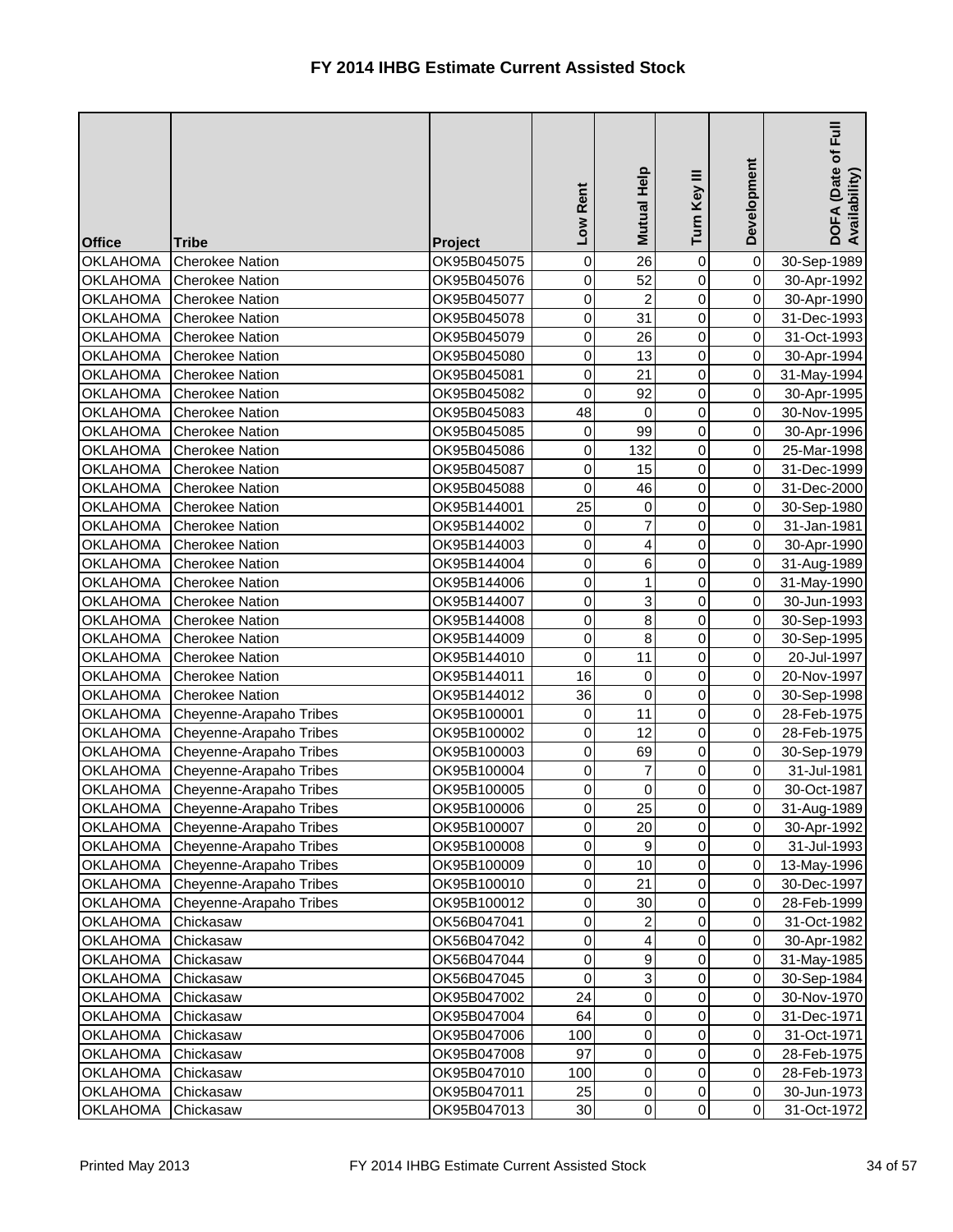| <b>Office</b>   | <b>Tribe</b>            | Project     | Rent<br><b>NOT</b> | Mutual Help    | Turn Key III   | Development    | $E_{\rm H}$<br>DOFA (Date of I<br>Availability) |
|-----------------|-------------------------|-------------|--------------------|----------------|----------------|----------------|-------------------------------------------------|
| <b>OKLAHOMA</b> | <b>Cherokee Nation</b>  | OK95B045075 | 0                  | 26             | 0              | $\overline{0}$ | 30-Sep-1989                                     |
| <b>OKLAHOMA</b> | <b>Cherokee Nation</b>  | OK95B045076 | 0                  | 52             | $\mathbf 0$    | $\overline{0}$ | 30-Apr-1992                                     |
| <b>OKLAHOMA</b> | <b>Cherokee Nation</b>  | OK95B045077 | 0                  | $\overline{2}$ | 0              | $\overline{0}$ | 30-Apr-1990                                     |
| <b>OKLAHOMA</b> | <b>Cherokee Nation</b>  | OK95B045078 | 0                  | 31             | 0              | $\overline{0}$ | 31-Dec-1993                                     |
| <b>OKLAHOMA</b> | <b>Cherokee Nation</b>  | OK95B045079 | 0                  | 26             | 0              | $\overline{0}$ | 31-Oct-1993                                     |
| <b>OKLAHOMA</b> | <b>Cherokee Nation</b>  | OK95B045080 | $\mathsf 0$        | 13             | $\overline{0}$ | $\overline{0}$ | 30-Apr-1994                                     |
| <b>OKLAHOMA</b> | <b>Cherokee Nation</b>  | OK95B045081 | 0                  | 21             | 0              | $\overline{0}$ | 31-May-1994                                     |
| <b>OKLAHOMA</b> | <b>Cherokee Nation</b>  | OK95B045082 | 0                  | 92             | 0              | $\overline{0}$ | 30-Apr-1995                                     |
| <b>OKLAHOMA</b> | <b>Cherokee Nation</b>  | OK95B045083 | 48                 | 0              | 0              | $\overline{0}$ | 30-Nov-1995                                     |
| <b>OKLAHOMA</b> | <b>Cherokee Nation</b>  | OK95B045085 | 0                  | 99             | 0              | $\overline{0}$ | 30-Apr-1996                                     |
| <b>OKLAHOMA</b> | <b>Cherokee Nation</b>  | OK95B045086 | 0                  | 132            | 0              | $\overline{0}$ | 25-Mar-1998                                     |
| <b>OKLAHOMA</b> | <b>Cherokee Nation</b>  | OK95B045087 | $\mathsf 0$        | 15             | $\overline{0}$ | $\overline{0}$ | 31-Dec-1999                                     |
| <b>OKLAHOMA</b> | <b>Cherokee Nation</b>  | OK95B045088 | 0                  | 46             | 0              | $\overline{0}$ | 31-Dec-2000                                     |
| <b>OKLAHOMA</b> | <b>Cherokee Nation</b>  | OK95B144001 | 25                 | 0              | 0              | $\overline{0}$ | 30-Sep-1980                                     |
| <b>OKLAHOMA</b> | <b>Cherokee Nation</b>  | OK95B144002 | 0                  | 7              | 0              | $\overline{0}$ | 31-Jan-1981                                     |
| <b>OKLAHOMA</b> | <b>Cherokee Nation</b>  | OK95B144003 | 0                  | 4              | 0              | $\overline{0}$ | 30-Apr-1990                                     |
| <b>OKLAHOMA</b> | <b>Cherokee Nation</b>  | OK95B144004 | $\mathsf 0$        | 6              | 0              | $\overline{0}$ | 31-Aug-1989                                     |
| <b>OKLAHOMA</b> | <b>Cherokee Nation</b>  | OK95B144006 | $\mathsf 0$        | 1              | 0              | $\overline{0}$ | 31-May-1990                                     |
| <b>OKLAHOMA</b> | <b>Cherokee Nation</b>  | OK95B144007 | 0                  | 3              | 0              | $\overline{0}$ | 30-Jun-1993                                     |
| <b>OKLAHOMA</b> | <b>Cherokee Nation</b>  | OK95B144008 | $\mathsf 0$        | 8              | 0              | $\overline{0}$ | 30-Sep-1993                                     |
| <b>OKLAHOMA</b> | <b>Cherokee Nation</b>  | OK95B144009 | 0                  | 8              | 0              | $\overline{0}$ | 30-Sep-1995                                     |
| <b>OKLAHOMA</b> | <b>Cherokee Nation</b>  | OK95B144010 | 0                  | 11             | 0              | $\overline{0}$ | 20-Jul-1997                                     |
| <b>OKLAHOMA</b> | <b>Cherokee Nation</b>  | OK95B144011 | 16                 | 0              | 0              | $\overline{0}$ | 20-Nov-1997                                     |
| <b>OKLAHOMA</b> | <b>Cherokee Nation</b>  | OK95B144012 | 36                 | $\mathbf 0$    | 0              | $\overline{0}$ | 30-Sep-1998                                     |
| <b>OKLAHOMA</b> | Cheyenne-Arapaho Tribes | OK95B100001 | 0                  | 11             | 0              | $\overline{0}$ | 28-Feb-1975                                     |
| <b>OKLAHOMA</b> | Cheyenne-Arapaho Tribes | OK95B100002 | $\overline{0}$     | 12             | $\overline{0}$ | 0              | 28-Feb-1975                                     |
| <b>OKLAHOMA</b> | Cheyenne-Arapaho Tribes | OK95B100003 | $\pmb{0}$          | 69             | $\overline{0}$ | $\overline{O}$ | 30-Sep-1979                                     |
| <b>OKLAHOMA</b> | Cheyenne-Arapaho Tribes | OK95B100004 | 0                  | 7              | 0              | $\overline{0}$ | 31-Jul-1981                                     |
| <b>OKLAHOMA</b> | Cheyenne-Arapaho Tribes | OK95B100005 | $\pmb{0}$          | 0              | 0              | $\overline{0}$ | 30-Oct-1987                                     |
| <b>OKLAHOMA</b> | Cheyenne-Arapaho Tribes | OK95B100006 | $\pmb{0}$          | 25             | 0              | $\overline{0}$ | 31-Aug-1989                                     |
| <b>OKLAHOMA</b> | Cheyenne-Arapaho Tribes | OK95B100007 | 0                  | 20             | 0              | $\overline{O}$ | 30-Apr-1992                                     |
| <b>OKLAHOMA</b> | Cheyenne-Arapaho Tribes | OK95B100008 | $\pmb{0}$          | 9              | 0              | $\overline{O}$ | 31-Jul-1993                                     |
| <b>OKLAHOMA</b> | Cheyenne-Arapaho Tribes | OK95B100009 | $\pmb{0}$          | 10             | 0              | $\overline{0}$ | 13-May-1996                                     |
| <b>OKLAHOMA</b> | Cheyenne-Arapaho Tribes | OK95B100010 | $\pmb{0}$          | 21             | $\overline{0}$ | $\overline{0}$ | 30-Dec-1997                                     |
| <b>OKLAHOMA</b> | Cheyenne-Arapaho Tribes | OK95B100012 | 0                  | 30             | 0              | $\overline{0}$ | 28-Feb-1999                                     |
| <b>OKLAHOMA</b> | Chickasaw               | OK56B047041 | $\pmb{0}$          | 2              | 0              | $\overline{0}$ | 31-Oct-1982                                     |
| <b>OKLAHOMA</b> | Chickasaw               | OK56B047042 | $\pmb{0}$          | 4              | 0              | $\overline{O}$ | 30-Apr-1982                                     |
| <b>OKLAHOMA</b> | Chickasaw               | OK56B047044 | $\pmb{0}$          | 9              | 0              | $\overline{0}$ | 31-May-1985                                     |
| <b>OKLAHOMA</b> | Chickasaw               | OK56B047045 | $\mathbf 0$        | 3              | 0              | $\overline{0}$ | 30-Sep-1984                                     |
| <b>OKLAHOMA</b> | Chickasaw               | OK95B047002 | 24                 | $\overline{0}$ | 0              | $\overline{0}$ | 30-Nov-1970                                     |
| <b>OKLAHOMA</b> | Chickasaw               | OK95B047004 | 64                 | 0              | 0              | $\overline{0}$ | 31-Dec-1971                                     |
| <b>OKLAHOMA</b> | Chickasaw               | OK95B047006 | 100                | 0              | 0              | $\overline{0}$ | 31-Oct-1971                                     |
| <b>OKLAHOMA</b> | Chickasaw               | OK95B047008 | 97                 | $\mathbf 0$    | 0              | $\overline{0}$ | 28-Feb-1975                                     |
| <b>OKLAHOMA</b> | Chickasaw               | OK95B047010 | 100                | $\overline{0}$ | 0              | $\overline{0}$ | 28-Feb-1973                                     |
| <b>OKLAHOMA</b> | Chickasaw               | OK95B047011 | 25                 | $\overline{0}$ | 0              | $\overline{0}$ | 30-Jun-1973                                     |
| <b>OKLAHOMA</b> | Chickasaw               | OK95B047013 | 30                 | $\overline{0}$ | $\overline{0}$ | $\overline{O}$ | 31-Oct-1972                                     |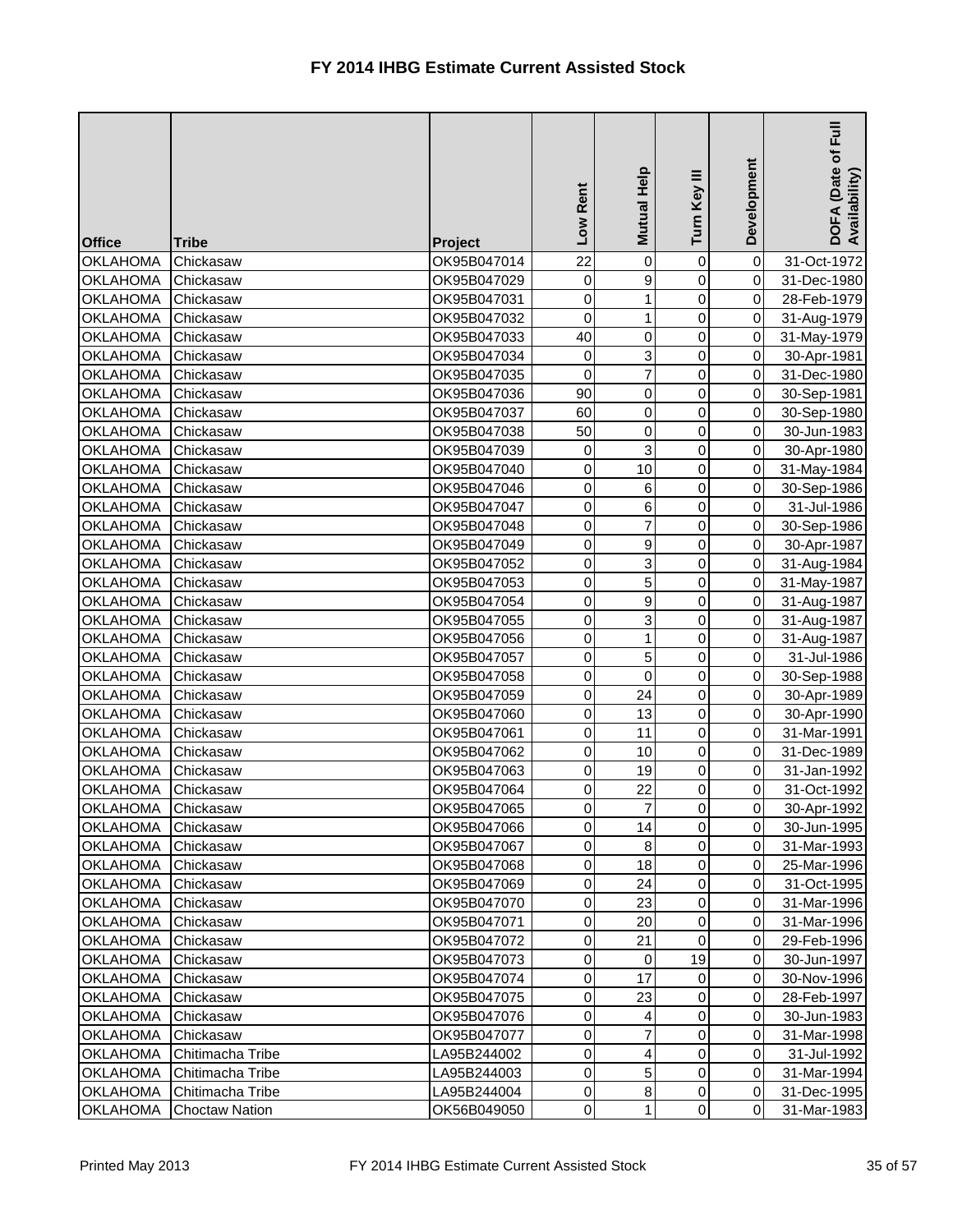| Development<br>Mutual Help<br>Turn Key III<br>Rent<br>Low<br><b>Office</b><br><b>Tribe</b><br>Project                                                | 目<br>Eul<br>DOFA (Date of I<br>Availability) |
|------------------------------------------------------------------------------------------------------------------------------------------------------|----------------------------------------------|
| 22<br>$\overline{0}$<br><b>OKLAHOMA</b><br>0<br>Chickasaw<br>OK95B047014<br>0                                                                        | 31-Oct-1972                                  |
| 0<br>9<br>$\mathbf 0$<br>$\overline{0}$<br><b>OKLAHOMA</b><br>Chickasaw<br>OK95B047029                                                               | 31-Dec-1980                                  |
| 0<br>0<br>$\overline{0}$<br><b>OKLAHOMA</b><br>1<br>Chickasaw<br>OK95B047031                                                                         | 28-Feb-1979                                  |
| $\mathbf 0$<br>$\overline{0}$<br><b>OKLAHOMA</b><br>0<br>Chickasaw<br>OK95B047032<br>1                                                               | 31-Aug-1979                                  |
| 40<br>0<br>$\overline{0}$<br>0<br><b>OKLAHOMA</b><br>Chickasaw<br>OK95B047033                                                                        | 31-May-1979                                  |
| 3<br>0<br>$\mathbf 0$<br>$\overline{0}$<br><b>OKLAHOMA</b><br>OK95B047034<br>Chickasaw                                                               | 30-Apr-1981                                  |
| $\overline{7}$<br>$\mathbf 0$<br>0<br>$\overline{0}$<br><b>OKLAHOMA</b><br>OK95B047035<br>Chickasaw                                                  | 31-Dec-1980                                  |
| 90<br>0<br>0<br>$\overline{0}$<br><b>OKLAHOMA</b><br>Chickasaw<br>OK95B047036                                                                        | 30-Sep-1981                                  |
| 0<br>$\overline{0}$<br>OK95B047037<br>60<br>0<br><b>OKLAHOMA</b><br>Chickasaw                                                                        | 30-Sep-1980                                  |
| $\mathbf 0$<br>$\overline{0}$<br>50<br>0<br><b>OKLAHOMA</b><br>Chickasaw<br>OK95B047038                                                              | 30-Jun-1983                                  |
| $\overline{3}$<br>$\mathbf 0$<br>$\overline{0}$<br>0<br><b>OKLAHOMA</b><br>Chickasaw<br>OK95B047039                                                  | 30-Apr-1980                                  |
| 10<br>$\overline{0}$<br>0<br>$\overline{0}$<br><b>OKLAHOMA</b><br>Chickasaw<br>OK95B047040                                                           | 31-May-1984                                  |
| 0<br>$\overline{0}$<br><b>OKLAHOMA</b><br>OK95B047046<br>6<br>0<br>Chickasaw                                                                         | 30-Sep-1986                                  |
| 0<br><b>OKLAHOMA</b><br>OK95B047047<br>6<br>0<br>$\overline{0}$<br>Chickasaw                                                                         | 31-Jul-1986                                  |
| $\overline{7}$<br>0<br>$\overline{0}$<br><b>OKLAHOMA</b><br>OK95B047048<br>0<br>Chickasaw                                                            | 30-Sep-1986                                  |
| 9<br>0<br>$\overline{0}$<br><b>OKLAHOMA</b><br>Chickasaw<br>OK95B047049<br>0                                                                         | 30-Apr-1987                                  |
| $\mathsf 0$<br>3<br>$\overline{0}$<br><b>OKLAHOMA</b><br>OK95B047052<br>0<br>Chickasaw                                                               | 31-Aug-1984                                  |
| 5<br>$\mathsf 0$<br><b>OKLAHOMA</b><br>0<br>$\overline{0}$<br>Chickasaw<br>OK95B047053                                                               | 31-May-1987                                  |
| $\mathsf 0$<br>9<br>$\overline{0}$<br>$\mathbf 0$<br><b>OKLAHOMA</b><br>Chickasaw<br>OK95B047054                                                     | 31-Aug-1987                                  |
| 3<br>$\mathsf 0$<br><b>OKLAHOMA</b><br>0<br>$\overline{0}$<br>Chickasaw<br>OK95B047055                                                               | 31-Aug-1987                                  |
| 0<br>$\overline{0}$<br><b>OKLAHOMA</b><br>0<br>Chickasaw<br>OK95B047056                                                                              | 31-Aug-1987                                  |
| 5<br>$\pmb{0}$<br><b>OKLAHOMA</b><br>0<br>$\overline{0}$<br>Chickasaw<br>OK95B047057                                                                 | 31-Jul-1986                                  |
| $\pmb{0}$<br>$\overline{0}$<br>$\overline{0}$<br>0<br><b>OKLAHOMA</b><br>Chickasaw<br>OK95B047058                                                    | 30-Sep-1988                                  |
| $\pmb{0}$<br>24<br>0<br>$\overline{0}$<br><b>OKLAHOMA</b><br>OK95B047059<br>Chickasaw                                                                | 30-Apr-1989                                  |
| <b>OKLAHOMA</b><br>Chickasaw<br>OK95B047060<br>0<br>13<br>$\overline{0}$<br>0                                                                        | 30-Apr-1990                                  |
| 11<br>$\overline{0}$<br>$\overline{0}$<br> 0 <br><b>OKLAHOMA</b><br>Chickasaw<br>OK95B047061                                                         | 31-Mar-1991                                  |
| $\mathbf 0$<br>10<br>$\overline{0}$<br>$\overline{0}$<br><b>OKLAHOMA</b><br>OK95B047062<br>Chickasaw                                                 | 31-Dec-1989                                  |
| 0<br>19<br><b>OKLAHOMA</b><br>0<br>$\overline{0}$<br>Chickasaw<br>OK95B047063<br>$\pmb{0}$<br>22                                                     | 31-Jan-1992                                  |
| <b>OKLAHOMA</b><br>OK95B047064<br>0<br>$\overline{0}$<br>Chickasaw<br><b>OKLAHOMA</b><br>$\pmb{0}$<br>7<br>$\Omega$<br>$\overline{O}$<br>OK95B047065 | 31-Oct-1992                                  |
| Chickasaw<br>$\pmb{0}$<br><b>OKLAHOMA</b><br>14<br>0<br>$\overline{O}$<br>Chickasaw<br>OK95B047066                                                   | 30-Apr-1992                                  |
| $\pmb{0}$<br>$\bf 8$<br>0<br>$\overline{0}$<br><b>OKLAHOMA</b><br>Chickasaw<br>OK95B047067                                                           | 30-Jun-1995<br>31-Mar-1993                   |
| $\pmb{0}$<br>18<br>$\overline{0}$<br><b>OKLAHOMA</b><br>OK95B047068<br>0<br>Chickasaw                                                                | 25-Mar-1996                                  |
| <b>OKLAHOMA</b><br>$\pmb{0}$<br>24<br>0<br>$\overline{O}$<br>Chickasaw<br>OK95B047069                                                                | 31-Oct-1995                                  |
| 0<br>23<br><b>OKLAHOMA</b><br>$\Omega$<br>$\overline{O}$<br>Chickasaw<br>OK95B047070                                                                 | 31-Mar-1996                                  |
| $\pmb{0}$<br>20<br><b>OKLAHOMA</b><br>0<br>$\overline{0}$<br>Chickasaw<br>OK95B047071                                                                | 31-Mar-1996                                  |
| $\pmb{0}$<br>21<br>$\overline{0}$<br><b>OKLAHOMA</b><br>OK95B047072<br>0<br>Chickasaw                                                                | 29-Feb-1996                                  |
| $\pmb{0}$<br>0<br>19<br><b>OKLAHOMA</b><br>OK95B047073<br>$\overline{0}$<br>Chickasaw                                                                | 30-Jun-1997                                  |
| $\mathsf 0$<br>17<br>$\overline{0}$<br><b>OKLAHOMA</b><br>$\Omega$<br>OK95B047074<br>Chickasaw                                                       | 30-Nov-1996                                  |
| 0<br>23<br>$\overline{0}$<br><b>OKLAHOMA</b><br>OK95B047075<br>0<br>Chickasaw                                                                        | 28-Feb-1997                                  |
| 0<br>$\overline{0}$<br><b>OKLAHOMA</b><br>OK95B047076<br>0<br>Chickasaw                                                                              | 30-Jun-1983                                  |
| $\pmb{0}$<br><b>OKLAHOMA</b><br>OK95B047077<br>7<br>0<br>$\overline{0}$<br>Chickasaw                                                                 | 31-Mar-1998                                  |
| 0<br>$\overline{0}$<br><b>OKLAHOMA</b><br>$\Omega$<br>Chitimacha Tribe<br>LA95B244002<br>4                                                           | 31-Jul-1992                                  |
| 5<br>0<br><b>OKLAHOMA</b><br>LA95B244003<br>$\overline{0}$<br>$\overline{0}$<br>Chitimacha Tribe                                                     | 31-Mar-1994                                  |
| 0<br>8<br>$\overline{0}$<br><b>OKLAHOMA</b><br>Chitimacha Tribe<br>LA95B244004<br>0                                                                  | 31-Dec-1995                                  |
| $\pmb{0}$<br>$\Omega$<br>$\overline{0}$<br><b>OKLAHOMA</b><br><b>Choctaw Nation</b><br>OK56B049050<br>1                                              | 31-Mar-1983                                  |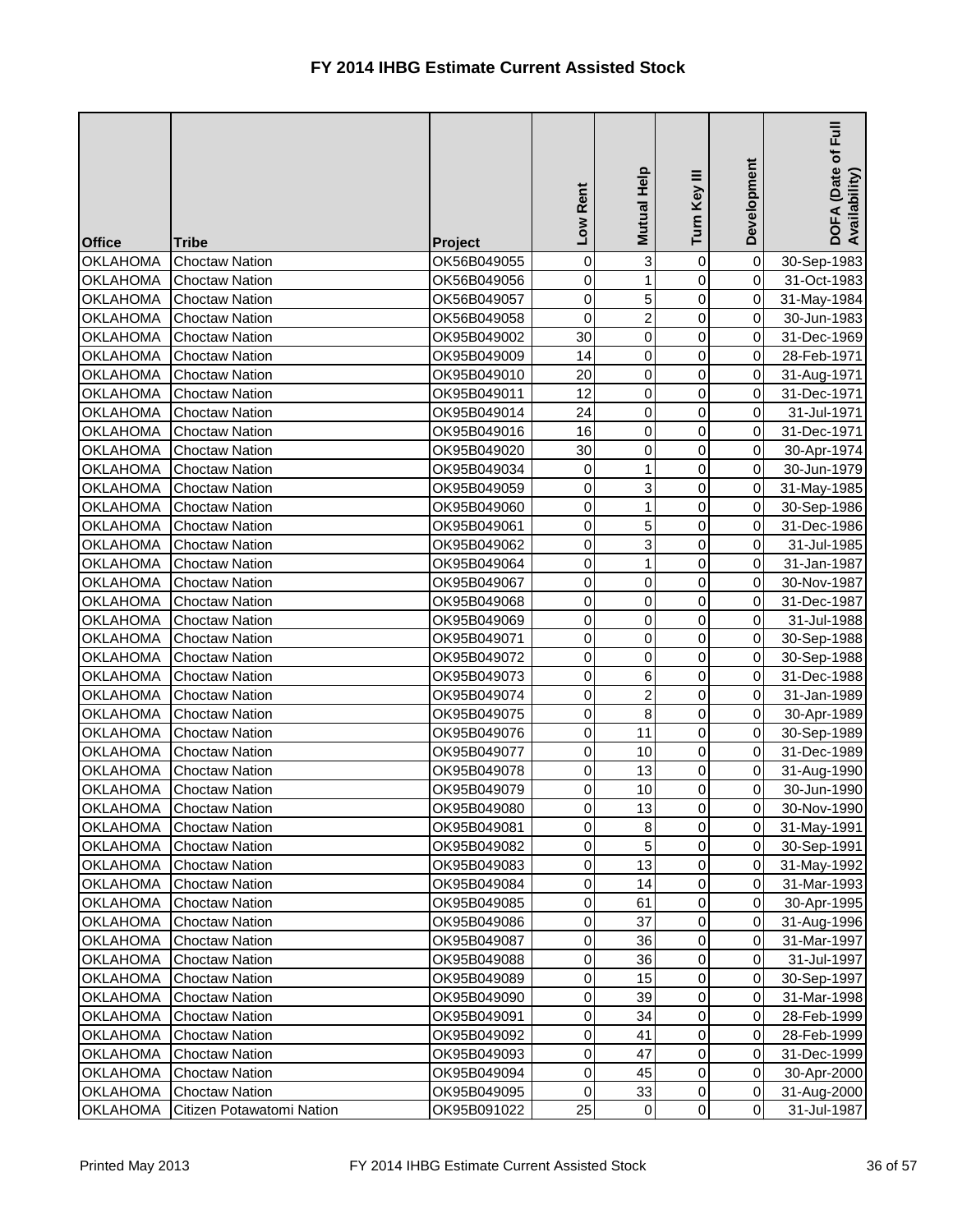| <b>Office</b>                      | <b>Tribe</b>                                   | Project                    | Rent<br><b>NOT</b> | Mutual Help    | Turn Key III   | Development                      | Full<br>DOFA (Date of I<br>Availability) |
|------------------------------------|------------------------------------------------|----------------------------|--------------------|----------------|----------------|----------------------------------|------------------------------------------|
| <b>OKLAHOMA</b>                    | <b>Choctaw Nation</b>                          | OK56B049055                | 0                  | 3              | 0              | $\overline{0}$                   | 30-Sep-1983                              |
| <b>OKLAHOMA</b>                    | <b>Choctaw Nation</b>                          | OK56B049056                | $\mathsf 0$        | 1              | 0              | $\overline{0}$                   | 31-Oct-1983                              |
| <b>OKLAHOMA</b>                    | <b>Choctaw Nation</b>                          | OK56B049057                | $\mathsf 0$        | 5              | $\overline{0}$ | $\overline{0}$                   | 31-May-1984                              |
| <b>OKLAHOMA</b>                    | <b>Choctaw Nation</b>                          | OK56B049058                | 0                  | $\overline{2}$ | 0              | $\overline{0}$                   | 30-Jun-1983                              |
| <b>OKLAHOMA</b>                    | <b>Choctaw Nation</b>                          | OK95B049002                | 30                 | $\mathbf 0$    | 0              | $\overline{0}$                   | 31-Dec-1969                              |
| <b>OKLAHOMA</b>                    | <b>Choctaw Nation</b>                          | OK95B049009                | 14                 | $\overline{0}$ | $\mathbf 0$    | $\overline{0}$                   | 28-Feb-1971                              |
| <b>OKLAHOMA</b>                    | <b>Choctaw Nation</b>                          | OK95B049010                | 20                 | 0              | $\overline{0}$ | $\overline{0}$                   | 31-Aug-1971                              |
| <b>OKLAHOMA</b>                    | <b>Choctaw Nation</b>                          | OK95B049011                | 12                 | $\overline{0}$ | 0              | $\overline{0}$                   | 31-Dec-1971                              |
| <b>OKLAHOMA</b>                    | <b>Choctaw Nation</b>                          | OK95B049014                | 24                 | 0              | $\mathbf 0$    | $\overline{0}$                   | 31-Jul-1971                              |
| <b>OKLAHOMA</b>                    | <b>Choctaw Nation</b>                          | OK95B049016                | 16                 | $\mathbf 0$    | $\mathbf 0$    | $\overline{0}$                   | 31-Dec-1971                              |
| <b>OKLAHOMA</b>                    | <b>Choctaw Nation</b>                          | OK95B049020                | 30                 | $\mathbf 0$    | 0              | $\overline{0}$                   | 30-Apr-1974                              |
| <b>OKLAHOMA</b>                    | <b>Choctaw Nation</b>                          | OK95B049034                | 0                  |                | 0              | $\overline{0}$                   | 30-Jun-1979                              |
| <b>OKLAHOMA</b>                    | <b>Choctaw Nation</b>                          | OK95B049059                | 0                  | 3              | 0              | $\overline{0}$                   | 31-May-1985                              |
| <b>OKLAHOMA</b>                    | <b>Choctaw Nation</b>                          | OK95B049060                | 0                  | 1              | $\mathbf 0$    | $\overline{0}$                   | 30-Sep-1986                              |
| <b>OKLAHOMA</b>                    | <b>Choctaw Nation</b>                          | OK95B049061                | 0                  | 5              | 0              | $\overline{0}$                   | 31-Dec-1986                              |
| <b>OKLAHOMA</b>                    | <b>Choctaw Nation</b>                          | OK95B049062                | 0                  | 3              | 0              | $\overline{0}$                   | 31-Jul-1985                              |
| <b>OKLAHOMA</b>                    | <b>Choctaw Nation</b>                          | OK95B049064                | 0                  | 1              | 0              | $\overline{0}$                   | 31-Jan-1987                              |
| <b>OKLAHOMA</b>                    | <b>Choctaw Nation</b>                          | OK95B049067                | 0                  | $\mathbf 0$    | $\mathbf 0$    | $\overline{0}$                   | 30-Nov-1987                              |
| <b>OKLAHOMA</b>                    | <b>Choctaw Nation</b>                          | OK95B049068                | 0                  | $\overline{0}$ | $\mathbf 0$    | $\overline{0}$                   | 31-Dec-1987                              |
| <b>OKLAHOMA</b>                    | <b>Choctaw Nation</b>                          | OK95B049069                | 0                  | $\overline{0}$ | 0              | $\overline{0}$                   | 31-Jul-1988                              |
| <b>OKLAHOMA</b>                    | <b>Choctaw Nation</b>                          | OK95B049071                | 0                  | $\mathbf 0$    | $\mathbf 0$    | $\overline{0}$                   | 30-Sep-1988                              |
| <b>OKLAHOMA</b>                    | <b>Choctaw Nation</b>                          | OK95B049072                | 0                  | $\mathbf 0$    | $\overline{0}$ | $\overline{0}$                   | 30-Sep-1988                              |
| <b>OKLAHOMA</b>                    | <b>Choctaw Nation</b>                          | OK95B049073                | 0                  | 6              | 0              | $\overline{0}$                   | 31-Dec-1988                              |
| <b>OKLAHOMA</b>                    | <b>Choctaw Nation</b>                          | OK95B049074                | 0                  | $\overline{2}$ | 0              | $\overline{0}$                   | 31-Jan-1989                              |
| <b>OKLAHOMA</b>                    | <b>Choctaw Nation</b>                          | OK95B049075                | 0                  | 8              | 0              | $\overline{0}$                   | 30-Apr-1989                              |
| <b>OKLAHOMA</b>                    | <b>Choctaw Nation</b>                          | OK95B049076                | $\overline{0}$     | 11             | $\overline{0}$ | 0                                | 30-Sep-1989                              |
| <b>OKLAHOMA</b>                    | <b>Choctaw Nation</b>                          | OK95B049077                | $\mathbf 0$        | 10             | $\overline{0}$ | $\overline{0}$                   | 31-Dec-1989                              |
| <b>OKLAHOMA</b>                    | <b>Choctaw Nation</b>                          | OK95B049078                | 0                  | 13             | 0              | $\overline{0}$                   | 31-Aug-1990                              |
| <b>OKLAHOMA</b>                    | <b>Choctaw Nation</b><br><b>Choctaw Nation</b> | OK95B049079<br>OK95B049080 | 0<br>$\pmb{0}$     | 10<br>13       | 0              | $\overline{0}$<br>$\overline{O}$ | 30-Jun-1990                              |
| <b>OKLAHOMA</b>                    | <b>Choctaw Nation</b>                          | OK95B049081                | 0                  |                | 0<br>0         | $\overline{0}$                   | 30-Nov-1990                              |
| <b>OKLAHOMA</b><br><b>OKLAHOMA</b> | <b>Choctaw Nation</b>                          | OK95B049082                | 0                  | 8<br>5         | 0              | $\overline{0}$                   | 31-May-1991<br>30-Sep-1991               |
| <b>OKLAHOMA</b>                    | <b>Choctaw Nation</b>                          | OK95B049083                | $\pmb{0}$          | 13             | 0              | $\overline{0}$                   | 31-May-1992                              |
| <b>OKLAHOMA</b>                    | <b>Choctaw Nation</b>                          | OK95B049084                | $\pmb{0}$          | 14             | 0              | $\overline{0}$                   | 31-Mar-1993                              |
| <b>OKLAHOMA</b>                    | <b>Choctaw Nation</b>                          | OK95B049085                | 0                  | 61             | 0              | $\overline{0}$                   | 30-Apr-1995                              |
| <b>OKLAHOMA</b>                    | <b>Choctaw Nation</b>                          | OK95B049086                | 0                  | 37             | 0              | $\overline{0}$                   | 31-Aug-1996                              |
| <b>OKLAHOMA</b>                    | <b>Choctaw Nation</b>                          | OK95B049087                | $\pmb{0}$          | 36             | 0              | $\overline{0}$                   | 31-Mar-1997                              |
| <b>OKLAHOMA</b>                    | <b>Choctaw Nation</b>                          | OK95B049088                | $\pmb{0}$          | 36             | 0              | $\overline{O}$                   | 31-Jul-1997                              |
| <b>OKLAHOMA</b>                    | <b>Choctaw Nation</b>                          | OK95B049089                | 0                  | 15             | 0              | $\overline{0}$                   | 30-Sep-1997                              |
| <b>OKLAHOMA</b>                    | <b>Choctaw Nation</b>                          | OK95B049090                | 0                  | 39             | 0              | $\overline{0}$                   | 31-Mar-1998                              |
| <b>OKLAHOMA</b>                    | <b>Choctaw Nation</b>                          | OK95B049091                | 0                  | 34             | 0              | $\overline{O}$                   | 28-Feb-1999                              |
| <b>OKLAHOMA</b>                    | <b>Choctaw Nation</b>                          | OK95B049092                | $\pmb{0}$          | 41             | 0              | $\overline{0}$                   | 28-Feb-1999                              |
| <b>OKLAHOMA</b>                    | <b>Choctaw Nation</b>                          | OK95B049093                | 0                  | 47             | 0              | $\overline{O}$                   | 31-Dec-1999                              |
| <b>OKLAHOMA</b>                    | <b>Choctaw Nation</b>                          | OK95B049094                | $\pmb{0}$          | 45             | 0              | $\overline{0}$                   | 30-Apr-2000                              |
| <b>OKLAHOMA</b>                    | <b>Choctaw Nation</b>                          | OK95B049095                | $\pmb{0}$          | 33             | 0              | $\overline{0}$                   | 31-Aug-2000                              |
| <b>OKLAHOMA</b>                    | Citizen Potawatomi Nation                      | OK95B091022                | 25                 | $\overline{0}$ | $\overline{0}$ | $\overline{O}$                   | 31-Jul-1987                              |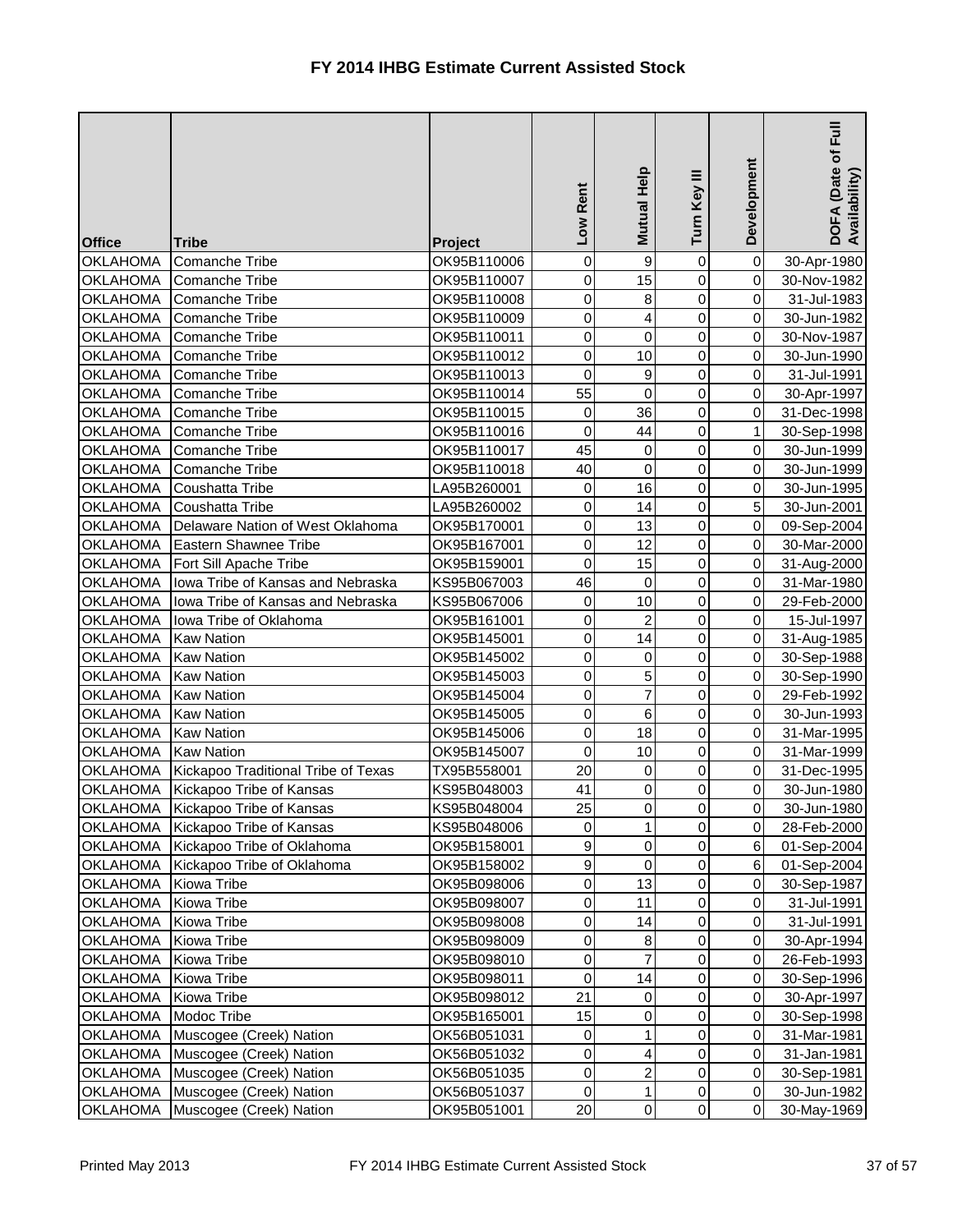| <b>Office</b>                      | <b>Tribe</b>                           | <b>Project</b>             | Low Rent         | Mutual Help         | Turn Key III   | Development                      | $E_{\rm H}$<br>DOFA (Date of I<br>Availability) |
|------------------------------------|----------------------------------------|----------------------------|------------------|---------------------|----------------|----------------------------------|-------------------------------------------------|
| <b>OKLAHOMA</b>                    | <b>Comanche Tribe</b>                  | OK95B110006                | 0                | 9                   | $\mathbf 0$    | $\overline{0}$                   | 30-Apr-1980                                     |
| <b>OKLAHOMA</b>                    | Comanche Tribe                         | OK95B110007                | 0                | 15                  | 0              | $\overline{0}$                   | 30-Nov-1982                                     |
| <b>OKLAHOMA</b>                    | <b>Comanche Tribe</b>                  | OK95B110008                | 0                | 8                   | 0              | $\overline{0}$                   | 31-Jul-1983                                     |
| <b>OKLAHOMA</b>                    | <b>Comanche Tribe</b>                  | OK95B110009                | $\pmb{0}$        | 4                   | 0              | $\overline{0}$                   | 30-Jun-1982                                     |
| <b>OKLAHOMA</b>                    | <b>Comanche Tribe</b>                  | OK95B110011                | $\pmb{0}$        | $\mathbf 0$         | 0              | $\overline{0}$                   | 30-Nov-1987                                     |
| <b>OKLAHOMA</b>                    | <b>Comanche Tribe</b>                  | OK95B110012                | 0                | 10                  | 0              | $\overline{0}$                   | 30-Jun-1990                                     |
| <b>OKLAHOMA</b>                    | Comanche Tribe                         | OK95B110013                | 0                | 9                   | 0              | $\overline{0}$                   | 31-Jul-1991                                     |
| <b>OKLAHOMA</b>                    | Comanche Tribe                         | OK95B110014                | 55               | 0                   | 0              | $\overline{0}$                   | 30-Apr-1997                                     |
| <b>OKLAHOMA</b>                    | Comanche Tribe                         | OK95B110015                | 0                | 36                  | 0              | $\overline{0}$                   | 31-Dec-1998                                     |
| <b>OKLAHOMA</b>                    | Comanche Tribe                         | OK95B110016                | 0                | 44                  | 0              | $\mathbf{1}$                     | 30-Sep-1998                                     |
| <b>OKLAHOMA</b>                    | Comanche Tribe                         | OK95B110017                | 45               | 0                   | 0              | $\overline{0}$                   | 30-Jun-1999                                     |
| <b>OKLAHOMA</b>                    | Comanche Tribe                         | OK95B110018                | 40               | $\mathbf 0$         | 0              | $\overline{0}$                   | 30-Jun-1999                                     |
| <b>OKLAHOMA</b>                    | Coushatta Tribe                        | LA95B260001                | 0                | 16                  | 0              | $\overline{0}$                   | 30-Jun-1995                                     |
| <b>OKLAHOMA</b>                    | Coushatta Tribe                        | LA95B260002                | $\pmb{0}$        | 14                  | 0              | 5 <sup>1</sup>                   | 30-Jun-2001                                     |
| <b>OKLAHOMA</b>                    | Delaware Nation of West Oklahoma       | OK95B170001                | $\pmb{0}$        | 13                  | 0              | $\overline{0}$                   | 09-Sep-2004                                     |
| <b>OKLAHOMA</b>                    | <b>Eastern Shawnee Tribe</b>           | OK95B167001                | $\pmb{0}$        | 12                  | 0              | $\overline{0}$                   | 30-Mar-2000                                     |
| <b>OKLAHOMA</b>                    | Fort Sill Apache Tribe                 | OK95B159001                | 0                | 15                  | 0              | $\overline{0}$                   | 31-Aug-2000                                     |
| <b>OKLAHOMA</b>                    | Iowa Tribe of Kansas and Nebraska      | KS95B067003                | 46               | $\mathbf 0$         | 0              | $\overline{0}$                   | 31-Mar-1980                                     |
| <b>OKLAHOMA</b>                    | Iowa Tribe of Kansas and Nebraska      | KS95B067006                | 0                | 10                  | 0              | $\overline{0}$                   | 29-Feb-2000                                     |
| <b>OKLAHOMA</b>                    | Iowa Tribe of Oklahoma                 | OK95B161001                | $\pmb{0}$        | $\overline{2}$      | 0              | $\overline{0}$                   | 15-Jul-1997                                     |
| <b>OKLAHOMA</b>                    | <b>Kaw Nation</b>                      | OK95B145001                | $\pmb{0}$        | 14                  | 0              | $\overline{0}$                   | 31-Aug-1985                                     |
| <b>OKLAHOMA</b>                    | <b>Kaw Nation</b>                      | OK95B145002                | 0                | $\mathbf 0$         | 0              | $\overline{0}$                   | 30-Sep-1988                                     |
| <b>OKLAHOMA</b>                    | <b>Kaw Nation</b><br><b>Kaw Nation</b> | OK95B145003                | 0<br>0           | 5<br>$\overline{7}$ | 0<br>0         | $\overline{0}$<br>$\overline{0}$ | 30-Sep-1990                                     |
| <b>OKLAHOMA</b><br><b>OKLAHOMA</b> | <b>Kaw Nation</b>                      | OK95B145004<br>OK95B145005 | 0                | 6                   | 0              | $\overline{0}$                   | 29-Feb-1992                                     |
| <b>OKLAHOMA</b>                    | <b>Kaw Nation</b>                      | OK95B145006                | $\overline{0}$   | 18                  | $\overline{0}$ | 0                                | 30-Jun-1993<br>31-Mar-1995                      |
| <b>OKLAHOMA</b>                    | <b>Kaw Nation</b>                      | OK95B145007                | $\mathbf 0$      | 10                  | $\overline{0}$ | 0I                               | 31-Mar-1999                                     |
| <b>OKLAHOMA</b>                    | Kickapoo Traditional Tribe of Texas    | TX95B558001                | 20               | 0                   | 0              | $\overline{0}$                   | 31-Dec-1995                                     |
| <b>OKLAHOMA</b>                    | Kickapoo Tribe of Kansas               | KS95B048003                | 41               | 0                   | 0              | $\overline{0}$                   | 30-Jun-1980                                     |
| <b>OKLAHOMA</b>                    | Kickapoo Tribe of Kansas               | KS95B048004                | 25               | 0                   | 0              | $\overline{0}$                   | 30-Jun-1980                                     |
| <b>OKLAHOMA</b>                    | Kickapoo Tribe of Kansas               | KS95B048006                | 0                | 1                   | 0              | $\overline{0}$                   | 28-Feb-2000                                     |
| <b>OKLAHOMA</b>                    | Kickapoo Tribe of Oklahoma             | OK95B158001                | $\boldsymbol{9}$ | 0                   | 0              | 6 <sup>1</sup>                   | 01-Sep-2004                                     |
| <b>OKLAHOMA</b>                    | Kickapoo Tribe of Oklahoma             | OK95B158002                | $\boldsymbol{9}$ | 0                   | 0              | 6 <sup>1</sup>                   | 01-Sep-2004                                     |
| <b>OKLAHOMA</b>                    | Kiowa Tribe                            | OK95B098006                | $\pmb{0}$        | 13                  | 0              | $\overline{0}$                   | 30-Sep-1987                                     |
| <b>OKLAHOMA</b>                    | Kiowa Tribe                            | OK95B098007                | $\pmb{0}$        | 11                  | 0              | $\overline{0}$                   | 31-Jul-1991                                     |
| <b>OKLAHOMA</b>                    | Kiowa Tribe                            | OK95B098008                | 0                | 14                  | 0              | $\overline{0}$                   | 31-Jul-1991                                     |
| <b>OKLAHOMA</b>                    | Kiowa Tribe                            | OK95B098009                | $\pmb{0}$        | 8                   | 0              | $\overline{0}$                   | 30-Apr-1994                                     |
| <b>OKLAHOMA</b>                    | Kiowa Tribe                            | OK95B098010                | $\pmb{0}$        | 7                   | 0              | $\overline{0}$                   | 26-Feb-1993                                     |
| <b>OKLAHOMA</b>                    | Kiowa Tribe                            | OK95B098011                | 0                | 14                  | 0              | $\overline{0}$                   | 30-Sep-1996                                     |
| <b>OKLAHOMA</b>                    | Kiowa Tribe                            | OK95B098012                | 21               | 0                   | 0              | $\overline{0}$                   | 30-Apr-1997                                     |
| <b>OKLAHOMA</b>                    | Modoc Tribe                            | OK95B165001                | 15               | 0                   | 0              | $\overline{0}$                   | 30-Sep-1998                                     |
| <b>OKLAHOMA</b>                    | Muscogee (Creek) Nation                | OK56B051031                | 0                |                     | 0              | $\overline{0}$                   | 31-Mar-1981                                     |
| <b>OKLAHOMA</b>                    | Muscogee (Creek) Nation                | OK56B051032                | $\pmb{0}$        | 4                   | 0              | $\overline{0}$                   | 31-Jan-1981                                     |
| <b>OKLAHOMA</b>                    | Muscogee (Creek) Nation                | OK56B051035                | 0                | 2                   | 0              | $\overline{0}$                   | 30-Sep-1981                                     |
| <b>OKLAHOMA</b>                    | Muscogee (Creek) Nation                | OK56B051037                | $\pmb{0}$        | 1                   | 0              | $\overline{0}$                   | 30-Jun-1982                                     |
| <b>OKLAHOMA</b>                    | Muscogee (Creek) Nation                | OK95B051001                | 20               | $\overline{0}$      | $\overline{0}$ | $\overline{0}$                   | 30-May-1969                                     |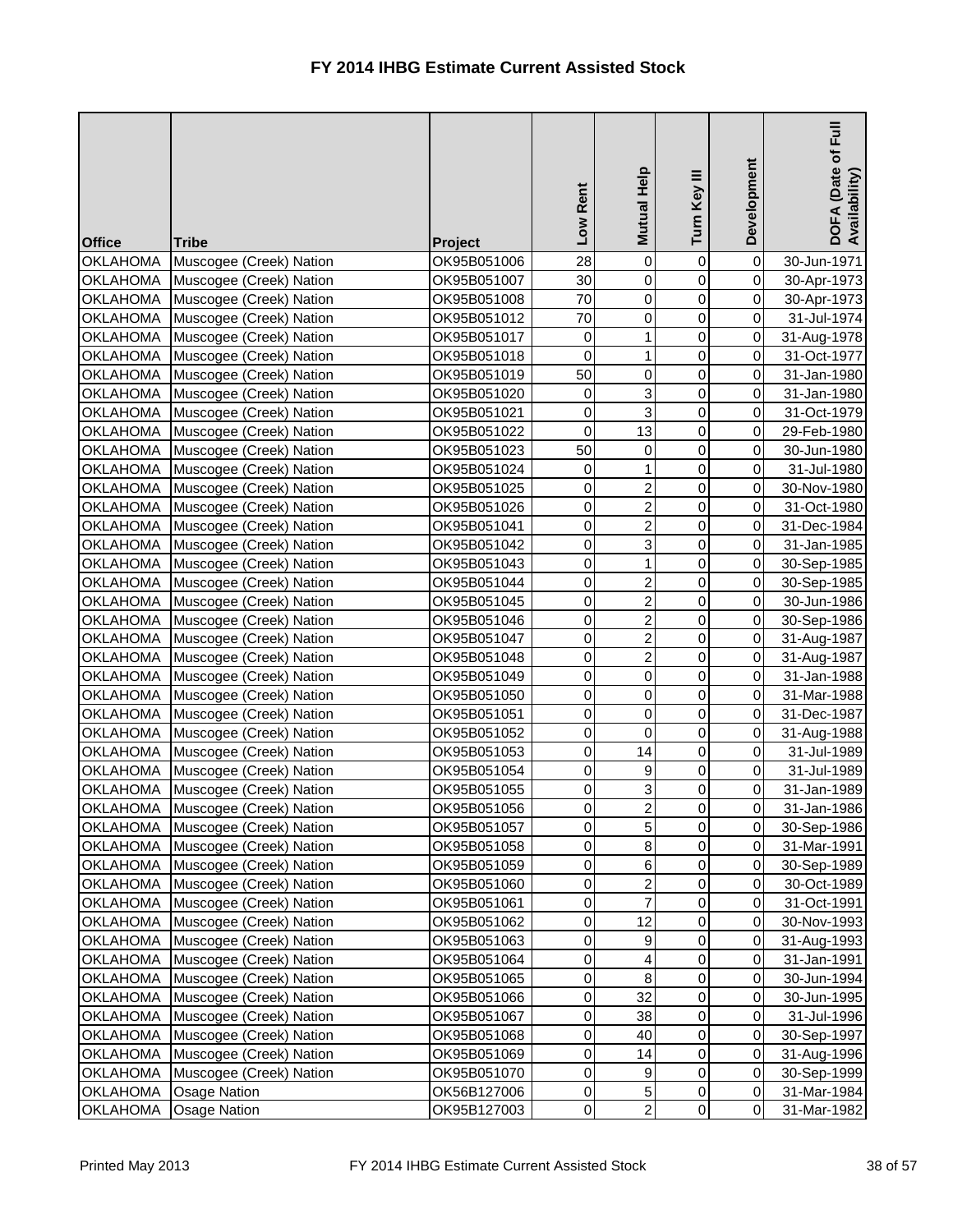| <b>Office</b>                      | <b>Tribe</b>                                       | <b>Project</b>             | Low Rent               | Mutual Help    | Turn Key III   | Development                      | 目<br>Eul<br>DOFA (Date of I<br>Availability) |
|------------------------------------|----------------------------------------------------|----------------------------|------------------------|----------------|----------------|----------------------------------|----------------------------------------------|
| <b>OKLAHOMA</b>                    | Muscogee (Creek) Nation                            | OK95B051006                | 28                     | 0              | 0              | $\overline{0}$                   | 30-Jun-1971                                  |
| <b>OKLAHOMA</b>                    | Muscogee (Creek) Nation                            | OK95B051007                | 30                     | 0              | $\overline{0}$ | $\overline{0}$                   | 30-Apr-1973                                  |
| <b>OKLAHOMA</b>                    | Muscogee (Creek) Nation                            | OK95B051008                | 70                     | 0              | $\overline{0}$ | $\overline{0}$                   | 30-Apr-1973                                  |
| <b>OKLAHOMA</b>                    | Muscogee (Creek) Nation                            | OK95B051012                | 70                     | 0              | $\overline{0}$ | $\overline{0}$                   | 31-Jul-1974                                  |
| <b>OKLAHOMA</b>                    | Muscogee (Creek) Nation                            | OK95B051017                | 0                      |                | 0              | $\overline{0}$                   | 31-Aug-1978                                  |
| <b>OKLAHOMA</b>                    | Muscogee (Creek) Nation                            | OK95B051018                | $\mathsf 0$            | 1              | $\overline{0}$ | $\overline{0}$                   | 31-Oct-1977                                  |
| <b>OKLAHOMA</b>                    | Muscogee (Creek) Nation                            | OK95B051019                | 50                     | 0              | $\overline{0}$ | $\overline{0}$                   | 31-Jan-1980                                  |
| <b>OKLAHOMA</b>                    | Muscogee (Creek) Nation                            | OK95B051020                | 0                      | 3              | $\overline{0}$ | $\overline{0}$                   | 31-Jan-1980                                  |
| <b>OKLAHOMA</b>                    | Muscogee (Creek) Nation                            | OK95B051021                | $\pmb{0}$              | 3              | $\mathbf 0$    | $\overline{0}$                   | 31-Oct-1979                                  |
| <b>OKLAHOMA</b>                    | Muscogee (Creek) Nation                            | OK95B051022                | $\mathsf 0$            | 13             | $\overline{0}$ | $\overline{0}$                   | 29-Feb-1980                                  |
| <b>OKLAHOMA</b>                    | Muscogee (Creek) Nation                            | OK95B051023                | 50                     | 0              | $\overline{0}$ | $\overline{0}$                   | 30-Jun-1980                                  |
| <b>OKLAHOMA</b>                    | Muscogee (Creek) Nation                            | OK95B051024                | 0                      | 1              | $\overline{0}$ | $\overline{0}$                   | 31-Jul-1980                                  |
| <b>OKLAHOMA</b>                    | Muscogee (Creek) Nation                            | OK95B051025                | 0                      | $\overline{c}$ | 0              | $\overline{0}$                   | 30-Nov-1980                                  |
| <b>OKLAHOMA</b>                    | Muscogee (Creek) Nation                            | OK95B051026                | $\pmb{0}$              | $\overline{2}$ | $\overline{0}$ | $\overline{0}$                   | 31-Oct-1980                                  |
| <b>OKLAHOMA</b>                    | Muscogee (Creek) Nation                            | OK95B051041                | $\pmb{0}$              | $\overline{2}$ | $\overline{0}$ | $\overline{0}$                   | 31-Dec-1984                                  |
| <b>OKLAHOMA</b>                    | Muscogee (Creek) Nation                            | OK95B051042                | $\pmb{0}$              | 3              | $\overline{0}$ | $\overline{0}$                   | 31-Jan-1985                                  |
| <b>OKLAHOMA</b>                    | Muscogee (Creek) Nation                            | OK95B051043                | 0                      | 1              | $\mathbf 0$    | $\overline{0}$                   | 30-Sep-1985                                  |
| <b>OKLAHOMA</b>                    | Muscogee (Creek) Nation                            | OK95B051044                | $\pmb{0}$              | $\overline{c}$ | 0              | $\overline{0}$                   | 30-Sep-1985                                  |
| <b>OKLAHOMA</b>                    | Muscogee (Creek) Nation                            | OK95B051045                | $\mathsf 0$            | $\overline{2}$ | 0              | $\overline{0}$                   | 30-Jun-1986                                  |
| <b>OKLAHOMA</b>                    | Muscogee (Creek) Nation                            | OK95B051046                | $\pmb{0}$              | $\overline{2}$ | $\overline{0}$ | $\overline{0}$                   | 30-Sep-1986                                  |
| <b>OKLAHOMA</b>                    | Muscogee (Creek) Nation                            | OK95B051047                | $\mathsf 0$            | $\overline{2}$ | 0              | $\overline{0}$                   | 31-Aug-1987                                  |
| <b>OKLAHOMA</b>                    | Muscogee (Creek) Nation                            | OK95B051048                | $\pmb{0}$              | $\overline{2}$ | $\overline{0}$ | $\overline{0}$                   | 31-Aug-1987                                  |
| <b>OKLAHOMA</b>                    | Muscogee (Creek) Nation                            | OK95B051049                | $\pmb{0}$              | 0              | $\overline{0}$ | $\overline{0}$                   | 31-Jan-1988                                  |
| <b>OKLAHOMA</b>                    | Muscogee (Creek) Nation                            | OK95B051050                | $\pmb{0}$              | 0              | $\overline{0}$ | $\overline{0}$                   | 31-Mar-1988                                  |
| <b>OKLAHOMA</b>                    | Muscogee (Creek) Nation                            | OK95B051051                | 0                      | 0              | 0              | $\overline{0}$                   | 31-Dec-1987                                  |
|                                    | OKLAHOMA   Muscogee (Creek) Nation                 | OK95B051052                | $\overline{0}$         | $\overline{0}$ | $\overline{0}$ | $\overline{0}$                   | 31-Aug-1988                                  |
| <b>OKLAHOMA</b>                    | Muscogee (Creek) Nation                            | OK95B051053                | $\mathbf 0$            | 14             | $\overline{0}$ | $\overline{0}$                   | 31-Jul-1989                                  |
| <b>OKLAHOMA</b><br><b>OKLAHOMA</b> | Muscogee (Creek) Nation                            | OK95B051054<br>OK95B051055 | $\pmb{0}$              | 9              | $\overline{0}$ | $\overline{O}$<br>$\overline{0}$ | 31-Jul-1989                                  |
| <b>OKLAHOMA</b>                    | Muscogee (Creek) Nation                            | OK95B051056                | $\pmb{0}$<br>$\pmb{0}$ | 3<br>2         | 0<br>0         | $\overline{0}$                   | 31-Jan-1989<br>31-Jan-1986                   |
| <b>OKLAHOMA</b>                    | Muscogee (Creek) Nation<br>Muscogee (Creek) Nation | OK95B051057                | $\pmb{0}$              | 5              | 0              | $\overline{0}$                   |                                              |
| <b>OKLAHOMA</b>                    | Muscogee (Creek) Nation                            | OK95B051058                | $\pmb{0}$              | 8              | 0              | $\overline{0}$                   | 30-Sep-1986<br>31-Mar-1991                   |
| <b>OKLAHOMA</b>                    | Muscogee (Creek) Nation                            | OK95B051059                | $\pmb{0}$              | 6              | 0              | $\overline{0}$                   | 30-Sep-1989                                  |
| <b>OKLAHOMA</b>                    | Muscogee (Creek) Nation                            | OK95B051060                | $\overline{0}$         | 2              | 0              | $\overline{O}$                   | 30-Oct-1989                                  |
| <b>OKLAHOMA</b>                    | Muscogee (Creek) Nation                            | OK95B051061                | $\pmb{0}$              | $\overline{7}$ | 0              | $\overline{O}$                   | 31-Oct-1991                                  |
| <b>OKLAHOMA</b>                    | Muscogee (Creek) Nation                            | OK95B051062                | $\pmb{0}$              | 12             | 0              | $\overline{0}$                   | 30-Nov-1993                                  |
| <b>OKLAHOMA</b>                    | Muscogee (Creek) Nation                            | OK95B051063                | $\pmb{0}$              | 9              | 0              | $\overline{0}$                   | 31-Aug-1993                                  |
| <b>OKLAHOMA</b>                    | Muscogee (Creek) Nation                            | OK95B051064                | $\mathbf 0$            | 4              | 0              | $\overline{0}$                   | 31-Jan-1991                                  |
| <b>OKLAHOMA</b>                    | Muscogee (Creek) Nation                            | OK95B051065                | $\mathbf 0$            | 8              | 0              | $\overline{0}$                   | 30-Jun-1994                                  |
| <b>OKLAHOMA</b>                    | Muscogee (Creek) Nation                            | OK95B051066                | $\pmb{0}$              | 32             | $\overline{0}$ | $\overline{0}$                   | 30-Jun-1995                                  |
| <b>OKLAHOMA</b>                    | Muscogee (Creek) Nation                            | OK95B051067                | $\pmb{0}$              | 38             | 0              | $\overline{O}$                   | 31-Jul-1996                                  |
| <b>OKLAHOMA</b>                    | Muscogee (Creek) Nation                            | OK95B051068                | $\mathbf 0$            | 40             | 0              | $\overline{0}$                   | 30-Sep-1997                                  |
| <b>OKLAHOMA</b>                    | Muscogee (Creek) Nation                            | OK95B051069                | $\mathbf 0$            | 14             | $\overline{0}$ | $\overline{0}$                   | 31-Aug-1996                                  |
| <b>OKLAHOMA</b>                    | Muscogee (Creek) Nation                            | OK95B051070                | $\pmb{0}$              | 9              | $\overline{0}$ | $\overline{0}$                   | 30-Sep-1999                                  |
| <b>OKLAHOMA</b>                    | <b>Osage Nation</b>                                | OK56B127006                | $\mathbf 0$            | 5 <sup>1</sup> | 0              | $\overline{0}$                   | 31-Mar-1984                                  |
| <b>OKLAHOMA</b>                    | <b>Osage Nation</b>                                | OK95B127003                | $\overline{0}$         | $\overline{2}$ | $\overline{0}$ | $\overline{O}$                   | 31-Mar-1982                                  |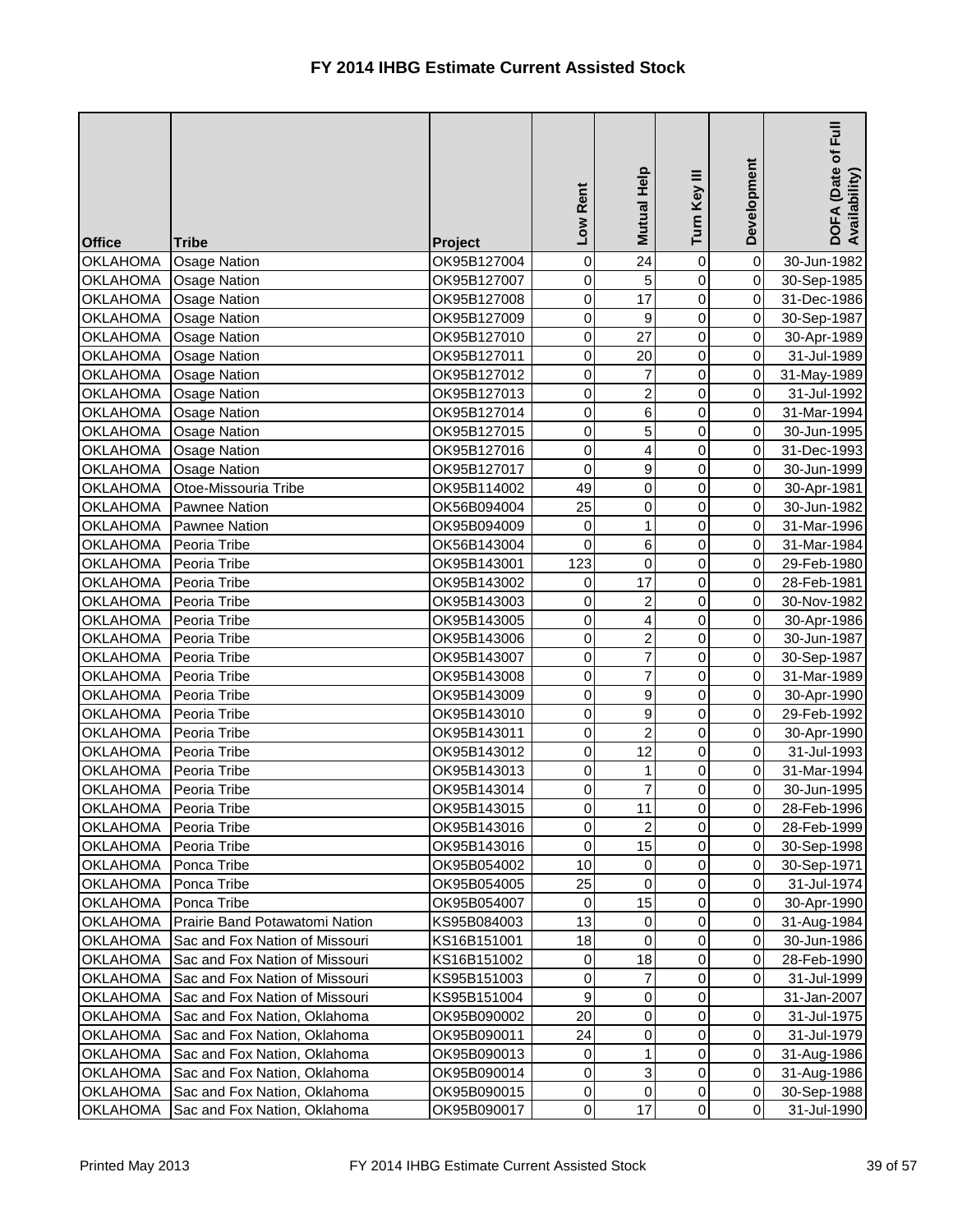| <b>Office</b>                      | <b>Tribe</b>                   | Project                    | Rent<br>Low    | Mutual Help         | Turn Key III   | Development                      | $E_{\rm H}$<br>DOFA (Date of I<br>Availability) |
|------------------------------------|--------------------------------|----------------------------|----------------|---------------------|----------------|----------------------------------|-------------------------------------------------|
| <b>OKLAHOMA</b>                    | <b>Osage Nation</b>            | OK95B127004                | 0              | 24                  | $\mathbf 0$    | $\overline{0}$                   | 30-Jun-1982                                     |
| <b>OKLAHOMA</b>                    | <b>Osage Nation</b>            | OK95B127007                | 0              | 5                   | 0              | $\overline{0}$                   | 30-Sep-1985                                     |
| <b>OKLAHOMA</b>                    | <b>Osage Nation</b>            | OK95B127008                | 0              | 17                  | 0              | $\overline{0}$                   | 31-Dec-1986                                     |
| <b>OKLAHOMA</b>                    | <b>Osage Nation</b>            | OK95B127009                | 0              | 9                   | 0              | $\overline{0}$                   | 30-Sep-1987                                     |
| <b>OKLAHOMA</b>                    | <b>Osage Nation</b>            | OK95B127010                | $\pmb{0}$      | 27                  | 0              | $\overline{0}$                   | 30-Apr-1989                                     |
| <b>OKLAHOMA</b>                    | <b>Osage Nation</b>            | OK95B127011                | 0              | 20                  | 0              | $\overline{0}$                   | 31-Jul-1989                                     |
| <b>OKLAHOMA</b>                    | <b>Osage Nation</b>            | OK95B127012                | 0              | 7                   | 0              | $\overline{0}$                   | 31-May-1989                                     |
| <b>OKLAHOMA</b>                    | <b>Osage Nation</b>            | OK95B127013                | 0              | $\overline{2}$      | 0              | $\overline{0}$                   | 31-Jul-1992                                     |
| <b>OKLAHOMA</b>                    | <b>Osage Nation</b>            | OK95B127014                | 0              | 6                   | 0              | $\overline{0}$                   | 31-Mar-1994                                     |
| <b>OKLAHOMA</b>                    | <b>Osage Nation</b>            | OK95B127015                | 0              | 5                   | 0              | $\overline{0}$                   | 30-Jun-1995                                     |
| <b>OKLAHOMA</b>                    | <b>Osage Nation</b>            | OK95B127016                | 0              | 4                   | 0              | $\overline{0}$                   | 31-Dec-1993                                     |
| <b>OKLAHOMA</b>                    | <b>Osage Nation</b>            | OK95B127017                | $\pmb{0}$      | 9                   | 0              | $\overline{0}$                   | 30-Jun-1999                                     |
| <b>OKLAHOMA</b>                    | Otoe-Missouria Tribe           | OK95B114002                | 49             | 0                   | 0              | $\overline{0}$                   | 30-Apr-1981                                     |
| <b>OKLAHOMA</b>                    | <b>Pawnee Nation</b>           | OK56B094004                | 25             | 0                   | 0              | $\overline{0}$                   | 30-Jun-1982                                     |
| <b>OKLAHOMA</b>                    | Pawnee Nation                  | OK95B094009                | 0              | 1                   | 0              | $\overline{0}$                   | 31-Mar-1996                                     |
| <b>OKLAHOMA</b>                    | Peoria Tribe                   | OK56B143004                | 0              | 6                   | 0              | $\overline{0}$                   | 31-Mar-1984                                     |
| <b>OKLAHOMA</b>                    | Peoria Tribe                   | OK95B143001                | 123            | $\mathbf 0$         | 0              | $\overline{0}$                   | 29-Feb-1980                                     |
| <b>OKLAHOMA</b>                    | Peoria Tribe                   | OK95B143002                | 0              | 17                  | 0              | $\overline{0}$                   | 28-Feb-1981                                     |
| <b>OKLAHOMA</b>                    | Peoria Tribe                   | OK95B143003                | 0              | $\overline{2}$      | 0              | $\overline{0}$                   | 30-Nov-1982                                     |
| <b>OKLAHOMA</b>                    | Peoria Tribe                   | OK95B143005                | $\pmb{0}$      | 4                   | 0              | $\overline{0}$                   | 30-Apr-1986                                     |
| <b>OKLAHOMA</b>                    | Peoria Tribe                   | OK95B143006                | $\pmb{0}$      | 2                   | 0              | $\overline{0}$                   | 30-Jun-1987                                     |
| <b>OKLAHOMA</b>                    | Peoria Tribe                   | OK95B143007                | 0              | 7                   | 0              | $\overline{0}$                   | 30-Sep-1987                                     |
| <b>OKLAHOMA</b>                    | Peoria Tribe                   | OK95B143008                | 0              | 7                   | 0              | $\overline{0}$                   | 31-Mar-1989                                     |
| <b>OKLAHOMA</b>                    | Peoria Tribe                   | OK95B143009                | 0              | 9                   | 0              | $\overline{0}$                   | 30-Apr-1990                                     |
| <b>OKLAHOMA</b>                    | Peoria Tribe                   | OK95B143010                | 0              | 9<br>$\overline{2}$ | 0              | $\overline{0}$                   | 29-Feb-1992                                     |
| OKLAHOMA                           | Peoria Tribe                   | OK95B143011                | $\overline{0}$ |                     | 0              | 0                                | 30-Apr-1990                                     |
| <b>OKLAHOMA</b>                    | Peoria Tribe                   | OK95B143012                | $\pmb{0}$      | 12                  | 0              | 0I                               | 31-Jul-1993                                     |
| <b>OKLAHOMA</b><br><b>OKLAHOMA</b> | Peoria Tribe                   | OK95B143013                | 0<br>$\pmb{0}$ | 7                   | 0<br>0         | $\overline{0}$<br>$\overline{0}$ | 31-Mar-1994                                     |
| <b>OKLAHOMA</b>                    | Peoria Tribe<br>Peoria Tribe   | OK95B143014<br>OK95B143015 | $\pmb{0}$      | 11                  | 0              | $\overline{0}$                   | 30-Jun-1995                                     |
| <b>OKLAHOMA</b>                    | Peoria Tribe                   | OK95B143016                | $\pmb{0}$      | 2                   | 0              | $\overline{O}$                   | 28-Feb-1996<br>28-Feb-1999                      |
| <b>OKLAHOMA</b>                    | Peoria Tribe                   | OK95B143016                | $\pmb{0}$      | 15                  | 0              | $\overline{0}$                   | 30-Sep-1998                                     |
| <b>OKLAHOMA</b>                    | Ponca Tribe                    | OK95B054002                | 10             | 0                   | 0              | $\overline{0}$                   | 30-Sep-1971                                     |
| <b>OKLAHOMA</b>                    | Ponca Tribe                    | OK95B054005                | 25             | 0                   | 0              | $\overline{O}$                   | 31-Jul-1974                                     |
| <b>OKLAHOMA</b>                    | Ponca Tribe                    | OK95B054007                | $\pmb{0}$      | 15                  | 0              | $\overline{0}$                   | 30-Apr-1990                                     |
| <b>OKLAHOMA</b>                    | Prairie Band Potawatomi Nation | KS95B084003                | 13             | 0                   | 0              | $\overline{0}$                   | 31-Aug-1984                                     |
| <b>OKLAHOMA</b>                    | Sac and Fox Nation of Missouri | KS16B151001                | 18             | 0                   | 0              | $\overline{0}$                   | 30-Jun-1986                                     |
| <b>OKLAHOMA</b>                    | Sac and Fox Nation of Missouri | KS16B151002                | 0              | 18                  | 0              | $\overline{0}$                   | 28-Feb-1990                                     |
| <b>OKLAHOMA</b>                    | Sac and Fox Nation of Missouri | KS95B151003                | 0              | 7                   | 0              | $\overline{O}$                   | 31-Jul-1999                                     |
| <b>OKLAHOMA</b>                    | Sac and Fox Nation of Missouri | KS95B151004                | $\mathsf g$    | 0                   | 0              |                                  | 31-Jan-2007                                     |
| <b>OKLAHOMA</b>                    | Sac and Fox Nation, Oklahoma   | OK95B090002                | 20             | 0                   | 0              | $\overline{0}$                   | 31-Jul-1975                                     |
| <b>OKLAHOMA</b>                    | Sac and Fox Nation, Oklahoma   | OK95B090011                | 24             | 0                   | 0              | $\overline{O}$                   | 31-Jul-1979                                     |
| <b>OKLAHOMA</b>                    | Sac and Fox Nation, Oklahoma   | OK95B090013                | 0              |                     | 0              | $\overline{0}$                   | 31-Aug-1986                                     |
| <b>OKLAHOMA</b>                    | Sac and Fox Nation, Oklahoma   | OK95B090014                | 0              | 3                   | 0              | $\overline{0}$                   | 31-Aug-1986                                     |
| <b>OKLAHOMA</b>                    | Sac and Fox Nation, Oklahoma   | OK95B090015                | $\mathbf 0$    | 0                   | 0              | $\overline{0}$                   | 30-Sep-1988                                     |
| <b>OKLAHOMA</b>                    | Sac and Fox Nation, Oklahoma   | OK95B090017                | $\overline{0}$ | 17                  | $\overline{0}$ | $\overline{0}$                   | 31-Jul-1990                                     |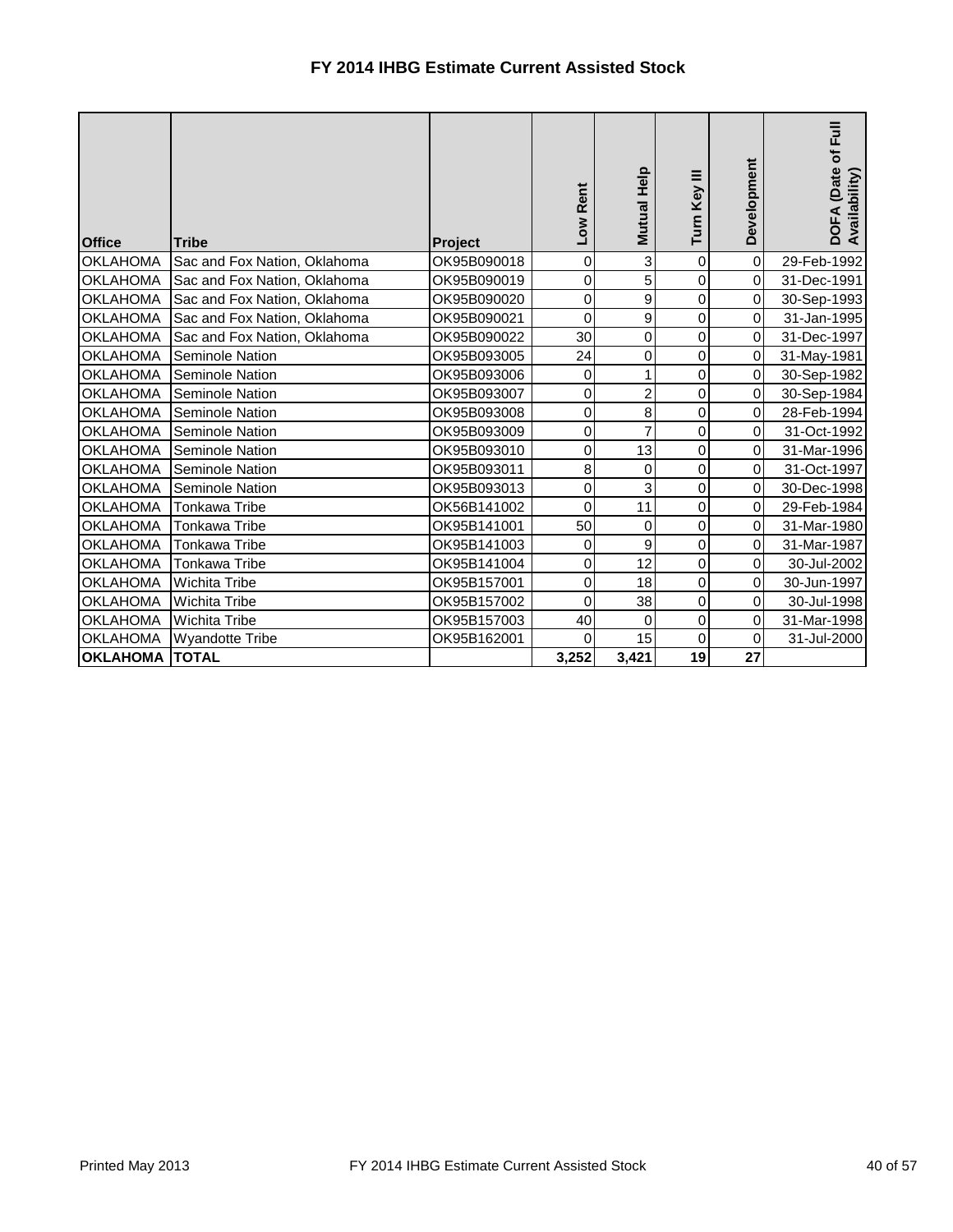| <b>Office</b>         | <b>Tribe</b>                 | <b>Project</b> | Low Rent    | Mutual Help    | Turn Key III | Development         | $\bar{p}$<br>FA (Date of<br>DOFA (Date<br>Availability) |
|-----------------------|------------------------------|----------------|-------------|----------------|--------------|---------------------|---------------------------------------------------------|
| <b>OKLAHOMA</b>       | Sac and Fox Nation, Oklahoma | OK95B090018    | $\mathbf 0$ | 3              | 0            | $\pmb{0}$           | 29-Feb-1992                                             |
| <b>OKLAHOMA</b>       | Sac and Fox Nation, Oklahoma | OK95B090019    | $\pmb{0}$   | 5              | 0            | $\pmb{0}$           | 31-Dec-1991                                             |
| <b>OKLAHOMA</b>       | Sac and Fox Nation, Oklahoma | OK95B090020    | $\pmb{0}$   | 9              | 0            | $\mathbf 0$         | 30-Sep-1993                                             |
| <b>OKLAHOMA</b>       | Sac and Fox Nation, Oklahoma | OK95B090021    | $\mathbf 0$ | 9              | 0            | $\pmb{0}$           | 31-Jan-1995                                             |
| <b>OKLAHOMA</b>       | Sac and Fox Nation, Oklahoma | OK95B090022    | 30          | 0              | 0            | $\pmb{0}$           | 31-Dec-1997                                             |
| <b>OKLAHOMA</b>       | <b>Seminole Nation</b>       | OK95B093005    | 24          | 0              | 0            | $\pmb{0}$           | 31-May-1981                                             |
| <b>OKLAHOMA</b>       | <b>Seminole Nation</b>       | OK95B093006    | $\pmb{0}$   |                | 0            | $\pmb{0}$           | 30-Sep-1982                                             |
| <b>OKLAHOMA</b>       | <b>Seminole Nation</b>       | OK95B093007    | $\mathbf 0$ | $\overline{2}$ | 0            | $\pmb{0}$           | 30-Sep-1984                                             |
| <b>OKLAHOMA</b>       | <b>Seminole Nation</b>       | OK95B093008    | $\mathbf 0$ | 8              | 0            | $\mathsf{O}\xspace$ | 28-Feb-1994                                             |
| <b>OKLAHOMA</b>       | <b>Seminole Nation</b>       | OK95B093009    | $\mathbf 0$ | 7              | 0            | $\overline{0}$      | 31-Oct-1992                                             |
| <b>OKLAHOMA</b>       | Seminole Nation              | OK95B093010    | $\pmb{0}$   | 13             | 0            | $\pmb{0}$           | 31-Mar-1996                                             |
| <b>OKLAHOMA</b>       | <b>Seminole Nation</b>       | OK95B093011    | 8           | 0              | 0            | $\pmb{0}$           | 31-Oct-1997                                             |
| <b>OKLAHOMA</b>       | <b>Seminole Nation</b>       | OK95B093013    | $\pmb{0}$   | 3              | 0            | $\pmb{0}$           | 30-Dec-1998                                             |
| <b>OKLAHOMA</b>       | Tonkawa Tribe                | OK56B141002    | $\mathbf 0$ | 11             | 0            | $\mathbf 0$         | 29-Feb-1984                                             |
| <b>OKLAHOMA</b>       | Tonkawa Tribe                | OK95B141001    | 50          | 0              | 0            | $\overline{0}$      | 31-Mar-1980                                             |
| <b>OKLAHOMA</b>       | Tonkawa Tribe                | OK95B141003    | 0           | 9              | 0            | $\pmb{0}$           | 31-Mar-1987                                             |
| <b>OKLAHOMA</b>       | <b>Tonkawa Tribe</b>         | OK95B141004    | $\mathbf 0$ | 12             | 0            | $\overline{0}$      | 30-Jul-2002                                             |
| <b>OKLAHOMA</b>       | <b>Wichita Tribe</b>         | OK95B157001    | $\pmb{0}$   | 18             | 0            | $\overline{0}$      | 30-Jun-1997                                             |
| <b>OKLAHOMA</b>       | <b>Wichita Tribe</b>         | OK95B157002    | $\mathbf 0$ | 38             | 0            | $\overline{0}$      | 30-Jul-1998                                             |
| <b>OKLAHOMA</b>       | <b>Wichita Tribe</b>         | OK95B157003    | 40          | 0              | 0            | $\mathbf 0$         | 31-Mar-1998                                             |
| <b>OKLAHOMA</b>       | <b>Wyandotte Tribe</b>       | OK95B162001    | 0           | 15             | 0            | $\pmb{0}$           | 31-Jul-2000                                             |
| <b>OKLAHOMA TOTAL</b> |                              |                | 3,252       | 3,421          | 19           | 27                  |                                                         |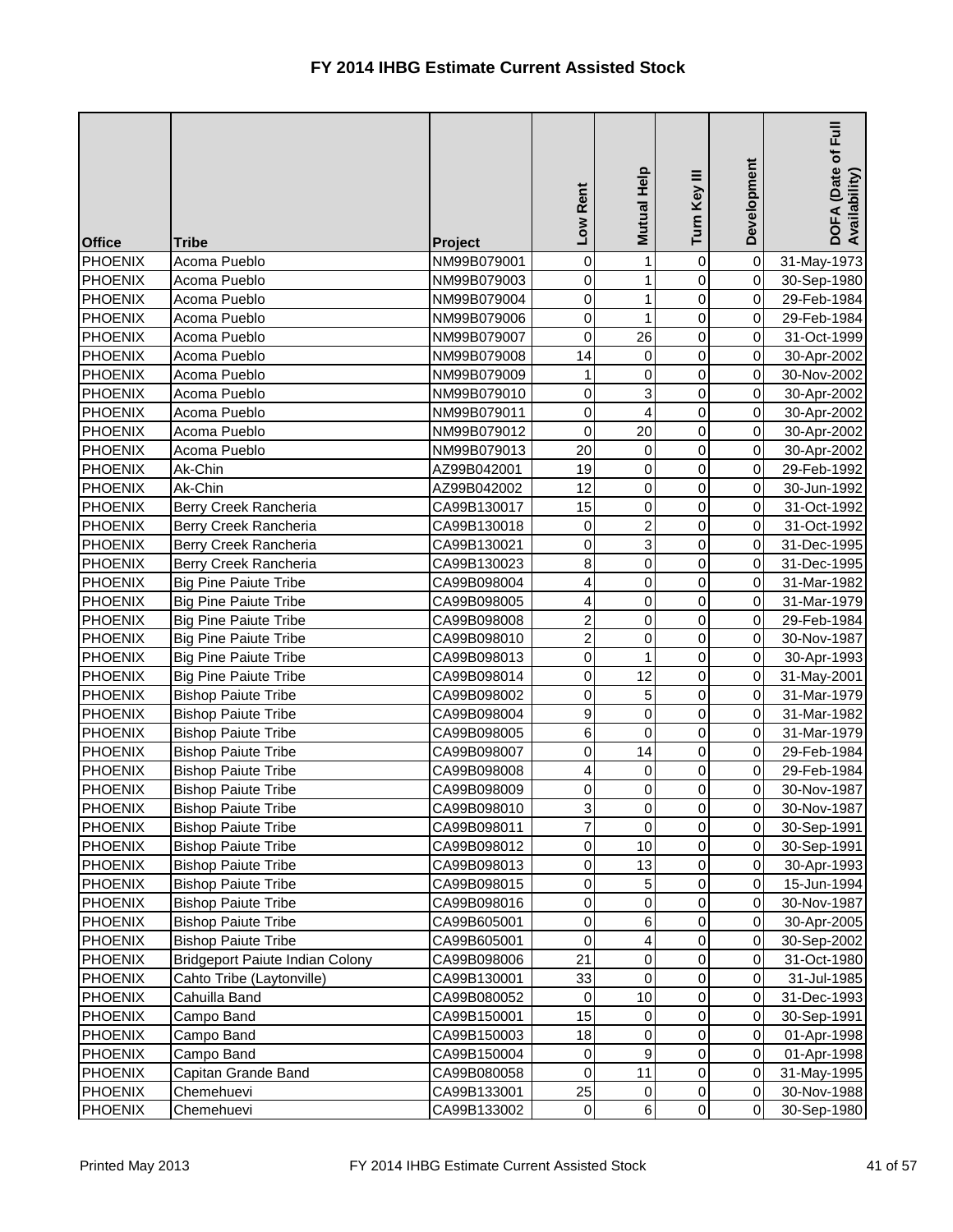| <b>Office</b>  | <b>Tribe</b>                           | Project     | Low Rent       | Mutual Help    | Turn Key III   | Development    | $\bar{E}$<br>DOFA (Date of I<br>Availability) |
|----------------|----------------------------------------|-------------|----------------|----------------|----------------|----------------|-----------------------------------------------|
| <b>PHOENIX</b> | Acoma Pueblo                           | NM99B079001 | 0              |                | 0              | $\overline{0}$ | 31-May-1973                                   |
| <b>PHOENIX</b> | Acoma Pueblo                           | NM99B079003 | 0              | 1              | 0              | $\overline{0}$ | 30-Sep-1980                                   |
| <b>PHOENIX</b> | Acoma Pueblo                           | NM99B079004 | 0              | 1              | 0              | $\overline{0}$ | 29-Feb-1984                                   |
| <b>PHOENIX</b> | Acoma Pueblo                           | NM99B079006 | 0              | 1              | 0              | $\overline{0}$ | 29-Feb-1984                                   |
| <b>PHOENIX</b> | Acoma Pueblo                           | NM99B079007 | 0              | 26             | 0              | $\overline{0}$ | 31-Oct-1999                                   |
| <b>PHOENIX</b> | Acoma Pueblo                           | NM99B079008 | 14             | $\mathbf 0$    | 0              | $\overline{0}$ | 30-Apr-2002                                   |
| <b>PHOENIX</b> | Acoma Pueblo                           | NM99B079009 | 1              | 0              | 0              | $\overline{0}$ | 30-Nov-2002                                   |
| PHOENIX        | Acoma Pueblo                           | NM99B079010 | 0              | 3              | 0              | $\overline{0}$ | 30-Apr-2002                                   |
| <b>PHOENIX</b> | Acoma Pueblo                           | NM99B079011 | $\overline{0}$ | 4              | 0              | $\overline{0}$ | 30-Apr-2002                                   |
| <b>PHOENIX</b> | Acoma Pueblo                           | NM99B079012 | 0              | 20             | 0              | $\overline{0}$ | 30-Apr-2002                                   |
| <b>PHOENIX</b> | Acoma Pueblo                           | NM99B079013 | 20             | $\overline{0}$ | 0              | $\overline{0}$ | 30-Apr-2002                                   |
| <b>PHOENIX</b> | Ak-Chin                                | AZ99B042001 | 19             | 0              | 0              | $\overline{0}$ | 29-Feb-1992                                   |
| <b>PHOENIX</b> | Ak-Chin                                | AZ99B042002 | 12             | 0              | 0              | $\overline{0}$ | 30-Jun-1992                                   |
| <b>PHOENIX</b> | Berry Creek Rancheria                  | CA99B130017 | 15             | 0              | 0              | $\overline{0}$ | 31-Oct-1992                                   |
| <b>PHOENIX</b> | Berry Creek Rancheria                  | CA99B130018 | 0              | $\overline{2}$ | $\mathbf 0$    | $\overline{0}$ | 31-Oct-1992                                   |
| <b>PHOENIX</b> | Berry Creek Rancheria                  | CA99B130021 | 0              | 3              | 0              | $\overline{0}$ | 31-Dec-1995                                   |
| PHOENIX        | Berry Creek Rancheria                  | CA99B130023 | $\,8\,$        | 0              | 0              | $\overline{0}$ | 31-Dec-1995                                   |
| <b>PHOENIX</b> | <b>Big Pine Paiute Tribe</b>           | CA99B098004 | 4              | 0              | 0              | $\overline{0}$ | 31-Mar-1982                                   |
| <b>PHOENIX</b> | <b>Big Pine Paiute Tribe</b>           | CA99B098005 | 4              | 0              | 0              | $\overline{0}$ | 31-Mar-1979                                   |
| <b>PHOENIX</b> | <b>Big Pine Paiute Tribe</b>           | CA99B098008 | $\overline{2}$ | 0              | 0              | $\overline{0}$ | 29-Feb-1984                                   |
| <b>PHOENIX</b> | <b>Big Pine Paiute Tribe</b>           | CA99B098010 | $\overline{2}$ | 0              | 0              | $\overline{0}$ | 30-Nov-1987                                   |
| <b>PHOENIX</b> | <b>Big Pine Paiute Tribe</b>           | CA99B098013 | $\overline{0}$ |                | 0              | $\overline{0}$ | 30-Apr-1993                                   |
| <b>PHOENIX</b> | <b>Big Pine Paiute Tribe</b>           | CA99B098014 | $\overline{0}$ | 12             | $\mathsf 0$    | $\overline{0}$ | 31-May-2001                                   |
| <b>PHOENIX</b> | <b>Bishop Paiute Tribe</b>             | CA99B098002 | 0              | 5              | 0              | $\overline{0}$ | 31-Mar-1979                                   |
| PHOENIX        | <b>Bishop Paiute Tribe</b>             | CA99B098004 | 9              | 0              | 0              | $\overline{0}$ | 31-Mar-1982                                   |
| <b>PHOENIX</b> | <b>Bishop Paiute Tribe</b>             | CA99B098005 | $6 \mid$       | $\Omega$       | $\overline{0}$ | $\overline{0}$ | 31-Mar-1979                                   |
| <b>PHOENIX</b> | <b>Bishop Paiute Tribe</b>             | CA99B098007 | 0              | 14             | $\overline{0}$ | $\overline{O}$ | 29-Feb-1984                                   |
| <b>PHOENIX</b> | <b>Bishop Paiute Tribe</b>             | CA99B098008 | 4              | 0              | 0              | $\overline{0}$ | 29-Feb-1984                                   |
| <b>PHOENIX</b> | <b>Bishop Paiute Tribe</b>             | CA99B098009 | 0              | 0              | 0              | $\overline{0}$ | 30-Nov-1987                                   |
| <b>PHOENIX</b> | <b>Bishop Paiute Tribe</b>             | CA99B098010 | 3              | 0              | 0              | $\overline{0}$ | 30-Nov-1987                                   |
| <b>PHOENIX</b> | <b>Bishop Paiute Tribe</b>             | CA99B098011 | $\overline{7}$ | 0              | $\mathbf 0$    | $\overline{0}$ | 30-Sep-1991                                   |
| <b>PHOENIX</b> | <b>Bishop Paiute Tribe</b>             | CA99B098012 | $\overline{0}$ | 10             | 0              | $\overline{0}$ | 30-Sep-1991                                   |
| <b>PHOENIX</b> | <b>Bishop Paiute Tribe</b>             | CA99B098013 | 0              | 13             | 0              | $\overline{0}$ | 30-Apr-1993                                   |
| <b>PHOENIX</b> | <b>Bishop Paiute Tribe</b>             | CA99B098015 | $\overline{0}$ | $\sqrt{5}$     | 0              | $\overline{0}$ | 15-Jun-1994                                   |
| <b>PHOENIX</b> | <b>Bishop Paiute Tribe</b>             | CA99B098016 | $\overline{0}$ | 0              | 0              | $\overline{0}$ | 30-Nov-1987                                   |
| <b>PHOENIX</b> | <b>Bishop Paiute Tribe</b>             | CA99B605001 | 0              | 6              | 0              | $\overline{0}$ | 30-Apr-2005                                   |
| <b>PHOENIX</b> | <b>Bishop Paiute Tribe</b>             | CA99B605001 | $\pmb{0}$      | 4              | 0              | $\overline{0}$ | 30-Sep-2002                                   |
| <b>PHOENIX</b> | <b>Bridgeport Paiute Indian Colony</b> | CA99B098006 | 21             | 0              | 0              | $\overline{0}$ | 31-Oct-1980                                   |
| <b>PHOENIX</b> | Cahto Tribe (Laytonville)              | CA99B130001 | 33             | 0              | 0              | $\overline{0}$ | 31-Jul-1985                                   |
| <b>PHOENIX</b> | Cahuilla Band                          | CA99B080052 | 0              | 10             | 0              | $\overline{0}$ | 31-Dec-1993                                   |
| <b>PHOENIX</b> | Campo Band                             | CA99B150001 | 15             | 0              | 0              | $\overline{0}$ | 30-Sep-1991                                   |
| <b>PHOENIX</b> | Campo Band                             | CA99B150003 | 18             | 0              | 0              | $\overline{0}$ | 01-Apr-1998                                   |
| <b>PHOENIX</b> | Campo Band                             | CA99B150004 | 0              | 9              | 0              | $\overline{0}$ | 01-Apr-1998                                   |
| <b>PHOENIX</b> | Capitan Grande Band                    | CA99B080058 | $\overline{0}$ | 11             | 0              | $\overline{0}$ | 31-May-1995                                   |
| <b>PHOENIX</b> | Chemehuevi                             | CA99B133001 | 25             | 0              | 0              | $\overline{0}$ | 30-Nov-1988                                   |
| <b>PHOENIX</b> | Chemehuevi                             | CA99B133002 | $\overline{0}$ | $\,6$          | 0              | $\overline{0}$ | 30-Sep-1980                                   |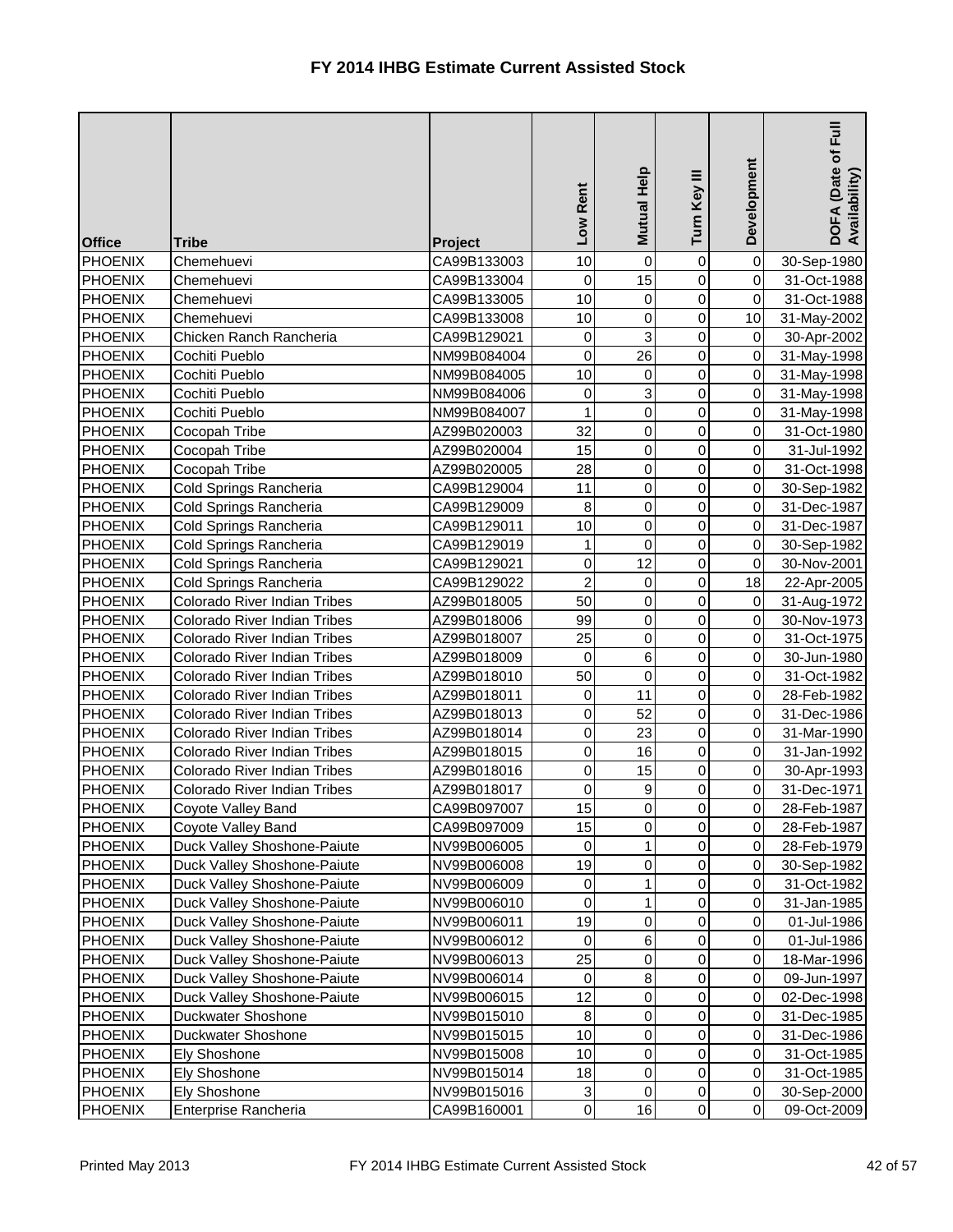| <b>Office</b>  | <b>Tribe</b>                        | <b>Project</b> | Low Rent       | Mutual Help    | Turn Key III   | Development    | 目<br>Eul<br>DOFA (Date of I<br>Availability) |
|----------------|-------------------------------------|----------------|----------------|----------------|----------------|----------------|----------------------------------------------|
| <b>PHOENIX</b> | Chemehuevi                          | CA99B133003    | 10             | $\overline{0}$ | 0              | 0              | 30-Sep-1980                                  |
| PHOENIX        | Chemehuevi                          | CA99B133004    | $\overline{0}$ | 15             | $\mathbf 0$    | $\overline{0}$ | 31-Oct-1988                                  |
| <b>PHOENIX</b> | Chemehuevi                          | CA99B133005    | 10             | 0              | 0              | $\overline{0}$ | 31-Oct-1988                                  |
| <b>PHOENIX</b> | Chemehuevi                          | CA99B133008    | 10             | 0              | $\mathbf 0$    | 10             | 31-May-2002                                  |
| <b>PHOENIX</b> | Chicken Ranch Rancheria             | CA99B129021    | $\overline{0}$ | 3              | 0              | $\overline{0}$ | 30-Apr-2002                                  |
| <b>PHOENIX</b> | Cochiti Pueblo                      | NM99B084004    | $\overline{0}$ | 26             | $\mathsf 0$    | $\overline{0}$ | 31-May-1998                                  |
| <b>PHOENIX</b> | Cochiti Pueblo                      | NM99B084005    | 10             | 0              | 0              | $\overline{0}$ | 31-May-1998                                  |
| <b>PHOENIX</b> | Cochiti Pueblo                      | NM99B084006    | $\overline{0}$ | 3              | $\overline{0}$ | $\pmb{0}$      | 31-May-1998                                  |
| <b>PHOENIX</b> | Cochiti Pueblo                      | NM99B084007    | 1              | 0              | $\mathbf 0$    | $\overline{0}$ | 31-May-1998                                  |
| PHOENIX        | Cocopah Tribe                       | AZ99B020003    | 32             | 0              | $\mathbf 0$    | $\overline{0}$ | 31-Oct-1980                                  |
| <b>PHOENIX</b> | Cocopah Tribe                       | AZ99B020004    | 15             | 0              | 0              | $\overline{0}$ | 31-Jul-1992                                  |
| <b>PHOENIX</b> | Cocopah Tribe                       | AZ99B020005    | 28             | 0              | 0              | $\overline{0}$ | 31-Oct-1998                                  |
| <b>PHOENIX</b> | Cold Springs Rancheria              | CA99B129004    | 11             | 0              | 0              | $\mathsf{O}$   | 30-Sep-1982                                  |
| PHOENIX        | Cold Springs Rancheria              | CA99B129009    | 8              | 0              | 0              | $\mathbf 0$    | 31-Dec-1987                                  |
| <b>PHOENIX</b> | Cold Springs Rancheria              | CA99B129011    | 10             | 0              | 0              | $\pmb{0}$      | 31-Dec-1987                                  |
| <b>PHOENIX</b> | Cold Springs Rancheria              | CA99B129019    | $\mathbf{1}$   | 0              | 0              | $\pmb{0}$      | 30-Sep-1982                                  |
| <b>PHOENIX</b> | Cold Springs Rancheria              | CA99B129021    | $\overline{0}$ | 12             | 0              | $\pmb{0}$      | 30-Nov-2001                                  |
| PHOENIX        | Cold Springs Rancheria              | CA99B129022    | $\overline{2}$ | 0              | 0              | 18             | 22-Apr-2005                                  |
| PHOENIX        | Colorado River Indian Tribes        | AZ99B018005    | 50             | 0              | 0              | $\overline{0}$ | 31-Aug-1972                                  |
| <b>PHOENIX</b> | <b>Colorado River Indian Tribes</b> | AZ99B018006    | 99             | 0              | 0              | $\pmb{0}$      | 30-Nov-1973                                  |
| <b>PHOENIX</b> | Colorado River Indian Tribes        | AZ99B018007    | 25             | 0              | 0              | $\overline{0}$ | 31-Oct-1975                                  |
| PHOENIX        | Colorado River Indian Tribes        | AZ99B018009    | $\pmb{0}$      | 6              | 0              | $\overline{0}$ | 30-Jun-1980                                  |
| <b>PHOENIX</b> | Colorado River Indian Tribes        | AZ99B018010    | 50             | $\mathbf 0$    | 0              | $\overline{0}$ | 31-Oct-1982                                  |
| PHOENIX        | <b>Colorado River Indian Tribes</b> | AZ99B018011    | $\overline{0}$ | 11             | 0              | 0              | 28-Feb-1982                                  |
| PHOENIX        | Colorado River Indian Tribes        | AZ99B018013    | $\overline{0}$ | 52             | 0              | 0              | 31-Dec-1986                                  |
| PHOENIX        | Colorado River Indian Tribes        | AZ99B018014    | $\overline{0}$ | 23             | $\overline{0}$ | $\overline{0}$ | 31-Mar-1990                                  |
| <b>PHOENIX</b> | Colorado River Indian Tribes        | AZ99B018015    | $\overline{0}$ | 16             | $\overline{0}$ | $\overline{0}$ | 31-Jan-1992                                  |
| PHOENIX        | Colorado River Indian Tribes        | AZ99B018016    | $\overline{0}$ | 15             | 0              | $\overline{0}$ | 30-Apr-1993                                  |
| PHOENIX        | Colorado River Indian Tribes        | AZ99B018017    | $\overline{0}$ | 9              | 0              | 0              | 31-Dec-1971                                  |
| PHOENIX        | Coyote Valley Band                  | CA99B097007    | 15             | 0              | 0              | 0              | 28-Feb-1987                                  |
| <b>PHOENIX</b> | Coyote Valley Band                  | CA99B097009    | 15             | 0              | 0              | $\overline{0}$ | 28-Feb-1987                                  |
| <b>PHOENIX</b> | Duck Valley Shoshone-Paiute         | NV99B006005    | $\pmb{0}$      |                | 0              | 0              | 28-Feb-1979                                  |
| PHOENIX        | Duck Valley Shoshone-Paiute         | NV99B006008    | 19             | 0              | 0              | 0              | 30-Sep-1982                                  |
| <b>PHOENIX</b> | Duck Valley Shoshone-Paiute         | NV99B006009    | $\overline{0}$ |                | 0              | $\overline{0}$ | 31-Oct-1982                                  |
| <b>PHOENIX</b> | Duck Valley Shoshone-Paiute         | NV99B006010    | $\overline{0}$ |                | 0              | $\overline{0}$ | 31-Jan-1985                                  |
| <b>PHOENIX</b> | Duck Valley Shoshone-Paiute         | NV99B006011    | 19             | 0              | 0              | $\overline{0}$ | 01-Jul-1986                                  |
| PHOENIX        | Duck Valley Shoshone-Paiute         | NV99B006012    | $\overline{0}$ | 6              | 0              | $\overline{0}$ | 01-Jul-1986                                  |
| <b>PHOENIX</b> | Duck Valley Shoshone-Paiute         | NV99B006013    | 25             | 0              | 0              | 0              | 18-Mar-1996                                  |
| PHOENIX        | Duck Valley Shoshone-Paiute         | NV99B006014    | $\mathbf 0$    | 8              | 0              | 0              | 09-Jun-1997                                  |
| <b>PHOENIX</b> | Duck Valley Shoshone-Paiute         | NV99B006015    | 12             | 0              | 0              | $\pmb{0}$      | 02-Dec-1998                                  |
| PHOENIX        | <b>Duckwater Shoshone</b>           | NV99B015010    | $\bf 8$        | 0              | 0              | 0              | 31-Dec-1985                                  |
| <b>PHOENIX</b> | Duckwater Shoshone                  | NV99B015015    | 10             | 0              | 0              | 0              | 31-Dec-1986                                  |
| PHOENIX        | <b>Ely Shoshone</b>                 | NV99B015008    | 10             | 0              | 0              | 0              | 31-Oct-1985                                  |
| <b>PHOENIX</b> | <b>Ely Shoshone</b>                 | NV99B015014    | 18             | 0              | 0              | $\overline{0}$ | 31-Oct-1985                                  |
| <b>PHOENIX</b> | <b>Ely Shoshone</b>                 | NV99B015016    | $\mathbf{3}$   | 0              | 0              | 0              | 30-Sep-2000                                  |
| PHOENIX        | Enterprise Rancheria                | CA99B160001    | $\overline{0}$ | 16             | $\overline{0}$ | $\overline{0}$ | 09-Oct-2009                                  |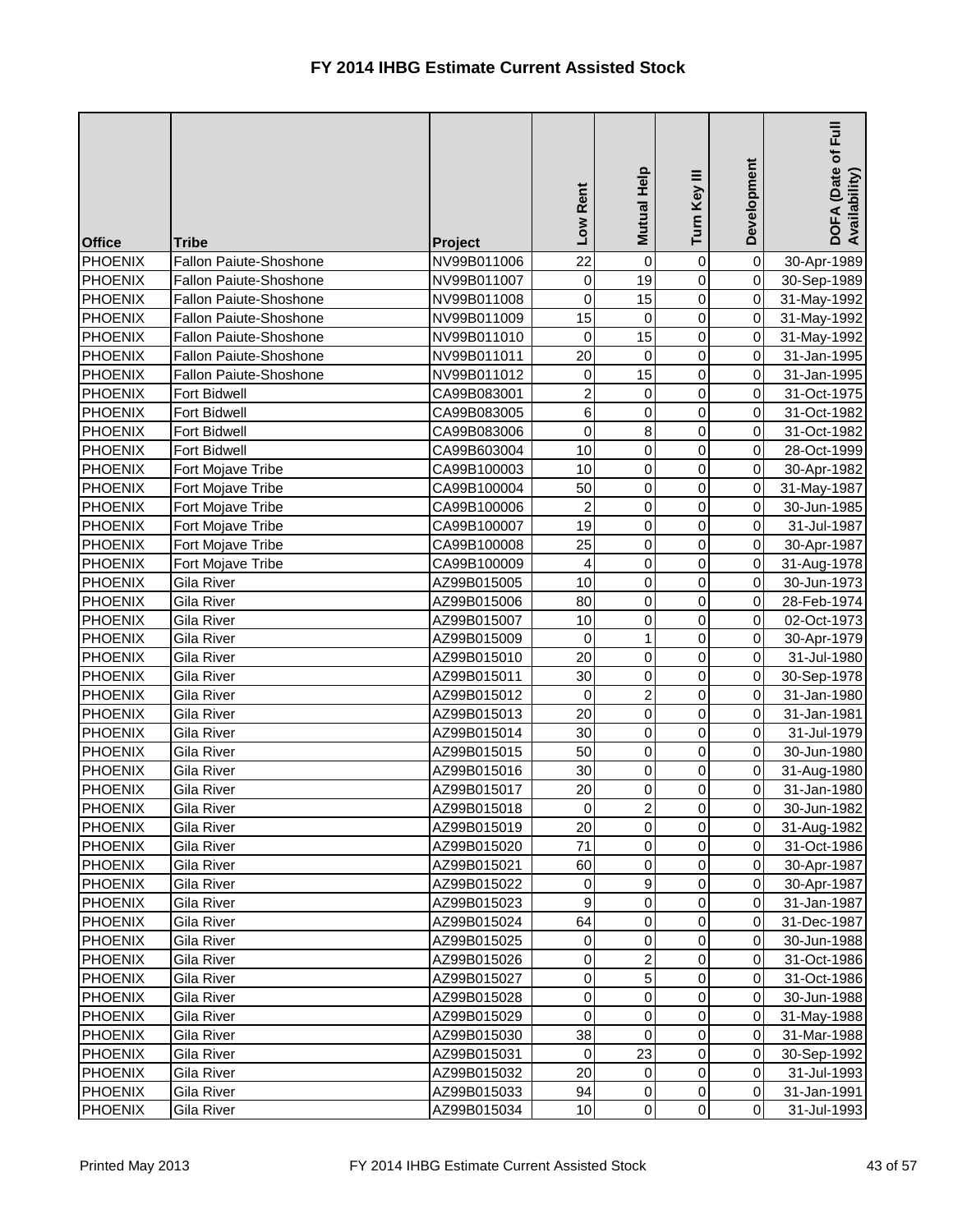| <b>Office</b>  | <b>Tribe</b>                  | Project     | Low Rent                | <b>Mutual Help</b> | Turn Key III     | Development    | <b>Full</b><br>DOFA (Date of F<br>Availability) |
|----------------|-------------------------------|-------------|-------------------------|--------------------|------------------|----------------|-------------------------------------------------|
| <b>PHOENIX</b> | <b>Fallon Paiute-Shoshone</b> | NV99B011006 | 22                      | 0                  | 0                | $\overline{0}$ | 30-Apr-1989                                     |
| <b>PHOENIX</b> | Fallon Paiute-Shoshone        | NV99B011007 | 0                       | 19                 | 0                | $\overline{0}$ | 30-Sep-1989                                     |
| <b>PHOENIX</b> | Fallon Paiute-Shoshone        | NV99B011008 | 0                       | 15                 | 0                | $\overline{0}$ | 31-May-1992                                     |
| <b>PHOENIX</b> | Fallon Paiute-Shoshone        | NV99B011009 | 15                      | $\mathbf 0$        | 0                | $\overline{0}$ | 31-May-1992                                     |
| <b>PHOENIX</b> | Fallon Paiute-Shoshone        | NV99B011010 | $\pmb{0}$               | 15                 | 0                | $\overline{0}$ | 31-May-1992                                     |
| <b>PHOENIX</b> | Fallon Paiute-Shoshone        | NV99B011011 | 20                      | $\mathbf 0$        | 0                | $\overline{0}$ | 31-Jan-1995                                     |
| <b>PHOENIX</b> | Fallon Paiute-Shoshone        | NV99B011012 | 0                       | 15                 | 0                | $\overline{0}$ | 31-Jan-1995                                     |
| <b>PHOENIX</b> | Fort Bidwell                  | CA99B083001 | $\overline{2}$          | 0                  | 0                | $\overline{0}$ | 31-Oct-1975                                     |
| <b>PHOENIX</b> | Fort Bidwell                  | CA99B083005 | $6\overline{6}$         | 0                  | 0                | $\overline{0}$ | 31-Oct-1982                                     |
| <b>PHOENIX</b> | <b>Fort Bidwell</b>           | CA99B083006 | 0                       | 8                  | 0                | $\overline{0}$ | 31-Oct-1982                                     |
| <b>PHOENIX</b> | Fort Bidwell                  | CA99B603004 | 10                      | 0                  | $\mathbf 0$      | $\overline{0}$ | 28-Oct-1999                                     |
| <b>PHOENIX</b> | Fort Mojave Tribe             | CA99B100003 | 10                      | 0                  | 0                | $\overline{0}$ | 30-Apr-1982                                     |
| <b>PHOENIX</b> | Fort Mojave Tribe             | CA99B100004 | 50                      | 0                  | 0                | $\overline{0}$ | 31-May-1987                                     |
| <b>PHOENIX</b> | Fort Mojave Tribe             | CA99B100006 | $\overline{\mathbf{c}}$ | 0                  | 0                | $\overline{0}$ | 30-Jun-1985                                     |
| <b>PHOENIX</b> | Fort Mojave Tribe             | CA99B100007 | 19                      | 0                  | $\mathbf 0$      | $\overline{0}$ | 31-Jul-1987                                     |
| <b>PHOENIX</b> | Fort Mojave Tribe             | CA99B100008 | 25                      | 0                  | 0                | $\overline{0}$ | 30-Apr-1987                                     |
| <b>PHOENIX</b> | Fort Mojave Tribe             | CA99B100009 | 4                       | 0                  | 0                | $\overline{0}$ | 31-Aug-1978                                     |
| PHOENIX        | Gila River                    | AZ99B015005 | 10                      | 0                  | 0                | $\overline{0}$ | 30-Jun-1973                                     |
| <b>PHOENIX</b> | <b>Gila River</b>             | AZ99B015006 | 80                      | 0                  | $\mathbf 0$      | $\overline{0}$ | 28-Feb-1974                                     |
| <b>PHOENIX</b> | Gila River                    | AZ99B015007 | 10                      | 0                  | $\mathbf 0$      | $\overline{0}$ | 02-Oct-1973                                     |
| <b>PHOENIX</b> | Gila River                    | AZ99B015009 | $\mathbf 0$             | 1                  | 0                | $\overline{0}$ | 30-Apr-1979                                     |
| <b>PHOENIX</b> | Gila River                    | AZ99B015010 | 20                      | 0                  | 0                | $\overline{0}$ | 31-Jul-1980                                     |
| <b>PHOENIX</b> | Gila River                    | AZ99B015011 | 30                      | 0                  | $\mathbf 0$      | $\overline{0}$ | 30-Sep-1978                                     |
| <b>PHOENIX</b> | Gila River                    | AZ99B015012 | 0                       | $\overline{2}$     | 0                | $\overline{0}$ | 31-Jan-1980                                     |
| <b>PHOENIX</b> | Gila River                    | AZ99B015013 | 20                      | 0                  | 0                | $\overline{0}$ | 31-Jan-1981                                     |
| <b>PHOENIX</b> | Gila River                    | AZ99B015014 | 30                      | $\overline{0}$     | $\overline{0}$   | $\overline{0}$ | 31-Jul-1979                                     |
| <b>PHOENIX</b> | Gila River                    | AZ99B015015 | 50                      | 0                  | $\overline{0}$   | $\overline{0}$ | 30-Jun-1980                                     |
| <b>PHOENIX</b> | Gila River                    | AZ99B015016 | 30                      | 0                  | 0                | $\overline{0}$ | 31-Aug-1980                                     |
| <b>PHOENIX</b> | Gila River                    | AZ99B015017 | 20                      | 0                  | 0                | $\overline{0}$ | 31-Jan-1980                                     |
| <b>PHOENIX</b> | Gila River                    | AZ99B015018 | $\pmb{0}$               | 2                  | 0                | $\overline{0}$ | 30-Jun-1982                                     |
| <b>PHOENIX</b> | Gila River                    | AZ99B015019 | 20                      | 0                  | $\mathbf 0$      | $\overline{0}$ | 31-Aug-1982                                     |
| <b>PHOENIX</b> | Gila River                    | AZ99B015020 | 71                      | 0                  | 0                | $\overline{0}$ | 31-Oct-1986                                     |
| <b>PHOENIX</b> | Gila River                    | AZ99B015021 | 60                      | 0                  | 0                | $\overline{0}$ | 30-Apr-1987                                     |
| <b>PHOENIX</b> | Gila River                    | AZ99B015022 | 0                       | 9                  | 0                | $\overline{0}$ | 30-Apr-1987                                     |
| <b>PHOENIX</b> | Gila River                    | AZ99B015023 | $\overline{9}$          | 0                  | 0                | $\overline{0}$ | 31-Jan-1987                                     |
| <b>PHOENIX</b> | Gila River                    | AZ99B015024 | 64                      | 0                  | 0                | $\overline{0}$ | 31-Dec-1987                                     |
| PHOENIX        | Gila River                    | AZ99B015025 | $\pmb{0}$               | 0                  | 0                | $\overline{O}$ | 30-Jun-1988                                     |
| <b>PHOENIX</b> | Gila River                    | AZ99B015026 | $\overline{0}$          | 2                  | 0                | $\overline{0}$ | 31-Oct-1986                                     |
| <b>PHOENIX</b> | Gila River                    | AZ99B015027 | $\overline{0}$          | 5                  | 0                | $\overline{0}$ | 31-Oct-1986                                     |
| <b>PHOENIX</b> | Gila River                    | AZ99B015028 | $\overline{0}$          | 0                  | 0                | $\overline{0}$ | 30-Jun-1988                                     |
| <b>PHOENIX</b> | Gila River                    | AZ99B015029 | $\pmb{0}$               | 0                  | 0                | $\overline{0}$ | 31-May-1988                                     |
| <b>PHOENIX</b> | Gila River                    | AZ99B015030 | 38                      | 0                  | 0                | $\overline{0}$ | 31-Mar-1988                                     |
| <b>PHOENIX</b> | Gila River                    | AZ99B015031 | $\pmb{0}$               | 23                 | 0                | $\overline{0}$ | 30-Sep-1992                                     |
| <b>PHOENIX</b> | Gila River                    | AZ99B015032 | 20                      | $\pmb{0}$          | 0                | $\overline{0}$ | 31-Jul-1993                                     |
| <b>PHOENIX</b> | Gila River                    | AZ99B015033 | 94                      | $\pmb{0}$          | $\boldsymbol{0}$ | $\overline{0}$ | 31-Jan-1991                                     |
| <b>PHOENIX</b> | Gila River                    | AZ99B015034 | 10                      | $\overline{0}$     | $\overline{0}$   | $\overline{0}$ | 31-Jul-1993                                     |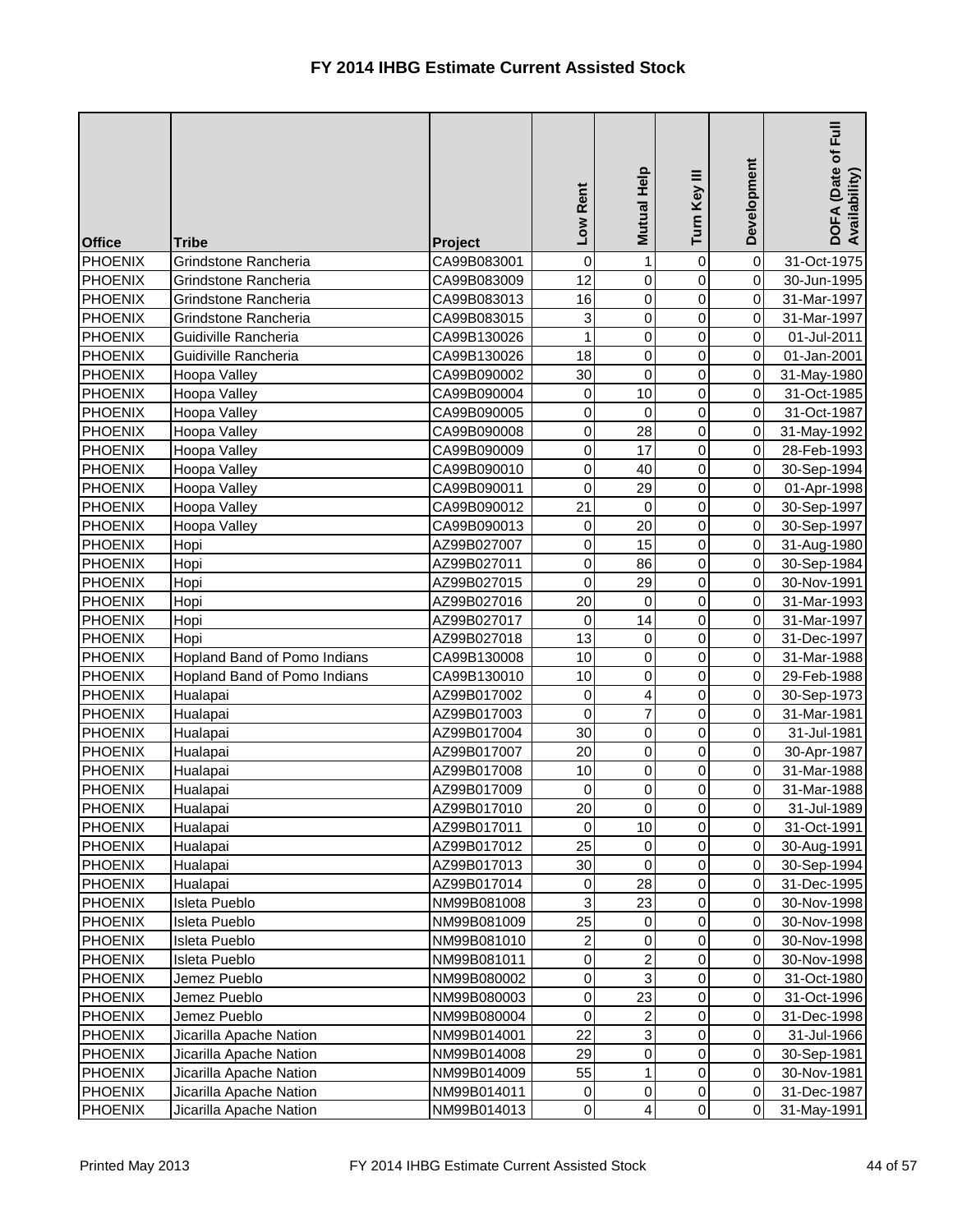| <b>Office</b>  | <b>Tribe</b>                 | Project     | Low Rent                | Mutual Help    | Turn Key III   | Development    | <b>Full</b><br>DOFA (Date of F<br>Availability) |
|----------------|------------------------------|-------------|-------------------------|----------------|----------------|----------------|-------------------------------------------------|
| <b>PHOENIX</b> | Grindstone Rancheria         | CA99B083001 | 0                       | 1              | 0              | $\overline{0}$ | 31-Oct-1975                                     |
| <b>PHOENIX</b> | Grindstone Rancheria         | CA99B083009 | 12                      | 0              | 0              | $\overline{0}$ | 30-Jun-1995                                     |
| <b>PHOENIX</b> | Grindstone Rancheria         | CA99B083013 | 16                      | 0              | 0              | $\overline{0}$ | 31-Mar-1997                                     |
| <b>PHOENIX</b> | Grindstone Rancheria         | CA99B083015 | 3                       | 0              | 0              | $\overline{0}$ | 31-Mar-1997                                     |
| <b>PHOENIX</b> | Guidiville Rancheria         | CA99B130026 | $\mathbf{1}$            | 0              | 0              | $\overline{0}$ | 01-Jul-2011                                     |
| <b>PHOENIX</b> | Guidiville Rancheria         | CA99B130026 | 18                      | 0              | 0              | $\overline{0}$ | 01-Jan-2001                                     |
| <b>PHOENIX</b> | Hoopa Valley                 | CA99B090002 | 30                      | $\mathbf 0$    | 0              | $\overline{0}$ | 31-May-1980                                     |
| <b>PHOENIX</b> | Hoopa Valley                 | CA99B090004 | 0                       | 10             | 0              | $\overline{0}$ | 31-Oct-1985                                     |
| <b>PHOENIX</b> | Hoopa Valley                 | CA99B090005 | 0                       | 0              | 0              | $\overline{0}$ | 31-Oct-1987                                     |
| <b>PHOENIX</b> | Hoopa Valley                 | CA99B090008 | $\overline{0}$          | 28             | 0              | $\overline{0}$ | 31-May-1992                                     |
| <b>PHOENIX</b> | Hoopa Valley                 | CA99B090009 | $\overline{0}$          | 17             | $\mathsf 0$    | $\overline{0}$ | 28-Feb-1993                                     |
| <b>PHOENIX</b> | Hoopa Valley                 | CA99B090010 | 0                       | 40             | 0              | $\overline{0}$ | 30-Sep-1994                                     |
| <b>PHOENIX</b> | Hoopa Valley                 | CA99B090011 | 0                       | 29             | 0              | $\overline{0}$ | 01-Apr-1998                                     |
| <b>PHOENIX</b> | Hoopa Valley                 | CA99B090012 | 21                      | $\mathbf 0$    | 0              | $\overline{0}$ | 30-Sep-1997                                     |
| <b>PHOENIX</b> | Hoopa Valley                 | CA99B090013 | 0                       | 20             | $\mathsf 0$    | $\overline{0}$ | 30-Sep-1997                                     |
| <b>PHOENIX</b> | Hopi                         | AZ99B027007 | 0                       | 15             | 0              | $\overline{0}$ | 31-Aug-1980                                     |
| <b>PHOENIX</b> | Hopi                         | AZ99B027011 | 0                       | 86             | 0              | $\overline{0}$ | 30-Sep-1984                                     |
| <b>PHOENIX</b> | Hopi                         | AZ99B027015 | 0                       | 29             | 0              | $\overline{0}$ | 30-Nov-1991                                     |
| <b>PHOENIX</b> | Hopi                         | AZ99B027016 | 20                      | $\overline{0}$ | 0              | $\overline{0}$ | 31-Mar-1993                                     |
| <b>PHOENIX</b> | Hopi                         | AZ99B027017 | 0                       | 14             | 0              | $\overline{0}$ | 31-Mar-1997                                     |
| <b>PHOENIX</b> | Hopi                         | AZ99B027018 | 13                      | 0              | 0              | $\mathbf 0$    | 31-Dec-1997                                     |
| <b>PHOENIX</b> | Hopland Band of Pomo Indians | CA99B130008 | 10                      | 0              | $\mathbf 0$    | $\overline{0}$ | 31-Mar-1988                                     |
| <b>PHOENIX</b> | Hopland Band of Pomo Indians | CA99B130010 | 10                      | 0              | $\mathsf 0$    | $\overline{0}$ | 29-Feb-1988                                     |
| <b>PHOENIX</b> | Hualapai                     | AZ99B017002 | 0                       | 4              | 0              | $\overline{0}$ | 30-Sep-1973                                     |
| <b>PHOENIX</b> | Hualapai                     | AZ99B017003 | 0                       | 7              | 0              | $\overline{0}$ | 31-Mar-1981                                     |
| <b>PHOENIX</b> | Hualapai                     | AZ99B017004 | 30                      | $\Omega$       | $\overline{0}$ | $\overline{O}$ | 31-Jul-1981                                     |
| <b>PHOENIX</b> | Hualapai                     | AZ99B017007 | 20                      | 0              | $\mathbf 0$    | $\overline{0}$ | 30-Apr-1987                                     |
| <b>PHOENIX</b> | Hualapai                     | AZ99B017008 | 10                      | 0              | 0              | $\overline{0}$ | 31-Mar-1988                                     |
| <b>PHOENIX</b> | Hualapai                     | AZ99B017009 | 0                       | 0              | 0              | $\overline{0}$ | 31-Mar-1988                                     |
| <b>PHOENIX</b> | Hualapai                     | AZ99B017010 | 20                      | 0              | 0              | $\overline{0}$ | 31-Jul-1989                                     |
| <b>PHOENIX</b> | Hualapai                     | AZ99B017011 | 0                       | 10             | 0              | $\overline{0}$ | 31-Oct-1991                                     |
| <b>PHOENIX</b> | Hualapai                     | AZ99B017012 | 25                      | 0              | 0              | $\overline{0}$ | 30-Aug-1991                                     |
| <b>PHOENIX</b> | Hualapai                     | AZ99B017013 | 30                      | 0              | 0              | $\overline{0}$ | 30-Sep-1994                                     |
| <b>PHOENIX</b> | Hualapai                     | AZ99B017014 | 0                       | 28             | 0              | $\overline{0}$ | 31-Dec-1995                                     |
| <b>PHOENIX</b> | Isleta Pueblo                | NM99B081008 | 3                       | 23             | 0              | $\overline{0}$ | 30-Nov-1998                                     |
| <b>PHOENIX</b> | Isleta Pueblo                | NM99B081009 | 25                      | 0              | 0              | $\overline{0}$ | 30-Nov-1998                                     |
| PHOENIX        | <b>Isleta Pueblo</b>         | NM99B081010 | $\overline{\mathbf{c}}$ | 0              | 0              | $\overline{0}$ | 30-Nov-1998                                     |
| <b>PHOENIX</b> | Isleta Pueblo                | NM99B081011 | $\overline{0}$          | 2              | 0              | $\overline{0}$ | 30-Nov-1998                                     |
| <b>PHOENIX</b> | Jemez Pueblo                 | NM99B080002 | $\overline{0}$          | 3              | 0              | $\overline{0}$ | 31-Oct-1980                                     |
| <b>PHOENIX</b> | Jemez Pueblo                 | NM99B080003 | $\overline{0}$          | 23             | 0              | $\overline{0}$ | 31-Oct-1996                                     |
| <b>PHOENIX</b> | Jemez Pueblo                 | NM99B080004 | $\pmb{0}$               | $\overline{c}$ | 0              | $\overline{0}$ | 31-Dec-1998                                     |
| <b>PHOENIX</b> | Jicarilla Apache Nation      | NM99B014001 | 22                      | 3              | 0              | $\overline{0}$ | 31-Jul-1966                                     |
| <b>PHOENIX</b> | Jicarilla Apache Nation      | NM99B014008 | 29                      | 0              | 0              | $\overline{0}$ | 30-Sep-1981                                     |
| <b>PHOENIX</b> | Jicarilla Apache Nation      | NM99B014009 | 55                      | 1              | 0              | $\overline{0}$ | 30-Nov-1981                                     |
| <b>PHOENIX</b> | Jicarilla Apache Nation      | NM99B014011 | 0                       | 0              | 0              | 0              | 31-Dec-1987                                     |
| <b>PHOENIX</b> | Jicarilla Apache Nation      | NM99B014013 | $\overline{0}$          | 4              | 0              | $\overline{0}$ | 31-May-1991                                     |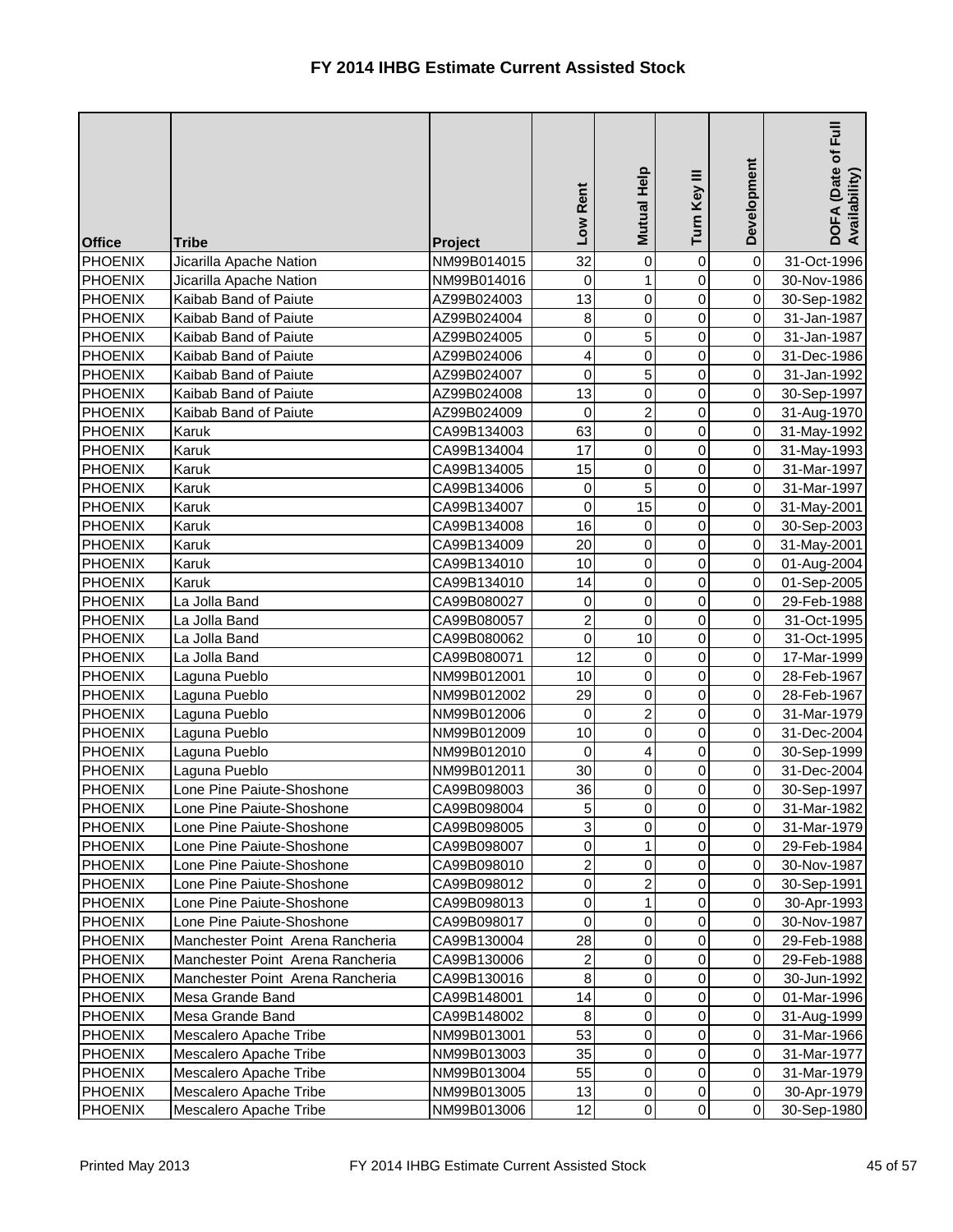| <b>Office</b>  | <b>Tribe</b>                     | Project     | Rent<br><b>No7</b> | Mutual Help    | Turn Key III   | Development    | $\bar{E}$<br>DOFA (Date of I<br>Availability) |
|----------------|----------------------------------|-------------|--------------------|----------------|----------------|----------------|-----------------------------------------------|
| PHOENIX        | Jicarilla Apache Nation          | NM99B014015 | 32                 | 0              | 0              | $\overline{0}$ | 31-Oct-1996                                   |
| <b>PHOENIX</b> | Jicarilla Apache Nation          | NM99B014016 | 0                  | 1              | 0              | 0              | 30-Nov-1986                                   |
| <b>PHOENIX</b> | Kaibab Band of Paiute            | AZ99B024003 | 13                 | 0              | 0              | $\overline{0}$ | 30-Sep-1982                                   |
| <b>PHOENIX</b> | Kaibab Band of Paiute            | AZ99B024004 | 8                  | 0              | 0              | $\overline{0}$ | 31-Jan-1987                                   |
| <b>PHOENIX</b> | Kaibab Band of Paiute            | AZ99B024005 | 0                  | 5              | 0              | $\overline{0}$ | 31-Jan-1987                                   |
| <b>PHOENIX</b> | Kaibab Band of Paiute            | AZ99B024006 | 4                  | 0              | 0              | $\overline{0}$ | 31-Dec-1986                                   |
| <b>PHOENIX</b> | Kaibab Band of Paiute            | AZ99B024007 | 0                  | 5              | 0              | $\overline{0}$ | 31-Jan-1992                                   |
| PHOENIX        | Kaibab Band of Paiute            | AZ99B024008 | 13                 | 0              | 0              | $\overline{0}$ | 30-Sep-1997                                   |
| <b>PHOENIX</b> | Kaibab Band of Paiute            | AZ99B024009 | 0                  | $\overline{c}$ | 0              | $\overline{0}$ | 31-Aug-1970                                   |
| <b>PHOENIX</b> | Karuk                            | CA99B134003 | 63                 | 0              | 0              | $\overline{0}$ | 31-May-1992                                   |
| <b>PHOENIX</b> | Karuk                            | CA99B134004 | 17                 | 0              | 0              | $\overline{0}$ | 31-May-1993                                   |
| <b>PHOENIX</b> | Karuk                            | CA99B134005 | 15                 | 0              | 0              | $\overline{0}$ | 31-Mar-1997                                   |
| <b>PHOENIX</b> | Karuk                            | CA99B134006 | 0                  | 5              | 0              | $\overline{0}$ | 31-Mar-1997                                   |
| <b>PHOENIX</b> | Karuk                            | CA99B134007 | 0                  | 15             | 0              | $\overline{0}$ | 31-May-2001                                   |
| <b>PHOENIX</b> | Karuk                            | CA99B134008 | 16                 | 0              | $\mathsf 0$    | $\overline{0}$ | 30-Sep-2003                                   |
| PHOENIX        | Karuk                            | CA99B134009 | 20                 | 0              | 0              | $\overline{0}$ | 31-May-2001                                   |
| <b>PHOENIX</b> | Karuk                            | CA99B134010 | 10                 | 0              | 0              | $\overline{0}$ | 01-Aug-2004                                   |
| PHOENIX        | Karuk                            | CA99B134010 | 14                 | 0              | 0              | $\overline{0}$ | 01-Sep-2005                                   |
| <b>PHOENIX</b> | La Jolla Band                    | CA99B080027 | 0                  | 0              | 0              | $\overline{0}$ | 29-Feb-1988                                   |
| <b>PHOENIX</b> | La Jolla Band                    | CA99B080057 | $\overline{2}$     | 0              | 0              | $\overline{0}$ | 31-Oct-1995                                   |
| PHOENIX        | La Jolla Band                    | CA99B080062 | 0                  | 10             | 0              | $\overline{0}$ | 31-Oct-1995                                   |
| <b>PHOENIX</b> | La Jolla Band                    | CA99B080071 | 12                 | 0              | 0              | $\overline{0}$ | 17-Mar-1999                                   |
| <b>PHOENIX</b> | Laguna Pueblo                    | NM99B012001 | 10                 | 0              | $\mathsf 0$    | $\overline{0}$ | 28-Feb-1967                                   |
| PHOENIX        | Laguna Pueblo                    | NM99B012002 | 29                 | 0              | 0              | $\overline{0}$ | 28-Feb-1967                                   |
| <b>PHOENIX</b> | Laguna Pueblo                    | NM99B012006 | 0                  | $\overline{c}$ | 0              | $\overline{0}$ | 31-Mar-1979                                   |
| <b>PHOENIX</b> | Laguna Pueblo                    | NM99B012009 | 10 <sub>1</sub>    | $\Omega$       | $\overline{0}$ | $\overline{O}$ | 31-Dec-2004                                   |
| <b>PHOENIX</b> | Laguna Pueblo                    | NM99B012010 | $\overline{0}$     | 4              | $\overline{0}$ | $\overline{O}$ | 30-Sep-1999                                   |
| <b>PHOENIX</b> | Laguna Pueblo                    | NM99B012011 | 30                 | 0              | 0              | $\overline{0}$ | 31-Dec-2004                                   |
| <b>PHOENIX</b> | Lone Pine Paiute-Shoshone        | CA99B098003 | 36                 | 0              | 0              | $\overline{0}$ | 30-Sep-1997                                   |
| <b>PHOENIX</b> | Lone Pine Paiute-Shoshone        | CA99B098004 | 5                  | 0              | 0              | $\overline{0}$ | 31-Mar-1982                                   |
| <b>PHOENIX</b> | Lone Pine Paiute-Shoshone        | CA99B098005 | 3                  | 0              | 0              | $\overline{0}$ | 31-Mar-1979                                   |
| <b>PHOENIX</b> | Lone Pine Paiute-Shoshone        | CA99B098007 | 0                  | 1              | 0              | $\overline{0}$ | 29-Feb-1984                                   |
| <b>PHOENIX</b> | Lone Pine Paiute-Shoshone        | CA99B098010 | $\overline{c}$     | 0              | 0              | $\overline{0}$ | 30-Nov-1987                                   |
| <b>PHOENIX</b> | Lone Pine Paiute-Shoshone        | CA99B098012 | $\overline{0}$     | $\overline{c}$ | 0              | $\overline{0}$ | 30-Sep-1991                                   |
| <b>PHOENIX</b> | Lone Pine Paiute-Shoshone        | CA99B098013 | $\overline{0}$     | 1              | 0              | $\overline{0}$ | 30-Apr-1993                                   |
| <b>PHOENIX</b> | Lone Pine Paiute-Shoshone        | CA99B098017 | 0                  | 0              | 0              | $\overline{0}$ | 30-Nov-1987                                   |
| <b>PHOENIX</b> | Manchester Point Arena Rancheria | CA99B130004 | 28                 | 0              | 0              | $\overline{0}$ | 29-Feb-1988                                   |
| <b>PHOENIX</b> | Manchester Point Arena Rancheria | CA99B130006 | 2                  | 0              | 0              | $\overline{0}$ | 29-Feb-1988                                   |
| <b>PHOENIX</b> | Manchester Point Arena Rancheria | CA99B130016 | $\bf{8}$           | 0              | 0              | $\overline{0}$ | 30-Jun-1992                                   |
| <b>PHOENIX</b> | Mesa Grande Band                 | CA99B148001 | 14                 | 0              | 0              | $\overline{0}$ | 01-Mar-1996                                   |
| <b>PHOENIX</b> | Mesa Grande Band                 | CA99B148002 | $\, 8$             | 0              | 0              | $\overline{0}$ | 31-Aug-1999                                   |
| <b>PHOENIX</b> | Mescalero Apache Tribe           | NM99B013001 | 53                 | 0              | 0              | $\overline{0}$ | 31-Mar-1966                                   |
| <b>PHOENIX</b> | Mescalero Apache Tribe           | NM99B013003 | 35                 | 0              | 0              | $\overline{0}$ | 31-Mar-1977                                   |
| <b>PHOENIX</b> | Mescalero Apache Tribe           | NM99B013004 | 55                 | 0              | 0              | $\overline{0}$ | 31-Mar-1979                                   |
| <b>PHOENIX</b> | Mescalero Apache Tribe           | NM99B013005 | 13                 | 0              | 0              | $\overline{0}$ | 30-Apr-1979                                   |
| <b>PHOENIX</b> | Mescalero Apache Tribe           | NM99B013006 | 12                 | $\pmb{0}$      | 0              | $\overline{0}$ | 30-Sep-1980                                   |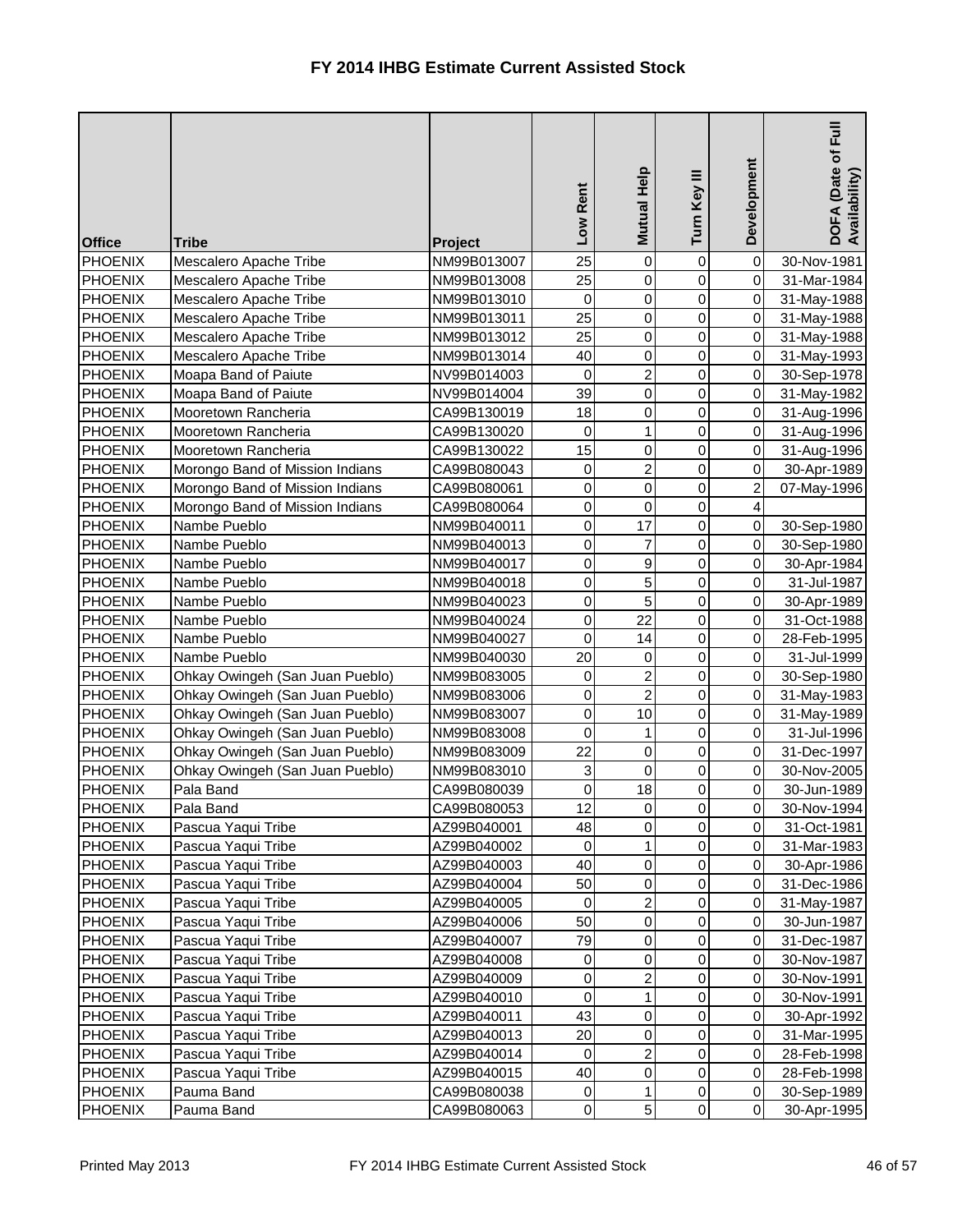| 25<br>$\mathsf 0$<br><b>PHOENIX</b><br>0<br>$\overline{0}$<br>Mescalero Apache Tribe<br>NM99B013008<br>31-Mar-1984<br>$\mathbf 0$<br>0<br>0<br>$\overline{0}$<br><b>PHOENIX</b><br>Mescalero Apache Tribe<br>NM99B013010<br>31-May-1988<br>25<br>$\pmb{0}$<br>0<br>$\overline{0}$<br><b>PHOENIX</b><br>Mescalero Apache Tribe<br>NM99B013011<br>31-May-1988<br>25<br>$\overline{0}$<br>0<br>0<br><b>PHOENIX</b><br>NM99B013012<br>Mescalero Apache Tribe<br>31-May-1988<br>40<br>$\mathsf 0$<br>0<br>$\overline{0}$<br><b>PHOENIX</b><br>NM99B013014<br>Mescalero Apache Tribe<br>31-May-1993<br>$\overline{2}$<br>0<br>0<br>$\overline{0}$<br><b>PHOENIX</b><br>Moapa Band of Paiute<br>NV99B014003<br>30-Sep-1978<br>39<br>$\mathsf 0$<br>0<br>$\overline{0}$<br><b>PHOENIX</b><br>Moapa Band of Paiute<br>NV99B014004<br>31-May-1982<br>18<br>0<br>0<br>$\overline{0}$<br><b>PHOENIX</b><br>Mooretown Rancheria<br>CA99B130019<br>31-Aug-1996<br>0<br>0<br>$\overline{0}$<br><b>PHOENIX</b><br>1<br>Mooretown Rancheria<br>CA99B130020<br>31-Aug-1996<br>15<br>0<br>Mooretown Rancheria<br>0<br>$\overline{0}$<br><b>PHOENIX</b><br>CA99B130022<br>31-Aug-1996<br>$\overline{2}$<br>0<br>0<br>$\overline{0}$<br><b>PHOENIX</b><br>Morongo Band of Mission Indians<br>CA99B080043<br>30-Apr-1989<br>$\overline{2}$<br>0<br>0<br>0<br><b>PHOENIX</b><br>Morongo Band of Mission Indians<br>CA99B080061<br>07-May-1996 | <b>Office</b>  | <b>Tribe</b>           | <b>Project</b> | Rent<br><b>NOT</b> | <b>Mutual Help</b> | Turn Key III | Development    | Full<br>DOFA (Date of I<br>Availability) |
|------------------------------------------------------------------------------------------------------------------------------------------------------------------------------------------------------------------------------------------------------------------------------------------------------------------------------------------------------------------------------------------------------------------------------------------------------------------------------------------------------------------------------------------------------------------------------------------------------------------------------------------------------------------------------------------------------------------------------------------------------------------------------------------------------------------------------------------------------------------------------------------------------------------------------------------------------------------------------------------------------------------------------------------------------------------------------------------------------------------------------------------------------------------------------------------------------------------------------------------------------------------------------------------------------------------------------------------------------------------------------------------------------------------------|----------------|------------------------|----------------|--------------------|--------------------|--------------|----------------|------------------------------------------|
|                                                                                                                                                                                                                                                                                                                                                                                                                                                                                                                                                                                                                                                                                                                                                                                                                                                                                                                                                                                                                                                                                                                                                                                                                                                                                                                                                                                                                        | <b>PHOENIX</b> | Mescalero Apache Tribe | NM99B013007    | 25                 | 0                  | $\mathbf 0$  | $\overline{0}$ | 30-Nov-1981                              |
|                                                                                                                                                                                                                                                                                                                                                                                                                                                                                                                                                                                                                                                                                                                                                                                                                                                                                                                                                                                                                                                                                                                                                                                                                                                                                                                                                                                                                        |                |                        |                |                    |                    |              |                |                                          |
|                                                                                                                                                                                                                                                                                                                                                                                                                                                                                                                                                                                                                                                                                                                                                                                                                                                                                                                                                                                                                                                                                                                                                                                                                                                                                                                                                                                                                        |                |                        |                |                    |                    |              |                |                                          |
|                                                                                                                                                                                                                                                                                                                                                                                                                                                                                                                                                                                                                                                                                                                                                                                                                                                                                                                                                                                                                                                                                                                                                                                                                                                                                                                                                                                                                        |                |                        |                |                    |                    |              |                |                                          |
|                                                                                                                                                                                                                                                                                                                                                                                                                                                                                                                                                                                                                                                                                                                                                                                                                                                                                                                                                                                                                                                                                                                                                                                                                                                                                                                                                                                                                        |                |                        |                |                    |                    |              |                |                                          |
|                                                                                                                                                                                                                                                                                                                                                                                                                                                                                                                                                                                                                                                                                                                                                                                                                                                                                                                                                                                                                                                                                                                                                                                                                                                                                                                                                                                                                        |                |                        |                |                    |                    |              |                |                                          |
|                                                                                                                                                                                                                                                                                                                                                                                                                                                                                                                                                                                                                                                                                                                                                                                                                                                                                                                                                                                                                                                                                                                                                                                                                                                                                                                                                                                                                        |                |                        |                |                    |                    |              |                |                                          |
|                                                                                                                                                                                                                                                                                                                                                                                                                                                                                                                                                                                                                                                                                                                                                                                                                                                                                                                                                                                                                                                                                                                                                                                                                                                                                                                                                                                                                        |                |                        |                |                    |                    |              |                |                                          |
|                                                                                                                                                                                                                                                                                                                                                                                                                                                                                                                                                                                                                                                                                                                                                                                                                                                                                                                                                                                                                                                                                                                                                                                                                                                                                                                                                                                                                        |                |                        |                |                    |                    |              |                |                                          |
|                                                                                                                                                                                                                                                                                                                                                                                                                                                                                                                                                                                                                                                                                                                                                                                                                                                                                                                                                                                                                                                                                                                                                                                                                                                                                                                                                                                                                        |                |                        |                |                    |                    |              |                |                                          |
|                                                                                                                                                                                                                                                                                                                                                                                                                                                                                                                                                                                                                                                                                                                                                                                                                                                                                                                                                                                                                                                                                                                                                                                                                                                                                                                                                                                                                        |                |                        |                |                    |                    |              |                |                                          |
|                                                                                                                                                                                                                                                                                                                                                                                                                                                                                                                                                                                                                                                                                                                                                                                                                                                                                                                                                                                                                                                                                                                                                                                                                                                                                                                                                                                                                        |                |                        |                |                    |                    |              |                |                                          |
|                                                                                                                                                                                                                                                                                                                                                                                                                                                                                                                                                                                                                                                                                                                                                                                                                                                                                                                                                                                                                                                                                                                                                                                                                                                                                                                                                                                                                        |                |                        |                |                    |                    |              |                |                                          |
| 0<br>$\mathsf 0$<br>0<br>$\vert 4 \vert$<br><b>PHOENIX</b><br>Morongo Band of Mission Indians<br>CA99B080064                                                                                                                                                                                                                                                                                                                                                                                                                                                                                                                                                                                                                                                                                                                                                                                                                                                                                                                                                                                                                                                                                                                                                                                                                                                                                                           |                |                        |                |                    |                    |              |                |                                          |
| 0<br>$\overline{0}$<br><b>PHOENIX</b><br>17<br>0<br>Nambe Pueblo<br>NM99B040011                                                                                                                                                                                                                                                                                                                                                                                                                                                                                                                                                                                                                                                                                                                                                                                                                                                                                                                                                                                                                                                                                                                                                                                                                                                                                                                                        |                |                        |                |                    |                    |              |                | 30-Sep-1980                              |
| 0<br>7<br>0<br>$\overline{0}$<br><b>PHOENIX</b><br>Nambe Pueblo<br>NM99B040013                                                                                                                                                                                                                                                                                                                                                                                                                                                                                                                                                                                                                                                                                                                                                                                                                                                                                                                                                                                                                                                                                                                                                                                                                                                                                                                                         |                |                        |                |                    |                    |              |                | 30-Sep-1980                              |
| 0<br>9<br>0<br>$\overline{0}$<br><b>PHOENIX</b><br>NM99B040017<br>Nambe Pueblo                                                                                                                                                                                                                                                                                                                                                                                                                                                                                                                                                                                                                                                                                                                                                                                                                                                                                                                                                                                                                                                                                                                                                                                                                                                                                                                                         |                |                        |                |                    |                    |              |                | 30-Apr-1984                              |
| 5<br>0<br>0<br>$\overline{0}$<br><b>PHOENIX</b><br>Nambe Pueblo<br>NM99B040018                                                                                                                                                                                                                                                                                                                                                                                                                                                                                                                                                                                                                                                                                                                                                                                                                                                                                                                                                                                                                                                                                                                                                                                                                                                                                                                                         |                |                        |                |                    |                    |              |                | 31-Jul-1987                              |
| 5<br>$\pmb{0}$<br>$\overline{0}$<br>$\overline{0}$<br><b>PHOENIX</b><br>Nambe Pueblo<br>NM99B040023                                                                                                                                                                                                                                                                                                                                                                                                                                                                                                                                                                                                                                                                                                                                                                                                                                                                                                                                                                                                                                                                                                                                                                                                                                                                                                                    |                |                        |                |                    |                    |              |                | 30-Apr-1989                              |
| 22<br>$\pmb{0}$<br>$\overline{0}$<br>$\overline{0}$<br><b>PHOENIX</b><br>Nambe Pueblo<br>NM99B040024                                                                                                                                                                                                                                                                                                                                                                                                                                                                                                                                                                                                                                                                                                                                                                                                                                                                                                                                                                                                                                                                                                                                                                                                                                                                                                                   |                |                        |                |                    |                    |              |                | 31-Oct-1988                              |
| 0<br>$\overline{0}$<br>14<br>0<br><b>PHOENIX</b><br>Nambe Pueblo<br>NM99B040027                                                                                                                                                                                                                                                                                                                                                                                                                                                                                                                                                                                                                                                                                                                                                                                                                                                                                                                                                                                                                                                                                                                                                                                                                                                                                                                                        |                |                        |                |                    |                    |              |                | 28-Feb-1995                              |
| 20<br>0<br>0<br>$\overline{0}$<br><b>PHOENIX</b><br>Nambe Pueblo<br>NM99B040030                                                                                                                                                                                                                                                                                                                                                                                                                                                                                                                                                                                                                                                                                                                                                                                                                                                                                                                                                                                                                                                                                                                                                                                                                                                                                                                                        |                |                        |                |                    |                    |              |                | 31-Jul-1999                              |
| $\overline{2}$<br>Ohkay Owingeh (San Juan Pueblo)<br>$\overline{0}$<br><b>PHOENIX</b><br>0<br>$\overline{0}$<br>NM99B083005                                                                                                                                                                                                                                                                                                                                                                                                                                                                                                                                                                                                                                                                                                                                                                                                                                                                                                                                                                                                                                                                                                                                                                                                                                                                                            |                |                        |                |                    |                    |              |                | 30-Sep-1980                              |
| $\overline{2}$<br>$\overline{0}$<br>0<br>$\overline{0}$<br><b>PHOENIX</b><br>Ohkay Owingeh (San Juan Pueblo)<br>NM99B083006                                                                                                                                                                                                                                                                                                                                                                                                                                                                                                                                                                                                                                                                                                                                                                                                                                                                                                                                                                                                                                                                                                                                                                                                                                                                                            |                |                        |                |                    |                    |              |                | 31-May-1983                              |
| 10<br><b>PHOENIX</b><br>0<br>$\overline{0}$<br>Ohkay Owingeh (San Juan Pueblo)<br>NM99B083007<br>0                                                                                                                                                                                                                                                                                                                                                                                                                                                                                                                                                                                                                                                                                                                                                                                                                                                                                                                                                                                                                                                                                                                                                                                                                                                                                                                     |                |                        |                |                    |                    |              |                | 31-May-1989                              |
| $\overline{0}$<br>$\overline{0}$<br>1<br> 0 <br>PHOENIX<br>NM99B083008<br>Ohkay Owingeh (San Juan Pueblo)                                                                                                                                                                                                                                                                                                                                                                                                                                                                                                                                                                                                                                                                                                                                                                                                                                                                                                                                                                                                                                                                                                                                                                                                                                                                                                              |                |                        |                |                    |                    |              |                | 31-Jul-1996                              |
| $\overline{0}$<br>22<br>$\mathbf 0$<br><b>PHOENIX</b><br>Ohkay Owingeh (San Juan Pueblo)<br>NM99B083009<br>$\overline{0}$                                                                                                                                                                                                                                                                                                                                                                                                                                                                                                                                                                                                                                                                                                                                                                                                                                                                                                                                                                                                                                                                                                                                                                                                                                                                                              |                |                        |                |                    |                    |              |                | 31-Dec-1997                              |
| 0<br>$\sqrt{3}$<br>0<br>$\overline{0}$<br><b>PHOENIX</b><br>Ohkay Owingeh (San Juan Pueblo)<br>NM99B083010                                                                                                                                                                                                                                                                                                                                                                                                                                                                                                                                                                                                                                                                                                                                                                                                                                                                                                                                                                                                                                                                                                                                                                                                                                                                                                             |                |                        |                |                    |                    |              |                | 30-Nov-2005                              |
| 0<br>18<br><b>PHOENIX</b><br>Pala Band<br>CA99B080039<br>0<br>$\overline{0}$                                                                                                                                                                                                                                                                                                                                                                                                                                                                                                                                                                                                                                                                                                                                                                                                                                                                                                                                                                                                                                                                                                                                                                                                                                                                                                                                           |                |                        |                |                    |                    |              |                | 30-Jun-1989                              |
| 12<br>Pala Band<br>0<br>0<br><b>PHOENIX</b><br>CA99B080053<br>$\overline{0}$                                                                                                                                                                                                                                                                                                                                                                                                                                                                                                                                                                                                                                                                                                                                                                                                                                                                                                                                                                                                                                                                                                                                                                                                                                                                                                                                           |                |                        |                |                    |                    |              |                | 30-Nov-1994                              |
| 0<br>48<br>0<br>$\overline{0}$<br><b>PHOENIX</b><br>Pascua Yaqui Tribe<br>AZ99B040001                                                                                                                                                                                                                                                                                                                                                                                                                                                                                                                                                                                                                                                                                                                                                                                                                                                                                                                                                                                                                                                                                                                                                                                                                                                                                                                                  |                |                        |                |                    |                    |              |                | 31-Oct-1981                              |
| Pascua Yaqui Tribe<br>0<br>1<br>0<br>$\overline{0}$<br><b>PHOENIX</b><br>AZ99B040002                                                                                                                                                                                                                                                                                                                                                                                                                                                                                                                                                                                                                                                                                                                                                                                                                                                                                                                                                                                                                                                                                                                                                                                                                                                                                                                                   |                |                        |                |                    |                    |              |                | 31-Mar-1983                              |
| 40<br>0<br><b>PHOENIX</b><br>Pascua Yaqui Tribe<br>0<br>$\overline{0}$<br>AZ99B040003<br>AZ99B040004<br>$\overline{0}$                                                                                                                                                                                                                                                                                                                                                                                                                                                                                                                                                                                                                                                                                                                                                                                                                                                                                                                                                                                                                                                                                                                                                                                                                                                                                                 |                |                        |                |                    |                    |              |                | 30-Apr-1986                              |
| Pascua Yaqui Tribe<br>50<br>0<br>0<br><b>PHOENIX</b><br>$\overline{c}$<br>0<br>$\overline{0}$                                                                                                                                                                                                                                                                                                                                                                                                                                                                                                                                                                                                                                                                                                                                                                                                                                                                                                                                                                                                                                                                                                                                                                                                                                                                                                                          |                |                        |                |                    |                    |              |                | 31-Dec-1986                              |
| <b>PHOENIX</b><br>Pascua Yaqui Tribe<br>AZ99B040005<br>0<br>50<br>0<br>0<br>$\overline{0}$                                                                                                                                                                                                                                                                                                                                                                                                                                                                                                                                                                                                                                                                                                                                                                                                                                                                                                                                                                                                                                                                                                                                                                                                                                                                                                                             |                |                        |                |                    |                    |              |                | 31-May-1987                              |
| Pascua Yaqui Tribe<br><b>PHOENIX</b><br>AZ99B040006<br>79<br><b>PHOENIX</b><br>Pascua Yaqui Tribe<br>0<br>0<br>$\overline{0}$<br>AZ99B040007                                                                                                                                                                                                                                                                                                                                                                                                                                                                                                                                                                                                                                                                                                                                                                                                                                                                                                                                                                                                                                                                                                                                                                                                                                                                           |                |                        |                |                    |                    |              |                | 30-Jun-1987<br>31-Dec-1987               |
| 0<br>0<br><b>PHOENIX</b><br>Pascua Yaqui Tribe<br>AZ99B040008<br>0<br>$\overline{0}$                                                                                                                                                                                                                                                                                                                                                                                                                                                                                                                                                                                                                                                                                                                                                                                                                                                                                                                                                                                                                                                                                                                                                                                                                                                                                                                                   |                |                        |                |                    |                    |              |                | 30-Nov-1987                              |
| $\pmb{0}$<br>$\overline{c}$<br>0<br>$\overline{0}$<br><b>PHOENIX</b><br>Pascua Yaqui Tribe<br>AZ99B040009                                                                                                                                                                                                                                                                                                                                                                                                                                                                                                                                                                                                                                                                                                                                                                                                                                                                                                                                                                                                                                                                                                                                                                                                                                                                                                              |                |                        |                |                    |                    |              |                | 30-Nov-1991                              |
| 0<br>0<br>Pascua Yaqui Tribe<br>1<br>$\overline{0}$<br><b>PHOENIX</b><br>AZ99B040010                                                                                                                                                                                                                                                                                                                                                                                                                                                                                                                                                                                                                                                                                                                                                                                                                                                                                                                                                                                                                                                                                                                                                                                                                                                                                                                                   |                |                        |                |                    |                    |              |                | 30-Nov-1991                              |
| 43<br>0<br>$\overline{0}$<br><b>PHOENIX</b><br>Pascua Yaqui Tribe<br>AZ99B040011<br>0                                                                                                                                                                                                                                                                                                                                                                                                                                                                                                                                                                                                                                                                                                                                                                                                                                                                                                                                                                                                                                                                                                                                                                                                                                                                                                                                  |                |                        |                |                    |                    |              |                | 30-Apr-1992                              |
| Pascua Yaqui Tribe<br>20<br>0<br>0<br>$\overline{0}$<br><b>PHOENIX</b><br>AZ99B040013                                                                                                                                                                                                                                                                                                                                                                                                                                                                                                                                                                                                                                                                                                                                                                                                                                                                                                                                                                                                                                                                                                                                                                                                                                                                                                                                  |                |                        |                |                    |                    |              |                | 31-Mar-1995                              |
| $\overline{2}$<br>0<br>0<br>$\overline{0}$<br><b>PHOENIX</b><br>Pascua Yaqui Tribe<br>AZ99B040014                                                                                                                                                                                                                                                                                                                                                                                                                                                                                                                                                                                                                                                                                                                                                                                                                                                                                                                                                                                                                                                                                                                                                                                                                                                                                                                      |                |                        |                |                    |                    |              |                | 28-Feb-1998                              |
| 0<br>0<br>40<br>$\overline{0}$<br><b>PHOENIX</b><br>Pascua Yaqui Tribe<br>AZ99B040015                                                                                                                                                                                                                                                                                                                                                                                                                                                                                                                                                                                                                                                                                                                                                                                                                                                                                                                                                                                                                                                                                                                                                                                                                                                                                                                                  |                |                        |                |                    |                    |              |                | 28-Feb-1998                              |
| $\pmb{0}$<br>0<br>$\overline{0}$<br><b>PHOENIX</b><br>Pauma Band<br>CA99B080038<br>1                                                                                                                                                                                                                                                                                                                                                                                                                                                                                                                                                                                                                                                                                                                                                                                                                                                                                                                                                                                                                                                                                                                                                                                                                                                                                                                                   |                |                        |                |                    |                    |              |                | 30-Sep-1989                              |
| $5\vert$<br>$\overline{0}$<br>$\overline{O}$<br>$\overline{0}$<br><b>PHOENIX</b><br>Pauma Band<br>CA99B080063                                                                                                                                                                                                                                                                                                                                                                                                                                                                                                                                                                                                                                                                                                                                                                                                                                                                                                                                                                                                                                                                                                                                                                                                                                                                                                          |                |                        |                |                    |                    |              |                | 30-Apr-1995                              |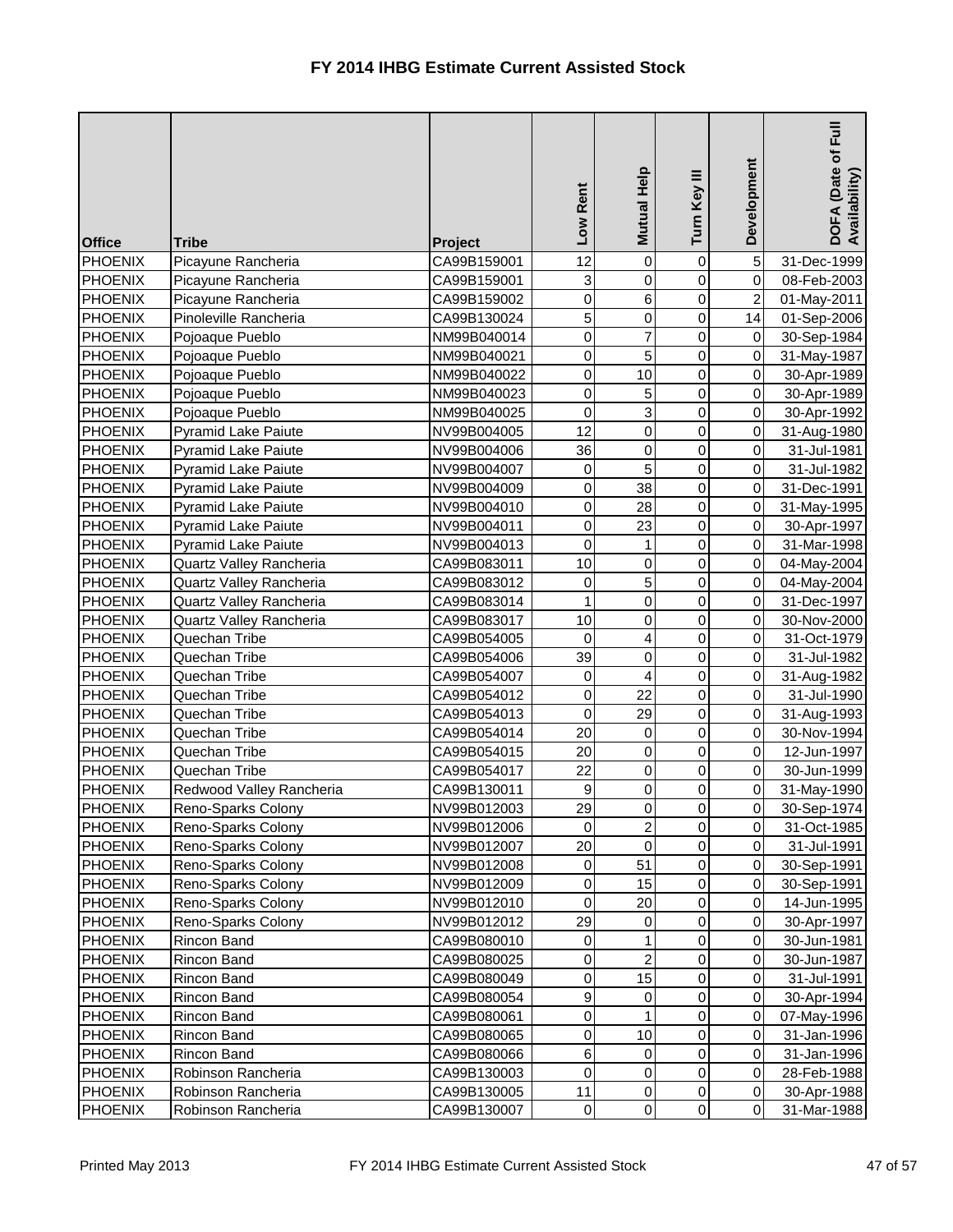| <b>Office</b>  | <b>Tribe</b>               | Project     | Low Rent         | Help<br><b>Mutual</b> | Turn Key III   | Development         | Full<br>DOFA (Date of I<br>Availability) |
|----------------|----------------------------|-------------|------------------|-----------------------|----------------|---------------------|------------------------------------------|
| <b>PHOENIX</b> | Picayune Rancheria         | CA99B159001 | 12               | 0                     | $\mathbf 0$    | 5                   | 31-Dec-1999                              |
| <b>PHOENIX</b> | Picayune Rancheria         | CA99B159001 | 3                | 0                     | $\overline{0}$ | $\overline{0}$      | 08-Feb-2003                              |
| <b>PHOENIX</b> | Picayune Rancheria         | CA99B159002 | $\pmb{0}$        | 6                     | $\overline{0}$ | $\overline{2}$      | 01-May-2011                              |
| <b>PHOENIX</b> | Pinoleville Rancheria      | CA99B130024 | $\overline{5}$   | $\boldsymbol{0}$      | 0              | 14                  | 01-Sep-2006                              |
| <b>PHOENIX</b> | Pojoaque Pueblo            | NM99B040014 | 0                | 7                     | $\mathbf 0$    | 0                   | 30-Sep-1984                              |
| <b>PHOENIX</b> | Pojoaque Pueblo            | NM99B040021 | $\mathbf 0$      | 5                     | 0              | $\mathbf 0$         | 31-May-1987                              |
| <b>PHOENIX</b> | Pojoaque Pueblo            | NM99B040022 | $\pmb{0}$        | 10                    | 0              | $\overline{0}$      | 30-Apr-1989                              |
| <b>PHOENIX</b> | Pojoaque Pueblo            | NM99B040023 | $\pmb{0}$        | 5                     | 0              | $\overline{0}$      | 30-Apr-1989                              |
| <b>PHOENIX</b> | Pojoaque Pueblo            | NM99B040025 | 0                | 3                     | $\mathbf 0$    | $\mathsf{O}\xspace$ | 30-Apr-1992                              |
| <b>PHOENIX</b> | <b>Pyramid Lake Paiute</b> | NV99B004005 | 12               | $\boldsymbol{0}$      | 0              | $\mathbf 0$         | 31-Aug-1980                              |
| <b>PHOENIX</b> | <b>Pyramid Lake Paiute</b> | NV99B004006 | 36               | $\boldsymbol{0}$      | $\overline{0}$ | $\mathbf 0$         | 31-Jul-1981                              |
| <b>PHOENIX</b> | <b>Pyramid Lake Paiute</b> | NV99B004007 | $\pmb{0}$        | 5                     | $\overline{0}$ | $\mathbf 0$         | 31-Jul-1982                              |
| <b>PHOENIX</b> | <b>Pyramid Lake Paiute</b> | NV99B004009 | $\pmb{0}$        | 38                    | 0              | 0                   | 31-Dec-1991                              |
| <b>PHOENIX</b> | <b>Pyramid Lake Paiute</b> | NV99B004010 | $\mathbf 0$      | 28                    | 0              | $\mathbf 0$         | 31-May-1995                              |
| <b>PHOENIX</b> | <b>Pyramid Lake Paiute</b> | NV99B004011 | $\pmb{0}$        | 23                    | 0              | $\mathbf 0$         | 30-Apr-1997                              |
| <b>PHOENIX</b> | <b>Pyramid Lake Paiute</b> | NV99B004013 | $\mathsf 0$      |                       | 0              | 0                   | 31-Mar-1998                              |
| <b>PHOENIX</b> | Quartz Valley Rancheria    | CA99B083011 | 10               | 0                     | $\mathbf 0$    | 0                   | 04-May-2004                              |
| <b>PHOENIX</b> | Quartz Valley Rancheria    | CA99B083012 | 0                | 5                     | 0              | $\mathbf 0$         | 04-May-2004                              |
| <b>PHOENIX</b> | Quartz Valley Rancheria    | CA99B083014 | $\mathbf{1}$     | 0                     | 0              | $\mathsf{O}\xspace$ | 31-Dec-1997                              |
| <b>PHOENIX</b> | Quartz Valley Rancheria    | CA99B083017 | 10               | $\boldsymbol{0}$      | 0              | 0                   | 30-Nov-2000                              |
| <b>PHOENIX</b> | Quechan Tribe              | CA99B054005 | 0                | 4                     | $\mathbf 0$    | $\mathbf 0$         | 31-Oct-1979                              |
| <b>PHOENIX</b> | Quechan Tribe              | CA99B054006 | 39               | $\boldsymbol{0}$      | 0              | $\mathbf 0$         | 31-Jul-1982                              |
| <b>PHOENIX</b> | Quechan Tribe              | CA99B054007 | $\pmb{0}$        | 4                     | 0              | $\overline{0}$      | 31-Aug-1982                              |
| PHOENIX        | Quechan Tribe              | CA99B054012 | $\pmb{0}$        | 22                    | 0              | $\mathbf 0$         | 31-Jul-1990                              |
| <b>PHOENIX</b> | Quechan Tribe              | CA99B054013 | 0                | 29                    | 0              | 0                   | 31-Aug-1993                              |
| PHOENIX        | Quechan Tribe              | CA99B054014 | 20               | $\mathbf 0$           | $\overline{0}$ | $\overline{0}$      | 30-Nov-1994                              |
| <b>PHOENIX</b> | Quechan Tribe              | CA99B054015 | 20               | $\mathbf 0$           | $\overline{0}$ | $\overline{0}$      | 12-Jun-1997                              |
| <b>PHOENIX</b> | Quechan Tribe              | CA99B054017 | 22               | 0                     | 0              | 0                   | 30-Jun-1999                              |
| <b>PHOENIX</b> | Redwood Valley Rancheria   | CA99B130011 | $\boldsymbol{9}$ | 0                     | 0              | 0                   | 31-May-1990                              |
| <b>PHOENIX</b> | Reno-Sparks Colony         | NV99B012003 | 29               | 0                     | $\mathbf 0$    | 0                   | 30-Sep-1974                              |
| <b>PHOENIX</b> | Reno-Sparks Colony         | NV99B012006 | $\overline{0}$   | $\overline{2}$        | 0              | $\overline{0}$      | 31-Oct-1985                              |
| <b>PHOENIX</b> | Reno-Sparks Colony         | NV99B012007 | 20               | $\boldsymbol{0}$      | 0              | $\overline{0}$      | 31-Jul-1991                              |
| <b>PHOENIX</b> | Reno-Sparks Colony         | NV99B012008 | $\pmb{0}$        | 51                    | 0              | 0                   | 30-Sep-1991                              |
| <b>PHOENIX</b> | Reno-Sparks Colony         | NV99B012009 | 0                | 15                    | 0              | 0                   | 30-Sep-1991                              |
| <b>PHOENIX</b> | Reno-Sparks Colony         | NV99B012010 | $\mathbf 0$      | 20                    | 0              | 0                   | 14-Jun-1995                              |
| <b>PHOENIX</b> | Reno-Sparks Colony         | NV99B012012 | 29               | 0                     | 0              | 0                   | 30-Apr-1997                              |
| <b>PHOENIX</b> | Rincon Band                | CA99B080010 | 0                |                       | 0              | 0                   | 30-Jun-1981                              |
| <b>PHOENIX</b> | Rincon Band                | CA99B080025 | $\pmb{0}$        | $\overline{2}$        | 0              | 0                   | 30-Jun-1987                              |
| <b>PHOENIX</b> | Rincon Band                | CA99B080049 | $\pmb{0}$        | 15                    | 0              | $\mathbf 0$         | 31-Jul-1991                              |
| <b>PHOENIX</b> | <b>Rincon Band</b>         | CA99B080054 | 9                | 0                     | 0              | $\mathbf 0$         | 30-Apr-1994                              |
| <b>PHOENIX</b> | <b>Rincon Band</b>         | CA99B080061 | $\pmb{0}$        |                       | 0              | 0                   | 07-May-1996                              |
| <b>PHOENIX</b> | Rincon Band                | CA99B080065 | 0                | 10                    | 0              | 0                   | 31-Jan-1996                              |
| <b>PHOENIX</b> | Rincon Band                | CA99B080066 | $\,$ 6 $\,$      | 0                     | 0              | $\mathbf 0$         | 31-Jan-1996                              |
| <b>PHOENIX</b> | Robinson Rancheria         | CA99B130003 | 0                | 0                     | 0              | 0                   | 28-Feb-1988                              |
| <b>PHOENIX</b> | Robinson Rancheria         | CA99B130005 | 11               | 0                     | 0              | 0                   | 30-Apr-1988                              |
| <b>PHOENIX</b> | Robinson Rancheria         | CA99B130007 | $\overline{0}$   | $\overline{0}$        | $\overline{0}$ | $\overline{0}$      | 31-Mar-1988                              |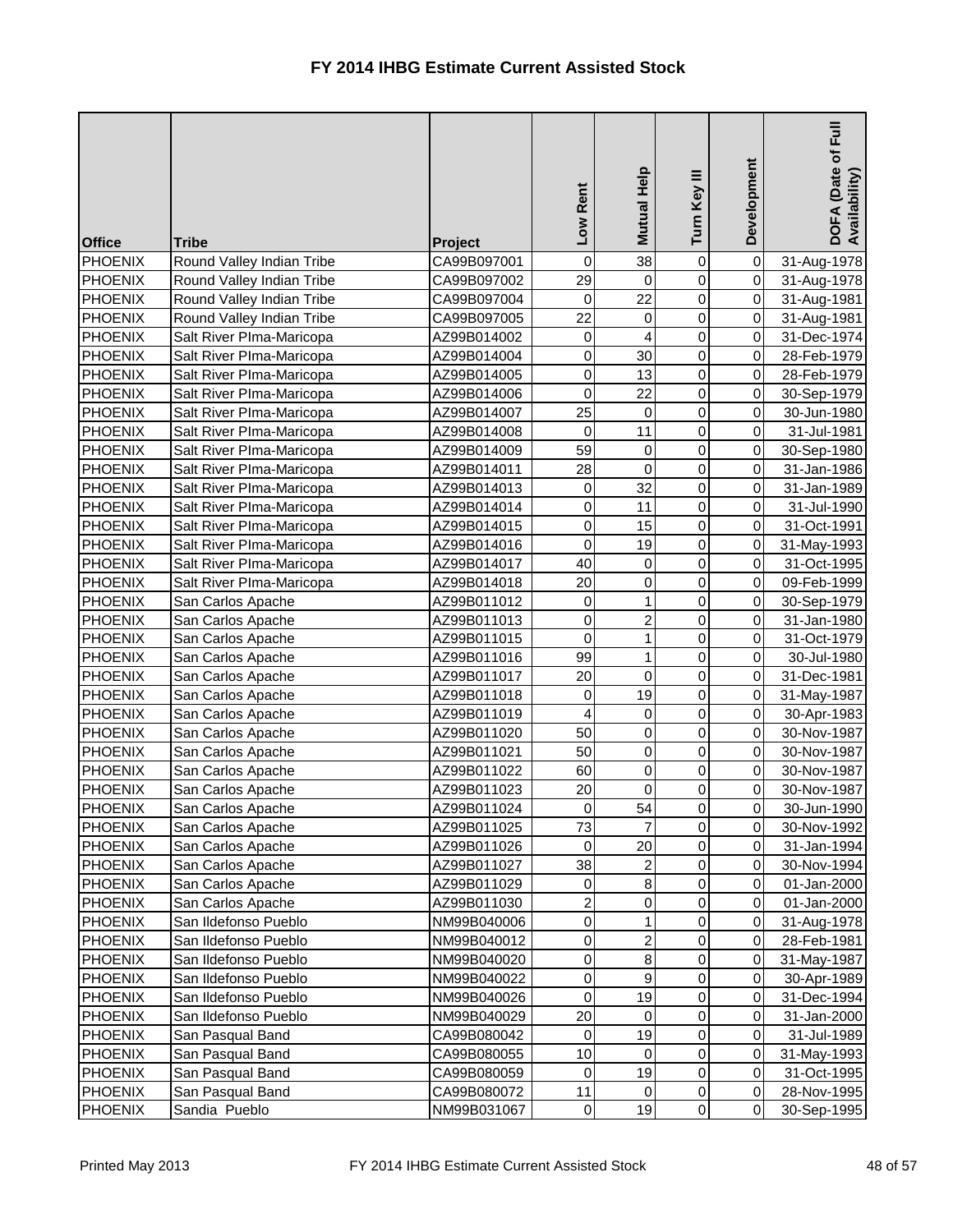| <b>Office</b>  | <b>Tribe</b>              | Project     | Low Rent                | Mutual Help      | Turn Key III   | Development         | Full<br>DOFA (Date of I<br>Availability) |
|----------------|---------------------------|-------------|-------------------------|------------------|----------------|---------------------|------------------------------------------|
| <b>PHOENIX</b> | Round Valley Indian Tribe | CA99B097001 | 0                       | 38               | 0              | 0                   | 31-Aug-1978                              |
| <b>PHOENIX</b> | Round Valley Indian Tribe | CA99B097002 | 29                      | $\mathbf 0$      | 0              | $\overline{0}$      | 31-Aug-1978                              |
| <b>PHOENIX</b> | Round Valley Indian Tribe | CA99B097004 | $\pmb{0}$               | 22               | 0              | $\overline{0}$      | 31-Aug-1981                              |
| <b>PHOENIX</b> | Round Valley Indian Tribe | CA99B097005 | 22                      | $\boldsymbol{0}$ | 0              | $\overline{0}$      | 31-Aug-1981                              |
| <b>PHOENIX</b> | Salt River Plma-Maricopa  | AZ99B014002 | 0                       | 4                | 0              | $\overline{0}$      | 31-Dec-1974                              |
| <b>PHOENIX</b> | Salt River Plma-Maricopa  | AZ99B014004 | 0                       | 30               | 0              | $\overline{0}$      | 28-Feb-1979                              |
| <b>PHOENIX</b> | Salt River Plma-Maricopa  | AZ99B014005 | 0                       | 13               | 0              | $\overline{0}$      | 28-Feb-1979                              |
| <b>PHOENIX</b> | Salt River Plma-Maricopa  | AZ99B014006 | 0                       | 22               | 0              | $\mathsf{O}\xspace$ | 30-Sep-1979                              |
| <b>PHOENIX</b> | Salt River PIma-Maricopa  | AZ99B014007 | 25                      | 0                | 0              | $\overline{0}$      | 30-Jun-1980                              |
| <b>PHOENIX</b> | Salt River Plma-Maricopa  | AZ99B014008 | $\mathbf 0$             | 11               | 0              | $\overline{0}$      | 31-Jul-1981                              |
| <b>PHOENIX</b> | Salt River Plma-Maricopa  | AZ99B014009 | 59                      | $\boldsymbol{0}$ | 0              | $\overline{0}$      | 30-Sep-1980                              |
| <b>PHOENIX</b> | Salt River PIma-Maricopa  | AZ99B014011 | 28                      | $\mathbf 0$      | 0              | $\overline{0}$      | 31-Jan-1986                              |
| <b>PHOENIX</b> | Salt River PIma-Maricopa  | AZ99B014013 | 0                       | 32               | 0              | $\overline{0}$      | 31-Jan-1989                              |
| <b>PHOENIX</b> | Salt River Plma-Maricopa  | AZ99B014014 | 0                       | 11               | 0              | $\overline{0}$      | 31-Jul-1990                              |
| <b>PHOENIX</b> | Salt River Plma-Maricopa  | AZ99B014015 | 0                       | 15               | 0              | $\overline{0}$      | 31-Oct-1991                              |
| <b>PHOENIX</b> | Salt River Plma-Maricopa  | AZ99B014016 | 0                       | 19               | 0              | $\overline{0}$      | 31-May-1993                              |
| <b>PHOENIX</b> | Salt River Plma-Maricopa  | AZ99B014017 | 40                      | 0                | 0              | $\overline{0}$      | 31-Oct-1995                              |
| <b>PHOENIX</b> | Salt River Plma-Maricopa  | AZ99B014018 | 20                      | 0                | 0              | 0                   | 09-Feb-1999                              |
| <b>PHOENIX</b> | San Carlos Apache         | AZ99B011012 | 0                       | 1                | 0              | $\overline{0}$      | 30-Sep-1979                              |
| <b>PHOENIX</b> | San Carlos Apache         | AZ99B011013 | 0                       | 2                | 0              | $\overline{0}$      | 31-Jan-1980                              |
| <b>PHOENIX</b> | San Carlos Apache         | AZ99B011015 | 0                       | 1                | 0              | $\overline{0}$      | 31-Oct-1979                              |
| <b>PHOENIX</b> | San Carlos Apache         | AZ99B011016 | 99                      | 1                | 0              | $\overline{0}$      | 30-Jul-1980                              |
| <b>PHOENIX</b> | San Carlos Apache         | AZ99B011017 | 20                      | $\mathbf 0$      | 0              | $\overline{0}$      | 31-Dec-1981                              |
| <b>PHOENIX</b> | San Carlos Apache         | AZ99B011018 | 0                       | 19               | 0              | $\overline{0}$      | 31-May-1987                              |
| <b>PHOENIX</b> | San Carlos Apache         | AZ99B011019 | 4                       | 0                | 0              | $\overline{0}$      | 30-Apr-1983                              |
| PHOENIX        | San Carlos Apache         | AZ99B011020 | 50                      | 0                | $\overline{0}$ | 0                   | 30-Nov-1987                              |
| <b>PHOENIX</b> | San Carlos Apache         | AZ99B011021 | 50                      | 0                | $\overline{0}$ | $\overline{0}$      | 30-Nov-1987                              |
| <b>PHOENIX</b> | San Carlos Apache         | AZ99B011022 | 60                      | 0                | 0              | $\overline{0}$      | 30-Nov-1987                              |
| <b>PHOENIX</b> | San Carlos Apache         | AZ99B011023 | 20                      | 0                | 0              | $\overline{0}$      | 30-Nov-1987                              |
| <b>PHOENIX</b> | San Carlos Apache         | AZ99B011024 | 0                       | 54               | 0              | $\overline{0}$      | 30-Jun-1990                              |
| <b>PHOENIX</b> | San Carlos Apache         | AZ99B011025 | 73                      |                  | 0              | $\overline{0}$      | 30-Nov-1992                              |
| <b>PHOENIX</b> | San Carlos Apache         | AZ99B011026 | 0                       | 20               | 0              | $\overline{0}$      | 31-Jan-1994                              |
| <b>PHOENIX</b> | San Carlos Apache         | AZ99B011027 | 38                      | $\overline{c}$   | 0              | $\overline{0}$      | 30-Nov-1994                              |
| <b>PHOENIX</b> | San Carlos Apache         | AZ99B011029 | 0                       | 8                | 0              | $\overline{0}$      | 01-Jan-2000                              |
| <b>PHOENIX</b> | San Carlos Apache         | AZ99B011030 | $\overline{\mathbf{c}}$ | 0                | 0              | $\overline{0}$      | 01-Jan-2000                              |
| <b>PHOENIX</b> | San Ildefonso Pueblo      | NM99B040006 | 0                       |                  | 0              | 0                   | 31-Aug-1978                              |
| <b>PHOENIX</b> | San Ildefonso Pueblo      | NM99B040012 | 0                       | $\overline{c}$   | 0              | 0                   | 28-Feb-1981                              |
| <b>PHOENIX</b> | San Ildefonso Pueblo      | NM99B040020 | 0                       | 8                | 0              | 0                   | 31-May-1987                              |
| <b>PHOENIX</b> | San Ildefonso Pueblo      | NM99B040022 | 0                       | 9                | 0              | $\overline{0}$      | 30-Apr-1989                              |
| <b>PHOENIX</b> | San Ildefonso Pueblo      | NM99B040026 | 0                       | 19               | 0              | $\overline{0}$      | 31-Dec-1994                              |
| <b>PHOENIX</b> | San Ildefonso Pueblo      | NM99B040029 | 20                      | 0                | 0              | $\overline{0}$      | 31-Jan-2000                              |
| <b>PHOENIX</b> | San Pasqual Band          | CA99B080042 | 0                       | 19               | 0              | $\overline{0}$      | 31-Jul-1989                              |
| <b>PHOENIX</b> | San Pasqual Band          | CA99B080055 | 10                      | $\mathbf 0$      | 0              | $\overline{0}$      | 31-May-1993                              |
| <b>PHOENIX</b> | San Pasqual Band          | CA99B080059 | 0                       | 19               | 0              | $\overline{0}$      | 31-Oct-1995                              |
| <b>PHOENIX</b> | San Pasqual Band          | CA99B080072 | 11                      | 0                | 0              | $\overline{0}$      | 28-Nov-1995                              |
| <b>PHOENIX</b> | Sandia Pueblo             | NM99B031067 | $\overline{O}$          | 19               | $\overline{0}$ | $\overline{0}$      | 30-Sep-1995                              |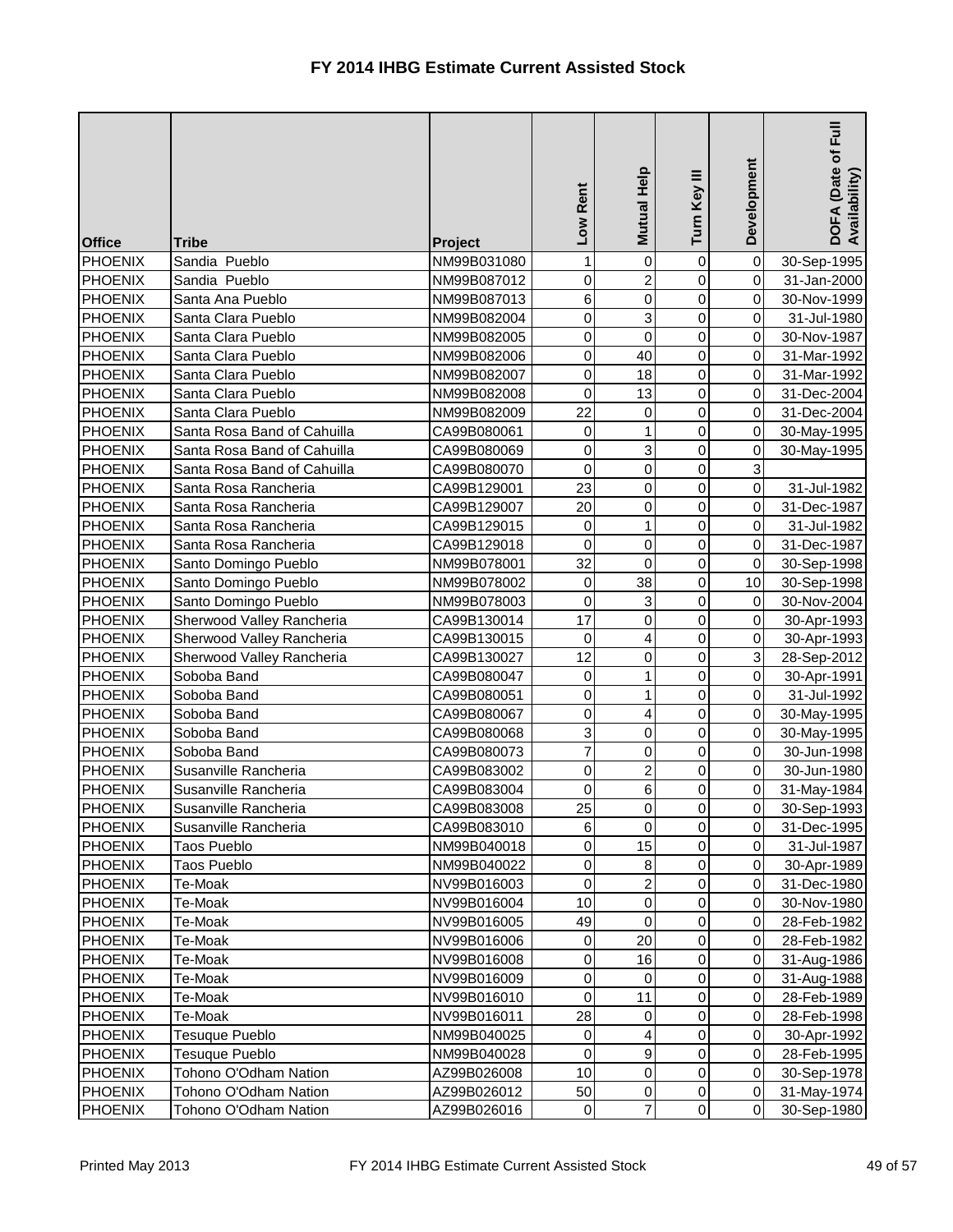| <b>Office</b>  | <b>Tribe</b>                | <b>Project</b> | Low Rent        | Mutual Help      | Turn Key III   | Development    | $E_{\rm H}$<br>DOFA (Date of I<br>Availability) |
|----------------|-----------------------------|----------------|-----------------|------------------|----------------|----------------|-------------------------------------------------|
| <b>PHOENIX</b> | Sandia Pueblo               | NM99B031080    | 1               | 0                | 0              | 0              | 30-Sep-1995                                     |
| PHOENIX        | Sandia Pueblo               | NM99B087012    | $\overline{0}$  | $\overline{2}$   | $\overline{0}$ | $\overline{0}$ | 31-Jan-2000                                     |
| <b>PHOENIX</b> | Santa Ana Pueblo            | NM99B087013    | $6\phantom{a}$  | 0                | 0              | $\mathsf{O}$   | 30-Nov-1999                                     |
| <b>PHOENIX</b> | Santa Clara Pueblo          | NM99B082004    | $\overline{0}$  | 3                | 0              | $\overline{0}$ | 31-Jul-1980                                     |
| <b>PHOENIX</b> | Santa Clara Pueblo          | NM99B082005    | $\overline{0}$  | $\mathbf 0$      | 0              | $\overline{0}$ | 30-Nov-1987                                     |
| <b>PHOENIX</b> | Santa Clara Pueblo          | NM99B082006    | $\overline{0}$  | 40               | $\mathbf 0$    | $\overline{0}$ | 31-Mar-1992                                     |
| <b>PHOENIX</b> | Santa Clara Pueblo          | NM99B082007    | $\overline{0}$  | 18               | 0              | $\overline{0}$ | 31-Mar-1992                                     |
| <b>PHOENIX</b> | Santa Clara Pueblo          | NM99B082008    | $\overline{0}$  | 13               | 0              | $\pmb{0}$      | 31-Dec-2004                                     |
| <b>PHOENIX</b> | Santa Clara Pueblo          | NM99B082009    | 22              | 0                | 0              | 0              | 31-Dec-2004                                     |
| PHOENIX        | Santa Rosa Band of Cahuilla | CA99B080061    | $\overline{0}$  | 1                | 0              | $\pmb{0}$      | 30-May-1995                                     |
| <b>PHOENIX</b> | Santa Rosa Band of Cahuilla | CA99B080069    | $\overline{0}$  | 3                | $\overline{0}$ | $\pmb{0}$      | 30-May-1995                                     |
| <b>PHOENIX</b> | Santa Rosa Band of Cahuilla | CA99B080070    | $\overline{0}$  | 0                | 0              | 3              |                                                 |
| <b>PHOENIX</b> | Santa Rosa Rancheria        | CA99B129001    | 23              | 0                | 0              | $\overline{0}$ | 31-Jul-1982                                     |
| PHOENIX        | Santa Rosa Rancheria        | CA99B129007    | 20              | 0                | 0              | $\overline{0}$ | 31-Dec-1987                                     |
| PHOENIX        | Santa Rosa Rancheria        | CA99B129015    | $\pmb{0}$       | 1                | 0              | $\overline{0}$ | 31-Jul-1982                                     |
| <b>PHOENIX</b> | Santa Rosa Rancheria        | CA99B129018    | $\overline{0}$  | $\boldsymbol{0}$ | 0              | $\pmb{0}$      | 31-Dec-1987                                     |
| <b>PHOENIX</b> | Santo Domingo Pueblo        | NM99B078001    | 32              | $\Omega$         | 0              | 0              | 30-Sep-1998                                     |
| PHOENIX        | Santo Domingo Pueblo        | NM99B078002    | $\overline{0}$  | 38               | 0              | 10             | 30-Sep-1998                                     |
| <b>PHOENIX</b> | Santo Domingo Pueblo        | NM99B078003    | $\mathbf 0$     | 3                | 0              | $\overline{0}$ | 30-Nov-2004                                     |
| <b>PHOENIX</b> | Sherwood Valley Rancheria   | CA99B130014    | 17              | 0                | 0              | $\overline{0}$ | 30-Apr-1993                                     |
| PHOENIX        | Sherwood Valley Rancheria   | CA99B130015    | $\overline{0}$  | 4                | 0              | $\overline{0}$ | 30-Apr-1993                                     |
| PHOENIX        | Sherwood Valley Rancheria   | CA99B130027    | 12              | 0                | $\mathbf 0$    | 3              | 28-Sep-2012                                     |
| PHOENIX        | Soboba Band                 | CA99B080047    | $\overline{0}$  | 1                | 0              | $\overline{0}$ | 30-Apr-1991                                     |
| PHOENIX        | Soboba Band                 | CA99B080051    | $\overline{0}$  |                  | 0              | $\overline{0}$ | 31-Jul-1992                                     |
| PHOENIX        | Soboba Band                 | CA99B080067    | 0               | 4                | 0              | 0              | 30-May-1995                                     |
| PHOENIX        | Soboba Band                 | CA99B080068    | $\overline{3}$  | $\Omega$         | $\overline{0}$ | $\overline{0}$ | 30-May-1995                                     |
| <b>PHOENIX</b> | Soboba Band                 | CA99B080073    | $\overline{7}$  | 0                | $\overline{0}$ | $\overline{0}$ | 30-Jun-1998                                     |
| PHOENIX        | Susanville Rancheria        | CA99B083002    | $\overline{0}$  |                  | 0              | $\overline{0}$ | 30-Jun-1980                                     |
| <b>PHOENIX</b> | Susanville Rancheria        | CA99B083004    | $\overline{0}$  | 6                | 0              | 0              | 31-May-1984                                     |
| <b>PHOENIX</b> | Susanville Rancheria        | CA99B083008    | 25              | 0                | 0              | 0              | 30-Sep-1993                                     |
| <b>PHOENIX</b> | Susanville Rancheria        | CA99B083010    | $6\overline{6}$ | 0                | 0              | $\overline{0}$ | 31-Dec-1995                                     |
| <b>PHOENIX</b> | <b>Taos Pueblo</b>          | NM99B040018    | $\overline{0}$  | 15               | 0              | $\overline{0}$ | 31-Jul-1987                                     |
| PHOENIX        | Taos Pueblo                 | NM99B040022    | $\overline{0}$  | 8                | 0              | $\overline{0}$ | 30-Apr-1989                                     |
| <b>PHOENIX</b> | Te-Moak                     | NV99B016003    | $\overline{0}$  | 2                | 0              | $\overline{0}$ | 31-Dec-1980                                     |
| <b>PHOENIX</b> | Te-Moak                     | NV99B016004    | 10              | $\boldsymbol{0}$ | 0              | 0              | 30-Nov-1980                                     |
| PHOENIX        | Te-Moak                     | NV99B016005    | 49              | 0                | 0              | $\overline{0}$ | 28-Feb-1982                                     |
| PHOENIX        | Te-Moak                     | NV99B016006    | $\overline{0}$  | 20               | 0              | $\pmb{0}$      | 28-Feb-1982                                     |
| PHOENIX        | Te-Moak                     | NV99B016008    | $\overline{0}$  | 16               | 0              | $\overline{0}$ | 31-Aug-1986                                     |
| <b>PHOENIX</b> | Te-Moak                     | NV99B016009    | $\overline{0}$  | $\Omega$         | 0              | $\mathbf 0$    | 31-Aug-1988                                     |
| <b>PHOENIX</b> | Te-Moak                     | NV99B016010    | $\overline{0}$  | 11               | 0              | $\overline{0}$ | 28-Feb-1989                                     |
| PHOENIX        | Te-Moak                     | NV99B016011    | 28              | 0                | 0              | $\overline{0}$ | 28-Feb-1998                                     |
| <b>PHOENIX</b> | Tesuque Pueblo              | NM99B040025    | $\overline{0}$  | 4                | 0              | $\overline{0}$ | 30-Apr-1992                                     |
| PHOENIX        | Tesuque Pueblo              | NM99B040028    | $\overline{0}$  | 9                | 0              | $\overline{0}$ | 28-Feb-1995                                     |
| <b>PHOENIX</b> | Tohono O'Odham Nation       | AZ99B026008    | 10              | 0                | 0              | $\overline{0}$ | 30-Sep-1978                                     |
| <b>PHOENIX</b> | Tohono O'Odham Nation       | AZ99B026012    | 50              | 0                | 0              | $\pmb{0}$      | 31-May-1974                                     |
| PHOENIX        | Tohono O'Odham Nation       | AZ99B026016    | $\overline{0}$  | 7                | $\overline{0}$ | $\overline{0}$ | 30-Sep-1980                                     |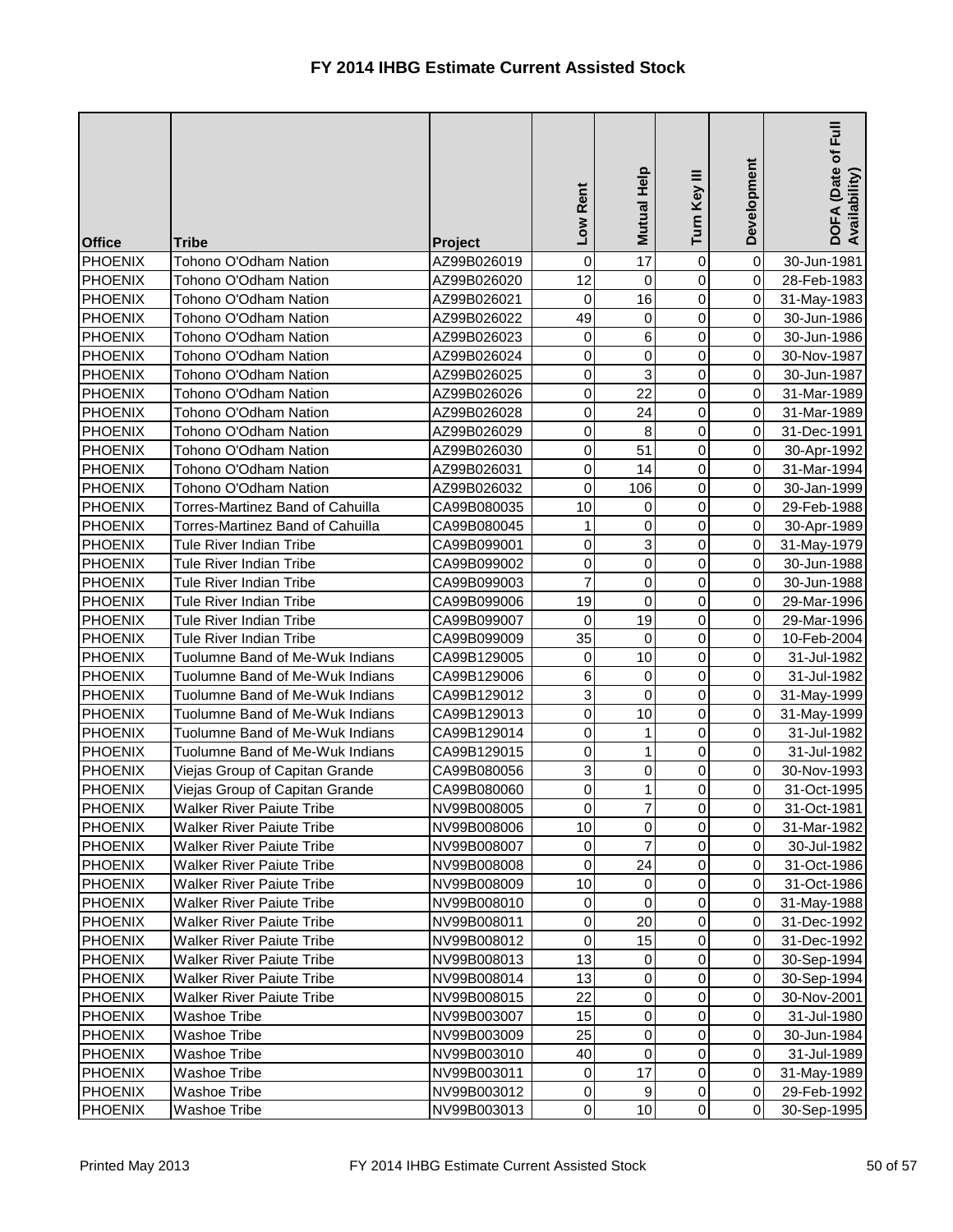| <b>Office</b>  | <b>Tribe</b>                     | <b>Project</b> | Rent<br><b>NOT</b> | <b>Mutual Help</b> | Ξ<br>Turn Key  | Development    | Full<br>DOFA (Date of I<br>Availability) |
|----------------|----------------------------------|----------------|--------------------|--------------------|----------------|----------------|------------------------------------------|
| <b>PHOENIX</b> | Tohono O'Odham Nation            | AZ99B026019    | 0                  | 17                 | $\mathbf 0$    | $\overline{0}$ | 30-Jun-1981                              |
| <b>PHOENIX</b> | Tohono O'Odham Nation            | AZ99B026020    | 12                 | $\mathbf 0$        | 0              | $\overline{0}$ | 28-Feb-1983                              |
| <b>PHOENIX</b> | Tohono O'Odham Nation            | AZ99B026021    | 0                  | 16                 | 0              | $\overline{0}$ | 31-May-1983                              |
| <b>PHOENIX</b> | Tohono O'Odham Nation            | AZ99B026022    | 49                 | 0                  | 0              | $\overline{0}$ | 30-Jun-1986                              |
| <b>PHOENIX</b> | Tohono O'Odham Nation            | AZ99B026023    | 0                  | 6                  | 0              | $\overline{0}$ | 30-Jun-1986                              |
| <b>PHOENIX</b> | Tohono O'Odham Nation            | AZ99B026024    | 0                  | $\mathsf 0$        | 0              | $\overline{0}$ | 30-Nov-1987                              |
| <b>PHOENIX</b> | Tohono O'Odham Nation            | AZ99B026025    | 0                  | 3                  | 0              | $\overline{0}$ | 30-Jun-1987                              |
| <b>PHOENIX</b> | Tohono O'Odham Nation            | AZ99B026026    | $\pmb{0}$          | 22                 | 0              | $\overline{0}$ | 31-Mar-1989                              |
| <b>PHOENIX</b> | Tohono O'Odham Nation            | AZ99B026028    | $\pmb{0}$          | 24                 | 0              | $\overline{0}$ | 31-Mar-1989                              |
| <b>PHOENIX</b> | Tohono O'Odham Nation            | AZ99B026029    | $\pmb{0}$          | 8                  | 0              | $\overline{0}$ | 31-Dec-1991                              |
| <b>PHOENIX</b> | Tohono O'Odham Nation            | AZ99B026030    | 0                  | 51                 | 0              | $\overline{0}$ | 30-Apr-1992                              |
| <b>PHOENIX</b> | Tohono O'Odham Nation            | AZ99B026031    | 0                  | 14                 | 0              | $\overline{0}$ | 31-Mar-1994                              |
| <b>PHOENIX</b> | Tohono O'Odham Nation            | AZ99B026032    | 0                  | 106                | 0              | $\overline{0}$ | 30-Jan-1999                              |
| <b>PHOENIX</b> | Torres-Martinez Band of Cahuilla | CA99B080035    | 10                 | 0                  | 0              | $\overline{0}$ | 29-Feb-1988                              |
| <b>PHOENIX</b> | Torres-Martinez Band of Cahuilla | CA99B080045    | $\mathbf{1}$       | 0                  | 0              | $\overline{0}$ | 30-Apr-1989                              |
| <b>PHOENIX</b> | <b>Tule River Indian Tribe</b>   | CA99B099001    | 0                  | 3                  | 0              | $\overline{0}$ | 31-May-1979                              |
| <b>PHOENIX</b> | <b>Tule River Indian Tribe</b>   | CA99B099002    | 0                  | 0                  | 0              | $\overline{0}$ | 30-Jun-1988                              |
| <b>PHOENIX</b> | Tule River Indian Tribe          | CA99B099003    | $\overline{7}$     | 0                  | 0              | $\overline{0}$ | 30-Jun-1988                              |
| <b>PHOENIX</b> | <b>Tule River Indian Tribe</b>   | CA99B099006    | 19                 | $\mathbf 0$        | 0              | $\overline{0}$ | 29-Mar-1996                              |
| <b>PHOENIX</b> | <b>Tule River Indian Tribe</b>   | CA99B099007    | 0                  | 19                 | 0              | $\overline{0}$ | 29-Mar-1996                              |
| <b>PHOENIX</b> | <b>Tule River Indian Tribe</b>   | CA99B099009    | 35                 | 0                  | 0              | $\overline{0}$ | 10-Feb-2004                              |
| <b>PHOENIX</b> | Tuolumne Band of Me-Wuk Indians  | CA99B129005    | 0                  | 10                 | 0              | $\overline{0}$ | 31-Jul-1982                              |
| <b>PHOENIX</b> | Tuolumne Band of Me-Wuk Indians  | CA99B129006    | $\,6$              | 0                  | 0              | $\overline{0}$ | 31-Jul-1982                              |
| <b>PHOENIX</b> | Tuolumne Band of Me-Wuk Indians  | CA99B129012    | $\mathbf{3}$       | 0                  | $\overline{0}$ | $\overline{0}$ | 31-May-1999                              |
| <b>PHOENIX</b> | Tuolumne Band of Me-Wuk Indians  | CA99B129013    | 0                  | 10                 | 0              | $\overline{0}$ | 31-May-1999                              |
| PHOENIX        | Tuolumne Band of Me-Wuk Indians  | CA99B129014    | $\overline{0}$     | $\mathbf{1}$       | $\overline{0}$ | 0              | 31-Jul-1982                              |
| <b>PHOENIX</b> | Tuolumne Band of Me-Wuk Indians  | CA99B129015    | 0                  | 1                  | $\overline{0}$ | 0I             | 31-Jul-1982                              |
| <b>PHOENIX</b> | Viejas Group of Capitan Grande   | CA99B080056    | $\mathbf{3}$       | 0                  | 0              | $\overline{0}$ | 30-Nov-1993                              |
| <b>PHOENIX</b> | Viejas Group of Capitan Grande   | CA99B080060    | $\pmb{0}$          |                    | 0              | $\overline{0}$ | 31-Oct-1995                              |
| <b>PHOENIX</b> | <b>Walker River Paiute Tribe</b> | NV99B008005    | $\pmb{0}$          | 7                  | 0              | $\overline{0}$ | 31-Oct-1981                              |
| <b>PHOENIX</b> | <b>Walker River Paiute Tribe</b> | NV99B008006    | 10                 | 0                  | 0              | $\overline{0}$ | 31-Mar-1982                              |
| <b>PHOENIX</b> | <b>Walker River Paiute Tribe</b> | NV99B008007    | 0                  | $\overline{7}$     | 0              | $\overline{0}$ | 30-Jul-1982                              |
| <b>PHOENIX</b> | <b>Walker River Paiute Tribe</b> | NV99B008008    | 0                  | 24                 | 0              | $\overline{0}$ | 31-Oct-1986                              |
| <b>PHOENIX</b> | <b>Walker River Paiute Tribe</b> | NV99B008009    | 10                 | 0                  | 0              | $\overline{0}$ | 31-Oct-1986                              |
| <b>PHOENIX</b> | <b>Walker River Paiute Tribe</b> | NV99B008010    | 0                  | 0                  | 0              | $\overline{0}$ | 31-May-1988                              |
| <b>PHOENIX</b> | <b>Walker River Paiute Tribe</b> | NV99B008011    | 0                  | 20                 | 0              | $\overline{0}$ | 31-Dec-1992                              |
| <b>PHOENIX</b> | <b>Walker River Paiute Tribe</b> | NV99B008012    | 0                  | 15                 | 0              | $\overline{0}$ | 31-Dec-1992                              |
| <b>PHOENIX</b> | <b>Walker River Paiute Tribe</b> | NV99B008013    | 13                 | 0                  | 0              | $\overline{0}$ | 30-Sep-1994                              |
| <b>PHOENIX</b> | <b>Walker River Paiute Tribe</b> | NV99B008014    | 13                 | $\pmb{0}$          | 0              | $\overline{0}$ | 30-Sep-1994                              |
| <b>PHOENIX</b> | <b>Walker River Paiute Tribe</b> | NV99B008015    | 22                 | 0                  | 0              | $\overline{0}$ | 30-Nov-2001                              |
| <b>PHOENIX</b> | <b>Washoe Tribe</b>              | NV99B003007    | 15                 | 0                  | 0              | $\overline{0}$ | 31-Jul-1980                              |
| <b>PHOENIX</b> | <b>Washoe Tribe</b>              | NV99B003009    | 25                 | 0                  | 0              | $\overline{0}$ | 30-Jun-1984                              |
| <b>PHOENIX</b> | <b>Washoe Tribe</b>              | NV99B003010    | 40                 | $\pmb{0}$          | 0              | $\overline{0}$ | 31-Jul-1989                              |
| <b>PHOENIX</b> | Washoe Tribe                     | NV99B003011    | 0                  | 17                 | 0              | $\overline{0}$ | 31-May-1989                              |
| <b>PHOENIX</b> | <b>Washoe Tribe</b>              | NV99B003012    | $\pmb{0}$          | 9                  | 0              | $\overline{0}$ | 29-Feb-1992                              |
| <b>PHOENIX</b> | Washoe Tribe                     | NV99B003013    | $\overline{0}$     | 10                 | $\overline{0}$ | $\overline{0}$ | 30-Sep-1995                              |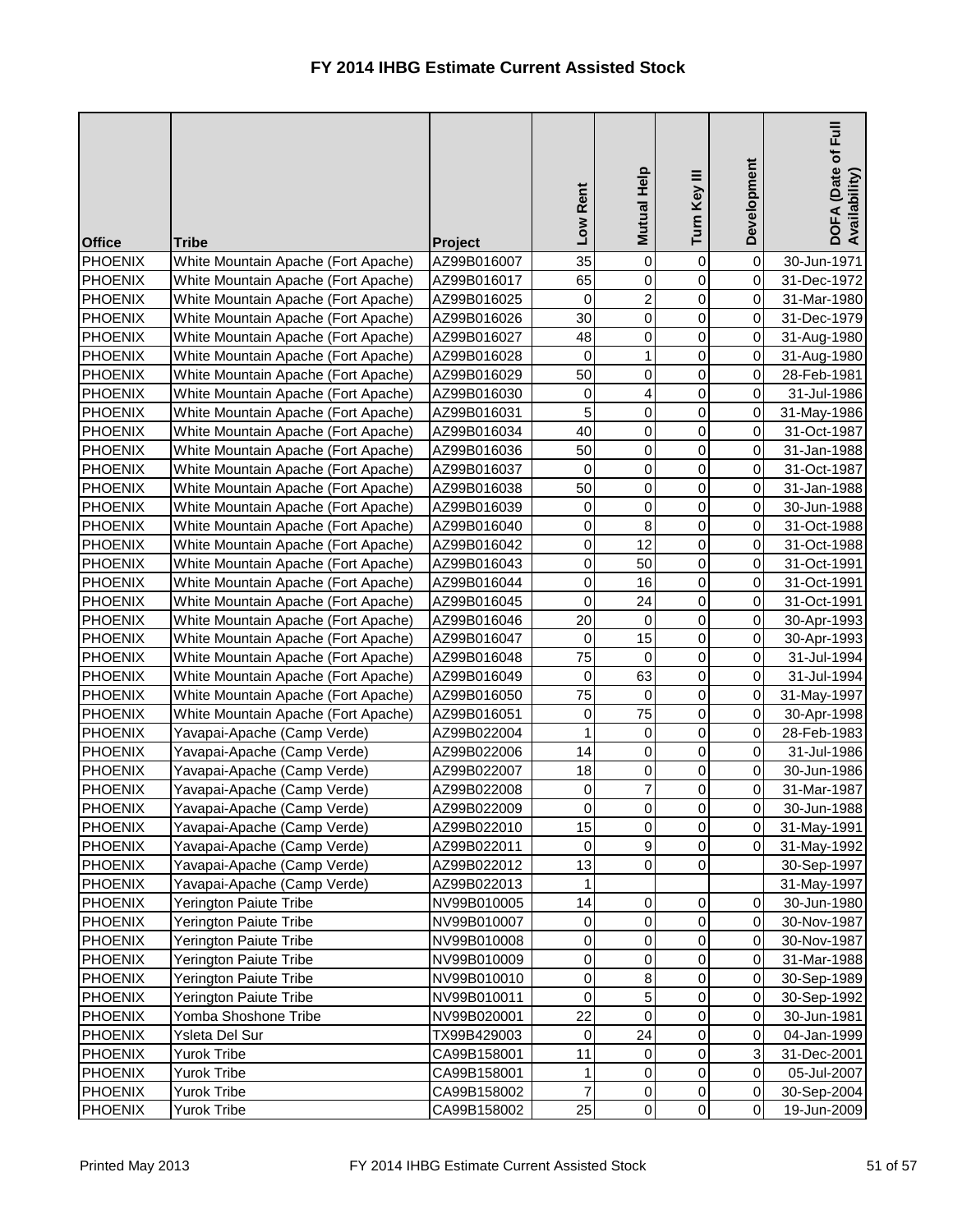| <b>Office</b>                    | <b>Tribe</b>                                               | Project                    | Low Rent         | Mutual Help      | Turn Key III      | Development                      | Full<br>DOFA (Date of I<br>Availability) |
|----------------------------------|------------------------------------------------------------|----------------------------|------------------|------------------|-------------------|----------------------------------|------------------------------------------|
| <b>PHOENIX</b>                   | White Mountain Apache (Fort Apache)                        | AZ99B016007                | 35               | $\boldsymbol{0}$ | 0                 | 0                                | 30-Jun-1971                              |
| <b>PHOENIX</b>                   | White Mountain Apache (Fort Apache)                        | AZ99B016017                | 65               | 0                | 0                 | $\overline{0}$                   | 31-Dec-1972                              |
| PHOENIX                          | White Mountain Apache (Fort Apache)                        | AZ99B016025                | 0                | $\overline{2}$   | 0                 | $\overline{0}$                   | 31-Mar-1980                              |
| <b>PHOENIX</b>                   | White Mountain Apache (Fort Apache)                        | AZ99B016026                | 30               | 0                | 0                 | $\overline{0}$                   | 31-Dec-1979                              |
| <b>PHOENIX</b>                   | White Mountain Apache (Fort Apache)                        | AZ99B016027                | 48               | 0                | 0                 | $\overline{0}$                   | 31-Aug-1980                              |
| <b>PHOENIX</b>                   | White Mountain Apache (Fort Apache)                        | AZ99B016028                | 0                | 1                | 0                 | $\overline{0}$                   | 31-Aug-1980                              |
| PHOENIX                          | White Mountain Apache (Fort Apache)                        | AZ99B016029                | 50               | 0                | 0                 | $\overline{0}$                   | 28-Feb-1981                              |
| PHOENIX                          | White Mountain Apache (Fort Apache)                        | AZ99B016030                | 0                | 4                | 0                 | $\overline{0}$                   | 31-Jul-1986                              |
| <b>PHOENIX</b>                   | White Mountain Apache (Fort Apache)                        | AZ99B016031                | 5                | 0                | 0                 | $\overline{0}$                   | 31-May-1986                              |
| <b>PHOENIX</b>                   | White Mountain Apache (Fort Apache)                        | AZ99B016034                | 40               | 0                | 0                 | $\overline{0}$                   | 31-Oct-1987                              |
| <b>PHOENIX</b>                   | White Mountain Apache (Fort Apache)                        | AZ99B016036                | 50               | 0                | $\mathsf 0$       | $\overline{0}$                   | 31-Jan-1988                              |
| PHOENIX                          | White Mountain Apache (Fort Apache)                        | AZ99B016037                | 0                | 0                | 0                 | $\overline{0}$                   | 31-Oct-1987                              |
| <b>PHOENIX</b>                   | White Mountain Apache (Fort Apache)                        | AZ99B016038                | 50               | 0                | 0                 | $\overline{0}$                   | 31-Jan-1988                              |
| <b>PHOENIX</b>                   | White Mountain Apache (Fort Apache)                        | AZ99B016039                | 0                | 0                | $\mathsf 0$       | $\overline{0}$                   | 30-Jun-1988                              |
| <b>PHOENIX</b>                   | White Mountain Apache (Fort Apache)                        | AZ99B016040                | 0                | 8                | 0                 | $\overline{0}$                   | 31-Oct-1988                              |
| <b>PHOENIX</b>                   | White Mountain Apache (Fort Apache)                        | AZ99B016042                | 0                | 12               | 0                 | $\overline{0}$                   | 31-Oct-1988                              |
| PHOENIX                          | White Mountain Apache (Fort Apache)                        | AZ99B016043                | $\overline{0}$   | 50               | 0                 | $\overline{0}$                   | 31-Oct-1991                              |
| <b>PHOENIX</b>                   | White Mountain Apache (Fort Apache)                        | AZ99B016044                | 0                | 16               | $\mathsf 0$       | $\overline{0}$                   | 31-Oct-1991                              |
| PHOENIX                          | White Mountain Apache (Fort Apache)                        | AZ99B016045                | 0                | 24               | $\overline{0}$    | $\overline{0}$                   | 31-Oct-1991                              |
| <b>PHOENIX</b>                   | White Mountain Apache (Fort Apache)                        | AZ99B016046                | 20               | 0                | 0                 | $\overline{0}$                   | 30-Apr-1993                              |
| <b>PHOENIX</b>                   | White Mountain Apache (Fort Apache)                        | AZ99B016047                | 0                | 15               | 0                 | $\overline{0}$                   | 30-Apr-1993                              |
| <b>PHOENIX</b>                   | White Mountain Apache (Fort Apache)                        | AZ99B016048                | 75               | $\overline{0}$   | $\mathsf 0$       | $\overline{0}$                   | 31-Jul-1994                              |
| <b>PHOENIX</b>                   | White Mountain Apache (Fort Apache)                        | AZ99B016049                | 0<br>75          | 63               | 0                 | $\overline{0}$<br>$\overline{0}$ | 31-Jul-1994                              |
| PHOENIX                          | White Mountain Apache (Fort Apache)                        | AZ99B016050                |                  | 0                | 0                 | $\overline{0}$                   | 31-May-1997                              |
| PHOENIX<br>PHOENIX               | White Mountain Apache (Fort Apache)                        | AZ99B016051                | 0<br>$\mathbf 1$ | 75<br>0          | 0<br>$\mathbf{O}$ | $\overline{0}$                   | 30-Apr-1998                              |
|                                  | Yavapai-Apache (Camp Verde)                                | AZ99B022004<br>AZ99B022006 | 14               | 0                | 0                 | $\overline{0}$                   | 28-Feb-1983<br>31-Jul-1986               |
| <b>PHOENIX</b><br><b>PHOENIX</b> | Yavapai-Apache (Camp Verde)                                |                            | 18               |                  | 0                 | $\overline{0}$                   | 30-Jun-1986                              |
| <b>PHOENIX</b>                   | Yavapai-Apache (Camp Verde)<br>Yavapai-Apache (Camp Verde) | AZ99B022007<br>AZ99B022008 |                  | 0<br>7           | 0                 | $\overline{0}$                   |                                          |
| <b>PHOENIX</b>                   | Yavapai-Apache (Camp Verde)                                | AZ99B022009                | 0<br>0           | 0                | $\overline{0}$    | $\overline{0}$                   | 31-Mar-1987<br>30-Jun-1988               |
| <b>PHOENIX</b>                   | Yavapai-Apache (Camp Verde)                                | AZ99B022010                | 15               | 0                | 0                 | $\overline{0}$                   | 31-May-1991                              |
| <b>PHOENIX</b>                   | Yavapai-Apache (Camp Verde)                                | AZ99B022011                | 0                | 9                | 0                 | $\overline{0}$                   | 31-May-1992                              |
| <b>PHOENIX</b>                   | Yavapai-Apache (Camp Verde)                                | AZ99B022012                | 13               | 0                | 0                 |                                  | 30-Sep-1997                              |
| <b>PHOENIX</b>                   | Yavapai-Apache (Camp Verde)                                | AZ99B022013                | 1                |                  |                   |                                  | 31-May-1997                              |
| <b>PHOENIX</b>                   | Yerington Paiute Tribe                                     | NV99B010005                | 14               | 0                | 0                 | $\overline{0}$                   | 30-Jun-1980                              |
| <b>PHOENIX</b>                   | Yerington Paiute Tribe                                     | NV99B010007                | 0                | 0                | 0                 | $\overline{0}$                   | 30-Nov-1987                              |
| <b>PHOENIX</b>                   | Yerington Paiute Tribe                                     | NV99B010008                | 0                | 0                | 0                 | $\overline{0}$                   | 30-Nov-1987                              |
| <b>PHOENIX</b>                   | Yerington Paiute Tribe                                     | NV99B010009                | $\overline{0}$   | 0                | 0                 | $\overline{0}$                   | 31-Mar-1988                              |
| <b>PHOENIX</b>                   | Yerington Paiute Tribe                                     | NV99B010010                | 0                | 8                | 0                 | $\overline{0}$                   | 30-Sep-1989                              |
| <b>PHOENIX</b>                   | Yerington Paiute Tribe                                     | NV99B010011                | $\pmb{0}$        | 5                | 0                 | $\overline{0}$                   | 30-Sep-1992                              |
| <b>PHOENIX</b>                   | Yomba Shoshone Tribe                                       | NV99B020001                | 22               | 0                | 0                 | $\overline{0}$                   | 30-Jun-1981                              |
| <b>PHOENIX</b>                   | Ysleta Del Sur                                             | TX99B429003                | 0                | 24               | 0                 | $\overline{0}$                   | 04-Jan-1999                              |
| <b>PHOENIX</b>                   | <b>Yurok Tribe</b>                                         | CA99B158001                | 11               | 0                | 0                 | $\overline{3}$                   | 31-Dec-2001                              |
| <b>PHOENIX</b>                   | <b>Yurok Tribe</b>                                         | CA99B158001                | 1                | 0                | 0                 | $\overline{0}$                   | 05-Jul-2007                              |
| <b>PHOENIX</b>                   | Yurok Tribe                                                | CA99B158002                | $\overline{7}$   | 0                | 0                 | $\overline{0}$                   | 30-Sep-2004                              |
| <b>PHOENIX</b>                   | Yurok Tribe                                                | CA99B158002                | 25               | $\pmb{0}$        | 0                 | $\overline{0}$                   | 19-Jun-2009                              |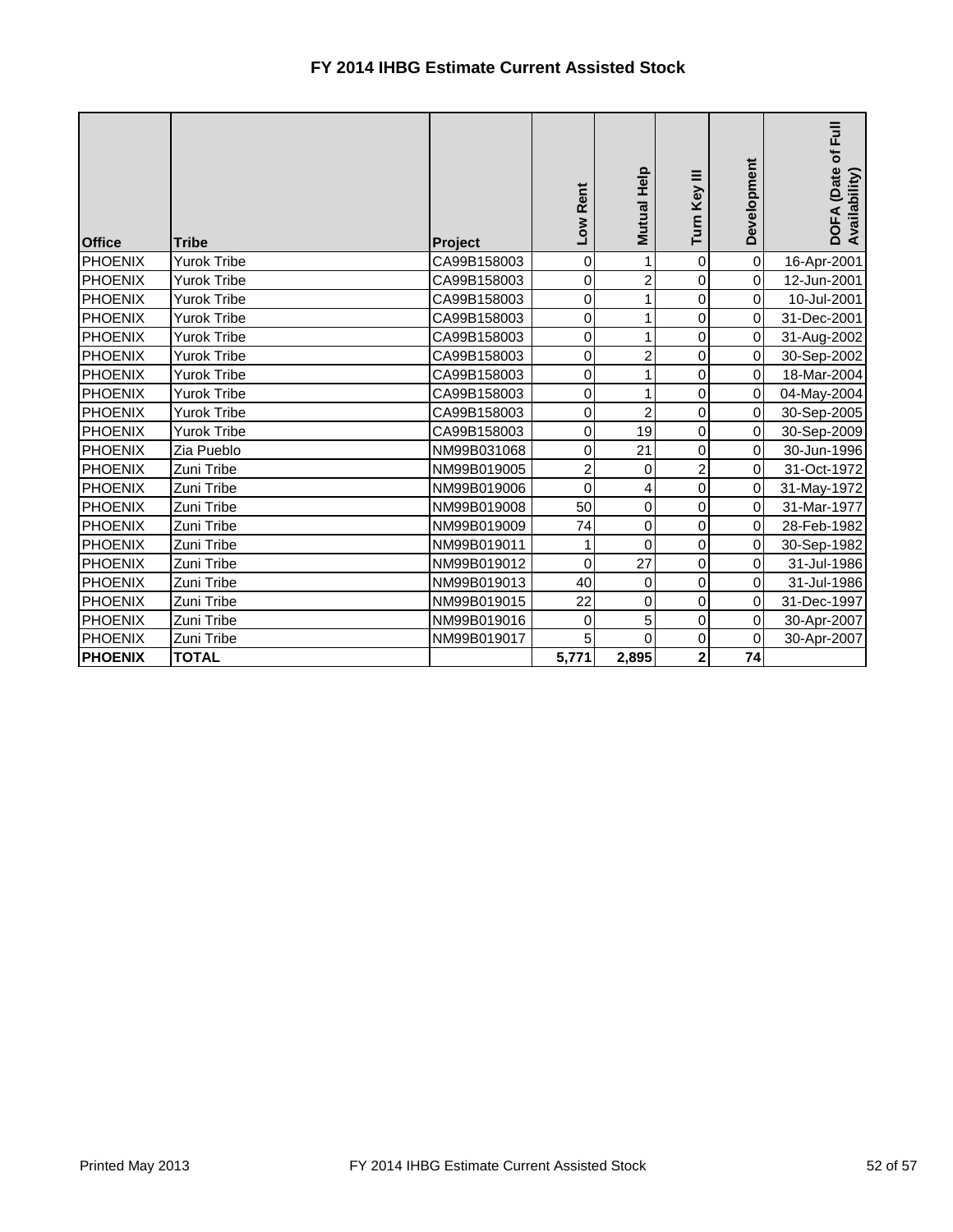| <b>Office</b>  | <b>Tribe</b>       | Project     | Low Rent       | <b>Mutual Help</b>      | Turn Key III   | Development         | <b>Full</b><br>DOFA (Date of F<br>Availability) |
|----------------|--------------------|-------------|----------------|-------------------------|----------------|---------------------|-------------------------------------------------|
| PHOENIX        | <b>Yurok Tribe</b> | CA99B158003 | 0              | 1                       | $\overline{0}$ | $\pmb{0}$           | 16-Apr-2001                                     |
| <b>PHOENIX</b> | <b>Yurok Tribe</b> | CA99B158003 | $\pmb{0}$      | $\overline{2}$          | 0              | $\pmb{0}$           | 12-Jun-2001                                     |
| <b>PHOENIX</b> | <b>Yurok Tribe</b> | CA99B158003 | $\mathsf 0$    |                         | 0              | $\mathbf 0$         | 10-Jul-2001                                     |
| <b>PHOENIX</b> | <b>Yurok Tribe</b> | CA99B158003 | $\pmb{0}$      | 1                       | 0              | $\pmb{0}$           | 31-Dec-2001                                     |
| <b>PHOENIX</b> | <b>Yurok Tribe</b> | CA99B158003 | $\mathbf 0$    | 1                       | 0              | $\mathbf 0$         | 31-Aug-2002                                     |
| <b>PHOENIX</b> | <b>Yurok Tribe</b> | CA99B158003 | $\mathsf 0$    | 2                       | 0              | $\pmb{0}$           | 30-Sep-2002                                     |
| <b>PHOENIX</b> | <b>Yurok Tribe</b> | CA99B158003 | $\mathbf 0$    |                         | 0              | $\mathsf{O}\xspace$ | 18-Mar-2004                                     |
| <b>PHOENIX</b> | Yurok Tribe        | CA99B158003 | $\mathbf 0$    |                         | 0              | $\mathsf{O}\xspace$ | 04-May-2004                                     |
| <b>PHOENIX</b> | Yurok Tribe        | CA99B158003 | $\mathsf 0$    | $\overline{2}$          | 0              | 0                   | 30-Sep-2005                                     |
| PHOENIX        | <b>Yurok Tribe</b> | CA99B158003 | $\pmb{0}$      | 19                      | 0              | $\mathbf 0$         | 30-Sep-2009                                     |
| <b>PHOENIX</b> | Zia Pueblo         | NM99B031068 | $\mathbf 0$    | 21                      | $\overline{0}$ | $\mathbf 0$         | 30-Jun-1996                                     |
| <b>PHOENIX</b> | Zuni Tribe         | NM99B019005 | $\overline{2}$ | $\boldsymbol{0}$        | $\mathbf{2}$   | $\pmb{0}$           | 31-Oct-1972                                     |
| <b>PHOENIX</b> | Zuni Tribe         | NM99B019006 | $\mathbf 0$    | $\overline{\mathbf{r}}$ | $\overline{0}$ | $\mathsf{O}\xspace$ | 31-May-1972                                     |
| <b>PHOENIX</b> | Zuni Tribe         | NM99B019008 | 50             | $\mathbf 0$             | 0              | $\pmb{0}$           | 31-Mar-1977                                     |
| PHOENIX        | Zuni Tribe         | NM99B019009 | 74             | $\overline{0}$          | $\overline{0}$ | $\mathsf{O}\xspace$ | 28-Feb-1982                                     |
| PHOENIX        | Zuni Tribe         | NM99B019011 | 1              | $\mathbf 0$             | $\overline{0}$ | $\pmb{0}$           | 30-Sep-1982                                     |
| <b>PHOENIX</b> | Zuni Tribe         | NM99B019012 | $\pmb{0}$      | 27                      | $\overline{0}$ | $\overline{0}$      | 31-Jul-1986                                     |
| <b>PHOENIX</b> | Zuni Tribe         | NM99B019013 | 40             | $\mathbf 0$             | $\overline{0}$ | $\mathbf 0$         | 31-Jul-1986                                     |
| <b>PHOENIX</b> | Zuni Tribe         | NM99B019015 | 22             | $\overline{0}$          | $\overline{0}$ | $\pmb{0}$           | 31-Dec-1997                                     |
| PHOENIX        | Zuni Tribe         | NM99B019016 | 0              | 5                       | $\overline{0}$ | $\pmb{0}$           | 30-Apr-2007                                     |
| <b>PHOENIX</b> | Zuni Tribe         | NM99B019017 | 5              | $\overline{0}$          | $\overline{0}$ | $\pmb{0}$           | 30-Apr-2007                                     |
| <b>PHOENIX</b> | <b>TOTAL</b>       |             | 5,771          | 2,895                   | $\mathbf{2}$   | 74                  |                                                 |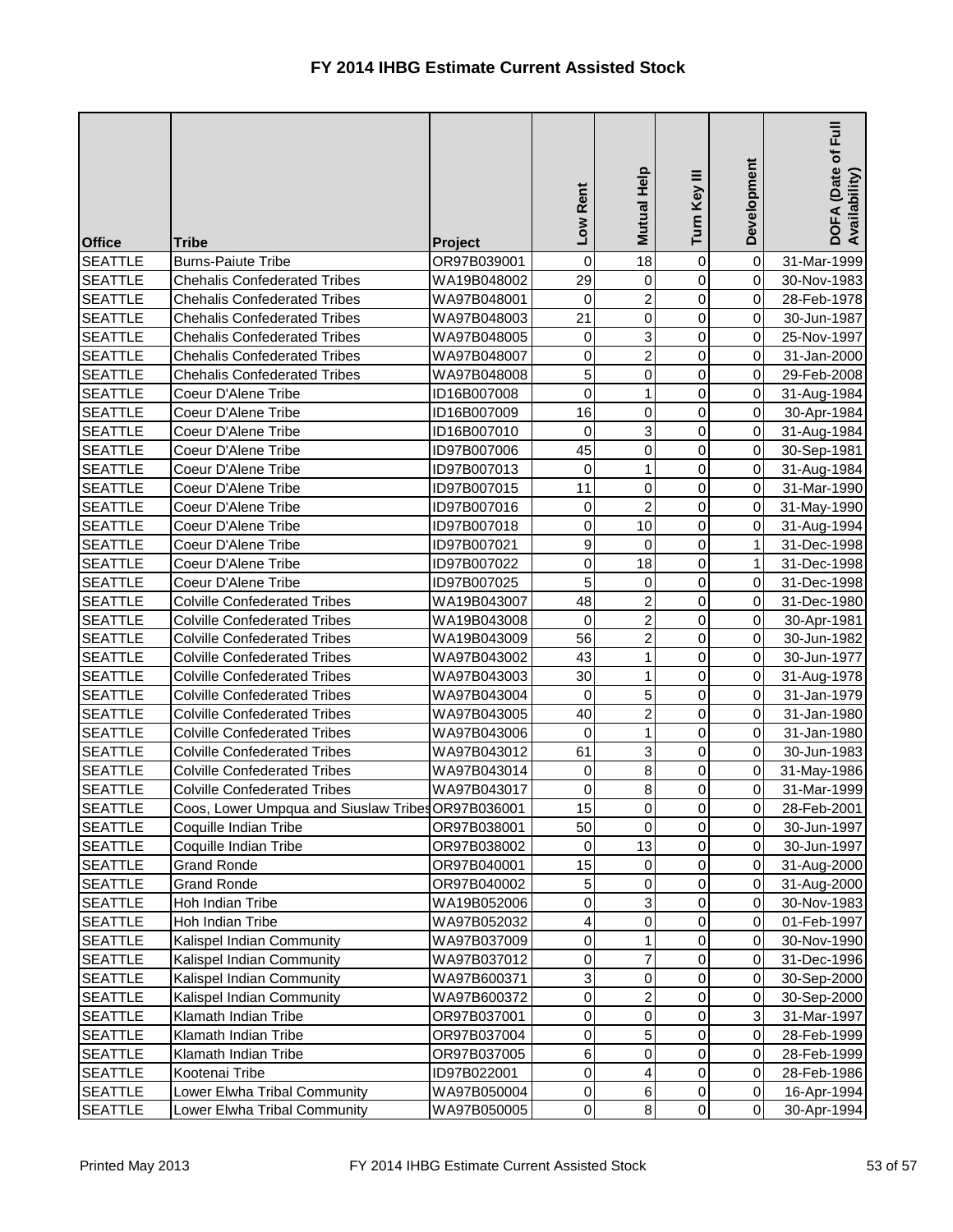| <b>Office</b>  | <b>Tribe</b>                                      | Project     | Low Rent                | Mutual Help      | Ξ<br>Turn Key  | Development    | Full<br>DOFA (Date of F<br>Availability) |
|----------------|---------------------------------------------------|-------------|-------------------------|------------------|----------------|----------------|------------------------------------------|
| <b>SEATTLE</b> | <b>Burns-Paiute Tribe</b>                         | OR97B039001 | $\pmb{0}$               | 18               | $\mathbf 0$    | 0              | 31-Mar-1999                              |
| <b>SEATTLE</b> | <b>Chehalis Confederated Tribes</b>               | WA19B048002 | 29                      | $\overline{0}$   | $\overline{0}$ | $\mathbf 0$    | 30-Nov-1983                              |
| <b>SEATTLE</b> | <b>Chehalis Confederated Tribes</b>               | WA97B048001 | $\pmb{0}$               | $\overline{c}$   | $\overline{0}$ | 0              | 28-Feb-1978                              |
| <b>SEATTLE</b> | <b>Chehalis Confederated Tribes</b>               | WA97B048003 | 21                      | 0                | 0              | 0              | 30-Jun-1987                              |
| <b>SEATTLE</b> | <b>Chehalis Confederated Tribes</b>               | WA97B048005 | 0                       | 3                | 0              | 0              | 25-Nov-1997                              |
| <b>SEATTLE</b> | <b>Chehalis Confederated Tribes</b>               | WA97B048007 | $\overline{0}$          | $\overline{2}$   | $\overline{0}$ | 0              | 31-Jan-2000                              |
| <b>SEATTLE</b> | <b>Chehalis Confederated Tribes</b>               | WA97B048008 | $\overline{5}$          | 0                | $\overline{0}$ | 0              | 29-Feb-2008                              |
| <b>SEATTLE</b> | Coeur D'Alene Tribe                               | ID16B007008 | $\overline{\mathsf{o}}$ |                  | 0              | 0              | 31-Aug-1984                              |
| <b>SEATTLE</b> | Coeur D'Alene Tribe                               | ID16B007009 | 16                      | 0                | 0              | $\overline{0}$ | 30-Apr-1984                              |
| <b>SEATTLE</b> | Coeur D'Alene Tribe                               | ID16B007010 | $\overline{0}$          | 3                | $\overline{0}$ | $\mathbf 0$    | 31-Aug-1984                              |
| <b>SEATTLE</b> | Coeur D'Alene Tribe                               | ID97B007006 | 45                      | 0                | $\overline{0}$ | 0              | 30-Sep-1981                              |
| <b>SEATTLE</b> | Coeur D'Alene Tribe                               | ID97B007013 | $\overline{0}$          |                  | 0              | 0              | 31-Aug-1984                              |
| <b>SEATTLE</b> | Coeur D'Alene Tribe                               | ID97B007015 | 11                      | 0                | 0              | 0              | 31-Mar-1990                              |
| <b>SEATTLE</b> | Coeur D'Alene Tribe                               | ID97B007016 | $\overline{0}$          | $\overline{2}$   | $\overline{0}$ | 0              | 31-May-1990                              |
| <b>SEATTLE</b> | Coeur D'Alene Tribe                               | ID97B007018 | $\overline{0}$          | 10               | 0              | 0              | 31-Aug-1994                              |
| <b>SEATTLE</b> | Coeur D'Alene Tribe                               | ID97B007021 | $\vert$                 | 0                | 0              | 1              | 31-Dec-1998                              |
| <b>SEATTLE</b> | Coeur D'Alene Tribe                               | ID97B007022 | $\overline{0}$          | 18               | 0              | 1              | 31-Dec-1998                              |
| <b>SEATTLE</b> | Coeur D'Alene Tribe                               | ID97B007025 | 5                       | $\mathbf 0$      | $\mathbf 0$    | 0              | 31-Dec-1998                              |
| <b>SEATTLE</b> | <b>Colville Confederated Tribes</b>               | WA19B043007 | 48                      | $\overline{2}$   | $\overline{0}$ | 0              | 31-Dec-1980                              |
| <b>SEATTLE</b> | <b>Colville Confederated Tribes</b>               | WA19B043008 | $\overline{0}$          | $\overline{2}$   | $\overline{0}$ | 0              | 30-Apr-1981                              |
| <b>SEATTLE</b> | <b>Colville Confederated Tribes</b>               | WA19B043009 | 56                      | $\overline{c}$   | 0              | 0              | 30-Jun-1982                              |
| <b>SEATTLE</b> | <b>Colville Confederated Tribes</b>               | WA97B043002 | 43                      | 1                | $\mathbf 0$    | 0              | 30-Jun-1977                              |
| <b>SEATTLE</b> | <b>Colville Confederated Tribes</b>               | WA97B043003 | 30                      | 1                | 0              | 0              | 31-Aug-1978                              |
| <b>SEATTLE</b> | <b>Colville Confederated Tribes</b>               | WA97B043004 | $\overline{0}$          | 5                | $\overline{0}$ | $\overline{0}$ | 31-Jan-1979                              |
| <b>SEATTLE</b> | <b>Colville Confederated Tribes</b>               | WA97B043005 | 40                      | $\overline{c}$   | 0              | 0              | 31-Jan-1980                              |
| <b>SEATTLE</b> | <b>Colville Confederated Tribes</b>               | WA97B043006 | 0                       | $\mathbf{1}$     | $\overline{0}$ | $\overline{0}$ | 31-Jan-1980                              |
| <b>SEATTLE</b> | <b>Colville Confederated Tribes</b>               | WA97B043012 | 61                      | 3                | $\overline{0}$ | $\overline{0}$ | 30-Jun-1983                              |
| <b>SEATTLE</b> | <b>Colville Confederated Tribes</b>               | WA97B043014 | $\overline{0}$          | 8                | 0              | 0              | 31-May-1986                              |
| <b>SEATTLE</b> | <b>Colville Confederated Tribes</b>               | WA97B043017 | $\overline{0}$          | 8                | 0              | 0              | 31-Mar-1999                              |
| <b>SEATTLE</b> | Coos, Lower Umpqua and Siuslaw Tribes OR97B036001 |             | 15                      | $\boldsymbol{0}$ | 0              | 0              | 28-Feb-2001                              |
| <b>SEATTLE</b> | Coquille Indian Tribe                             | OR97B038001 | 50                      | 0                | 0              | 0              | 30-Jun-1997                              |
| <b>SEATTLE</b> | Coquille Indian Tribe                             | OR97B038002 | $\pmb{0}$               | 13               | 0              | 0              | 30-Jun-1997                              |
| <b>SEATTLE</b> | <b>Grand Ronde</b>                                | OR97B040001 | 15                      | 0                | 0              | 0              | 31-Aug-2000                              |
| <b>SEATTLE</b> | <b>Grand Ronde</b>                                | OR97B040002 | 5                       | $\boldsymbol{0}$ | 0              | 0              | 31-Aug-2000                              |
| <b>SEATTLE</b> | Hoh Indian Tribe                                  | WA19B052006 | $\mathbf 0$             | 3                | 0              | 0              | 30-Nov-1983                              |
| <b>SEATTLE</b> | Hoh Indian Tribe                                  | WA97B052032 | $\overline{\mathbf{4}}$ | 0                | 0              | 0              | 01-Feb-1997                              |
| <b>SEATTLE</b> | Kalispel Indian Community                         | WA97B037009 | $\overline{0}$          |                  | 0              | 0              | 30-Nov-1990                              |
| <b>SEATTLE</b> | Kalispel Indian Community                         | WA97B037012 | $\overline{0}$          | 7                | $\mathbf 0$    | 0              | 31-Dec-1996                              |
| <b>SEATTLE</b> | Kalispel Indian Community                         | WA97B600371 | 3 <sup>1</sup>          | 0                | 0              | 0              | 30-Sep-2000                              |
| <b>SEATTLE</b> | Kalispel Indian Community                         | WA97B600372 | $\overline{0}$          | 2                | 0              | 0              | 30-Sep-2000                              |
| <b>SEATTLE</b> | Klamath Indian Tribe                              | OR97B037001 | $\overline{0}$          | 0                | 0              | $\overline{3}$ | 31-Mar-1997                              |
| <b>SEATTLE</b> | Klamath Indian Tribe                              | OR97B037004 | $\overline{0}$          | 5                | 0              | 0              | 28-Feb-1999                              |
| <b>SEATTLE</b> | Klamath Indian Tribe                              | OR97B037005 | $6\overline{6}$         | 0                | 0              | 0              | 28-Feb-1999                              |
| <b>SEATTLE</b> | Kootenai Tribe                                    | ID97B022001 | $\overline{0}$          | 4                | 0              | 0              | 28-Feb-1986                              |
| <b>SEATTLE</b> | Lower Elwha Tribal Community                      | WA97B050004 | $\overline{0}$          | 6                | 0              | $\overline{0}$ | 16-Apr-1994                              |
| <b>SEATTLE</b> | Lower Elwha Tribal Community                      | WA97B050005 | $\overline{0}$          | $\bf{8}$         | $\overline{0}$ | $\overline{0}$ | 30-Apr-1994                              |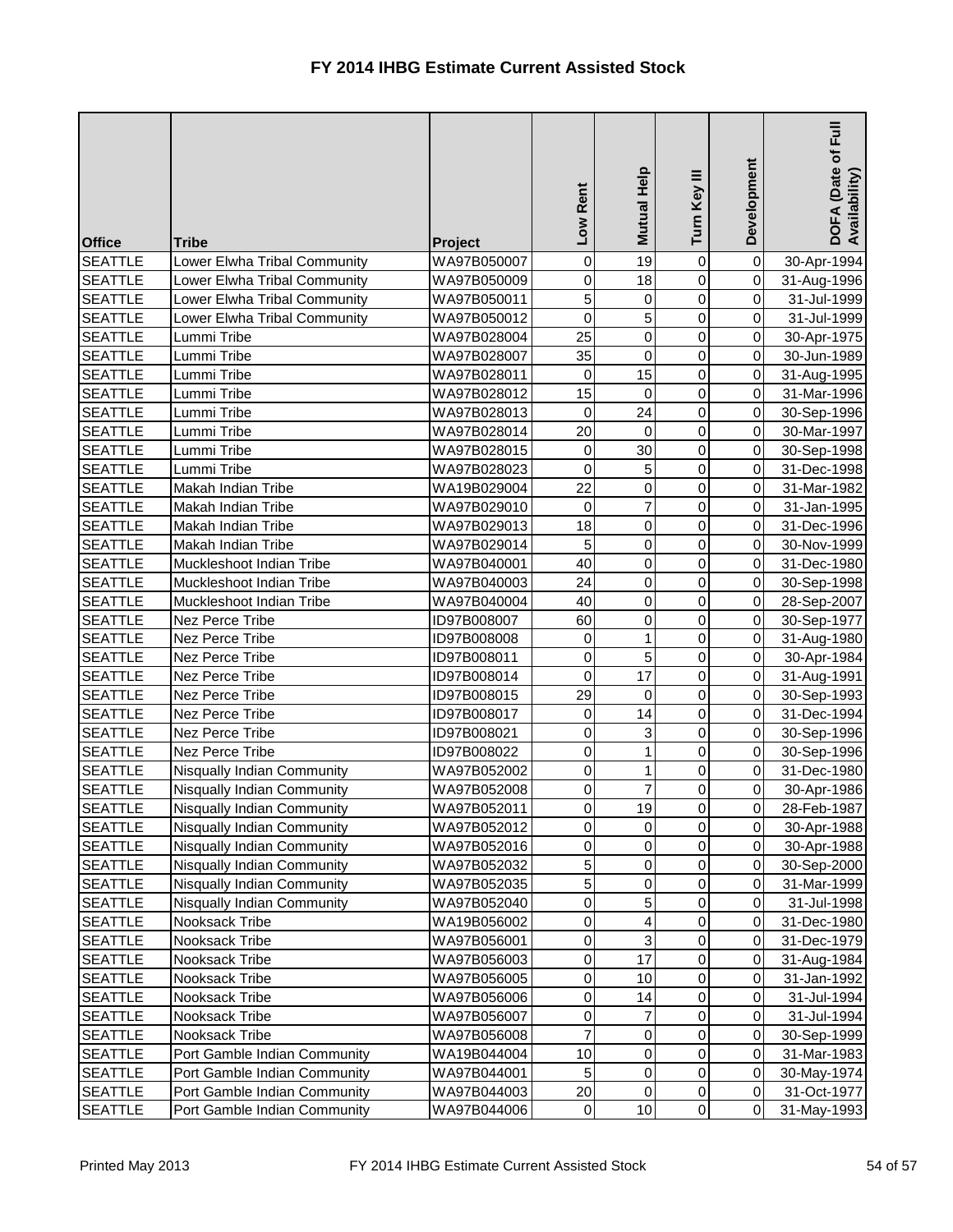| <b>Office</b>  | <b>Tribe</b>                      | <b>Project</b> | Low Rent            | Mutual Help    | Turn Key III   | Development    | <b>Full</b><br>DOFA (Date of <b>F</b><br>Availability) |
|----------------|-----------------------------------|----------------|---------------------|----------------|----------------|----------------|--------------------------------------------------------|
| <b>SEATTLE</b> | Lower Elwha Tribal Community      | WA97B050007    | $\pmb{0}$           | 19             | 0              | $\overline{0}$ | 30-Apr-1994                                            |
| <b>SEATTLE</b> | Lower Elwha Tribal Community      | WA97B050009    | 0                   | 18             | 0              | $\overline{0}$ | 31-Aug-1996                                            |
| <b>SEATTLE</b> | Lower Elwha Tribal Community      | WA97B050011    | $\overline{5}$      | 0              | $\overline{0}$ | $\overline{0}$ | 31-Jul-1999                                            |
| <b>SEATTLE</b> | Lower Elwha Tribal Community      | WA97B050012    | $\mathsf{O}\xspace$ | 5              | $\overline{0}$ | $\overline{0}$ | 31-Jul-1999                                            |
| <b>SEATTLE</b> | Lummi Tribe                       | WA97B028004    | 25                  | 0              | 0              | $\overline{0}$ | 30-Apr-1975                                            |
| <b>SEATTLE</b> | Lummi Tribe                       | WA97B028007    | 35                  | $\mathbf 0$    | $\overline{0}$ | $\overline{0}$ | 30-Jun-1989                                            |
| <b>SEATTLE</b> | Lummi Tribe                       | WA97B028011    | $\pmb{0}$           | 15             | 0              | $\overline{0}$ | 31-Aug-1995                                            |
| <b>SEATTLE</b> | Lummi Tribe                       | WA97B028012    | 15                  | 0              | 0              | $\overline{0}$ | 31-Mar-1996                                            |
| <b>SEATTLE</b> | Lummi Tribe                       | WA97B028013    | $\pmb{0}$           | 24             | 0              | $\overline{0}$ | 30-Sep-1996                                            |
| <b>SEATTLE</b> | Lummi Tribe                       | WA97B028014    | 20                  | $\mathbf 0$    | 0              | $\overline{0}$ | 30-Mar-1997                                            |
| <b>SEATTLE</b> | Lummi Tribe                       | WA97B028015    | $\pmb{0}$           | 30             | $\overline{0}$ | $\overline{0}$ | 30-Sep-1998                                            |
| <b>SEATTLE</b> | Lummi Tribe                       | WA97B028023    | $\pmb{0}$           | 5              | $\overline{0}$ | $\overline{0}$ | 31-Dec-1998                                            |
| <b>SEATTLE</b> | Makah Indian Tribe                | WA19B029004    | 22                  | $\mathsf 0$    | 0              | $\overline{0}$ | 31-Mar-1982                                            |
| <b>SEATTLE</b> | Makah Indian Tribe                | WA97B029010    | $\pmb{0}$           | $\overline{7}$ | $\overline{0}$ | $\overline{0}$ | 31-Jan-1995                                            |
| <b>SEATTLE</b> | Makah Indian Tribe                | WA97B029013    | 18                  | 0              | 0              | $\overline{0}$ | 31-Dec-1996                                            |
| <b>SEATTLE</b> | Makah Indian Tribe                | WA97B029014    | 5                   | $\pmb{0}$      | $\overline{0}$ | $\overline{0}$ | 30-Nov-1999                                            |
| <b>SEATTLE</b> | Muckleshoot Indian Tribe          | WA97B040001    | 40                  | 0              | 0              | $\overline{0}$ | 31-Dec-1980                                            |
| <b>SEATTLE</b> | Muckleshoot Indian Tribe          | WA97B040003    | 24                  | 0              | 0              | $\overline{0}$ | 30-Sep-1998                                            |
| <b>SEATTLE</b> | Muckleshoot Indian Tribe          | WA97B040004    | 40                  | 0              | $\overline{0}$ | $\overline{0}$ | 28-Sep-2007                                            |
| <b>SEATTLE</b> | Nez Perce Tribe                   | ID97B008007    | 60                  | 0              | $\overline{0}$ | $\overline{0}$ | 30-Sep-1977                                            |
| <b>SEATTLE</b> | Nez Perce Tribe                   | ID97B008008    | 0                   | 1              | 0              | $\overline{0}$ | 31-Aug-1980                                            |
| <b>SEATTLE</b> | Nez Perce Tribe                   | ID97B008011    | $\pmb{0}$           | 5              | 0              | $\overline{0}$ | 30-Apr-1984                                            |
| <b>SEATTLE</b> | Nez Perce Tribe                   | ID97B008014    | $\overline{0}$      | 17             | $\overline{0}$ | $\overline{0}$ | 31-Aug-1991                                            |
| <b>SEATTLE</b> | Nez Perce Tribe                   | ID97B008015    | 29                  | $\pmb{0}$      | $\overline{0}$ | $\overline{0}$ | 30-Sep-1993                                            |
| <b>SEATTLE</b> | Nez Perce Tribe                   | ID97B008017    | 0                   | 14             | 0              | $\overline{0}$ | 31-Dec-1994                                            |
| <b>SEATTLE</b> | Nez Perce Tribe                   | ID97B008021    | $\overline{0}$      | $\overline{3}$ | $\overline{0}$ | $\overline{O}$ | 30-Sep-1996                                            |
| <b>SEATTLE</b> | Nez Perce Tribe                   | ID97B008022    | 0                   | 1              | $\overline{0}$ | $\overline{O}$ | 30-Sep-1996                                            |
| <b>SEATTLE</b> | Nisqually Indian Community        | WA97B052002    | 0                   |                | 0              | $\overline{0}$ | 31-Dec-1980                                            |
| <b>SEATTLE</b> | Nisqually Indian Community        | WA97B052008    | 0                   | 7              | 0              | $\overline{0}$ | 30-Apr-1986                                            |
| <b>SEATTLE</b> | Nisqually Indian Community        | WA97B052011    | $\pmb{0}$           | 19             | 0              | $\overline{0}$ | 28-Feb-1987                                            |
| <b>SEATTLE</b> | <b>Nisqually Indian Community</b> | WA97B052012    | 0                   | $\mathbf 0$    | 0              | $\overline{0}$ | 30-Apr-1988                                            |
| <b>SEATTLE</b> | <b>Nisqually Indian Community</b> | WA97B052016    | 0                   | 0              | 0              | $\overline{0}$ | 30-Apr-1988                                            |
| <b>SEATTLE</b> | <b>Nisqually Indian Community</b> | WA97B052032    | 5                   | $\pmb{0}$      | 0              | $\overline{0}$ | 30-Sep-2000                                            |
| <b>SEATTLE</b> | Nisqually Indian Community        | WA97B052035    | $\sqrt{5}$          | 0              | 0              | $\overline{0}$ | 31-Mar-1999                                            |
| <b>SEATTLE</b> | Nisqually Indian Community        | WA97B052040    | 0                   | 5              | 0              | $\overline{0}$ | 31-Jul-1998                                            |
| <b>SEATTLE</b> | Nooksack Tribe                    | WA19B056002    | 0                   | 4              | 0              | $\overline{0}$ | 31-Dec-1980                                            |
| <b>SEATTLE</b> | Nooksack Tribe                    | WA97B056001    | $\pmb{0}$           | 3              | 0              | $\overline{0}$ | 31-Dec-1979                                            |
| <b>SEATTLE</b> | Nooksack Tribe                    | WA97B056003    | $\pmb{0}$           | 17             | 0              | $\overline{0}$ | 31-Aug-1984                                            |
| <b>SEATTLE</b> | Nooksack Tribe                    | WA97B056005    | $\pmb{0}$           | 10             | 0              | $\overline{0}$ | 31-Jan-1992                                            |
| <b>SEATTLE</b> | Nooksack Tribe                    | WA97B056006    | 0                   | 14             | 0              | $\overline{0}$ | 31-Jul-1994                                            |
| <b>SEATTLE</b> | Nooksack Tribe                    | WA97B056007    | 0                   | 7              | 0              | $\overline{0}$ | 31-Jul-1994                                            |
| <b>SEATTLE</b> | Nooksack Tribe                    | WA97B056008    | $\overline{7}$      | 0              | 0              | $\overline{0}$ | 30-Sep-1999                                            |
| <b>SEATTLE</b> | Port Gamble Indian Community      | WA19B044004    | 10                  | $\pmb{0}$      | 0              | $\overline{0}$ | 31-Mar-1983                                            |
| <b>SEATTLE</b> | Port Gamble Indian Community      | WA97B044001    | 5                   | $\pmb{0}$      | 0              | $\overline{0}$ | 30-May-1974                                            |
| <b>SEATTLE</b> | Port Gamble Indian Community      | WA97B044003    | $20\,$              | $\pmb{0}$      | 0              | $\overline{0}$ | 31-Oct-1977                                            |
| <b>SEATTLE</b> | Port Gamble Indian Community      | WA97B044006    | $\pmb{0}$           | 10             | $\overline{0}$ | $\overline{0}$ | 31-May-1993                                            |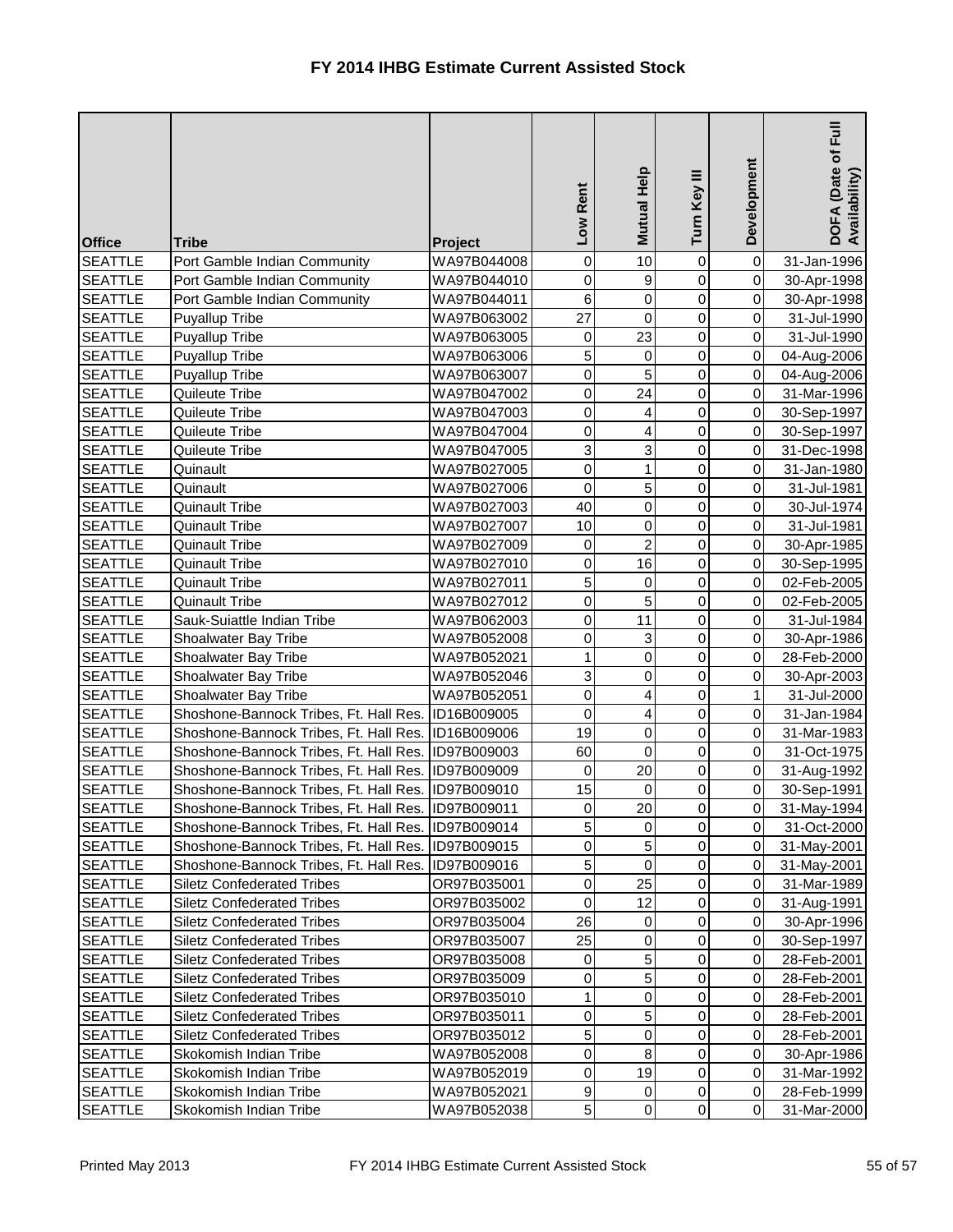| <b>Office</b>                    | <b>Tribe</b>                                                                                             | <b>Project</b>             | Low Rent         | Mutual Help      | Turn Key III   | Development                      | $E_{\rm H}$<br>DOFA (Date of I<br>Availability) |
|----------------------------------|----------------------------------------------------------------------------------------------------------|----------------------------|------------------|------------------|----------------|----------------------------------|-------------------------------------------------|
| <b>SEATTLE</b>                   | Port Gamble Indian Community                                                                             | WA97B044008                | $\pmb{0}$        | 10               | 0              | $\overline{0}$                   | 31-Jan-1996                                     |
| <b>SEATTLE</b>                   | Port Gamble Indian Community                                                                             | WA97B044010                | 0                | 9                | 0              | $\overline{0}$                   | 30-Apr-1998                                     |
| <b>SEATTLE</b>                   | Port Gamble Indian Community                                                                             | WA97B044011                | $\,$ 6 $\,$      | $\mathbf 0$      | $\overline{0}$ | $\overline{0}$                   | 30-Apr-1998                                     |
| <b>SEATTLE</b>                   | Puyallup Tribe                                                                                           | WA97B063002                | 27               | $\pmb{0}$        | $\overline{0}$ | 0                                | 31-Jul-1990                                     |
| <b>SEATTLE</b>                   | Puyallup Tribe                                                                                           | WA97B063005                | 0                | 23               | 0              | $\overline{0}$                   | 31-Jul-1990                                     |
| <b>SEATTLE</b>                   | <b>Puyallup Tribe</b>                                                                                    | WA97B063006                | $\overline{5}$   | 0                | 0              | $\overline{0}$                   | 04-Aug-2006                                     |
| <b>SEATTLE</b>                   | Puyallup Tribe                                                                                           | WA97B063007                | 0                | 5                | 0              | $\overline{0}$                   | 04-Aug-2006                                     |
| <b>SEATTLE</b>                   | Quileute Tribe                                                                                           | WA97B047002                | $\pmb{0}$        | 24               | 0              | $\overline{0}$                   | 31-Mar-1996                                     |
| <b>SEATTLE</b>                   | Quileute Tribe                                                                                           | WA97B047003                | 0                | 4                | 0              | $\overline{0}$                   | 30-Sep-1997                                     |
| <b>SEATTLE</b>                   | Quileute Tribe                                                                                           | WA97B047004                | 0                | 4                | 0              | $\overline{0}$                   | 30-Sep-1997                                     |
| <b>SEATTLE</b>                   | Quileute Tribe                                                                                           | WA97B047005                | $\overline{3}$   | 3                | 0              | $\overline{0}$                   | 31-Dec-1998                                     |
| <b>SEATTLE</b>                   | Quinault                                                                                                 | WA97B027005                | $\pmb{0}$        | 1                | $\overline{0}$ | $\overline{0}$                   | 31-Jan-1980                                     |
| <b>SEATTLE</b>                   | Quinault                                                                                                 | WA97B027006                | $\pmb{0}$        | 5                | 0              | $\overline{0}$                   | 31-Jul-1981                                     |
| <b>SEATTLE</b>                   | <b>Quinault Tribe</b>                                                                                    | WA97B027003                | 40               | $\pmb{0}$        | $\overline{0}$ | $\overline{O}$                   | 30-Jul-1974                                     |
| <b>SEATTLE</b>                   | <b>Quinault Tribe</b>                                                                                    | WA97B027007                | 10               | 0                | 0              | $\overline{0}$                   | 31-Jul-1981                                     |
| <b>SEATTLE</b>                   | <b>Quinault Tribe</b>                                                                                    | WA97B027009                | 0                | $\overline{2}$   | 0              | $\overline{0}$                   | 30-Apr-1985                                     |
| <b>SEATTLE</b>                   | <b>Quinault Tribe</b>                                                                                    | WA97B027010                | 0                | 16               | 0              | $\overline{0}$                   | 30-Sep-1995                                     |
| <b>SEATTLE</b>                   | <b>Quinault Tribe</b>                                                                                    | WA97B027011                | $\sigma$         | 0                | 0              | $\overline{0}$                   | 02-Feb-2005                                     |
| <b>SEATTLE</b>                   | <b>Quinault Tribe</b>                                                                                    | WA97B027012                | 0                | 5                | 0              | $\overline{0}$                   | 02-Feb-2005                                     |
| <b>SEATTLE</b>                   | Sauk-Suiattle Indian Tribe                                                                               | WA97B062003                | $\mathbf 0$      | 11               | $\overline{0}$ | $\overline{0}$                   | 31-Jul-1984                                     |
| <b>SEATTLE</b>                   | Shoalwater Bay Tribe                                                                                     | WA97B052008                | 0                | 3                | 0              | $\overline{0}$                   | 30-Apr-1986                                     |
| <b>SEATTLE</b>                   | Shoalwater Bay Tribe                                                                                     | WA97B052021                | 1<br>3           | $\mathsf 0$<br>0 | 0<br>0         | $\overline{0}$<br>$\overline{0}$ | 28-Feb-2000                                     |
| <b>SEATTLE</b><br><b>SEATTLE</b> | Shoalwater Bay Tribe<br>Shoalwater Bay Tribe                                                             | WA97B052046<br>WA97B052051 | 0                | 4                | 0              | 1                                | 30-Apr-2003                                     |
| <b>SEATTLE</b>                   | Shoshone-Bannock Tribes, Ft. Hall Res.                                                                   | ID16B009005                | 0                |                  | 0              | $\overline{0}$                   | 31-Jul-2000<br>31-Jan-1984                      |
| <b>SEATTLE</b>                   |                                                                                                          |                            | 19               | 4<br>$\Omega$    | $\overline{0}$ | $\overline{O}$                   |                                                 |
| <b>SEATTLE</b>                   | Shoshone-Bannock Tribes, Ft. Hall Res. ID16B009006<br>Shoshone-Bannock Tribes, Ft. Hall Res. ID97B009003 |                            | 60               | $\mathbf 0$      | $\overline{0}$ | 0I                               | 31-Mar-1983<br>31-Oct-1975                      |
| <b>SEATTLE</b>                   | Shoshone-Bannock Tribes, Ft. Hall Res. ID97B009009                                                       |                            | 0                | 20               | 0              | $\overline{0}$                   | 31-Aug-1992                                     |
| <b>SEATTLE</b>                   | Shoshone-Bannock Tribes, Ft. Hall Res.                                                                   | ID97B009010                | 15               | 0                | 0              | $\overline{0}$                   | 30-Sep-1991                                     |
| <b>SEATTLE</b>                   | Shoshone-Bannock Tribes, Ft. Hall Res.                                                                   | ID97B009011                | 0                | 20               | 0              | $\overline{0}$                   | 31-May-1994                                     |
| <b>SEATTLE</b>                   | Shoshone-Bannock Tribes, Ft. Hall Res.                                                                   | ID97B009014                | 5                | $\mathbf 0$      | 0              | $\overline{0}$                   | 31-Oct-2000                                     |
| <b>SEATTLE</b>                   | Shoshone-Bannock Tribes, Ft. Hall Res.                                                                   | ID97B009015                | 0                | 5                | 0              | $\overline{0}$                   | 31-May-2001                                     |
| <b>SEATTLE</b>                   | Shoshone-Bannock Tribes, Ft. Hall Res.                                                                   | ID97B009016                | 5                | $\pmb{0}$        | 0              | $\overline{0}$                   | 31-May-2001                                     |
| <b>SEATTLE</b>                   | <b>Siletz Confederated Tribes</b>                                                                        | OR97B035001                | $\pmb{0}$        | 25               | 0              | $\overline{0}$                   | 31-Mar-1989                                     |
| <b>SEATTLE</b>                   | <b>Siletz Confederated Tribes</b>                                                                        | OR97B035002                | 0                | 12               | 0              | $\overline{0}$                   | 31-Aug-1991                                     |
| <b>SEATTLE</b>                   | <b>Siletz Confederated Tribes</b>                                                                        | OR97B035004                | 26               | 0                | 0              | $\overline{0}$                   | 30-Apr-1996                                     |
| <b>SEATTLE</b>                   | <b>Siletz Confederated Tribes</b>                                                                        | OR97B035007                | 25               | 0                | 0              | $\overline{0}$                   | 30-Sep-1997                                     |
| <b>SEATTLE</b>                   | <b>Siletz Confederated Tribes</b>                                                                        | OR97B035008                | 0                | 5                | 0              | $\overline{0}$                   | 28-Feb-2001                                     |
| <b>SEATTLE</b>                   | <b>Siletz Confederated Tribes</b>                                                                        | OR97B035009                | 0                | 5                | 0              | $\overline{0}$                   | 28-Feb-2001                                     |
| <b>SEATTLE</b>                   | <b>Siletz Confederated Tribes</b>                                                                        | OR97B035010                | 1                | 0                | 0              | $\overline{0}$                   | 28-Feb-2001                                     |
| <b>SEATTLE</b>                   | <b>Siletz Confederated Tribes</b>                                                                        | OR97B035011                | 0                | 5                | 0              | $\overline{0}$                   | 28-Feb-2001                                     |
| <b>SEATTLE</b>                   | <b>Siletz Confederated Tribes</b>                                                                        | OR97B035012                | $\sqrt{5}$       | 0                | 0              | $\overline{0}$                   | 28-Feb-2001                                     |
| <b>SEATTLE</b>                   | Skokomish Indian Tribe                                                                                   | WA97B052008                | $\pmb{0}$        | 8                | 0              | $\overline{0}$                   | 30-Apr-1986                                     |
| <b>SEATTLE</b>                   | Skokomish Indian Tribe                                                                                   | WA97B052019                | 0                | 19               | 0              | $\overline{0}$                   | 31-Mar-1992                                     |
| <b>SEATTLE</b>                   | Skokomish Indian Tribe                                                                                   | WA97B052021                | $\boldsymbol{9}$ | $\pmb{0}$        | 0              | $\overline{0}$                   | 28-Feb-1999                                     |
| <b>SEATTLE</b>                   | Skokomish Indian Tribe                                                                                   | WA97B052038                | 5                | $\overline{0}$   | 0              | $\overline{0}$                   | 31-Mar-2000                                     |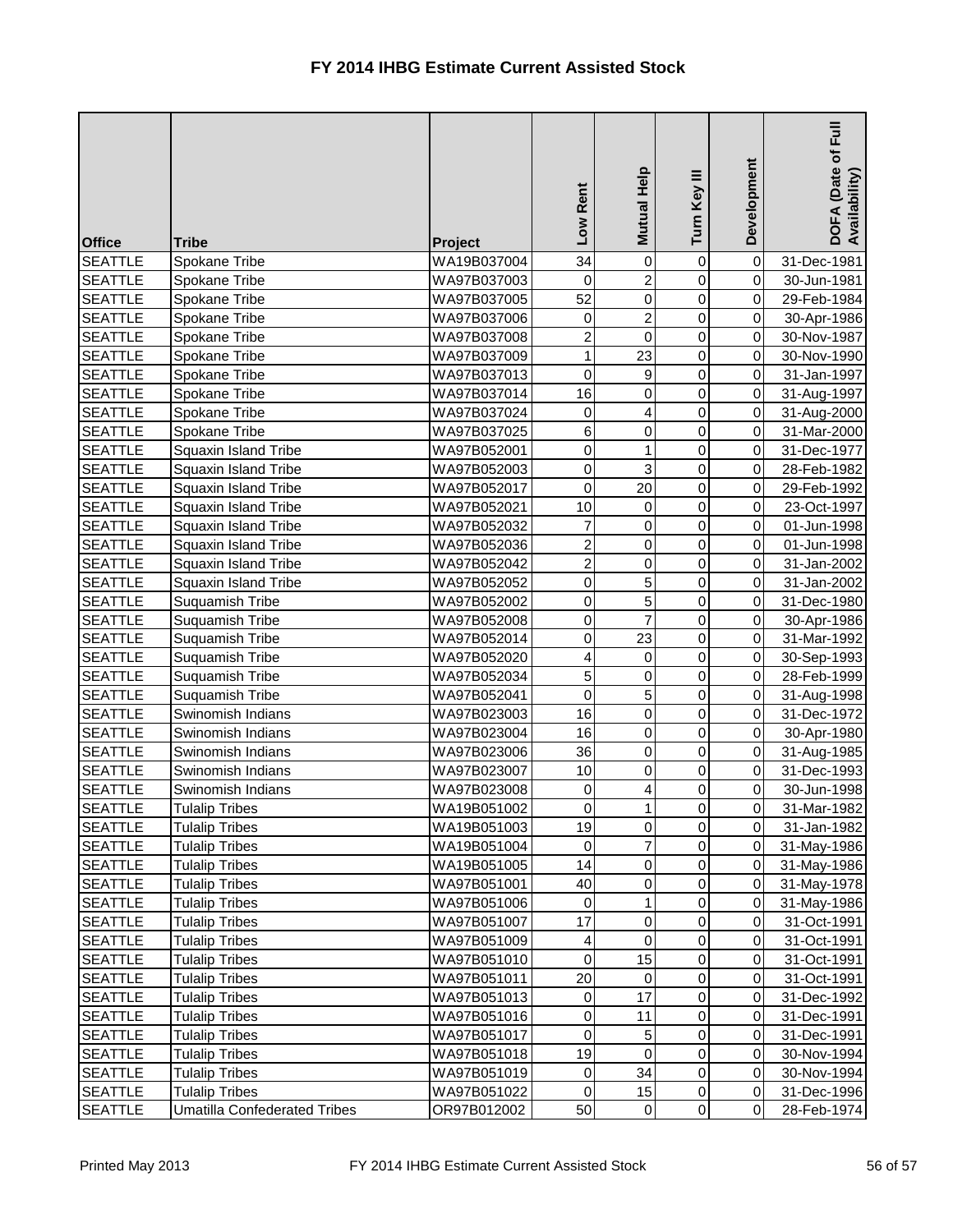| <b>Office</b>  | <b>Tribe</b>                        | <b>Project</b> | Low Rent            | Mutual Help     | Turn Key III   | Development    | <b>Full</b><br>DOFA (Date of I<br>Availability) |
|----------------|-------------------------------------|----------------|---------------------|-----------------|----------------|----------------|-------------------------------------------------|
| <b>SEATTLE</b> | Spokane Tribe                       | WA19B037004    | 34                  | $\mathbf 0$     | 0              | $\overline{0}$ | 31-Dec-1981                                     |
| <b>SEATTLE</b> | Spokane Tribe                       | WA97B037003    | 0                   | $\overline{2}$  | 0              | $\overline{0}$ | 30-Jun-1981                                     |
| <b>SEATTLE</b> | Spokane Tribe                       | WA97B037005    | 52                  | 0               | $\overline{0}$ | $\overline{0}$ | 29-Feb-1984                                     |
| <b>SEATTLE</b> | Spokane Tribe                       | WA97B037006    | $\pmb{0}$           | $\overline{c}$  | $\overline{0}$ | $\overline{0}$ | 30-Apr-1986                                     |
| <b>SEATTLE</b> | Spokane Tribe                       | WA97B037008    | $\overline{2}$      | $\mathbf 0$     | 0              | $\overline{0}$ | 30-Nov-1987                                     |
| <b>SEATTLE</b> | Spokane Tribe                       | WA97B037009    | $\mathbf{1}$        | 23              | $\overline{0}$ | $\overline{0}$ | 30-Nov-1990                                     |
| <b>SEATTLE</b> | Spokane Tribe                       | WA97B037013    | 0                   | 9               | 0              | $\overline{0}$ | 31-Jan-1997                                     |
| <b>SEATTLE</b> | Spokane Tribe                       | WA97B037014    | 16                  | 0               | 0              | $\overline{0}$ | 31-Aug-1997                                     |
| <b>SEATTLE</b> | Spokane Tribe                       | WA97B037024    | 0                   | 4               | 0              | $\overline{0}$ | 31-Aug-2000                                     |
| <b>SEATTLE</b> | Spokane Tribe                       | WA97B037025    | $\,6$               | 0               | 0              | $\overline{0}$ | 31-Mar-2000                                     |
| <b>SEATTLE</b> | <b>Squaxin Island Tribe</b>         | WA97B052001    | 0                   | 1               | 0              | $\overline{0}$ | 31-Dec-1977                                     |
| <b>SEATTLE</b> | <b>Squaxin Island Tribe</b>         | WA97B052003    | $\pmb{0}$           | 3               | $\overline{0}$ | $\overline{0}$ | 28-Feb-1982                                     |
| <b>SEATTLE</b> | <b>Squaxin Island Tribe</b>         | WA97B052017    | $\mathsf{O}\xspace$ | $\overline{20}$ | 0              | $\overline{0}$ | 29-Feb-1992                                     |
| <b>SEATTLE</b> | <b>Squaxin Island Tribe</b>         | WA97B052021    | 10                  | $\pmb{0}$       | $\overline{0}$ | $\overline{0}$ | 23-Oct-1997                                     |
| <b>SEATTLE</b> | Squaxin Island Tribe                | WA97B052032    | $\overline{7}$      | 0               | 0              | $\overline{0}$ | 01-Jun-1998                                     |
| <b>SEATTLE</b> | Squaxin Island Tribe                | WA97B052036    | $\overline{2}$      | $\pmb{0}$       | $\overline{0}$ | $\overline{0}$ | 01-Jun-1998                                     |
| <b>SEATTLE</b> | Squaxin Island Tribe                | WA97B052042    | $\overline{2}$      | 0               | 0              | $\overline{0}$ | 31-Jan-2002                                     |
| <b>SEATTLE</b> | <b>Squaxin Island Tribe</b>         | WA97B052052    | $\mathbf 0$         | 5               | 0              | $\overline{0}$ | 31-Jan-2002                                     |
| <b>SEATTLE</b> | Suquamish Tribe                     | WA97B052002    | 0                   | 5               | $\overline{0}$ | $\overline{0}$ | 31-Dec-1980                                     |
| <b>SEATTLE</b> | Suquamish Tribe                     | WA97B052008    | $\mathbf 0$         | $\overline{7}$  | $\overline{0}$ | $\overline{0}$ | 30-Apr-1986                                     |
| <b>SEATTLE</b> | Suquamish Tribe                     | WA97B052014    | 0                   | 23              | 0              | $\overline{0}$ | 31-Mar-1992                                     |
| <b>SEATTLE</b> | Suquamish Tribe                     | WA97B052020    | 4                   | $\mathbf 0$     | 0              | $\overline{0}$ | 30-Sep-1993                                     |
| <b>SEATTLE</b> | Suquamish Tribe                     | WA97B052034    | 5                   | $\overline{0}$  | 0              | $\overline{0}$ | 28-Feb-1999                                     |
| <b>SEATTLE</b> | Suquamish Tribe                     | WA97B052041    | 0                   | 5               | 0              | $\overline{0}$ | 31-Aug-1998                                     |
| <b>SEATTLE</b> | Swinomish Indians                   | WA97B023003    | 16                  | $\pmb{0}$       | 0              | $\overline{0}$ | 31-Dec-1972                                     |
| <b>SEATTLE</b> | Swinomish Indians                   | WA97B023004    | 16                  | $\overline{0}$  | $\overline{0}$ | $\overline{0}$ | 30-Apr-1980                                     |
| <b>SEATTLE</b> | Swinomish Indians                   | WA97B023006    | 36                  | $\pmb{0}$       | $\overline{0}$ | $\overline{0}$ | 31-Aug-1985                                     |
| <b>SEATTLE</b> | Swinomish Indians                   | WA97B023007    | 10                  | 0               | 0              | $\overline{0}$ | 31-Dec-1993                                     |
| <b>SEATTLE</b> | Swinomish Indians                   | WA97B023008    | 0                   | 4               | 0              | $\overline{0}$ | 30-Jun-1998                                     |
| <b>SEATTLE</b> | <b>Tulalip Tribes</b>               | WA19B051002    | $\pmb{0}$           | 1               | 0              | $\overline{0}$ | 31-Mar-1982                                     |
| <b>SEATTLE</b> | <b>Tulalip Tribes</b>               | WA19B051003    | 19                  | 0               | 0              | $\overline{0}$ | 31-Jan-1982                                     |
| <b>SEATTLE</b> | <b>Tulalip Tribes</b>               | WA19B051004    | 0                   | $\overline{7}$  | 0              | $\overline{0}$ | 31-May-1986                                     |
| <b>SEATTLE</b> | <b>Tulalip Tribes</b>               | WA19B051005    | 14                  | $\pmb{0}$       | 0              | $\overline{0}$ | 31-May-1986                                     |
| <b>SEATTLE</b> | <b>Tulalip Tribes</b>               | WA97B051001    | 40                  | 0               | 0              | $\overline{0}$ | 31-May-1978                                     |
| <b>SEATTLE</b> | <b>Tulalip Tribes</b>               | WA97B051006    | 0                   | 1               | 0              | $\overline{0}$ | 31-May-1986                                     |
| <b>SEATTLE</b> | <b>Tulalip Tribes</b>               | WA97B051007    | 17                  | $\mathsf 0$     | 0              | $\overline{0}$ | 31-Oct-1991                                     |
| <b>SEATTLE</b> | <b>Tulalip Tribes</b>               | WA97B051009    | 4                   | $\pmb{0}$       | 0              | $\overline{0}$ | 31-Oct-1991                                     |
| <b>SEATTLE</b> | <b>Tulalip Tribes</b>               | WA97B051010    | $\pmb{0}$           | 15              | 0              | $\overline{0}$ | 31-Oct-1991                                     |
| <b>SEATTLE</b> | <b>Tulalip Tribes</b>               | WA97B051011    | 20                  | 0               | 0              | $\overline{0}$ | 31-Oct-1991                                     |
| <b>SEATTLE</b> | <b>Tulalip Tribes</b>               | WA97B051013    | 0                   | 17              | 0              | $\overline{0}$ | 31-Dec-1992                                     |
| <b>SEATTLE</b> | <b>Tulalip Tribes</b>               | WA97B051016    | $\pmb{0}$           | 11              | 0              | $\overline{0}$ | 31-Dec-1991                                     |
| <b>SEATTLE</b> | <b>Tulalip Tribes</b>               | WA97B051017    | $\pmb{0}$           | 5               | 0              | $\overline{0}$ | 31-Dec-1991                                     |
| <b>SEATTLE</b> | <b>Tulalip Tribes</b>               | WA97B051018    | 19                  | 0               | 0              | $\overline{0}$ | 30-Nov-1994                                     |
| <b>SEATTLE</b> | <b>Tulalip Tribes</b>               | WA97B051019    | $\pmb{0}$           | 34              | $\overline{0}$ | $\overline{0}$ | 30-Nov-1994                                     |
| <b>SEATTLE</b> | <b>Tulalip Tribes</b>               | WA97B051022    | $\pmb{0}$           | 15              | 0              | $\overline{0}$ | 31-Dec-1996                                     |
| <b>SEATTLE</b> | <b>Umatilla Confederated Tribes</b> | OR97B012002    | 50                  | $\overline{0}$  | $\overline{0}$ | $\overline{0}$ | 28-Feb-1974                                     |